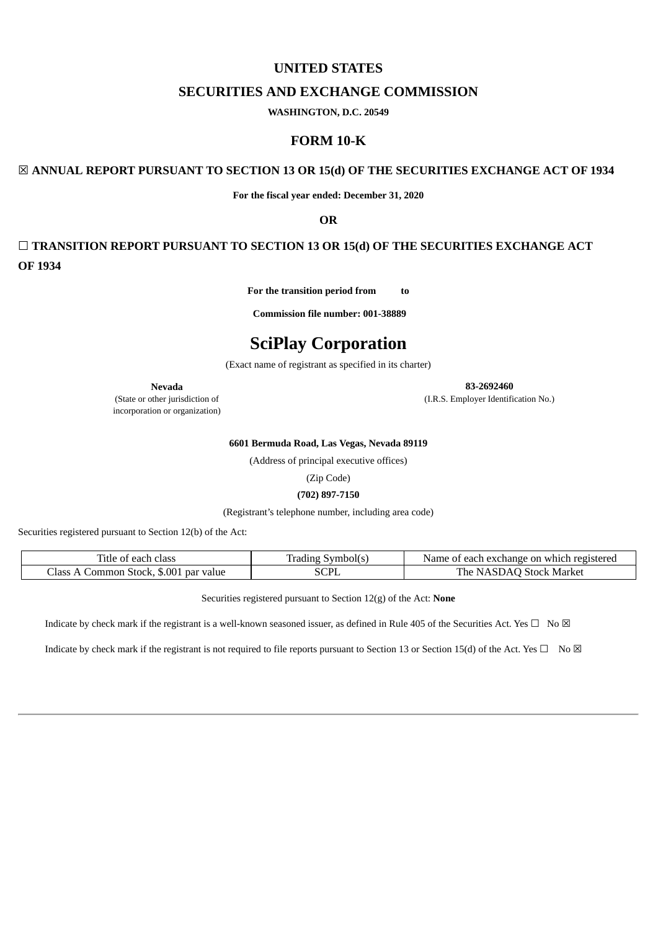# **UNITED STATES**

# **SECURITIES AND EXCHANGE COMMISSION**

**WASHINGTON, D.C. 20549**

# **FORM 10-K**

# ☒ **ANNUAL REPORT PURSUANT TO SECTION 13 OR 15(d) OF THE SECURITIES EXCHANGE ACT OF 1934**

**For the fiscal year ended: December 31, 2020**

**OR**

☐ **TRANSITION REPORT PURSUANT TO SECTION 13 OR 15(d) OF THE SECURITIES EXCHANGE ACT OF 1934**

**For the transition period from to**

**Commission file number: 001-38889**

# **SciPlay Corporation**

(Exact name of registrant as specified in its charter)

incorporation or organization)

**Nevada 83-2692460**

(State or other jurisdiction of (I.R.S. Employer Identification No.)

**6601 Bermuda Road, Las Vegas, Nevada 89119**

(Address of principal executive offices)

(Zip Code)

**(702) 897-7150**

(Registrant's telephone number, including area code)

Securities registered pursuant to Section 12(b) of the Act:

| Title of each class                    | Trading Symbol(s) | Name of each exchange on which registered |
|----------------------------------------|-------------------|-------------------------------------------|
| Class A Common Stock, \$.001 par value | SCPL              | The NASDAO Stock Market                   |

Securities registered pursuant to Section 12(g) of the Act: **None**

Indicate by check mark if the registrant is a well-known seasoned issuer, as defined in Rule 405 of the Securities Act. Yes  $\Box$  No  $\boxtimes$ 

Indicate by check mark if the registrant is not required to file reports pursuant to Section 13 or Section 15(d) of the Act. Yes  $\square$  No  $\boxtimes$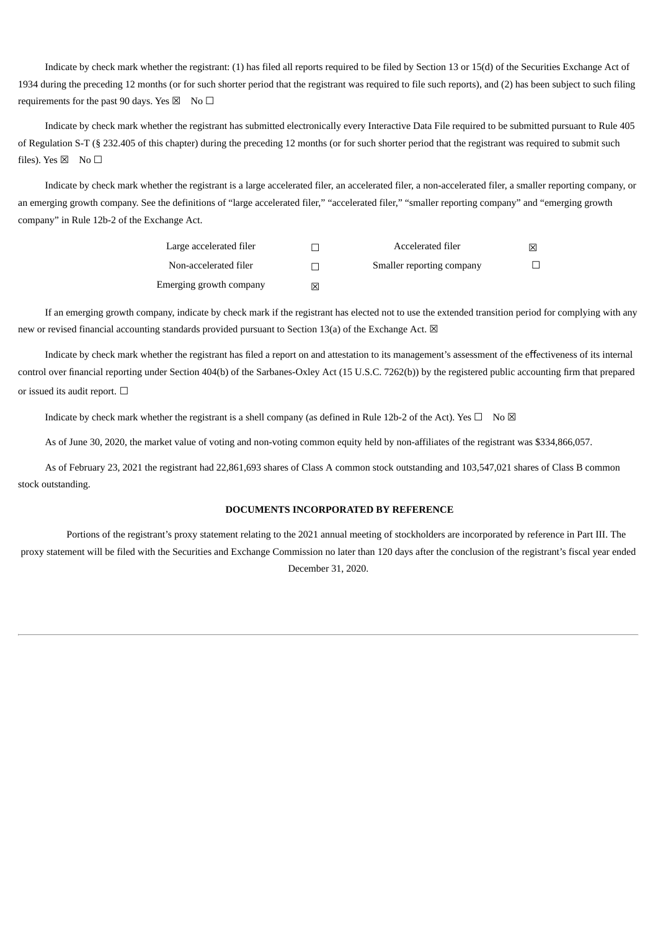Indicate by check mark whether the registrant: (1) has filed all reports required to be filed by Section 13 or 15(d) of the Securities Exchange Act of 1934 during the preceding 12 months (or for such shorter period that the registrant was required to file such reports), and (2) has been subject to such filing requirements for the past 90 days. Yes  $\boxtimes$  No  $\Box$ 

Indicate by check mark whether the registrant has submitted electronically every Interactive Data File required to be submitted pursuant to Rule 405 of Regulation S-T (§ 232.405 of this chapter) during the preceding 12 months (or for such shorter period that the registrant was required to submit such files). Yes  $\boxtimes$  No  $\square$ 

Indicate by check mark whether the registrant is a large accelerated filer, an accelerated filer, a non-accelerated filer, a smaller reporting company, or an emerging growth company. See the definitions of "large accelerated filer," "accelerated filer," "smaller reporting company" and "emerging growth company" in Rule 12b-2 of the Exchange Act.

| Large accelerated filer |   | Accelerated filer         | ⊠ |
|-------------------------|---|---------------------------|---|
| Non-accelerated filer   |   | Smaller reporting company |   |
| Emerging growth company | ⊠ |                           |   |

If an emerging growth company, indicate by check mark if the registrant has elected not to use the extended transition period for complying with any new or revised financial accounting standards provided pursuant to Section 13(a) of the Exchange Act.  $\boxtimes$ 

Indicate by check mark whether the registrant has filed a report on and attestation to its management's assessment of the effectiveness of its internal control over financial reporting under Section 404(b) of the Sarbanes-Oxley Act (15 U.S.C. 7262(b)) by the registered public accounting firm that prepared or issued its audit report.  $□$ 

Indicate by check mark whether the registrant is a shell company (as defined in Rule 12b-2 of the Act). Yes  $\Box$  No  $\boxtimes$ 

As of June 30, 2020, the market value of voting and non-voting common equity held by non-affiliates of the registrant was \$334,866,057.

As of February 23, 2021 the registrant had 22,861,693 shares of Class A common stock outstanding and 103,547,021 shares of Class B common stock outstanding.

# **DOCUMENTS INCORPORATED BY REFERENCE**

Portions of the registrant's proxy statement relating to the 2021 annual meeting of stockholders are incorporated by reference in Part III. The proxy statement will be filed with the Securities and Exchange Commission no later than 120 days after the conclusion of the registrant's fiscal year ended December 31, 2020.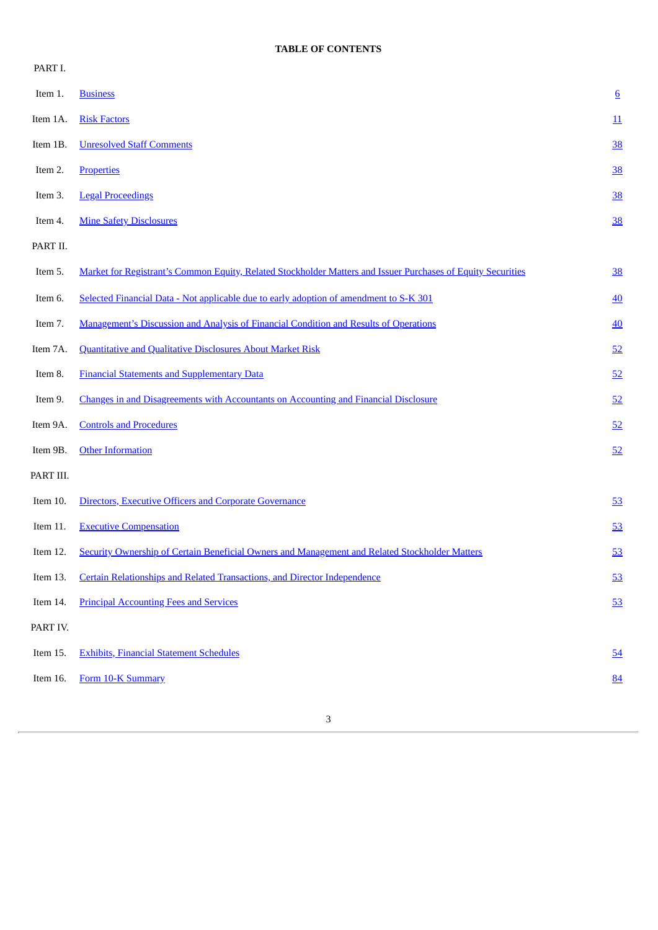# **TABLE OF CONTENTS**

| PART I.   |                                                                                                              |                 |
|-----------|--------------------------------------------------------------------------------------------------------------|-----------------|
| Item 1.   | <b>Business</b>                                                                                              | $6\overline{6}$ |
| Item 1A.  | <b>Risk Factors</b>                                                                                          | 11              |
| Item 1B.  | <b>Unresolved Staff Comments</b>                                                                             | 38              |
| Item 2.   | <b>Properties</b>                                                                                            | 38              |
| Item 3.   | <b>Legal Proceedings</b>                                                                                     | 38              |
| Item 4.   | <b>Mine Safety Disclosures</b>                                                                               | 38              |
| PART II.  |                                                                                                              |                 |
| Item 5.   | Market for Registrant's Common Equity, Related Stockholder Matters and Issuer Purchases of Equity Securities | 38              |
| Item 6.   | Selected Financial Data - Not applicable due to early adoption of amendment to S-K 301                       | 40              |
| Item 7.   | Management's Discussion and Analysis of Financial Condition and Results of Operations                        | 40              |
| Item 7A.  | <b>Quantitative and Qualitative Disclosures About Market Risk</b>                                            | 52              |
| Item 8.   | <b>Financial Statements and Supplementary Data</b>                                                           | 52              |
| Item 9.   | <b>Changes in and Disagreements with Accountants on Accounting and Financial Disclosure</b>                  | 52              |
| Item 9A.  | <b>Controls and Procedures</b>                                                                               | 52              |
| Item 9B.  | <b>Other Information</b>                                                                                     | 52              |
| PART III. |                                                                                                              |                 |
| Item 10.  | Directors, Executive Officers and Corporate Governance                                                       | 53              |
| Item 11.  | <b>Executive Compensation</b>                                                                                | 53              |
| Item 12.  | Security Ownership of Certain Beneficial Owners and Management and Related Stockholder Matters               | 53              |
| Item 13.  | <b>Certain Relationships and Related Transactions, and Director Independence</b>                             | 53              |
| Item 14.  | <b>Principal Accounting Fees and Services</b>                                                                | 53              |
| PART IV.  |                                                                                                              |                 |
| Item 15.  | <b>Exhibits, Financial Statement Schedules</b>                                                               | 54              |
| Item 16.  | Form 10-K Summary                                                                                            | 84              |
|           |                                                                                                              |                 |

# 3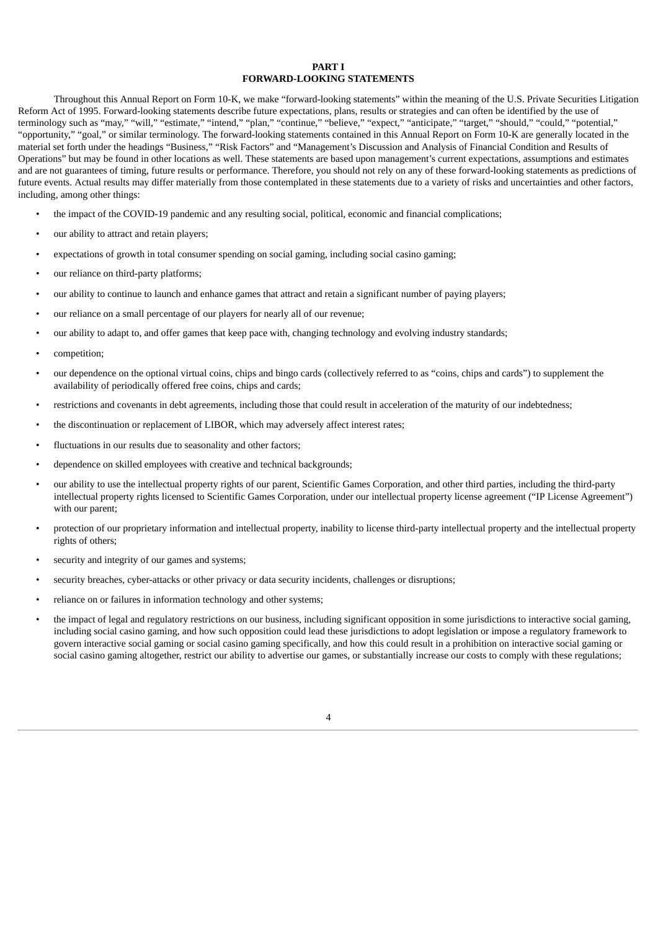#### **PART I FORWARD-LOOKING STATEMENTS**

Throughout this Annual Report on Form 10-K, we make "forward-looking statements" within the meaning of the U.S. Private Securities Litigation Reform Act of 1995. Forward-looking statements describe future expectations, plans, results or strategies and can often be identified by the use of terminology such as "may," "will," "estimate," "intend," "plan," "continue," "believe," "expect," "anticipate," "target," "should," "could," "potential," "opportunity," "goal," or similar terminology. The forward-looking statements contained in this Annual Report on Form 10-K are generally located in the material set forth under the headings "Business," "Risk Factors" and "Management's Discussion and Analysis of Financial Condition and Results of Operations" but may be found in other locations as well. These statements are based upon management's current expectations, assumptions and estimates and are not guarantees of timing, future results or performance. Therefore, you should not rely on any of these forward-looking statements as predictions of future events. Actual results may differ materially from those contemplated in these statements due to a variety of risks and uncertainties and other factors, including, among other things:

- the impact of the COVID-19 pandemic and any resulting social, political, economic and financial complications;
- our ability to attract and retain players;
- expectations of growth in total consumer spending on social gaming, including social casino gaming;
- our reliance on third-party platforms;
- our ability to continue to launch and enhance games that attract and retain a significant number of paying players;
- our reliance on a small percentage of our players for nearly all of our revenue;
- our ability to adapt to, and offer games that keep pace with, changing technology and evolving industry standards;
- competition;
- our dependence on the optional virtual coins, chips and bingo cards (collectively referred to as "coins, chips and cards") to supplement the availability of periodically offered free coins, chips and cards;
- restrictions and covenants in debt agreements, including those that could result in acceleration of the maturity of our indebtedness;
- the discontinuation or replacement of LIBOR, which may adversely affect interest rates;
- fluctuations in our results due to seasonality and other factors:
- dependence on skilled employees with creative and technical backgrounds;
- our ability to use the intellectual property rights of our parent, Scientific Games Corporation, and other third parties, including the third-party intellectual property rights licensed to Scientific Games Corporation, under our intellectual property license agreement ("IP License Agreement") with our parent;
- protection of our proprietary information and intellectual property, inability to license third-party intellectual property and the intellectual property rights of others;
- security and integrity of our games and systems;
- security breaches, cyber-attacks or other privacy or data security incidents, challenges or disruptions;
- reliance on or failures in information technology and other systems;
- the impact of legal and regulatory restrictions on our business, including significant opposition in some jurisdictions to interactive social gaming, including social casino gaming, and how such opposition could lead these jurisdictions to adopt legislation or impose a regulatory framework to govern interactive social gaming or social casino gaming specifically, and how this could result in a prohibition on interactive social gaming or social casino gaming altogether, restrict our ability to advertise our games, or substantially increase our costs to comply with these regulations;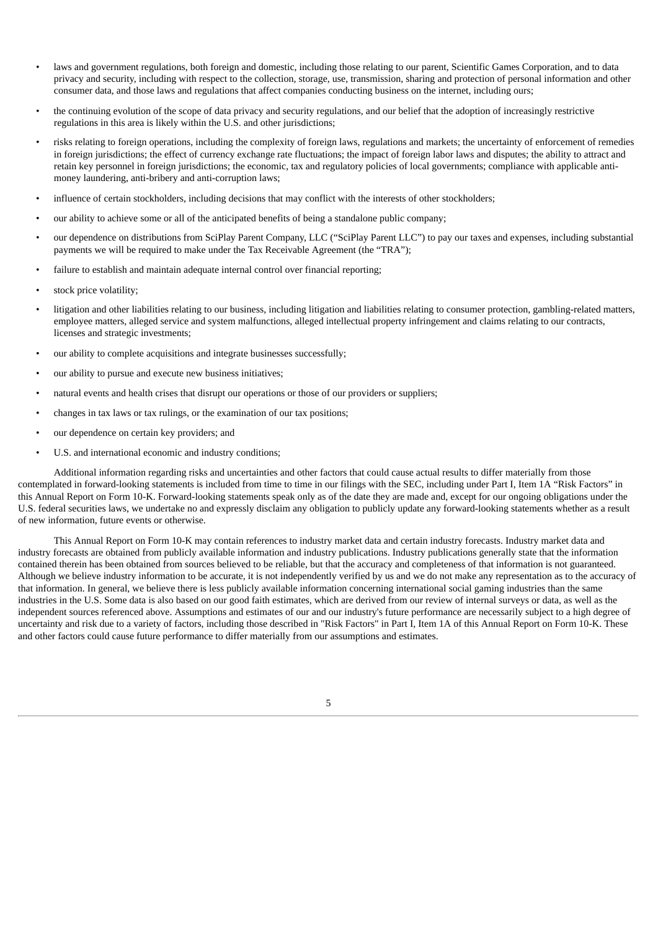- laws and government regulations, both foreign and domestic, including those relating to our parent, Scientific Games Corporation, and to data privacy and security, including with respect to the collection, storage, use, transmission, sharing and protection of personal information and other consumer data, and those laws and regulations that affect companies conducting business on the internet, including ours;
- the continuing evolution of the scope of data privacy and security regulations, and our belief that the adoption of increasingly restrictive regulations in this area is likely within the U.S. and other jurisdictions;
- risks relating to foreign operations, including the complexity of foreign laws, regulations and markets; the uncertainty of enforcement of remedies in foreign jurisdictions; the effect of currency exchange rate fluctuations; the impact of foreign labor laws and disputes; the ability to attract and retain key personnel in foreign jurisdictions; the economic, tax and regulatory policies of local governments; compliance with applicable antimoney laundering, anti-bribery and anti-corruption laws;
- influence of certain stockholders, including decisions that may conflict with the interests of other stockholders;
- our ability to achieve some or all of the anticipated benefits of being a standalone public company;
- our dependence on distributions from SciPlay Parent Company, LLC ("SciPlay Parent LLC") to pay our taxes and expenses, including substantial payments we will be required to make under the Tax Receivable Agreement (the "TRA");
- failure to establish and maintain adequate internal control over financial reporting;
- stock price volatility;
- litigation and other liabilities relating to our business, including litigation and liabilities relating to consumer protection, gambling-related matters, employee matters, alleged service and system malfunctions, alleged intellectual property infringement and claims relating to our contracts, licenses and strategic investments;
- our ability to complete acquisitions and integrate businesses successfully;
- our ability to pursue and execute new business initiatives;
- natural events and health crises that disrupt our operations or those of our providers or suppliers;
- changes in tax laws or tax rulings, or the examination of our tax positions;
- our dependence on certain key providers; and
- U.S. and international economic and industry conditions;

Additional information regarding risks and uncertainties and other factors that could cause actual results to differ materially from those contemplated in forward-looking statements is included from time to time in our filings with the SEC, including under Part I, Item 1A "Risk Factors" in this Annual Report on Form 10-K. Forward-looking statements speak only as of the date they are made and, except for our ongoing obligations under the U.S. federal securities laws, we undertake no and expressly disclaim any obligation to publicly update any forward-looking statements whether as a result of new information, future events or otherwise.

<span id="page-4-0"></span>This Annual Report on Form 10-K may contain references to industry market data and certain industry forecasts. Industry market data and industry forecasts are obtained from publicly available information and industry publications. Industry publications generally state that the information contained therein has been obtained from sources believed to be reliable, but that the accuracy and completeness of that information is not guaranteed. Although we believe industry information to be accurate, it is not independently verified by us and we do not make any representation as to the accuracy of that information. In general, we believe there is less publicly available information concerning international social gaming industries than the same industries in the U.S. Some data is also based on our good faith estimates, which are derived from our review of internal surveys or data, as well as the independent sources referenced above. Assumptions and estimates of our and our industry's future performance are necessarily subject to a high degree of uncertainty and risk due to a variety of factors, including those described in "Risk Factors" in Part I, Item 1A of this Annual Report on Form 10-K. These and other factors could cause future performance to differ materially from our assumptions and estimates.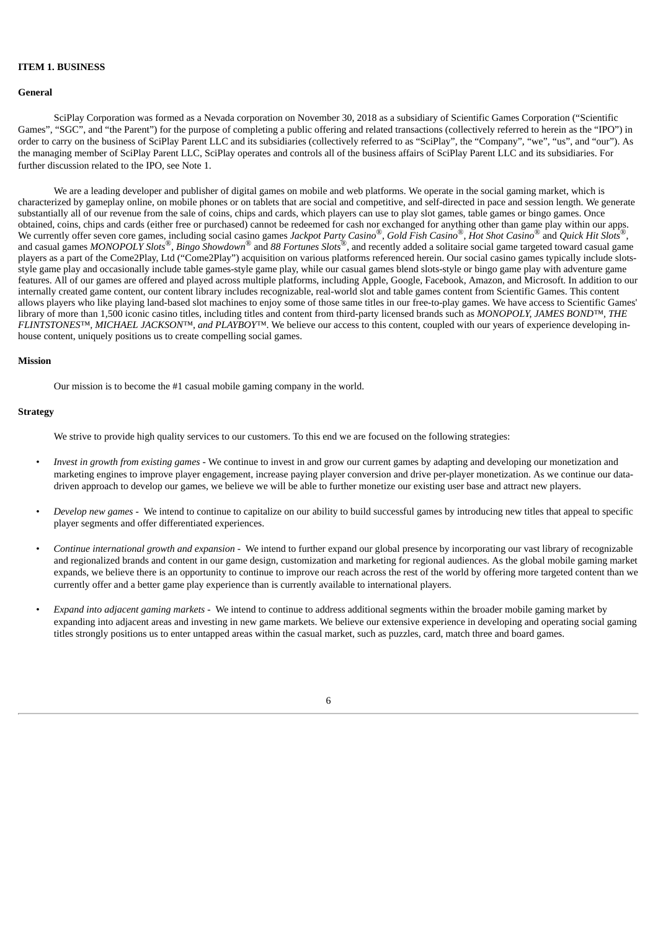# **ITEM 1. BUSINESS**

#### **General**

SciPlay Corporation was formed as a Nevada corporation on November 30, 2018 as a subsidiary of Scientific Games Corporation ("Scientific Games", "SGC", and "the Parent") for the purpose of completing a public offering and related transactions (collectively referred to herein as the "IPO") in order to carry on the business of SciPlay Parent LLC and its subsidiaries (collectively referred to as "SciPlay", the "Company", "we", "us", and "our"). As the managing member of SciPlay Parent LLC, SciPlay operates and controls all of the business affairs of SciPlay Parent LLC and its subsidiaries. For further discussion related to the IPO, see Note 1.

We are a leading developer and publisher of digital games on mobile and web platforms. We operate in the social gaming market, which is characterized by gameplay online, on mobile phones or on tablets that are social and competitive, and self-directed in pace and session length. We generate substantially all of our revenue from the sale of coins, chips and cards, which players can use to play slot games, table games or bingo games. Once obtained, coins, chips and cards (either free or purchased) cannot be redeemed for cash nor exchanged for anything other than game play within our apps. We currently offer seven core games, including social casino games Jackpot Party Casino®, Gold Fish Casino®, Hot Shot Casino® and Quick Hit Slots®, and casual games *MONOPOLY Slots*<sup>®</sup>, *Bingo Showdown*<sup>®</sup> and *88 Fortunes Slots*<sup>®</sup>, and recently added a solitaire social game targeted toward casual game players as a part of the Come2Play, Ltd ("Come2Play") acquisition on various platforms referenced herein. Our social casino games typically include slotsstyle game play and occasionally include table games-style game play, while our casual games blend slots-style or bingo game play with adventure game features. All of our games are offered and played across multiple platforms, including Apple, Google, Facebook, Amazon, and Microsoft. In addition to our internally created game content, our content library includes recognizable, real-world slot and table games content from Scientific Games. This content allows players who like playing land-based slot machines to enjoy some of those same titles in our free-to-play games. We have access to Scientific Games' library of more than 1,500 iconic casino titles, including titles and content from third-party licensed brands such as *MONOPOLY, JAMES BOND™, THE FLINTSTONES™, MICHAEL JACKSON™, and PLAYBOY™*. We believe our access to this content, coupled with our years of experience developing inhouse content, uniquely positions us to create compelling social games.  $\overset{\circ}{\mathbb{B}}$  Cold Figh Casing  $\overset{\circ}{\mathbb{B}}$  Hot Shot Casing  $\overset{\circ}{\mathbb{B}}$  and Oujek Hit Slots  $\overset{\circ}{\mathbb{B}}$  Pingo Shoudoum and 00 Fortunes Slots  $\overset{\circ}{\mathbb{B}}$ 

#### **Mission**

Our mission is to become the #1 casual mobile gaming company in the world.

#### **Strategy**

We strive to provide high quality services to our customers. To this end we are focused on the following strategies:

- *• Invest in growth from existing games -* We continue to invest in and grow our current games by adapting and developing our monetization and marketing engines to improve player engagement, increase paying player conversion and drive per-player monetization. As we continue our datadriven approach to develop our games, we believe we will be able to further monetize our existing user base and attract new players.
- *• Develop new games -* We intend to continue to capitalize on our ability to build successful games by introducing new titles that appeal to specific player segments and offer differentiated experiences.
- *• Continue international growth and expansion -* We intend to further expand our global presence by incorporating our vast library of recognizable and regionalized brands and content in our game design, customization and marketing for regional audiences. As the global mobile gaming market expands, we believe there is an opportunity to continue to improve our reach across the rest of the world by offering more targeted content than we currently offer and a better game play experience than is currently available to international players.
- *• Expand into adjacent gaming markets -* We intend to continue to address additional segments within the broader mobile gaming market by expanding into adjacent areas and investing in new game markets. We believe our extensive experience in developing and operating social gaming titles strongly positions us to enter untapped areas within the casual market, such as puzzles, card, match three and board games.

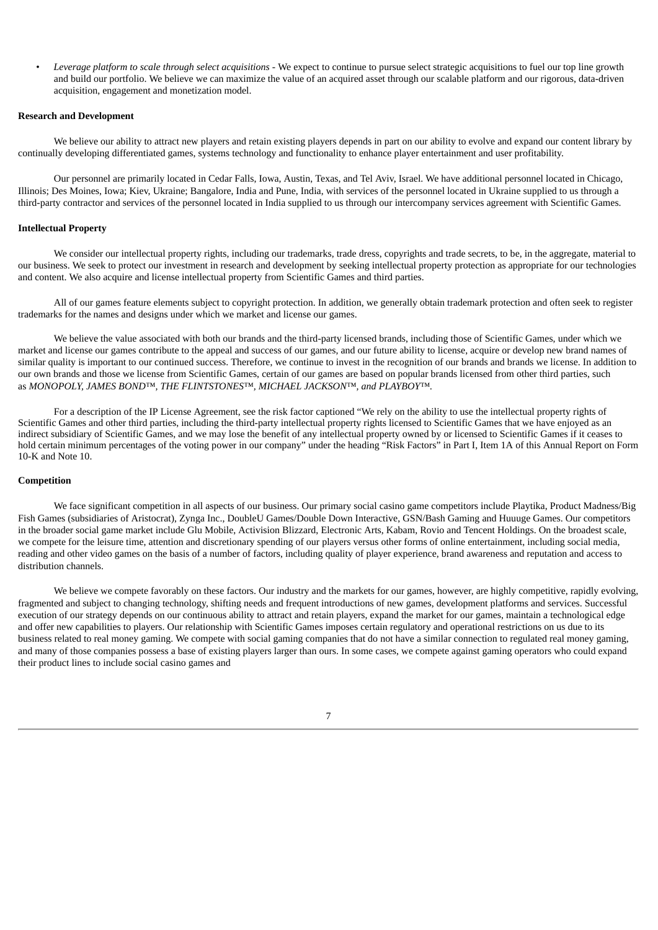*• Leverage platform to scale through select acquisitions -* We expect to continue to pursue select strategic acquisitions to fuel our top line growth and build our portfolio. We believe we can maximize the value of an acquired asset through our scalable platform and our rigorous, data-driven acquisition, engagement and monetization model.

#### **Research and Development**

We believe our ability to attract new players and retain existing players depends in part on our ability to evolve and expand our content library by continually developing differentiated games, systems technology and functionality to enhance player entertainment and user profitability.

Our personnel are primarily located in Cedar Falls, Iowa, Austin, Texas, and Tel Aviv, Israel. We have additional personnel located in Chicago, Illinois; Des Moines, Iowa; Kiev, Ukraine; Bangalore, India and Pune, India, with services of the personnel located in Ukraine supplied to us through a third-party contractor and services of the personnel located in India supplied to us through our intercompany services agreement with Scientific Games.

#### **Intellectual Property**

We consider our intellectual property rights, including our trademarks, trade dress, copyrights and trade secrets, to be, in the aggregate, material to our business. We seek to protect our investment in research and development by seeking intellectual property protection as appropriate for our technologies and content. We also acquire and license intellectual property from Scientific Games and third parties.

All of our games feature elements subject to copyright protection. In addition, we generally obtain trademark protection and often seek to register trademarks for the names and designs under which we market and license our games.

We believe the value associated with both our brands and the third-party licensed brands, including those of Scientific Games, under which we market and license our games contribute to the appeal and success of our games, and our future ability to license, acquire or develop new brand names of similar quality is important to our continued success. Therefore, we continue to invest in the recognition of our brands and brands we license. In addition to our own brands and those we license from Scientific Games, certain of our games are based on popular brands licensed from other third parties, such as *MONOPOLY, JAMES BOND™, THE FLINTSTONES™, MICHAEL JACKSON™, and PLAYBOY™.*

For a description of the IP License Agreement, see the risk factor captioned "We rely on the ability to use the intellectual property rights of Scientific Games and other third parties, including the third-party intellectual property rights licensed to Scientific Games that we have enjoyed as an indirect subsidiary of Scientific Games, and we may lose the benefit of any intellectual property owned by or licensed to Scientific Games if it ceases to hold certain minimum percentages of the voting power in our company" under the heading "Risk Factors" in Part I, Item 1A of this Annual Report on Form 10-K and Note 10.

#### **Competition**

We face significant competition in all aspects of our business. Our primary social casino game competitors include Playtika, Product Madness/Big Fish Games (subsidiaries of Aristocrat), Zynga Inc., DoubleU Games/Double Down Interactive, GSN/Bash Gaming and Huuuge Games. Our competitors in the broader social game market include Glu Mobile, Activision Blizzard, Electronic Arts, Kabam, Rovio and Tencent Holdings. On the broadest scale, we compete for the leisure time, attention and discretionary spending of our players versus other forms of online entertainment, including social media, reading and other video games on the basis of a number of factors, including quality of player experience, brand awareness and reputation and access to distribution channels.

We believe we compete favorably on these factors. Our industry and the markets for our games, however, are highly competitive, rapidly evolving, fragmented and subject to changing technology, shifting needs and frequent introductions of new games, development platforms and services. Successful execution of our strategy depends on our continuous ability to attract and retain players, expand the market for our games, maintain a technological edge and offer new capabilities to players. Our relationship with Scientific Games imposes certain regulatory and operational restrictions on us due to its business related to real money gaming. We compete with social gaming companies that do not have a similar connection to regulated real money gaming, and many of those companies possess a base of existing players larger than ours. In some cases, we compete against gaming operators who could expand their product lines to include social casino games and

7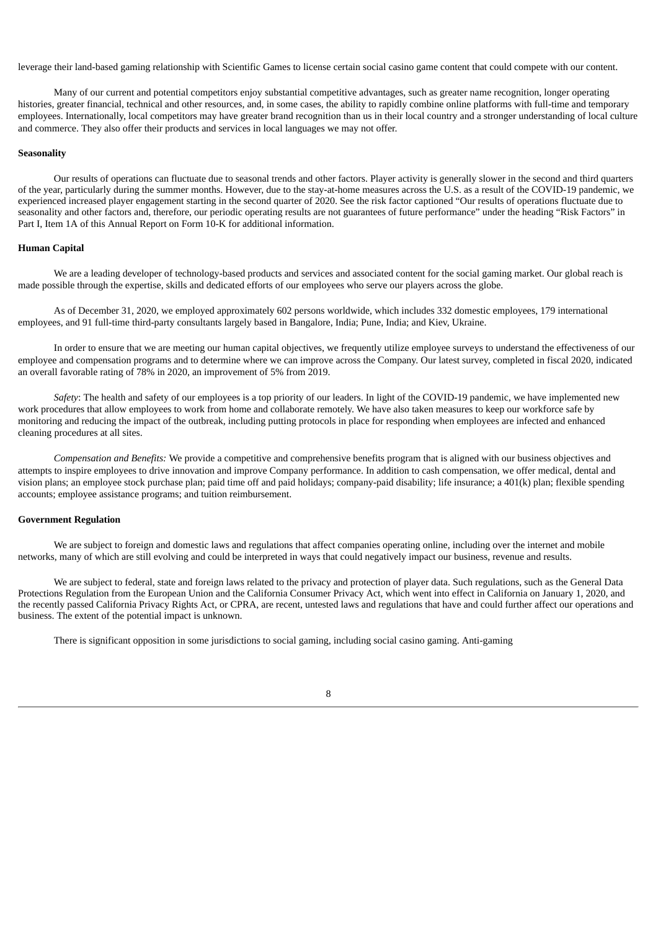leverage their land-based gaming relationship with Scientific Games to license certain social casino game content that could compete with our content.

Many of our current and potential competitors enjoy substantial competitive advantages, such as greater name recognition, longer operating histories, greater financial, technical and other resources, and, in some cases, the ability to rapidly combine online platforms with full-time and temporary employees. Internationally, local competitors may have greater brand recognition than us in their local country and a stronger understanding of local culture and commerce. They also offer their products and services in local languages we may not offer.

#### **Seasonality**

Our results of operations can fluctuate due to seasonal trends and other factors. Player activity is generally slower in the second and third quarters of the year, particularly during the summer months. However, due to the stay-at-home measures across the U.S. as a result of the COVID-19 pandemic, we experienced increased player engagement starting in the second quarter of 2020. See the risk factor captioned "Our results of operations fluctuate due to seasonality and other factors and, therefore, our periodic operating results are not guarantees of future performance" under the heading "Risk Factors" in Part I, Item 1A of this Annual Report on Form 10-K for additional information.

#### **Human Capital**

We are a leading developer of technology-based products and services and associated content for the social gaming market. Our global reach is made possible through the expertise, skills and dedicated efforts of our employees who serve our players across the globe.

As of December 31, 2020, we employed approximately 602 persons worldwide, which includes 332 domestic employees, 179 international employees, and 91 full-time third-party consultants largely based in Bangalore, India; Pune, India; and Kiev, Ukraine.

In order to ensure that we are meeting our human capital objectives, we frequently utilize employee surveys to understand the effectiveness of our employee and compensation programs and to determine where we can improve across the Company. Our latest survey, completed in fiscal 2020, indicated an overall favorable rating of 78% in 2020, an improvement of 5% from 2019.

*Safety*: The health and safety of our employees is a top priority of our leaders. In light of the COVID-19 pandemic, we have implemented new work procedures that allow employees to work from home and collaborate remotely. We have also taken measures to keep our workforce safe by monitoring and reducing the impact of the outbreak, including putting protocols in place for responding when employees are infected and enhanced cleaning procedures at all sites.

*Compensation and Benefits:* We provide a competitive and comprehensive benefits program that is aligned with our business objectives and attempts to inspire employees to drive innovation and improve Company performance. In addition to cash compensation, we offer medical, dental and vision plans; an employee stock purchase plan; paid time off and paid holidays; company-paid disability; life insurance; a 401(k) plan; flexible spending accounts; employee assistance programs; and tuition reimbursement.

#### **Government Regulation**

We are subject to foreign and domestic laws and regulations that affect companies operating online, including over the internet and mobile networks, many of which are still evolving and could be interpreted in ways that could negatively impact our business, revenue and results.

We are subject to federal, state and foreign laws related to the privacy and protection of player data. Such regulations, such as the General Data Protections Regulation from the European Union and the California Consumer Privacy Act, which went into effect in California on January 1, 2020, and the recently passed California Privacy Rights Act, or CPRA, are recent, untested laws and regulations that have and could further affect our operations and business. The extent of the potential impact is unknown.

There is significant opposition in some jurisdictions to social gaming, including social casino gaming. Anti-gaming

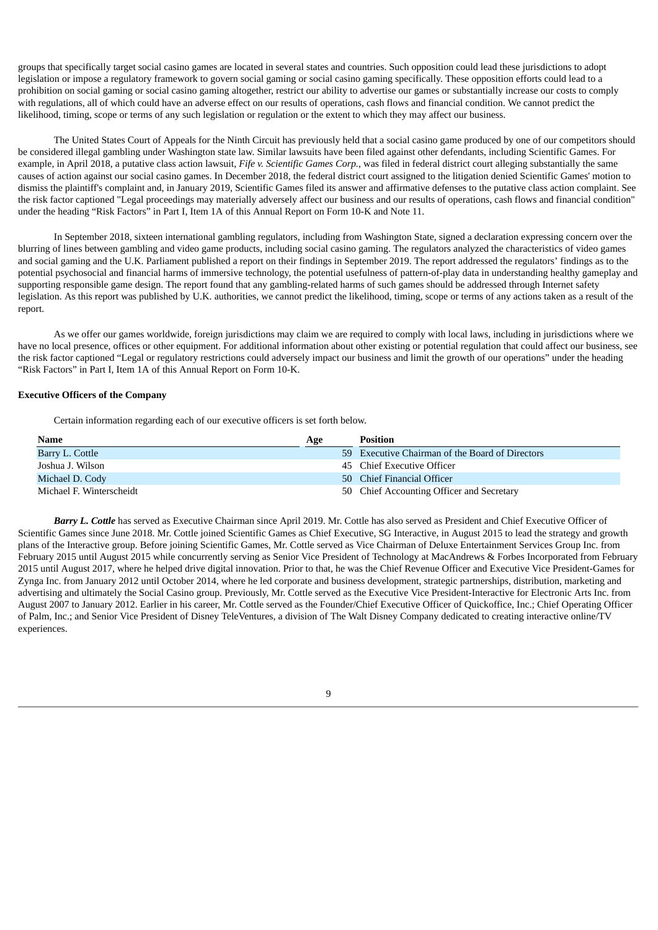groups that specifically target social casino games are located in several states and countries. Such opposition could lead these jurisdictions to adopt legislation or impose a regulatory framework to govern social gaming or social casino gaming specifically. These opposition efforts could lead to a prohibition on social gaming or social casino gaming altogether, restrict our ability to advertise our games or substantially increase our costs to comply with regulations, all of which could have an adverse effect on our results of operations, cash flows and financial condition. We cannot predict the likelihood, timing, scope or terms of any such legislation or regulation or the extent to which they may affect our business.

The United States Court of Appeals for the Ninth Circuit has previously held that a social casino game produced by one of our competitors should be considered illegal gambling under Washington state law. Similar lawsuits have been filed against other defendants, including Scientific Games. For example, in April 2018, a putative class action lawsuit, *Fife v. Scientific Games Corp.,* was filed in federal district court alleging substantially the same causes of action against our social casino games. In December 2018, the federal district court assigned to the litigation denied Scientific Games' motion to dismiss the plaintiff's complaint and, in January 2019, Scientific Games filed its answer and affirmative defenses to the putative class action complaint. See the risk factor captioned "Legal proceedings may materially adversely affect our business and our results of operations, cash flows and financial condition" under the heading "Risk Factors" in Part I, Item 1A of this Annual Report on Form 10-K and Note 11.

In September 2018, sixteen international gambling regulators, including from Washington State, signed a declaration expressing concern over the blurring of lines between gambling and video game products, including social casino gaming. The regulators analyzed the characteristics of video games and social gaming and the U.K. Parliament published a report on their findings in September 2019. The report addressed the regulators' findings as to the potential psychosocial and financial harms of immersive technology, the potential usefulness of pattern-of-play data in understanding healthy gameplay and supporting responsible game design. The report found that any gambling-related harms of such games should be addressed through Internet safety legislation. As this report was published by U.K. authorities, we cannot predict the likelihood, timing, scope or terms of any actions taken as a result of the report.

As we offer our games worldwide, foreign jurisdictions may claim we are required to comply with local laws, including in jurisdictions where we have no local presence, offices or other equipment. For additional information about other existing or potential regulation that could affect our business, see the risk factor captioned "Legal or regulatory restrictions could adversely impact our business and limit the growth of our operations" under the heading "Risk Factors" in Part I, Item 1A of this Annual Report on Form 10-K.

## **Executive Officers of the Company**

Certain information regarding each of our executive officers is set forth below.

| <b>Name</b>              | Age | <b>Position</b>                                 |
|--------------------------|-----|-------------------------------------------------|
| Barry L. Cottle          |     | 59 Executive Chairman of the Board of Directors |
| Joshua J. Wilson         |     | 45 Chief Executive Officer                      |
| Michael D. Cody          |     | 50 Chief Financial Officer                      |
| Michael F. Winterscheidt |     | 50 Chief Accounting Officer and Secretary       |

*Barry L. Cottle* has served as Executive Chairman since April 2019. Mr. Cottle has also served as President and Chief Executive Officer of Scientific Games since June 2018. Mr. Cottle joined Scientific Games as Chief Executive, SG Interactive, in August 2015 to lead the strategy and growth plans of the Interactive group. Before joining Scientific Games, Mr. Cottle served as Vice Chairman of Deluxe Entertainment Services Group Inc. from February 2015 until August 2015 while concurrently serving as Senior Vice President of Technology at MacAndrews & Forbes Incorporated from February 2015 until August 2017, where he helped drive digital innovation. Prior to that, he was the Chief Revenue Officer and Executive Vice President-Games for Zynga Inc. from January 2012 until October 2014, where he led corporate and business development, strategic partnerships, distribution, marketing and advertising and ultimately the Social Casino group. Previously, Mr. Cottle served as the Executive Vice President-Interactive for Electronic Arts Inc. from August 2007 to January 2012. Earlier in his career, Mr. Cottle served as the Founder/Chief Executive Officer of Quickoffice, Inc.; Chief Operating Officer of Palm, Inc.; and Senior Vice President of Disney TeleVentures, a division of The Walt Disney Company dedicated to creating interactive online/TV experiences.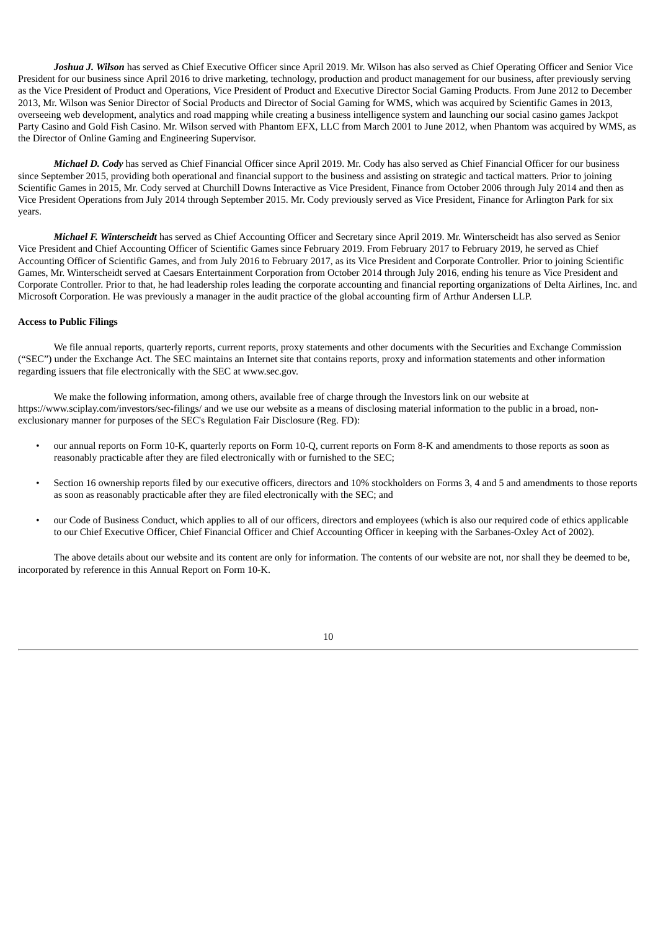*Joshua J. Wilson* has served as Chief Executive Officer since April 2019. Mr. Wilson has also served as Chief Operating Officer and Senior Vice President for our business since April 2016 to drive marketing, technology, production and product management for our business, after previously serving as the Vice President of Product and Operations, Vice President of Product and Executive Director Social Gaming Products. From June 2012 to December 2013, Mr. Wilson was Senior Director of Social Products and Director of Social Gaming for WMS, which was acquired by Scientific Games in 2013, overseeing web development, analytics and road mapping while creating a business intelligence system and launching our social casino games Jackpot Party Casino and Gold Fish Casino. Mr. Wilson served with Phantom EFX, LLC from March 2001 to June 2012, when Phantom was acquired by WMS, as the Director of Online Gaming and Engineering Supervisor.

*Michael D. Cody* has served as Chief Financial Officer since April 2019. Mr. Cody has also served as Chief Financial Officer for our business since September 2015, providing both operational and financial support to the business and assisting on strategic and tactical matters. Prior to joining Scientific Games in 2015, Mr. Cody served at Churchill Downs Interactive as Vice President, Finance from October 2006 through July 2014 and then as Vice President Operations from July 2014 through September 2015. Mr. Cody previously served as Vice President, Finance for Arlington Park for six years.

*Michael F. Winterscheidt* has served as Chief Accounting Officer and Secretary since April 2019. Mr. Winterscheidt has also served as Senior Vice President and Chief Accounting Officer of Scientific Games since February 2019. From February 2017 to February 2019, he served as Chief Accounting Officer of Scientific Games, and from July 2016 to February 2017, as its Vice President and Corporate Controller. Prior to joining Scientific Games, Mr. Winterscheidt served at Caesars Entertainment Corporation from October 2014 through July 2016, ending his tenure as Vice President and Corporate Controller. Prior to that, he had leadership roles leading the corporate accounting and financial reporting organizations of Delta Airlines, Inc. and Microsoft Corporation. He was previously a manager in the audit practice of the global accounting firm of Arthur Andersen LLP.

## **Access to Public Filings**

We file annual reports, quarterly reports, current reports, proxy statements and other documents with the Securities and Exchange Commission ("SEC") under the Exchange Act. The SEC maintains an Internet site that contains reports, proxy and information statements and other information regarding issuers that file electronically with the SEC at www.sec.gov.

We make the following information, among others, available free of charge through the Investors link on our website at https://www.sciplay.com/investors/sec-filings/ and we use our website as a means of disclosing material information to the public in a broad, nonexclusionary manner for purposes of the SEC's Regulation Fair Disclosure (Reg. FD):

- our annual reports on Form 10-K, quarterly reports on Form 10-Q, current reports on Form 8-K and amendments to those reports as soon as reasonably practicable after they are filed electronically with or furnished to the SEC;
- Section 16 ownership reports filed by our executive officers, directors and 10% stockholders on Forms 3, 4 and 5 and amendments to those reports as soon as reasonably practicable after they are filed electronically with the SEC; and
- our Code of Business Conduct, which applies to all of our officers, directors and employees (which is also our required code of ethics applicable to our Chief Executive Officer, Chief Financial Officer and Chief Accounting Officer in keeping with the Sarbanes-Oxley Act of 2002).

<span id="page-9-0"></span>The above details about our website and its content are only for information. The contents of our website are not, nor shall they be deemed to be, incorporated by reference in this Annual Report on Form 10-K.

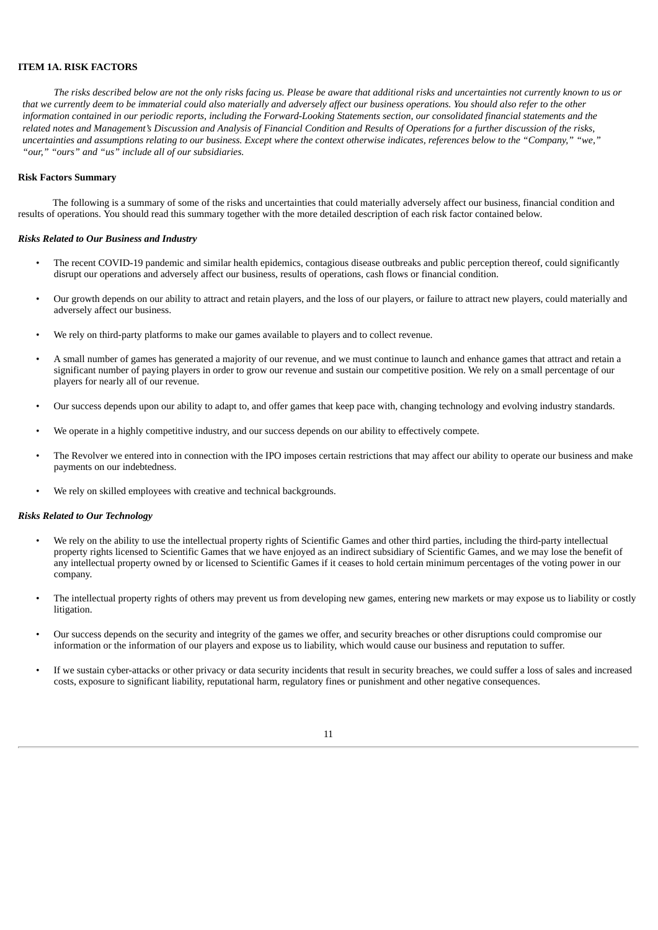# **ITEM 1A. RISK FACTORS**

The risks described below are not the only risks facing us. Please be aware that additional risks and uncertainties not currently known to us or that we currently deem to be immaterial could also materially and adversely affect our business operations. You should also refer to the other information contained in our periodic reports, including the Forward-Looking Statements section, our consolidated financial statements and the related notes and Management's Discussion and Analysis of Financial Condition and Results of Operations for a further discussion of the risks, uncertainties and assumptions relating to our business. Except where the context otherwise indicates, references below to the "Company," "we," *"our," "ours" and "us" include all of our subsidiaries.*

# **Risk Factors Summary**

The following is a summary of some of the risks and uncertainties that could materially adversely affect our business, financial condition and results of operations. You should read this summary together with the more detailed description of each risk factor contained below.

#### *Risks Related to Our Business and Industry*

- The recent COVID-19 pandemic and similar health epidemics, contagious disease outbreaks and public perception thereof, could significantly disrupt our operations and adversely affect our business, results of operations, cash flows or financial condition.
- Our growth depends on our ability to attract and retain players, and the loss of our players, or failure to attract new players, could materially and adversely affect our business.
- We rely on third-party platforms to make our games available to players and to collect revenue.
- A small number of games has generated a majority of our revenue, and we must continue to launch and enhance games that attract and retain a significant number of paying players in order to grow our revenue and sustain our competitive position. We rely on a small percentage of our players for nearly all of our revenue.
- Our success depends upon our ability to adapt to, and offer games that keep pace with, changing technology and evolving industry standards.
- We operate in a highly competitive industry, and our success depends on our ability to effectively compete.
- The Revolver we entered into in connection with the IPO imposes certain restrictions that may affect our ability to operate our business and make payments on our indebtedness.
- We rely on skilled employees with creative and technical backgrounds.

#### *Risks Related to Our Technology*

- We rely on the ability to use the intellectual property rights of Scientific Games and other third parties, including the third-party intellectual property rights licensed to Scientific Games that we have enjoyed as an indirect subsidiary of Scientific Games, and we may lose the benefit of any intellectual property owned by or licensed to Scientific Games if it ceases to hold certain minimum percentages of the voting power in our company.
- The intellectual property rights of others may prevent us from developing new games, entering new markets or may expose us to liability or costly litigation.
- Our success depends on the security and integrity of the games we offer, and security breaches or other disruptions could compromise our information or the information of our players and expose us to liability, which would cause our business and reputation to suffer.
- If we sustain cyber-attacks or other privacy or data security incidents that result in security breaches, we could suffer a loss of sales and increased costs, exposure to significant liability, reputational harm, regulatory fines or punishment and other negative consequences.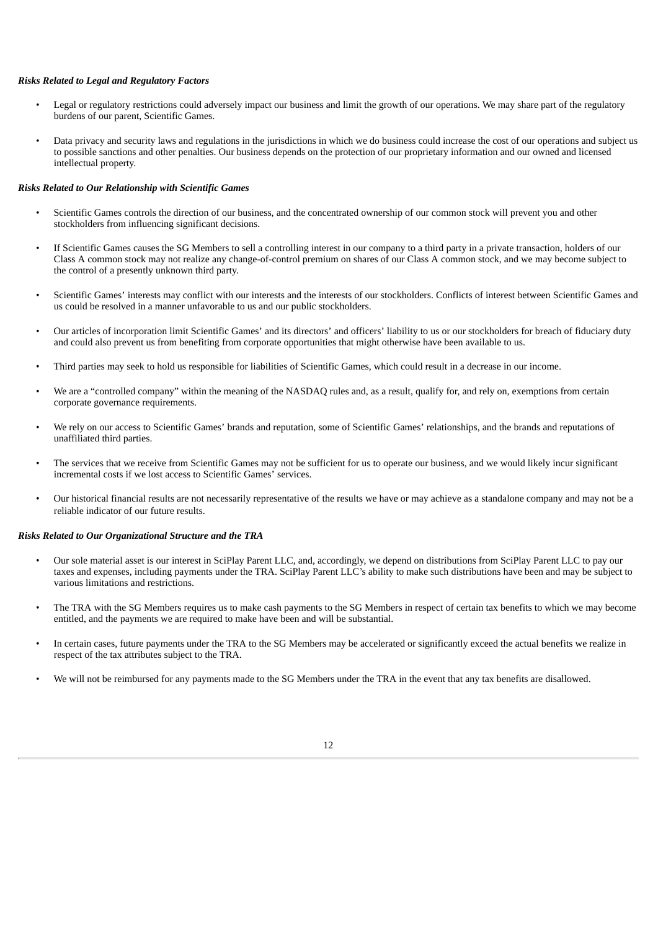# *Risks Related to Legal and Regulatory Factors*

- Legal or regulatory restrictions could adversely impact our business and limit the growth of our operations. We may share part of the regulatory burdens of our parent, Scientific Games.
- Data privacy and security laws and regulations in the jurisdictions in which we do business could increase the cost of our operations and subject us to possible sanctions and other penalties. Our business depends on the protection of our proprietary information and our owned and licensed intellectual property.

## *Risks Related to Our Relationship with Scientific Games*

- Scientific Games controls the direction of our business, and the concentrated ownership of our common stock will prevent you and other stockholders from influencing significant decisions.
- If Scientific Games causes the SG Members to sell a controlling interest in our company to a third party in a private transaction, holders of our Class A common stock may not realize any change-of-control premium on shares of our Class A common stock, and we may become subject to the control of a presently unknown third party.
- Scientific Games' interests may conflict with our interests and the interests of our stockholders. Conflicts of interest between Scientific Games and us could be resolved in a manner unfavorable to us and our public stockholders.
- Our articles of incorporation limit Scientific Games' and its directors' and officers' liability to us or our stockholders for breach of fiduciary duty and could also prevent us from benefiting from corporate opportunities that might otherwise have been available to us.
- Third parties may seek to hold us responsible for liabilities of Scientific Games, which could result in a decrease in our income.
- We are a "controlled company" within the meaning of the NASDAQ rules and, as a result, qualify for, and rely on, exemptions from certain corporate governance requirements.
- We rely on our access to Scientific Games' brands and reputation, some of Scientific Games' relationships, and the brands and reputations of unaffiliated third parties.
- The services that we receive from Scientific Games may not be sufficient for us to operate our business, and we would likely incur significant incremental costs if we lost access to Scientific Games' services.
- Our historical financial results are not necessarily representative of the results we have or may achieve as a standalone company and may not be a reliable indicator of our future results.

#### *Risks Related to Our Organizational Structure and the TRA*

- Our sole material asset is our interest in SciPlay Parent LLC, and, accordingly, we depend on distributions from SciPlay Parent LLC to pay our taxes and expenses, including payments under the TRA. SciPlay Parent LLC's ability to make such distributions have been and may be subject to various limitations and restrictions.
- The TRA with the SG Members requires us to make cash payments to the SG Members in respect of certain tax benefits to which we may become entitled, and the payments we are required to make have been and will be substantial.
- In certain cases, future payments under the TRA to the SG Members may be accelerated or significantly exceed the actual benefits we realize in respect of the tax attributes subject to the TRA.
- We will not be reimbursed for any payments made to the SG Members under the TRA in the event that any tax benefits are disallowed.

12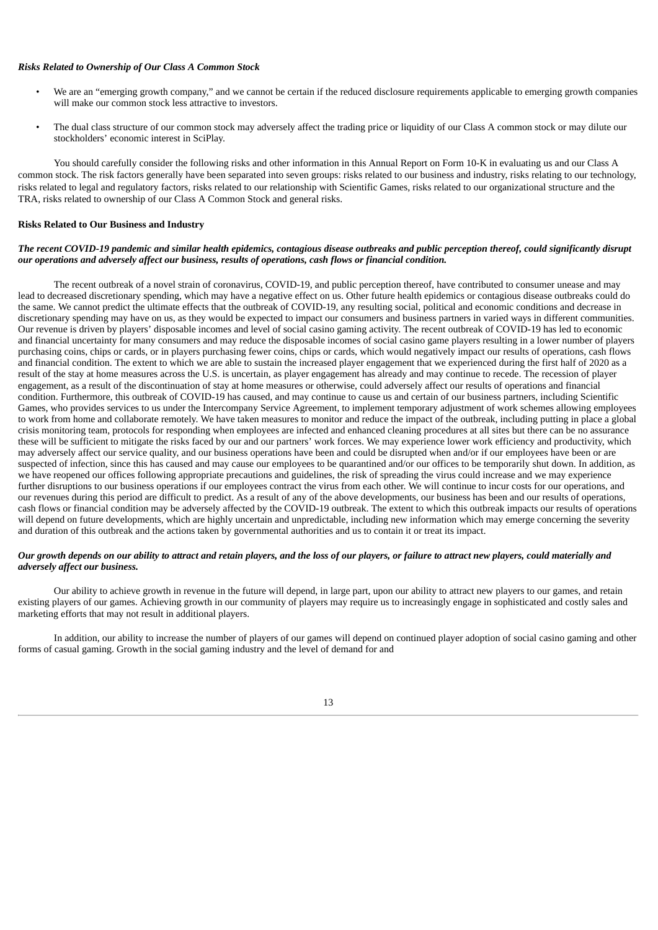## *Risks Related to Ownership of Our Class A Common Stock*

- We are an "emerging growth company," and we cannot be certain if the reduced disclosure requirements applicable to emerging growth companies will make our common stock less attractive to investors.
- The dual class structure of our common stock may adversely affect the trading price or liquidity of our Class A common stock or may dilute our stockholders' economic interest in SciPlay.

You should carefully consider the following risks and other information in this Annual Report on Form 10-K in evaluating us and our Class A common stock. The risk factors generally have been separated into seven groups: risks related to our business and industry, risks relating to our technology, risks related to legal and regulatory factors, risks related to our relationship with Scientific Games, risks related to our organizational structure and the TRA, risks related to ownership of our Class A Common Stock and general risks.

#### **Risks Related to Our Business and Industry**

#### The recent COVID-19 pandemic and similar health epidemics, contagious disease outbreaks and public perception thereof, could significantly disrupt *our operations and adversely affect our business, results of operations, cash flows or financial condition.*

The recent outbreak of a novel strain of coronavirus, COVID-19, and public perception thereof, have contributed to consumer unease and may lead to decreased discretionary spending, which may have a negative effect on us. Other future health epidemics or contagious disease outbreaks could do the same. We cannot predict the ultimate effects that the outbreak of COVID-19, any resulting social, political and economic conditions and decrease in discretionary spending may have on us, as they would be expected to impact our consumers and business partners in varied ways in different communities. Our revenue is driven by players' disposable incomes and level of social casino gaming activity. The recent outbreak of COVID-19 has led to economic and financial uncertainty for many consumers and may reduce the disposable incomes of social casino game players resulting in a lower number of players purchasing coins, chips or cards, or in players purchasing fewer coins, chips or cards, which would negatively impact our results of operations, cash flows and financial condition. The extent to which we are able to sustain the increased player engagement that we experienced during the first half of 2020 as a result of the stay at home measures across the U.S. is uncertain, as player engagement has already and may continue to recede. The recession of player engagement, as a result of the discontinuation of stay at home measures or otherwise, could adversely affect our results of operations and financial condition. Furthermore, this outbreak of COVID-19 has caused, and may continue to cause us and certain of our business partners, including Scientific Games, who provides services to us under the Intercompany Service Agreement, to implement temporary adjustment of work schemes allowing employees to work from home and collaborate remotely. We have taken measures to monitor and reduce the impact of the outbreak, including putting in place a global crisis monitoring team, protocols for responding when employees are infected and enhanced cleaning procedures at all sites but there can be no assurance these will be sufficient to mitigate the risks faced by our and our partners' work forces. We may experience lower work efficiency and productivity, which may adversely affect our service quality, and our business operations have been and could be disrupted when and/or if our employees have been or are suspected of infection, since this has caused and may cause our employees to be quarantined and/or our offices to be temporarily shut down. In addition, as we have reopened our offices following appropriate precautions and guidelines, the risk of spreading the virus could increase and we may experience further disruptions to our business operations if our employees contract the virus from each other. We will continue to incur costs for our operations, and our revenues during this period are difficult to predict. As a result of any of the above developments, our business has been and our results of operations, cash flows or financial condition may be adversely affected by the COVID-19 outbreak. The extent to which this outbreak impacts our results of operations will depend on future developments, which are highly uncertain and unpredictable, including new information which may emerge concerning the severity and duration of this outbreak and the actions taken by governmental authorities and us to contain it or treat its impact.

#### Our growth depends on our ability to attract and retain players, and the loss of our players, or failure to attract new players, could materially and *adversely affect our business.*

Our ability to achieve growth in revenue in the future will depend, in large part, upon our ability to attract new players to our games, and retain existing players of our games. Achieving growth in our community of players may require us to increasingly engage in sophisticated and costly sales and marketing efforts that may not result in additional players.

In addition, our ability to increase the number of players of our games will depend on continued player adoption of social casino gaming and other forms of casual gaming. Growth in the social gaming industry and the level of demand for and

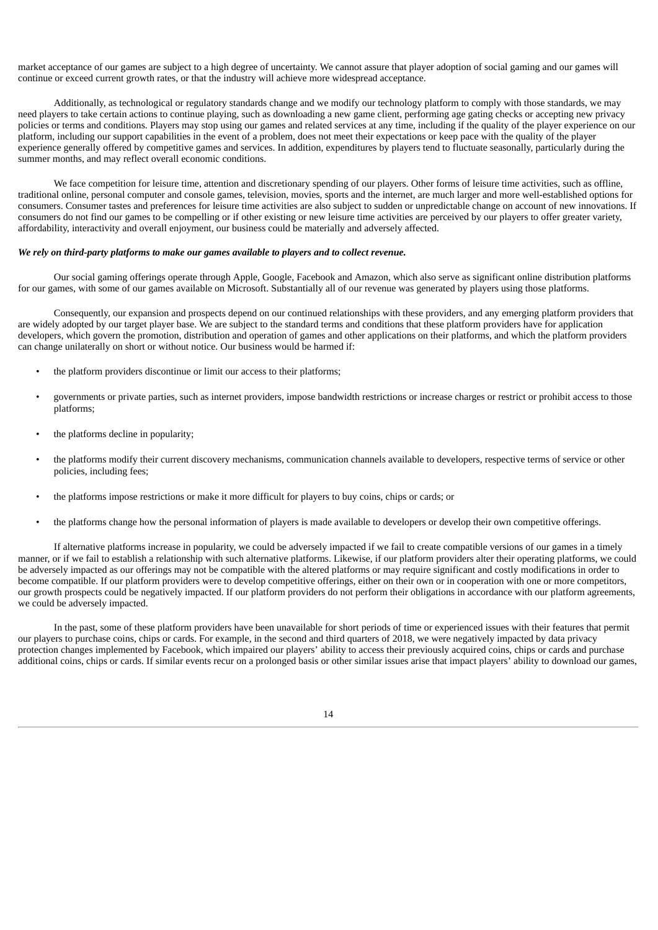market acceptance of our games are subject to a high degree of uncertainty. We cannot assure that player adoption of social gaming and our games will continue or exceed current growth rates, or that the industry will achieve more widespread acceptance.

Additionally, as technological or regulatory standards change and we modify our technology platform to comply with those standards, we may need players to take certain actions to continue playing, such as downloading a new game client, performing age gating checks or accepting new privacy policies or terms and conditions. Players may stop using our games and related services at any time, including if the quality of the player experience on our platform, including our support capabilities in the event of a problem, does not meet their expectations or keep pace with the quality of the player experience generally offered by competitive games and services. In addition, expenditures by players tend to fluctuate seasonally, particularly during the summer months, and may reflect overall economic conditions.

We face competition for leisure time, attention and discretionary spending of our players. Other forms of leisure time activities, such as offline, traditional online, personal computer and console games, television, movies, sports and the internet, are much larger and more well-established options for consumers. Consumer tastes and preferences for leisure time activities are also subject to sudden or unpredictable change on account of new innovations. If consumers do not find our games to be compelling or if other existing or new leisure time activities are perceived by our players to offer greater variety, affordability, interactivity and overall enjoyment, our business could be materially and adversely affected.

## *We rely on third-party platforms to make our games available to players and to collect revenue.*

Our social gaming offerings operate through Apple, Google, Facebook and Amazon, which also serve as significant online distribution platforms for our games, with some of our games available on Microsoft. Substantially all of our revenue was generated by players using those platforms.

Consequently, our expansion and prospects depend on our continued relationships with these providers, and any emerging platform providers that are widely adopted by our target player base. We are subject to the standard terms and conditions that these platform providers have for application developers, which govern the promotion, distribution and operation of games and other applications on their platforms, and which the platform providers can change unilaterally on short or without notice. Our business would be harmed if:

- the platform providers discontinue or limit our access to their platforms;
- governments or private parties, such as internet providers, impose bandwidth restrictions or increase charges or restrict or prohibit access to those platforms;
- the platforms decline in popularity;
- the platforms modify their current discovery mechanisms, communication channels available to developers, respective terms of service or other policies, including fees;
- the platforms impose restrictions or make it more difficult for players to buy coins, chips or cards; or
- the platforms change how the personal information of players is made available to developers or develop their own competitive offerings.

If alternative platforms increase in popularity, we could be adversely impacted if we fail to create compatible versions of our games in a timely manner, or if we fail to establish a relationship with such alternative platforms. Likewise, if our platform providers alter their operating platforms, we could be adversely impacted as our offerings may not be compatible with the altered platforms or may require significant and costly modifications in order to become compatible. If our platform providers were to develop competitive offerings, either on their own or in cooperation with one or more competitors, our growth prospects could be negatively impacted. If our platform providers do not perform their obligations in accordance with our platform agreements, we could be adversely impacted.

In the past, some of these platform providers have been unavailable for short periods of time or experienced issues with their features that permit our players to purchase coins, chips or cards. For example, in the second and third quarters of 2018, we were negatively impacted by data privacy protection changes implemented by Facebook, which impaired our players' ability to access their previously acquired coins, chips or cards and purchase additional coins, chips or cards. If similar events recur on a prolonged basis or other similar issues arise that impact players' ability to download our games,

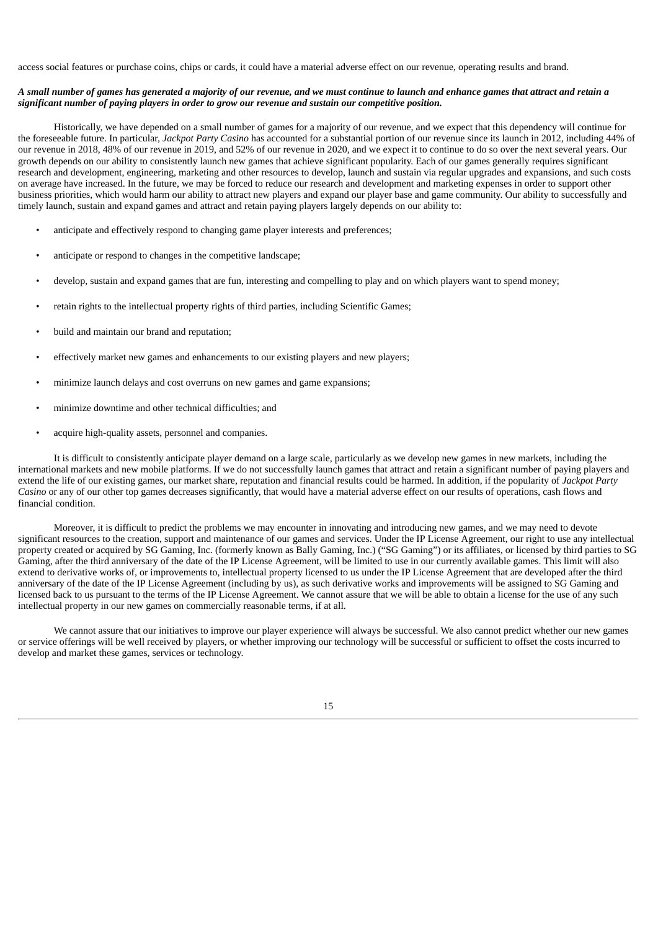access social features or purchase coins, chips or cards, it could have a material adverse effect on our revenue, operating results and brand.

#### A small number of games has generated a majority of our revenue, and we must continue to launch and enhance games that attract and retain a *significant number of paying players in order to grow our revenue and sustain our competitive position.*

Historically, we have depended on a small number of games for a majority of our revenue, and we expect that this dependency will continue for the foreseeable future. In particular, *Jackpot Party Casino* has accounted for a substantial portion of our revenue since its launch in 2012, including 44% of our revenue in 2018, 48% of our revenue in 2019, and 52% of our revenue in 2020, and we expect it to continue to do so over the next several years. Our growth depends on our ability to consistently launch new games that achieve significant popularity. Each of our games generally requires significant research and development, engineering, marketing and other resources to develop, launch and sustain via regular upgrades and expansions, and such costs on average have increased. In the future, we may be forced to reduce our research and development and marketing expenses in order to support other business priorities, which would harm our ability to attract new players and expand our player base and game community. Our ability to successfully and timely launch, sustain and expand games and attract and retain paying players largely depends on our ability to:

- anticipate and effectively respond to changing game player interests and preferences;
- anticipate or respond to changes in the competitive landscape;
- develop, sustain and expand games that are fun, interesting and compelling to play and on which players want to spend money;
- retain rights to the intellectual property rights of third parties, including Scientific Games;
- build and maintain our brand and reputation;
- effectively market new games and enhancements to our existing players and new players;
- minimize launch delays and cost overruns on new games and game expansions;
- minimize downtime and other technical difficulties; and
- acquire high-quality assets, personnel and companies.

It is difficult to consistently anticipate player demand on a large scale, particularly as we develop new games in new markets, including the international markets and new mobile platforms. If we do not successfully launch games that attract and retain a significant number of paying players and extend the life of our existing games, our market share, reputation and financial results could be harmed. In addition, if the popularity of *Jackpot Party Casino* or any of our other top games decreases significantly, that would have a material adverse effect on our results of operations, cash flows and financial condition.

Moreover, it is difficult to predict the problems we may encounter in innovating and introducing new games, and we may need to devote significant resources to the creation, support and maintenance of our games and services. Under the IP License Agreement, our right to use any intellectual property created or acquired by SG Gaming, Inc. (formerly known as Bally Gaming, Inc.) ("SG Gaming") or its affiliates, or licensed by third parties to SG Gaming, after the third anniversary of the date of the IP License Agreement, will be limited to use in our currently available games. This limit will also extend to derivative works of, or improvements to, intellectual property licensed to us under the IP License Agreement that are developed after the third anniversary of the date of the IP License Agreement (including by us), as such derivative works and improvements will be assigned to SG Gaming and licensed back to us pursuant to the terms of the IP License Agreement. We cannot assure that we will be able to obtain a license for the use of any such intellectual property in our new games on commercially reasonable terms, if at all.

We cannot assure that our initiatives to improve our player experience will always be successful. We also cannot predict whether our new games or service offerings will be well received by players, or whether improving our technology will be successful or sufficient to offset the costs incurred to develop and market these games, services or technology.

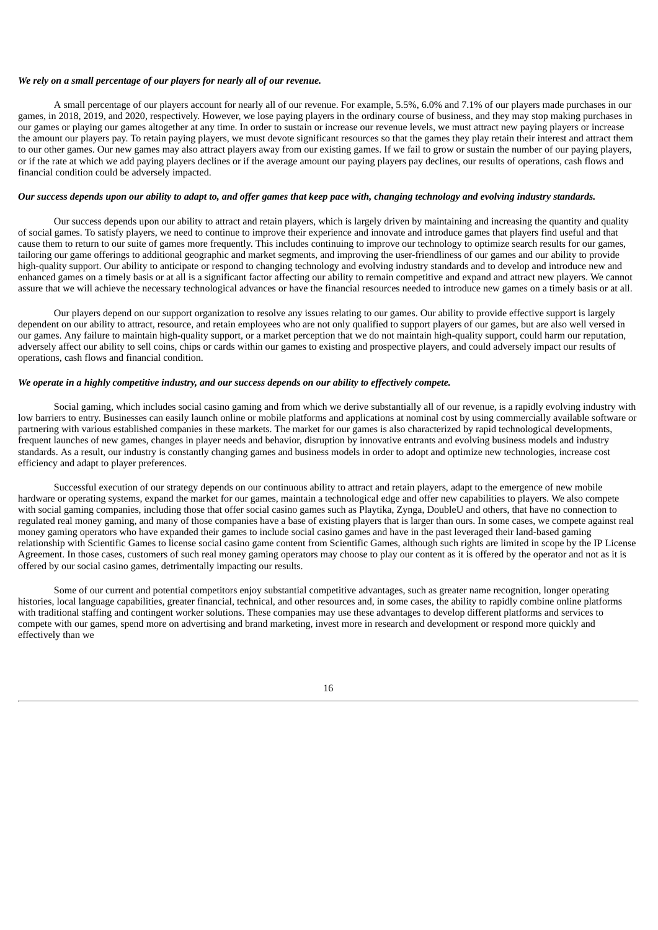# *We rely on a small percentage of our players for nearly all of our revenue.*

A small percentage of our players account for nearly all of our revenue. For example, 5.5%, 6.0% and 7.1% of our players made purchases in our games, in 2018, 2019, and 2020, respectively. However, we lose paying players in the ordinary course of business, and they may stop making purchases in our games or playing our games altogether at any time. In order to sustain or increase our revenue levels, we must attract new paying players or increase the amount our players pay. To retain paying players, we must devote significant resources so that the games they play retain their interest and attract them to our other games. Our new games may also attract players away from our existing games. If we fail to grow or sustain the number of our paying players, or if the rate at which we add paying players declines or if the average amount our paying players pay declines, our results of operations, cash flows and financial condition could be adversely impacted.

## Our success depends upon our ability to adapt to, and offer games that keep pace with, changing technology and evolving industry standards.

Our success depends upon our ability to attract and retain players, which is largely driven by maintaining and increasing the quantity and quality of social games. To satisfy players, we need to continue to improve their experience and innovate and introduce games that players find useful and that cause them to return to our suite of games more frequently. This includes continuing to improve our technology to optimize search results for our games, tailoring our game offerings to additional geographic and market segments, and improving the user-friendliness of our games and our ability to provide high-quality support. Our ability to anticipate or respond to changing technology and evolving industry standards and to develop and introduce new and enhanced games on a timely basis or at all is a significant factor affecting our ability to remain competitive and expand and attract new players. We cannot assure that we will achieve the necessary technological advances or have the financial resources needed to introduce new games on a timely basis or at all.

Our players depend on our support organization to resolve any issues relating to our games. Our ability to provide effective support is largely dependent on our ability to attract, resource, and retain employees who are not only qualified to support players of our games, but are also well versed in our games. Any failure to maintain high-quality support, or a market perception that we do not maintain high-quality support, could harm our reputation, adversely affect our ability to sell coins, chips or cards within our games to existing and prospective players, and could adversely impact our results of operations, cash flows and financial condition.

#### We operate in a highly competitive industry, and our success depends on our ability to effectively compete.

Social gaming, which includes social casino gaming and from which we derive substantially all of our revenue, is a rapidly evolving industry with low barriers to entry. Businesses can easily launch online or mobile platforms and applications at nominal cost by using commercially available software or partnering with various established companies in these markets. The market for our games is also characterized by rapid technological developments, frequent launches of new games, changes in player needs and behavior, disruption by innovative entrants and evolving business models and industry standards. As a result, our industry is constantly changing games and business models in order to adopt and optimize new technologies, increase cost efficiency and adapt to player preferences.

Successful execution of our strategy depends on our continuous ability to attract and retain players, adapt to the emergence of new mobile hardware or operating systems, expand the market for our games, maintain a technological edge and offer new capabilities to players. We also compete with social gaming companies, including those that offer social casino games such as Playtika, Zynga, DoubleU and others, that have no connection to regulated real money gaming, and many of those companies have a base of existing players that is larger than ours. In some cases, we compete against real money gaming operators who have expanded their games to include social casino games and have in the past leveraged their land-based gaming relationship with Scientific Games to license social casino game content from Scientific Games, although such rights are limited in scope by the IP License Agreement. In those cases, customers of such real money gaming operators may choose to play our content as it is offered by the operator and not as it is offered by our social casino games, detrimentally impacting our results.

Some of our current and potential competitors enjoy substantial competitive advantages, such as greater name recognition, longer operating histories, local language capabilities, greater financial, technical, and other resources and, in some cases, the ability to rapidly combine online platforms with traditional staffing and contingent worker solutions. These companies may use these advantages to develop different platforms and services to compete with our games, spend more on advertising and brand marketing, invest more in research and development or respond more quickly and effectively than we

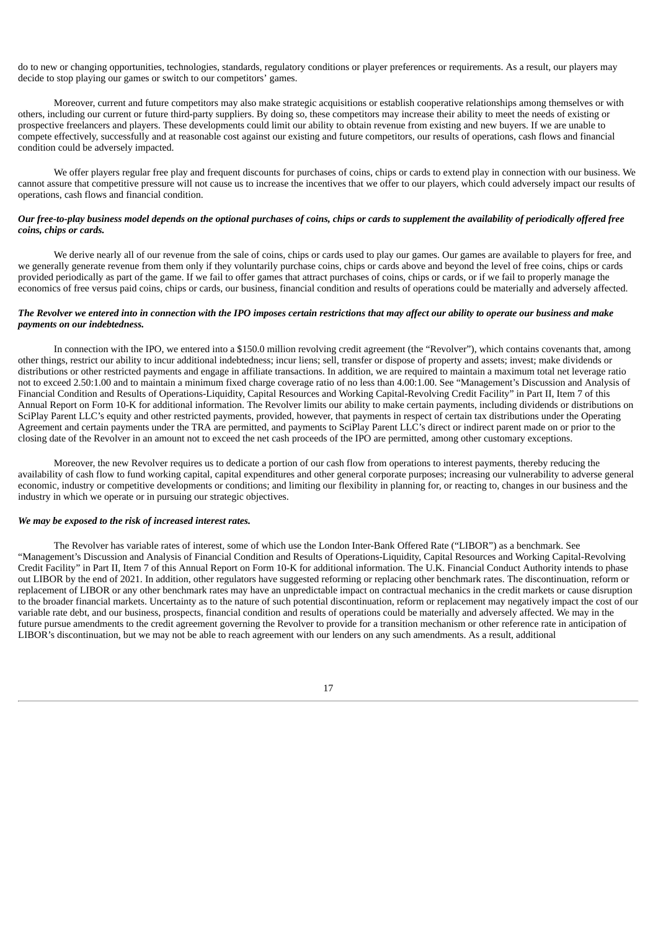do to new or changing opportunities, technologies, standards, regulatory conditions or player preferences or requirements. As a result, our players may decide to stop playing our games or switch to our competitors' games.

Moreover, current and future competitors may also make strategic acquisitions or establish cooperative relationships among themselves or with others, including our current or future third-party suppliers. By doing so, these competitors may increase their ability to meet the needs of existing or prospective freelancers and players. These developments could limit our ability to obtain revenue from existing and new buyers. If we are unable to compete effectively, successfully and at reasonable cost against our existing and future competitors, our results of operations, cash flows and financial condition could be adversely impacted.

We offer players regular free play and frequent discounts for purchases of coins, chips or cards to extend play in connection with our business. We cannot assure that competitive pressure will not cause us to increase the incentives that we offer to our players, which could adversely impact our results of operations, cash flows and financial condition.

#### Our free-to-play business model depends on the optional purchases of coins, chips or cards to supplement the availability of periodically offered free *coins, chips or cards.*

We derive nearly all of our revenue from the sale of coins, chips or cards used to play our games. Our games are available to players for free, and we generally generate revenue from them only if they voluntarily purchase coins, chips or cards above and beyond the level of free coins, chips or cards provided periodically as part of the game. If we fail to offer games that attract purchases of coins, chips or cards, or if we fail to properly manage the economics of free versus paid coins, chips or cards, our business, financial condition and results of operations could be materially and adversely affected.

# The Revolver we entered into in connection with the IPO imposes certain restrictions that may affect our ability to operate our business and make *payments on our indebtedness.*

In connection with the IPO, we entered into a \$150.0 million revolving credit agreement (the "Revolver"), which contains covenants that, among other things, restrict our ability to incur additional indebtedness; incur liens; sell, transfer or dispose of property and assets; invest; make dividends or distributions or other restricted payments and engage in affiliate transactions. In addition, we are required to maintain a maximum total net leverage ratio not to exceed 2.50:1.00 and to maintain a minimum fixed charge coverage ratio of no less than 4.00:1.00. See "Management's Discussion and Analysis of Financial Condition and Results of Operations-Liquidity, Capital Resources and Working Capital-Revolving Credit Facility" in Part II, Item 7 of this Annual Report on Form 10-K for additional information. The Revolver limits our ability to make certain payments, including dividends or distributions on SciPlay Parent LLC's equity and other restricted payments, provided, however, that payments in respect of certain tax distributions under the Operating Agreement and certain payments under the TRA are permitted, and payments to SciPlay Parent LLC's direct or indirect parent made on or prior to the closing date of the Revolver in an amount not to exceed the net cash proceeds of the IPO are permitted, among other customary exceptions.

Moreover, the new Revolver requires us to dedicate a portion of our cash flow from operations to interest payments, thereby reducing the availability of cash flow to fund working capital, capital expenditures and other general corporate purposes; increasing our vulnerability to adverse general economic, industry or competitive developments or conditions; and limiting our flexibility in planning for, or reacting to, changes in our business and the industry in which we operate or in pursuing our strategic objectives.

#### *We may be exposed to the risk of increased interest rates.*

The Revolver has variable rates of interest, some of which use the London Inter-Bank Offered Rate ("LIBOR") as a benchmark. See "Management's Discussion and Analysis of Financial Condition and Results of Operations-Liquidity, Capital Resources and Working Capital-Revolving Credit Facility" in Part II, Item 7 of this Annual Report on Form 10-K for additional information. The U.K. Financial Conduct Authority intends to phase out LIBOR by the end of 2021. In addition, other regulators have suggested reforming or replacing other benchmark rates. The discontinuation, reform or replacement of LIBOR or any other benchmark rates may have an unpredictable impact on contractual mechanics in the credit markets or cause disruption to the broader financial markets. Uncertainty as to the nature of such potential discontinuation, reform or replacement may negatively impact the cost of our variable rate debt, and our business, prospects, financial condition and results of operations could be materially and adversely affected. We may in the future pursue amendments to the credit agreement governing the Revolver to provide for a transition mechanism or other reference rate in anticipation of LIBOR's discontinuation, but we may not be able to reach agreement with our lenders on any such amendments. As a result, additional

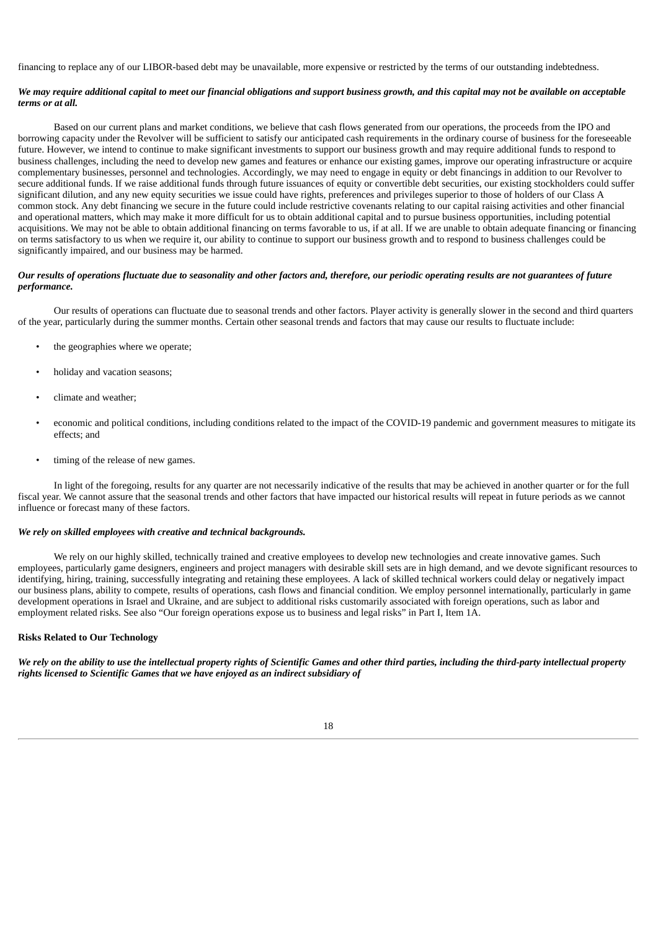financing to replace any of our LIBOR-based debt may be unavailable, more expensive or restricted by the terms of our outstanding indebtedness.

#### We may require additional capital to meet our financial obligations and support business growth, and this capital may not be available on acceptable *terms or at all.*

Based on our current plans and market conditions, we believe that cash flows generated from our operations, the proceeds from the IPO and borrowing capacity under the Revolver will be sufficient to satisfy our anticipated cash requirements in the ordinary course of business for the foreseeable future. However, we intend to continue to make significant investments to support our business growth and may require additional funds to respond to business challenges, including the need to develop new games and features or enhance our existing games, improve our operating infrastructure or acquire complementary businesses, personnel and technologies. Accordingly, we may need to engage in equity or debt financings in addition to our Revolver to secure additional funds. If we raise additional funds through future issuances of equity or convertible debt securities, our existing stockholders could suffer significant dilution, and any new equity securities we issue could have rights, preferences and privileges superior to those of holders of our Class A common stock. Any debt financing we secure in the future could include restrictive covenants relating to our capital raising activities and other financial and operational matters, which may make it more difficult for us to obtain additional capital and to pursue business opportunities, including potential acquisitions. We may not be able to obtain additional financing on terms favorable to us, if at all. If we are unable to obtain adequate financing or financing on terms satisfactory to us when we require it, our ability to continue to support our business growth and to respond to business challenges could be significantly impaired, and our business may be harmed.

# Our results of operations fluctuate due to seasonality and other factors and, therefore, our periodic operating results are not quarantees of future *performance.*

Our results of operations can fluctuate due to seasonal trends and other factors. Player activity is generally slower in the second and third quarters of the year, particularly during the summer months. Certain other seasonal trends and factors that may cause our results to fluctuate include:

- the geographies where we operate;
- holiday and vacation seasons;
- climate and weather;
- economic and political conditions, including conditions related to the impact of the COVID-19 pandemic and government measures to mitigate its effects; and
- timing of the release of new games.

In light of the foregoing, results for any quarter are not necessarily indicative of the results that may be achieved in another quarter or for the full fiscal year. We cannot assure that the seasonal trends and other factors that have impacted our historical results will repeat in future periods as we cannot influence or forecast many of these factors.

#### *We rely on skilled employees with creative and technical backgrounds.*

We rely on our highly skilled, technically trained and creative employees to develop new technologies and create innovative games. Such employees, particularly game designers, engineers and project managers with desirable skill sets are in high demand, and we devote significant resources to identifying, hiring, training, successfully integrating and retaining these employees. A lack of skilled technical workers could delay or negatively impact our business plans, ability to compete, results of operations, cash flows and financial condition. We employ personnel internationally, particularly in game development operations in Israel and Ukraine, and are subject to additional risks customarily associated with foreign operations, such as labor and employment related risks. See also "Our foreign operations expose us to business and legal risks" in Part I, Item 1A.

#### **Risks Related to Our Technology**

We rely on the ability to use the intellectual property rights of Scientific Games and other third parties, including the third-party intellectual property *rights licensed to Scientific Games that we have enjoyed as an indirect subsidiary of*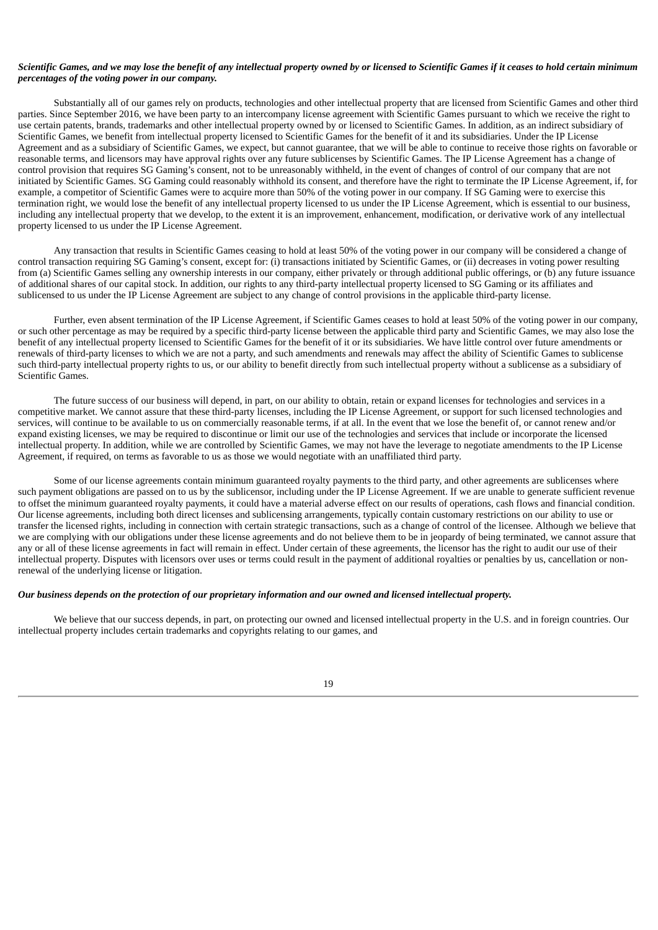#### Scientific Games, and we may lose the benefit of any intellectual property owned by or licensed to Scientific Games if it ceases to hold certain minimum *percentages of the voting power in our company.*

Substantially all of our games rely on products, technologies and other intellectual property that are licensed from Scientific Games and other third parties. Since September 2016, we have been party to an intercompany license agreement with Scientific Games pursuant to which we receive the right to use certain patents, brands, trademarks and other intellectual property owned by or licensed to Scientific Games. In addition, as an indirect subsidiary of Scientific Games, we benefit from intellectual property licensed to Scientific Games for the benefit of it and its subsidiaries. Under the IP License Agreement and as a subsidiary of Scientific Games, we expect, but cannot guarantee, that we will be able to continue to receive those rights on favorable or reasonable terms, and licensors may have approval rights over any future sublicenses by Scientific Games. The IP License Agreement has a change of control provision that requires SG Gaming's consent, not to be unreasonably withheld, in the event of changes of control of our company that are not initiated by Scientific Games. SG Gaming could reasonably withhold its consent, and therefore have the right to terminate the IP License Agreement, if, for example, a competitor of Scientific Games were to acquire more than 50% of the voting power in our company. If SG Gaming were to exercise this termination right, we would lose the benefit of any intellectual property licensed to us under the IP License Agreement, which is essential to our business, including any intellectual property that we develop, to the extent it is an improvement, enhancement, modification, or derivative work of any intellectual property licensed to us under the IP License Agreement.

Any transaction that results in Scientific Games ceasing to hold at least 50% of the voting power in our company will be considered a change of control transaction requiring SG Gaming's consent, except for: (i) transactions initiated by Scientific Games, or (ii) decreases in voting power resulting from (a) Scientific Games selling any ownership interests in our company, either privately or through additional public offerings, or (b) any future issuance of additional shares of our capital stock. In addition, our rights to any third-party intellectual property licensed to SG Gaming or its affiliates and sublicensed to us under the IP License Agreement are subject to any change of control provisions in the applicable third-party license.

Further, even absent termination of the IP License Agreement, if Scientific Games ceases to hold at least 50% of the voting power in our company, or such other percentage as may be required by a specific third-party license between the applicable third party and Scientific Games, we may also lose the benefit of any intellectual property licensed to Scientific Games for the benefit of it or its subsidiaries. We have little control over future amendments or renewals of third-party licenses to which we are not a party, and such amendments and renewals may affect the ability of Scientific Games to sublicense such third-party intellectual property rights to us, or our ability to benefit directly from such intellectual property without a sublicense as a subsidiary of Scientific Games.

The future success of our business will depend, in part, on our ability to obtain, retain or expand licenses for technologies and services in a competitive market. We cannot assure that these third-party licenses, including the IP License Agreement, or support for such licensed technologies and services, will continue to be available to us on commercially reasonable terms, if at all. In the event that we lose the benefit of, or cannot renew and/or expand existing licenses, we may be required to discontinue or limit our use of the technologies and services that include or incorporate the licensed intellectual property. In addition, while we are controlled by Scientific Games, we may not have the leverage to negotiate amendments to the IP License Agreement, if required, on terms as favorable to us as those we would negotiate with an unaffiliated third party.

Some of our license agreements contain minimum guaranteed royalty payments to the third party, and other agreements are sublicenses where such payment obligations are passed on to us by the sublicensor, including under the IP License Agreement. If we are unable to generate sufficient revenue to offset the minimum guaranteed royalty payments, it could have a material adverse effect on our results of operations, cash flows and financial condition. Our license agreements, including both direct licenses and sublicensing arrangements, typically contain customary restrictions on our ability to use or transfer the licensed rights, including in connection with certain strategic transactions, such as a change of control of the licensee. Although we believe that we are complying with our obligations under these license agreements and do not believe them to be in jeopardy of being terminated, we cannot assure that any or all of these license agreements in fact will remain in effect. Under certain of these agreements, the licensor has the right to audit our use of their intellectual property. Disputes with licensors over uses or terms could result in the payment of additional royalties or penalties by us, cancellation or nonrenewal of the underlying license or litigation.

#### Our business depends on the protection of our proprietary information and our owned and licensed intellectual property.

We believe that our success depends, in part, on protecting our owned and licensed intellectual property in the U.S. and in foreign countries. Our intellectual property includes certain trademarks and copyrights relating to our games, and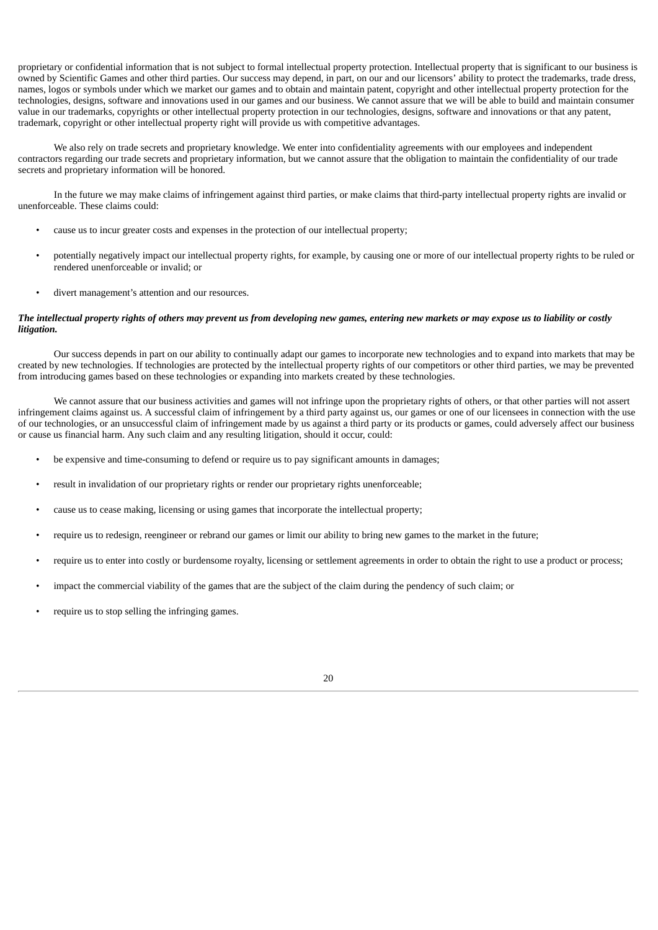proprietary or confidential information that is not subject to formal intellectual property protection. Intellectual property that is significant to our business is owned by Scientific Games and other third parties. Our success may depend, in part, on our and our licensors' ability to protect the trademarks, trade dress, names, logos or symbols under which we market our games and to obtain and maintain patent, copyright and other intellectual property protection for the technologies, designs, software and innovations used in our games and our business. We cannot assure that we will be able to build and maintain consumer value in our trademarks, copyrights or other intellectual property protection in our technologies, designs, software and innovations or that any patent, trademark, copyright or other intellectual property right will provide us with competitive advantages.

We also rely on trade secrets and proprietary knowledge. We enter into confidentiality agreements with our employees and independent contractors regarding our trade secrets and proprietary information, but we cannot assure that the obligation to maintain the confidentiality of our trade secrets and proprietary information will be honored.

In the future we may make claims of infringement against third parties, or make claims that third-party intellectual property rights are invalid or unenforceable. These claims could:

- cause us to incur greater costs and expenses in the protection of our intellectual property;
- potentially negatively impact our intellectual property rights, for example, by causing one or more of our intellectual property rights to be ruled or rendered unenforceable or invalid; or
- divert management's attention and our resources.

#### The intellectual property rights of others may prevent us from developing new games, entering new markets or may expose us to liability or costly *litigation.*

Our success depends in part on our ability to continually adapt our games to incorporate new technologies and to expand into markets that may be created by new technologies. If technologies are protected by the intellectual property rights of our competitors or other third parties, we may be prevented from introducing games based on these technologies or expanding into markets created by these technologies.

We cannot assure that our business activities and games will not infringe upon the proprietary rights of others, or that other parties will not assert infringement claims against us. A successful claim of infringement by a third party against us, our games or one of our licensees in connection with the use of our technologies, or an unsuccessful claim of infringement made by us against a third party or its products or games, could adversely affect our business or cause us financial harm. Any such claim and any resulting litigation, should it occur, could:

- be expensive and time-consuming to defend or require us to pay significant amounts in damages;
- result in invalidation of our proprietary rights or render our proprietary rights unenforceable;
- cause us to cease making, licensing or using games that incorporate the intellectual property;
- require us to redesign, reengineer or rebrand our games or limit our ability to bring new games to the market in the future;
- require us to enter into costly or burdensome royalty, licensing or settlement agreements in order to obtain the right to use a product or process;
- impact the commercial viability of the games that are the subject of the claim during the pendency of such claim; or
- require us to stop selling the infringing games.

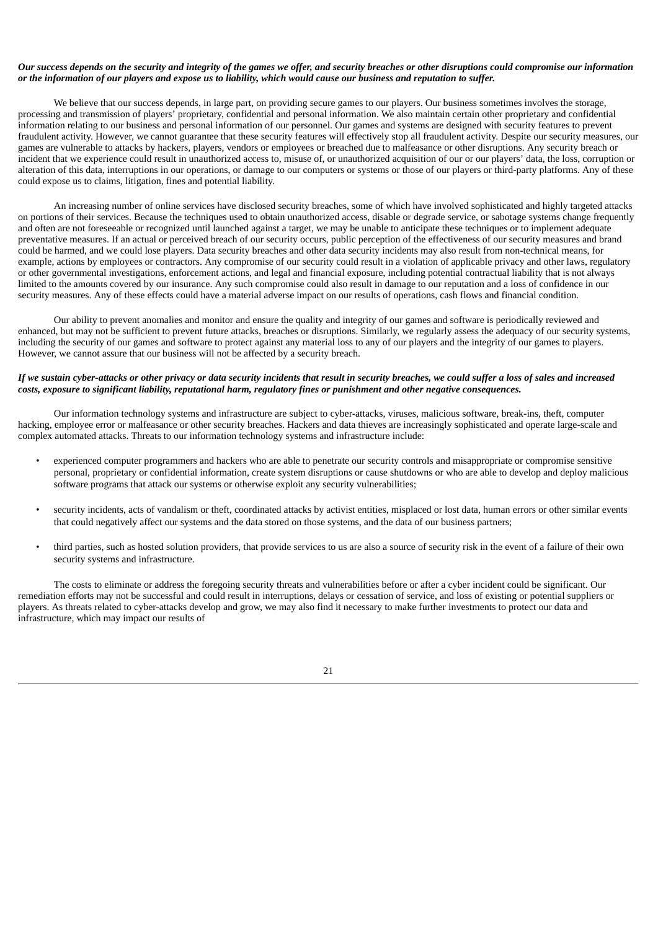#### Our success depends on the security and integrity of the games we offer, and security breaches or other disruptions could compromise our information or the information of our players and expose us to liability, which would cause our business and reputation to suffer.

We believe that our success depends, in large part, on providing secure games to our players. Our business sometimes involves the storage, processing and transmission of players' proprietary, confidential and personal information. We also maintain certain other proprietary and confidential information relating to our business and personal information of our personnel. Our games and systems are designed with security features to prevent fraudulent activity. However, we cannot guarantee that these security features will effectively stop all fraudulent activity. Despite our security measures, our games are vulnerable to attacks by hackers, players, vendors or employees or breached due to malfeasance or other disruptions. Any security breach or incident that we experience could result in unauthorized access to, misuse of, or unauthorized acquisition of our or our players' data, the loss, corruption or alteration of this data, interruptions in our operations, or damage to our computers or systems or those of our players or third-party platforms. Any of these could expose us to claims, litigation, fines and potential liability.

An increasing number of online services have disclosed security breaches, some of which have involved sophisticated and highly targeted attacks on portions of their services. Because the techniques used to obtain unauthorized access, disable or degrade service, or sabotage systems change frequently and often are not foreseeable or recognized until launched against a target, we may be unable to anticipate these techniques or to implement adequate preventative measures. If an actual or perceived breach of our security occurs, public perception of the effectiveness of our security measures and brand could be harmed, and we could lose players. Data security breaches and other data security incidents may also result from non-technical means, for example, actions by employees or contractors. Any compromise of our security could result in a violation of applicable privacy and other laws, regulatory or other governmental investigations, enforcement actions, and legal and financial exposure, including potential contractual liability that is not always limited to the amounts covered by our insurance. Any such compromise could also result in damage to our reputation and a loss of confidence in our security measures. Any of these effects could have a material adverse impact on our results of operations, cash flows and financial condition.

Our ability to prevent anomalies and monitor and ensure the quality and integrity of our games and software is periodically reviewed and enhanced, but may not be sufficient to prevent future attacks, breaches or disruptions. Similarly, we regularly assess the adequacy of our security systems, including the security of our games and software to protect against any material loss to any of our players and the integrity of our games to players. However, we cannot assure that our business will not be affected by a security breach.

#### If we sustain cyber-attacks or other privacy or data security incidents that result in security breaches, we could suffer a loss of sales and increased costs, exposure to significant liability, reputational harm, regulatory fines or punishment and other negative consequences.

Our information technology systems and infrastructure are subject to cyber-attacks, viruses, malicious software, break-ins, theft, computer hacking, employee error or malfeasance or other security breaches. Hackers and data thieves are increasingly sophisticated and operate large-scale and complex automated attacks. Threats to our information technology systems and infrastructure include:

- experienced computer programmers and hackers who are able to penetrate our security controls and misappropriate or compromise sensitive personal, proprietary or confidential information, create system disruptions or cause shutdowns or who are able to develop and deploy malicious software programs that attack our systems or otherwise exploit any security vulnerabilities;
- security incidents, acts of vandalism or theft, coordinated attacks by activist entities, misplaced or lost data, human errors or other similar events that could negatively affect our systems and the data stored on those systems, and the data of our business partners;
- third parties, such as hosted solution providers, that provide services to us are also a source of security risk in the event of a failure of their own security systems and infrastructure.

The costs to eliminate or address the foregoing security threats and vulnerabilities before or after a cyber incident could be significant. Our remediation efforts may not be successful and could result in interruptions, delays or cessation of service, and loss of existing or potential suppliers or players. As threats related to cyber-attacks develop and grow, we may also find it necessary to make further investments to protect our data and infrastructure, which may impact our results of

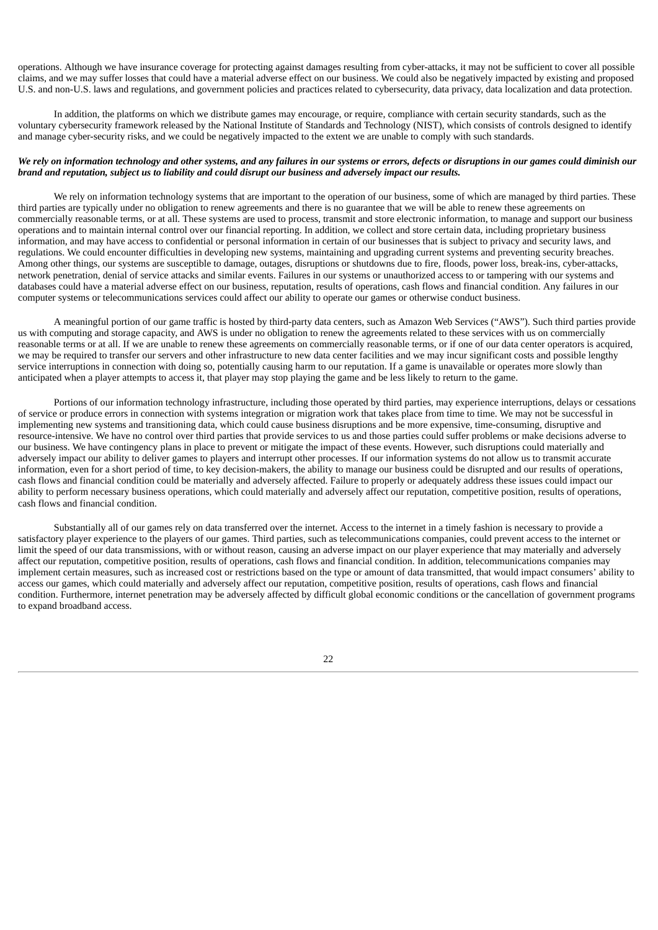operations. Although we have insurance coverage for protecting against damages resulting from cyber-attacks, it may not be sufficient to cover all possible claims, and we may suffer losses that could have a material adverse effect on our business. We could also be negatively impacted by existing and proposed U.S. and non-U.S. laws and regulations, and government policies and practices related to cybersecurity, data privacy, data localization and data protection.

In addition, the platforms on which we distribute games may encourage, or require, compliance with certain security standards, such as the voluntary cybersecurity framework released by the National Institute of Standards and Technology (NIST), which consists of controls designed to identify and manage cyber-security risks, and we could be negatively impacted to the extent we are unable to comply with such standards.

## We rely on information technology and other systems, and any failures in our systems or errors, defects or disruptions in our games could diminish our brand and reputation, subject us to liability and could disrupt our business and adversely impact our results.

We rely on information technology systems that are important to the operation of our business, some of which are managed by third parties. These third parties are typically under no obligation to renew agreements and there is no guarantee that we will be able to renew these agreements on commercially reasonable terms, or at all. These systems are used to process, transmit and store electronic information, to manage and support our business operations and to maintain internal control over our financial reporting. In addition, we collect and store certain data, including proprietary business information, and may have access to confidential or personal information in certain of our businesses that is subject to privacy and security laws, and regulations. We could encounter difficulties in developing new systems, maintaining and upgrading current systems and preventing security breaches. Among other things, our systems are susceptible to damage, outages, disruptions or shutdowns due to fire, floods, power loss, break-ins, cyber-attacks, network penetration, denial of service attacks and similar events. Failures in our systems or unauthorized access to or tampering with our systems and databases could have a material adverse effect on our business, reputation, results of operations, cash flows and financial condition. Any failures in our computer systems or telecommunications services could affect our ability to operate our games or otherwise conduct business.

A meaningful portion of our game traffic is hosted by third-party data centers, such as Amazon Web Services ("AWS"). Such third parties provide us with computing and storage capacity, and AWS is under no obligation to renew the agreements related to these services with us on commercially reasonable terms or at all. If we are unable to renew these agreements on commercially reasonable terms, or if one of our data center operators is acquired, we may be required to transfer our servers and other infrastructure to new data center facilities and we may incur significant costs and possible lengthy service interruptions in connection with doing so, potentially causing harm to our reputation. If a game is unavailable or operates more slowly than anticipated when a player attempts to access it, that player may stop playing the game and be less likely to return to the game.

Portions of our information technology infrastructure, including those operated by third parties, may experience interruptions, delays or cessations of service or produce errors in connection with systems integration or migration work that takes place from time to time. We may not be successful in implementing new systems and transitioning data, which could cause business disruptions and be more expensive, time-consuming, disruptive and resource-intensive. We have no control over third parties that provide services to us and those parties could suffer problems or make decisions adverse to our business. We have contingency plans in place to prevent or mitigate the impact of these events. However, such disruptions could materially and adversely impact our ability to deliver games to players and interrupt other processes. If our information systems do not allow us to transmit accurate information, even for a short period of time, to key decision-makers, the ability to manage our business could be disrupted and our results of operations, cash flows and financial condition could be materially and adversely affected. Failure to properly or adequately address these issues could impact our ability to perform necessary business operations, which could materially and adversely affect our reputation, competitive position, results of operations, cash flows and financial condition.

Substantially all of our games rely on data transferred over the internet. Access to the internet in a timely fashion is necessary to provide a satisfactory player experience to the players of our games. Third parties, such as telecommunications companies, could prevent access to the internet or limit the speed of our data transmissions, with or without reason, causing an adverse impact on our player experience that may materially and adversely affect our reputation, competitive position, results of operations, cash flows and financial condition. In addition, telecommunications companies may implement certain measures, such as increased cost or restrictions based on the type or amount of data transmitted, that would impact consumers' ability to access our games, which could materially and adversely affect our reputation, competitive position, results of operations, cash flows and financial condition. Furthermore, internet penetration may be adversely affected by difficult global economic conditions or the cancellation of government programs to expand broadband access.

22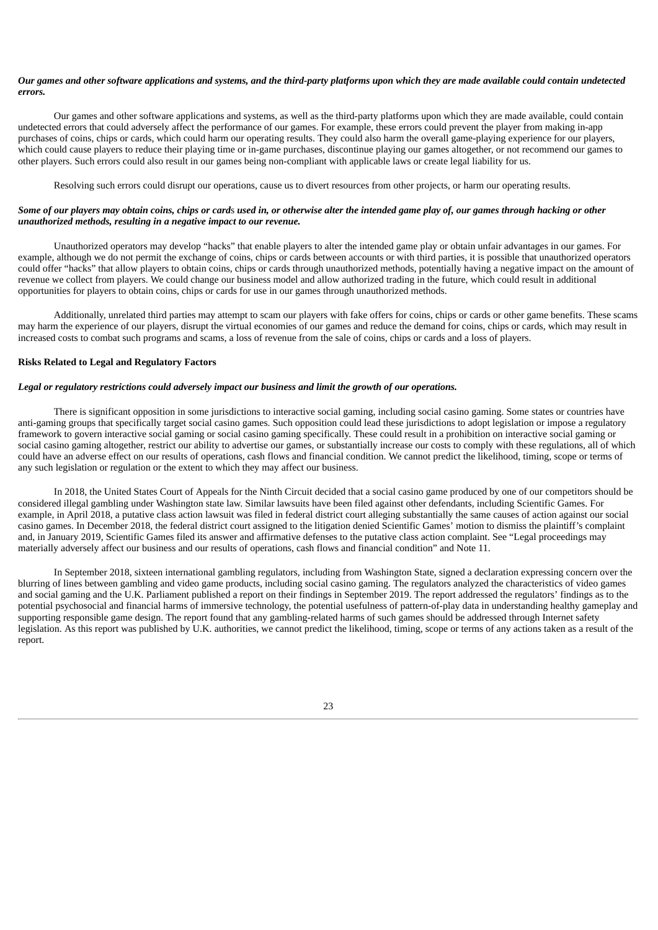#### Our games and other software applications and systems, and the third-party platforms upon which they are made available could contain undetected *errors.*

Our games and other software applications and systems, as well as the third-party platforms upon which they are made available, could contain undetected errors that could adversely affect the performance of our games. For example, these errors could prevent the player from making in-app purchases of coins, chips or cards, which could harm our operating results. They could also harm the overall game-playing experience for our players, which could cause players to reduce their playing time or in-game purchases, discontinue playing our games altogether, or not recommend our games to other players. Such errors could also result in our games being non-compliant with applicable laws or create legal liability for us.

Resolving such errors could disrupt our operations, cause us to divert resources from other projects, or harm our operating results.

## Some of our players may obtain coins, chips or cards used in, or otherwise alter the intended game play of, our games through hacking or other *unauthorized methods, resulting in a negative impact to our revenue.*

Unauthorized operators may develop "hacks" that enable players to alter the intended game play or obtain unfair advantages in our games. For example, although we do not permit the exchange of coins, chips or cards between accounts or with third parties, it is possible that unauthorized operators could offer "hacks" that allow players to obtain coins, chips or cards through unauthorized methods, potentially having a negative impact on the amount of revenue we collect from players. We could change our business model and allow authorized trading in the future, which could result in additional opportunities for players to obtain coins, chips or cards for use in our games through unauthorized methods.

Additionally, unrelated third parties may attempt to scam our players with fake offers for coins, chips or cards or other game benefits. These scams may harm the experience of our players, disrupt the virtual economies of our games and reduce the demand for coins, chips or cards, which may result in increased costs to combat such programs and scams, a loss of revenue from the sale of coins, chips or cards and a loss of players.

# **Risks Related to Legal and Regulatory Factors**

#### *Legal or regulatory restrictions could adversely impact our business and limit the growth of our operations.*

There is significant opposition in some jurisdictions to interactive social gaming, including social casino gaming. Some states or countries have anti-gaming groups that specifically target social casino games. Such opposition could lead these jurisdictions to adopt legislation or impose a regulatory framework to govern interactive social gaming or social casino gaming specifically. These could result in a prohibition on interactive social gaming or social casino gaming altogether, restrict our ability to advertise our games, or substantially increase our costs to comply with these regulations, all of which could have an adverse effect on our results of operations, cash flows and financial condition. We cannot predict the likelihood, timing, scope or terms of any such legislation or regulation or the extent to which they may affect our business.

In 2018, the United States Court of Appeals for the Ninth Circuit decided that a social casino game produced by one of our competitors should be considered illegal gambling under Washington state law. Similar lawsuits have been filed against other defendants, including Scientific Games. For example, in April 2018, a putative class action lawsuit was filed in federal district court alleging substantially the same causes of action against our social casino games. In December 2018, the federal district court assigned to the litigation denied Scientific Games' motion to dismiss the plaintiff's complaint and, in January 2019, Scientific Games filed its answer and affirmative defenses to the putative class action complaint. See "Legal proceedings may materially adversely affect our business and our results of operations, cash flows and financial condition" and Note 11.

In September 2018, sixteen international gambling regulators, including from Washington State, signed a declaration expressing concern over the blurring of lines between gambling and video game products, including social casino gaming. The regulators analyzed the characteristics of video games and social gaming and the U.K. Parliament published a report on their findings in September 2019. The report addressed the regulators' findings as to the potential psychosocial and financial harms of immersive technology, the potential usefulness of pattern-of-play data in understanding healthy gameplay and supporting responsible game design. The report found that any gambling-related harms of such games should be addressed through Internet safety legislation. As this report was published by U.K. authorities, we cannot predict the likelihood, timing, scope or terms of any actions taken as a result of the report.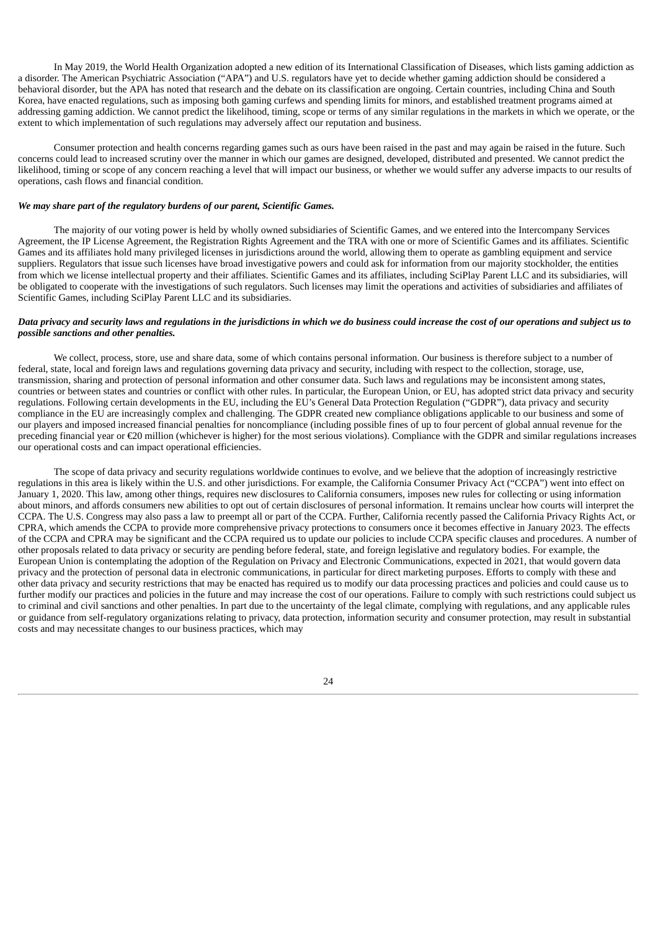In May 2019, the World Health Organization adopted a new edition of its International Classification of Diseases, which lists gaming addiction as a disorder. The American Psychiatric Association ("APA") and U.S. regulators have yet to decide whether gaming addiction should be considered a behavioral disorder, but the APA has noted that research and the debate on its classification are ongoing. Certain countries, including China and South Korea, have enacted regulations, such as imposing both gaming curfews and spending limits for minors, and established treatment programs aimed at addressing gaming addiction. We cannot predict the likelihood, timing, scope or terms of any similar regulations in the markets in which we operate, or the extent to which implementation of such regulations may adversely affect our reputation and business.

Consumer protection and health concerns regarding games such as ours have been raised in the past and may again be raised in the future. Such concerns could lead to increased scrutiny over the manner in which our games are designed, developed, distributed and presented. We cannot predict the likelihood, timing or scope of any concern reaching a level that will impact our business, or whether we would suffer any adverse impacts to our results of operations, cash flows and financial condition.

#### *We may share part of the regulatory burdens of our parent, Scientific Games.*

The majority of our voting power is held by wholly owned subsidiaries of Scientific Games, and we entered into the Intercompany Services Agreement, the IP License Agreement, the Registration Rights Agreement and the TRA with one or more of Scientific Games and its affiliates. Scientific Games and its affiliates hold many privileged licenses in jurisdictions around the world, allowing them to operate as gambling equipment and service suppliers. Regulators that issue such licenses have broad investigative powers and could ask for information from our majority stockholder, the entities from which we license intellectual property and their affiliates. Scientific Games and its affiliates, including SciPlay Parent LLC and its subsidiaries, will be obligated to cooperate with the investigations of such regulators. Such licenses may limit the operations and activities of subsidiaries and affiliates of Scientific Games, including SciPlay Parent LLC and its subsidiaries.

## Data privacy and security laws and regulations in the jurisdictions in which we do business could increase the cost of our operations and subject us to *possible sanctions and other penalties.*

We collect, process, store, use and share data, some of which contains personal information. Our business is therefore subject to a number of federal, state, local and foreign laws and regulations governing data privacy and security, including with respect to the collection, storage, use, transmission, sharing and protection of personal information and other consumer data. Such laws and regulations may be inconsistent among states, countries or between states and countries or conflict with other rules. In particular, the European Union, or EU, has adopted strict data privacy and security regulations. Following certain developments in the EU, including the EU's General Data Protection Regulation ("GDPR"), data privacy and security compliance in the EU are increasingly complex and challenging. The GDPR created new compliance obligations applicable to our business and some of our players and imposed increased financial penalties for noncompliance (including possible fines of up to four percent of global annual revenue for the preceding financial year or €20 million (whichever is higher) for the most serious violations). Compliance with the GDPR and similar regulations increases our operational costs and can impact operational efficiencies.

The scope of data privacy and security regulations worldwide continues to evolve, and we believe that the adoption of increasingly restrictive regulations in this area is likely within the U.S. and other jurisdictions. For example, the California Consumer Privacy Act ("CCPA") went into effect on January 1, 2020. This law, among other things, requires new disclosures to California consumers, imposes new rules for collecting or using information about minors, and affords consumers new abilities to opt out of certain disclosures of personal information. It remains unclear how courts will interpret the CCPA. The U.S. Congress may also pass a law to preempt all or part of the CCPA. Further, California recently passed the California Privacy Rights Act, or CPRA, which amends the CCPA to provide more comprehensive privacy protections to consumers once it becomes effective in January 2023. The effects of the CCPA and CPRA may be significant and the CCPA required us to update our policies to include CCPA specific clauses and procedures. A number of other proposals related to data privacy or security are pending before federal, state, and foreign legislative and regulatory bodies. For example, the European Union is contemplating the adoption of the Regulation on Privacy and Electronic Communications, expected in 2021, that would govern data privacy and the protection of personal data in electronic communications, in particular for direct marketing purposes. Efforts to comply with these and other data privacy and security restrictions that may be enacted has required us to modify our data processing practices and policies and could cause us to further modify our practices and policies in the future and may increase the cost of our operations. Failure to comply with such restrictions could subject us to criminal and civil sanctions and other penalties. In part due to the uncertainty of the legal climate, complying with regulations, and any applicable rules or guidance from self-regulatory organizations relating to privacy, data protection, information security and consumer protection, may result in substantial costs and may necessitate changes to our business practices, which may

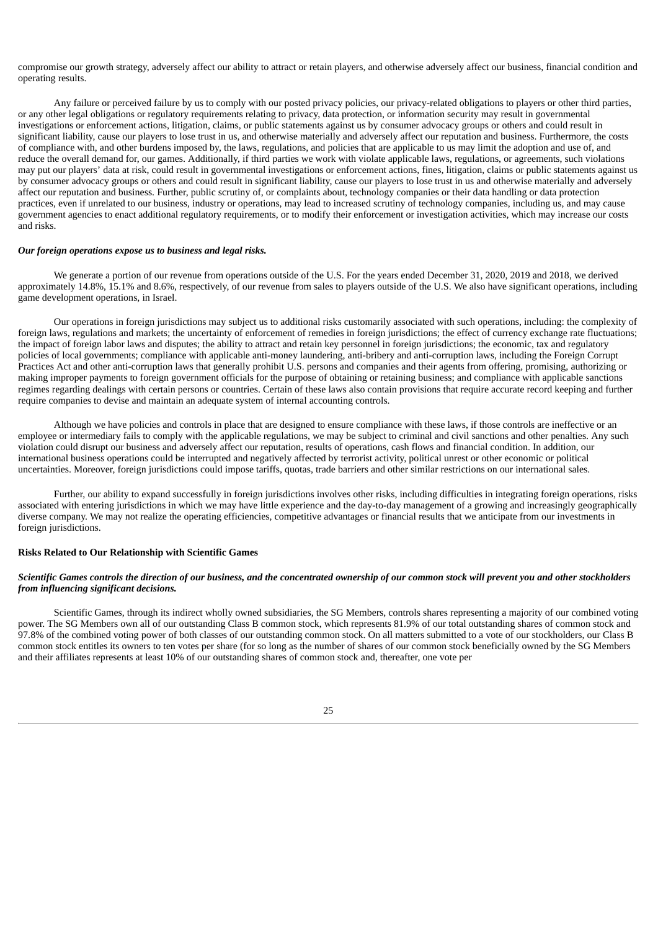compromise our growth strategy, adversely affect our ability to attract or retain players, and otherwise adversely affect our business, financial condition and operating results.

Any failure or perceived failure by us to comply with our posted privacy policies, our privacy-related obligations to players or other third parties, or any other legal obligations or regulatory requirements relating to privacy, data protection, or information security may result in governmental investigations or enforcement actions, litigation, claims, or public statements against us by consumer advocacy groups or others and could result in significant liability, cause our players to lose trust in us, and otherwise materially and adversely affect our reputation and business. Furthermore, the costs of compliance with, and other burdens imposed by, the laws, regulations, and policies that are applicable to us may limit the adoption and use of, and reduce the overall demand for, our games. Additionally, if third parties we work with violate applicable laws, regulations, or agreements, such violations may put our players' data at risk, could result in governmental investigations or enforcement actions, fines, litigation, claims or public statements against us by consumer advocacy groups or others and could result in significant liability, cause our players to lose trust in us and otherwise materially and adversely affect our reputation and business. Further, public scrutiny of, or complaints about, technology companies or their data handling or data protection practices, even if unrelated to our business, industry or operations, may lead to increased scrutiny of technology companies, including us, and may cause government agencies to enact additional regulatory requirements, or to modify their enforcement or investigation activities, which may increase our costs and risks.

#### *Our foreign operations expose us to business and legal risks.*

We generate a portion of our revenue from operations outside of the U.S. For the years ended December 31, 2020, 2019 and 2018, we derived approximately 14.8%, 15.1% and 8.6%, respectively, of our revenue from sales to players outside of the U.S. We also have significant operations, including game development operations, in Israel.

Our operations in foreign jurisdictions may subject us to additional risks customarily associated with such operations, including: the complexity of foreign laws, regulations and markets; the uncertainty of enforcement of remedies in foreign jurisdictions; the effect of currency exchange rate fluctuations; the impact of foreign labor laws and disputes; the ability to attract and retain key personnel in foreign jurisdictions; the economic, tax and regulatory policies of local governments; compliance with applicable anti-money laundering, anti-bribery and anti-corruption laws, including the Foreign Corrupt Practices Act and other anti-corruption laws that generally prohibit U.S. persons and companies and their agents from offering, promising, authorizing or making improper payments to foreign government officials for the purpose of obtaining or retaining business; and compliance with applicable sanctions regimes regarding dealings with certain persons or countries. Certain of these laws also contain provisions that require accurate record keeping and further require companies to devise and maintain an adequate system of internal accounting controls.

Although we have policies and controls in place that are designed to ensure compliance with these laws, if those controls are ineffective or an employee or intermediary fails to comply with the applicable regulations, we may be subject to criminal and civil sanctions and other penalties. Any such violation could disrupt our business and adversely affect our reputation, results of operations, cash flows and financial condition. In addition, our international business operations could be interrupted and negatively affected by terrorist activity, political unrest or other economic or political uncertainties. Moreover, foreign jurisdictions could impose tariffs, quotas, trade barriers and other similar restrictions on our international sales.

Further, our ability to expand successfully in foreign jurisdictions involves other risks, including difficulties in integrating foreign operations, risks associated with entering jurisdictions in which we may have little experience and the day-to-day management of a growing and increasingly geographically diverse company. We may not realize the operating efficiencies, competitive advantages or financial results that we anticipate from our investments in foreign jurisdictions.

#### **Risks Related to Our Relationship with Scientific Games**

# Scientific Games controls the direction of our business, and the concentrated ownership of our common stock will prevent you and other stockholders *from influencing significant decisions.*

Scientific Games, through its indirect wholly owned subsidiaries, the SG Members, controls shares representing a majority of our combined voting power. The SG Members own all of our outstanding Class B common stock, which represents 81.9% of our total outstanding shares of common stock and 97.8% of the combined voting power of both classes of our outstanding common stock. On all matters submitted to a vote of our stockholders, our Class B common stock entitles its owners to ten votes per share (for so long as the number of shares of our common stock beneficially owned by the SG Members and their affiliates represents at least 10% of our outstanding shares of common stock and, thereafter, one vote per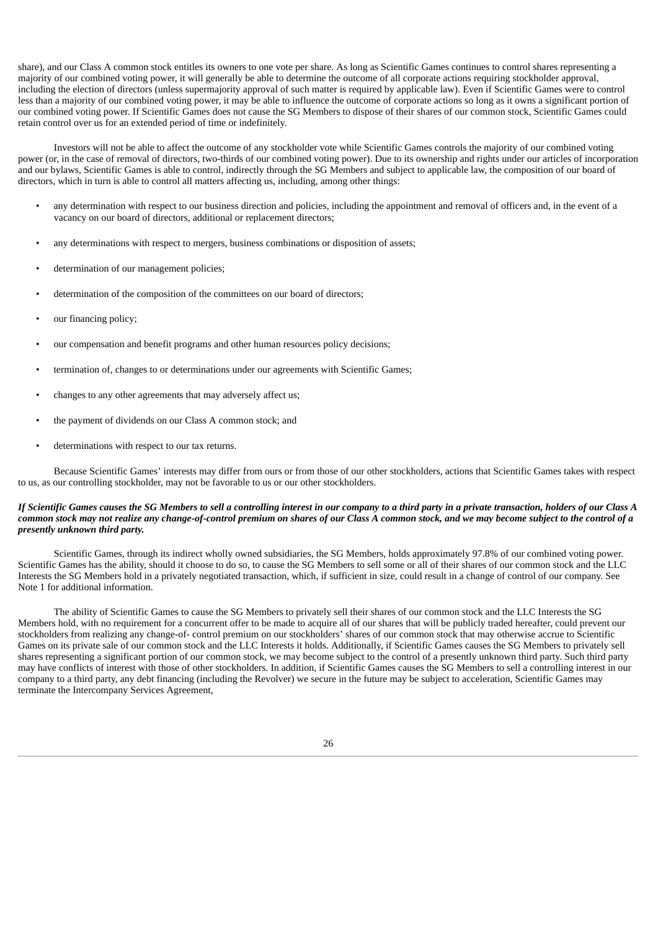share), and our Class A common stock entitles its owners to one vote per share. As long as Scientific Games continues to control shares representing a majority of our combined voting power, it will generally be able to determine the outcome of all corporate actions requiring stockholder approval, including the election of directors (unless supermajority approval of such matter is required by applicable law). Even if Scientific Games were to control less than a majority of our combined voting power, it may be able to influence the outcome of corporate actions so long as it owns a significant portion of our combined voting power. If Scientific Games does not cause the SG Members to dispose of their shares of our common stock, Scientific Games could retain control over us for an extended period of time or indefinitely.

Investors will not be able to affect the outcome of any stockholder vote while Scientific Games controls the majority of our combined voting power (or, in the case of removal of directors, two-thirds of our combined voting power). Due to its ownership and rights under our articles of incorporation and our bylaws, Scientific Games is able to control, indirectly through the SG Members and subject to applicable law, the composition of our board of directors, which in turn is able to control all matters affecting us, including, among other things:

- any determination with respect to our business direction and policies, including the appointment and removal of officers and, in the event of a vacancy on our board of directors, additional or replacement directors;
- any determinations with respect to mergers, business combinations or disposition of assets;
- determination of our management policies;
- determination of the composition of the committees on our board of directors;
- our financing policy;
- our compensation and benefit programs and other human resources policy decisions;
- termination of, changes to or determinations under our agreements with Scientific Games;
- changes to any other agreements that may adversely affect us;
- the payment of dividends on our Class A common stock; and
- determinations with respect to our tax returns.

Because Scientific Games' interests may differ from ours or from those of our other stockholders, actions that Scientific Games takes with respect to us, as our controlling stockholder, may not be favorable to us or our other stockholders.

# If Scientific Games causes the SG Members to sell a controlling interest in our company to a third party in a private transaction, holders of our Class A common stock may not realize any change-of-control premium on shares of our Class A common stock, and we may become subject to the control of a *presently unknown third party.*

Scientific Games, through its indirect wholly owned subsidiaries, the SG Members, holds approximately 97.8% of our combined voting power. Scientific Games has the ability, should it choose to do so, to cause the SG Members to sell some or all of their shares of our common stock and the LLC Interests the SG Members hold in a privately negotiated transaction, which, if sufficient in size, could result in a change of control of our company. See Note 1 for additional information.

The ability of Scientific Games to cause the SG Members to privately sell their shares of our common stock and the LLC Interests the SG Members hold, with no requirement for a concurrent offer to be made to acquire all of our shares that will be publicly traded hereafter, could prevent our stockholders from realizing any change-of- control premium on our stockholders' shares of our common stock that may otherwise accrue to Scientific Games on its private sale of our common stock and the LLC Interests it holds. Additionally, if Scientific Games causes the SG Members to privately sell shares representing a significant portion of our common stock, we may become subject to the control of a presently unknown third party. Such third party may have conflicts of interest with those of other stockholders. In addition, if Scientific Games causes the SG Members to sell a controlling interest in our company to a third party, any debt financing (including the Revolver) we secure in the future may be subject to acceleration, Scientific Games may terminate the Intercompany Services Agreement,

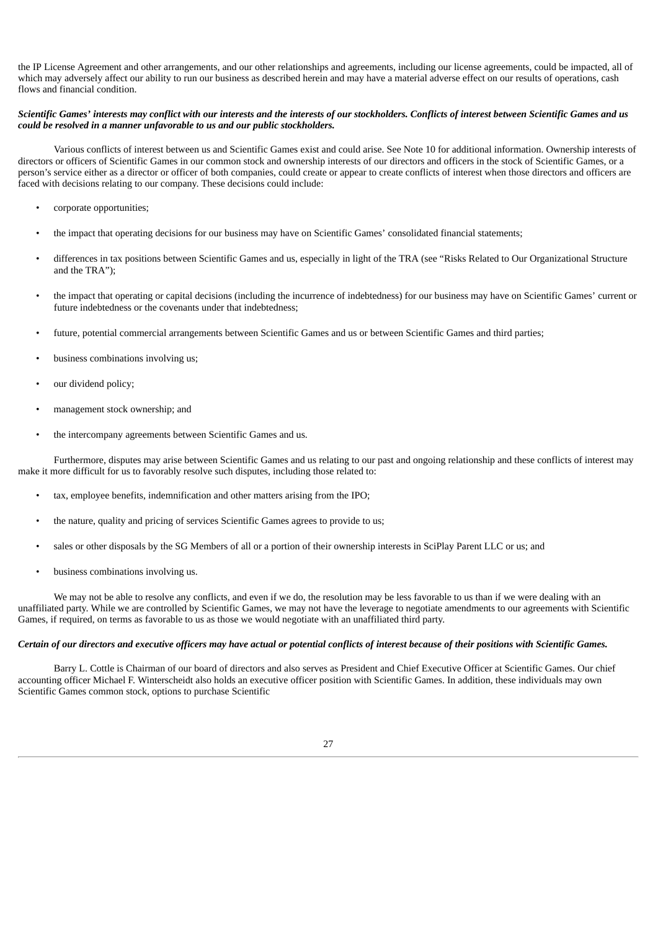the IP License Agreement and other arrangements, and our other relationships and agreements, including our license agreements, could be impacted, all of which may adversely affect our ability to run our business as described herein and may have a material adverse effect on our results of operations, cash flows and financial condition.

## Scientific Games' interests may conflict with our interests and the interests of our stockholders. Conflicts of interest between Scientific Games and us *could be resolved in a manner unfavorable to us and our public stockholders.*

Various conflicts of interest between us and Scientific Games exist and could arise. See Note 10 for additional information. Ownership interests of directors or officers of Scientific Games in our common stock and ownership interests of our directors and officers in the stock of Scientific Games, or a person's service either as a director or officer of both companies, could create or appear to create conflicts of interest when those directors and officers are faced with decisions relating to our company. These decisions could include:

- corporate opportunities;
- the impact that operating decisions for our business may have on Scientific Games' consolidated financial statements;
- differences in tax positions between Scientific Games and us, especially in light of the TRA (see "Risks Related to Our Organizational Structure and the TRA");
- the impact that operating or capital decisions (including the incurrence of indebtedness) for our business may have on Scientific Games' current or future indebtedness or the covenants under that indebtedness;
- future, potential commercial arrangements between Scientific Games and us or between Scientific Games and third parties;
- business combinations involving us;
- our dividend policy;
- management stock ownership; and
- the intercompany agreements between Scientific Games and us.

Furthermore, disputes may arise between Scientific Games and us relating to our past and ongoing relationship and these conflicts of interest may make it more difficult for us to favorably resolve such disputes, including those related to:

- tax, employee benefits, indemnification and other matters arising from the IPO;
- the nature, quality and pricing of services Scientific Games agrees to provide to us;
- sales or other disposals by the SG Members of all or a portion of their ownership interests in SciPlay Parent LLC or us; and
- business combinations involving us.

We may not be able to resolve any conflicts, and even if we do, the resolution may be less favorable to us than if we were dealing with an unaffiliated party. While we are controlled by Scientific Games, we may not have the leverage to negotiate amendments to our agreements with Scientific Games, if required, on terms as favorable to us as those we would negotiate with an unaffiliated third party.

# Certain of our directors and executive officers may have actual or potential conflicts of interest because of their positions with Scientific Games.

Barry L. Cottle is Chairman of our board of directors and also serves as President and Chief Executive Officer at Scientific Games. Our chief accounting officer Michael F. Winterscheidt also holds an executive officer position with Scientific Games. In addition, these individuals may own Scientific Games common stock, options to purchase Scientific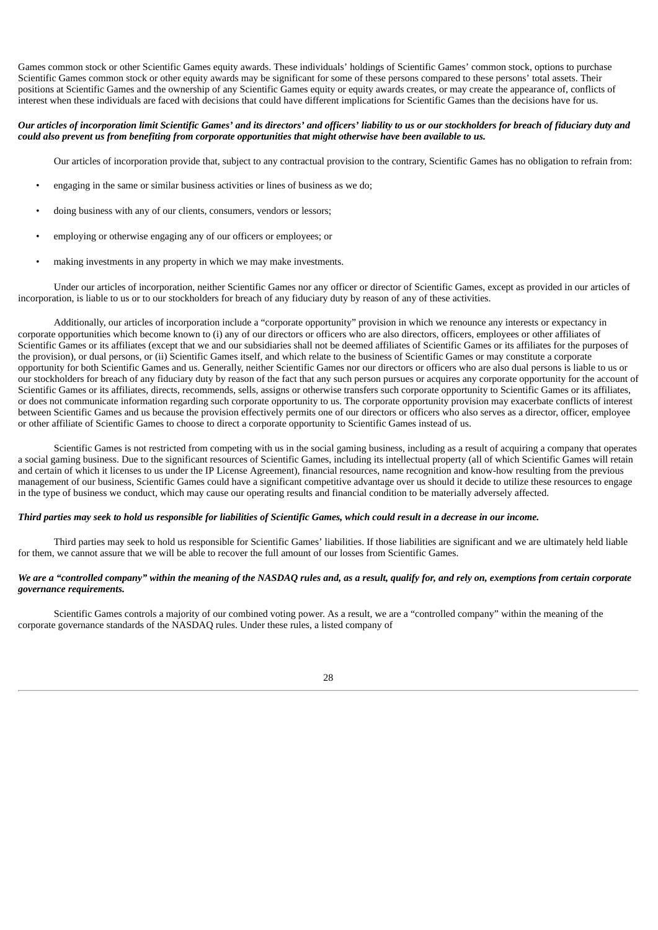Games common stock or other Scientific Games equity awards. These individuals' holdings of Scientific Games' common stock, options to purchase Scientific Games common stock or other equity awards may be significant for some of these persons compared to these persons' total assets. Their positions at Scientific Games and the ownership of any Scientific Games equity or equity awards creates, or may create the appearance of, conflicts of interest when these individuals are faced with decisions that could have different implications for Scientific Games than the decisions have for us.

## Our articles of incorporation limit Scientific Games' and its directors' and officers' liability to us or our stockholders for breach of fiduciary duty and could also prevent us from benefiting from corporate opportunities that might otherwise have been available to us.

Our articles of incorporation provide that, subject to any contractual provision to the contrary, Scientific Games has no obligation to refrain from:

- engaging in the same or similar business activities or lines of business as we do;
- doing business with any of our clients, consumers, vendors or lessors;
- employing or otherwise engaging any of our officers or employees; or
- making investments in any property in which we may make investments.

Under our articles of incorporation, neither Scientific Games nor any officer or director of Scientific Games, except as provided in our articles of incorporation, is liable to us or to our stockholders for breach of any fiduciary duty by reason of any of these activities.

Additionally, our articles of incorporation include a "corporate opportunity" provision in which we renounce any interests or expectancy in corporate opportunities which become known to (i) any of our directors or officers who are also directors, officers, employees or other affiliates of Scientific Games or its affiliates (except that we and our subsidiaries shall not be deemed affiliates of Scientific Games or its affiliates for the purposes of the provision), or dual persons, or (ii) Scientific Games itself, and which relate to the business of Scientific Games or may constitute a corporate opportunity for both Scientific Games and us. Generally, neither Scientific Games nor our directors or officers who are also dual persons is liable to us or our stockholders for breach of any fiduciary duty by reason of the fact that any such person pursues or acquires any corporate opportunity for the account of Scientific Games or its affiliates, directs, recommends, sells, assigns or otherwise transfers such corporate opportunity to Scientific Games or its affiliates, or does not communicate information regarding such corporate opportunity to us. The corporate opportunity provision may exacerbate conflicts of interest between Scientific Games and us because the provision effectively permits one of our directors or officers who also serves as a director, officer, employee or other affiliate of Scientific Games to choose to direct a corporate opportunity to Scientific Games instead of us.

Scientific Games is not restricted from competing with us in the social gaming business, including as a result of acquiring a company that operates a social gaming business. Due to the significant resources of Scientific Games, including its intellectual property (all of which Scientific Games will retain and certain of which it licenses to us under the IP License Agreement), financial resources, name recognition and know-how resulting from the previous management of our business, Scientific Games could have a significant competitive advantage over us should it decide to utilize these resources to engage in the type of business we conduct, which may cause our operating results and financial condition to be materially adversely affected.

## Third parties may seek to hold us responsible for liabilities of Scientific Games, which could result in a decrease in our income.

Third parties may seek to hold us responsible for Scientific Games' liabilities. If those liabilities are significant and we are ultimately held liable for them, we cannot assure that we will be able to recover the full amount of our losses from Scientific Games.

# We are a "controlled company" within the meaning of the NASDAQ rules and, as a result, qualify for, and rely on, exemptions from certain corporate *governance requirements.*

Scientific Games controls a majority of our combined voting power. As a result, we are a "controlled company" within the meaning of the corporate governance standards of the NASDAQ rules. Under these rules, a listed company of

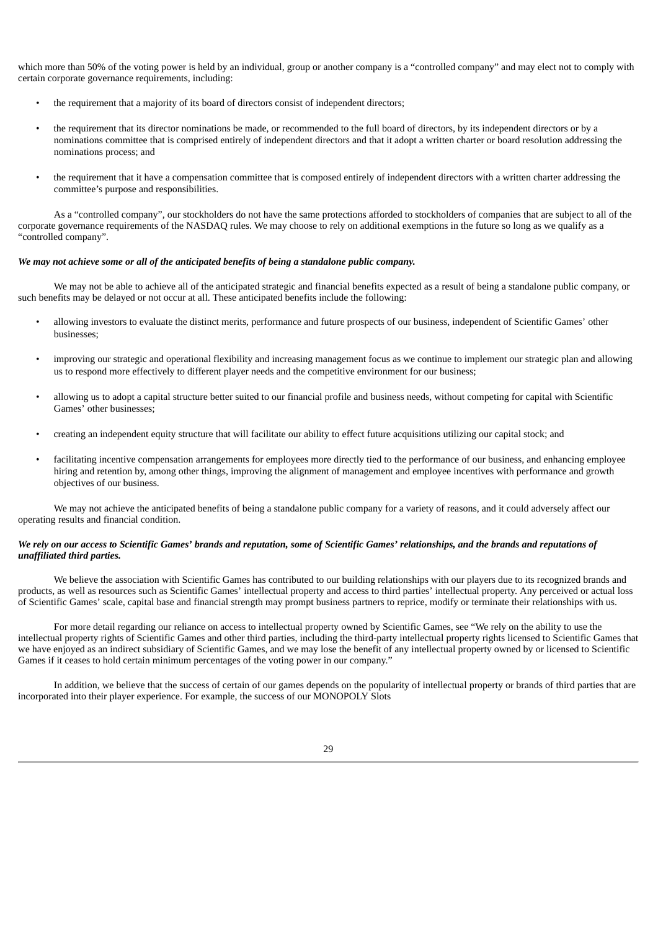which more than 50% of the voting power is held by an individual, group or another company is a "controlled company" and may elect not to comply with certain corporate governance requirements, including:

- the requirement that a majority of its board of directors consist of independent directors;
- the requirement that its director nominations be made, or recommended to the full board of directors, by its independent directors or by a nominations committee that is comprised entirely of independent directors and that it adopt a written charter or board resolution addressing the nominations process; and
- the requirement that it have a compensation committee that is composed entirely of independent directors with a written charter addressing the committee's purpose and responsibilities.

As a "controlled company", our stockholders do not have the same protections afforded to stockholders of companies that are subject to all of the corporate governance requirements of the NASDAQ rules. We may choose to rely on additional exemptions in the future so long as we qualify as a "controlled company".

## *We may not achieve some or all of the anticipated benefits of being a standalone public company.*

We may not be able to achieve all of the anticipated strategic and financial benefits expected as a result of being a standalone public company, or such benefits may be delayed or not occur at all. These anticipated benefits include the following:

- allowing investors to evaluate the distinct merits, performance and future prospects of our business, independent of Scientific Games' other businesses;
- improving our strategic and operational flexibility and increasing management focus as we continue to implement our strategic plan and allowing us to respond more effectively to different player needs and the competitive environment for our business;
- allowing us to adopt a capital structure better suited to our financial profile and business needs, without competing for capital with Scientific Games' other businesses;
- creating an independent equity structure that will facilitate our ability to effect future acquisitions utilizing our capital stock; and
- facilitating incentive compensation arrangements for employees more directly tied to the performance of our business, and enhancing employee hiring and retention by, among other things, improving the alignment of management and employee incentives with performance and growth objectives of our business.

We may not achieve the anticipated benefits of being a standalone public company for a variety of reasons, and it could adversely affect our operating results and financial condition.

# We rely on our access to Scientific Games' brands and reputation, some of Scientific Games' relationships, and the brands and reputations of *unaffiliated third parties.*

We believe the association with Scientific Games has contributed to our building relationships with our players due to its recognized brands and products, as well as resources such as Scientific Games' intellectual property and access to third parties' intellectual property. Any perceived or actual loss of Scientific Games' scale, capital base and financial strength may prompt business partners to reprice, modify or terminate their relationships with us.

For more detail regarding our reliance on access to intellectual property owned by Scientific Games, see "We rely on the ability to use the intellectual property rights of Scientific Games and other third parties, including the third-party intellectual property rights licensed to Scientific Games that we have enjoyed as an indirect subsidiary of Scientific Games, and we may lose the benefit of any intellectual property owned by or licensed to Scientific Games if it ceases to hold certain minimum percentages of the voting power in our company."

In addition, we believe that the success of certain of our games depends on the popularity of intellectual property or brands of third parties that are incorporated into their player experience. For example, the success of our MONOPOLY Slots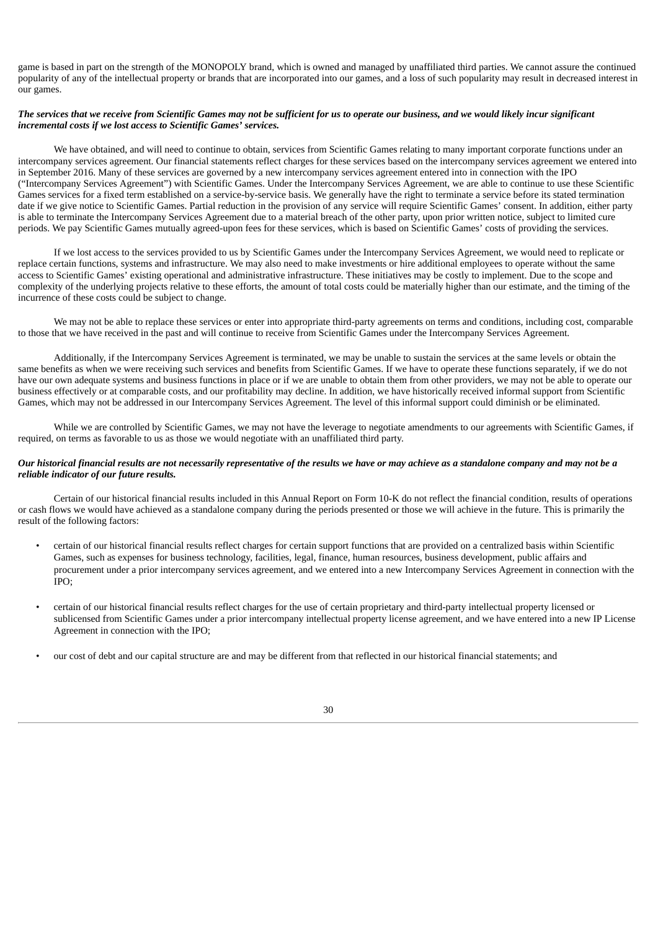game is based in part on the strength of the MONOPOLY brand, which is owned and managed by unaffiliated third parties. We cannot assure the continued popularity of any of the intellectual property or brands that are incorporated into our games, and a loss of such popularity may result in decreased interest in our games.

## The services that we receive from Scientific Games may not be sufficient for us to operate our business, and we would likely incur significant *incremental costs if we lost access to Scientific Games' services.*

We have obtained, and will need to continue to obtain, services from Scientific Games relating to many important corporate functions under an intercompany services agreement. Our financial statements reflect charges for these services based on the intercompany services agreement we entered into in September 2016. Many of these services are governed by a new intercompany services agreement entered into in connection with the IPO ("Intercompany Services Agreement") with Scientific Games. Under the Intercompany Services Agreement, we are able to continue to use these Scientific Games services for a fixed term established on a service-by-service basis. We generally have the right to terminate a service before its stated termination date if we give notice to Scientific Games. Partial reduction in the provision of any service will require Scientific Games' consent. In addition, either party is able to terminate the Intercompany Services Agreement due to a material breach of the other party, upon prior written notice, subject to limited cure periods. We pay Scientific Games mutually agreed-upon fees for these services, which is based on Scientific Games' costs of providing the services.

If we lost access to the services provided to us by Scientific Games under the Intercompany Services Agreement, we would need to replicate or replace certain functions, systems and infrastructure. We may also need to make investments or hire additional employees to operate without the same access to Scientific Games' existing operational and administrative infrastructure. These initiatives may be costly to implement. Due to the scope and complexity of the underlying projects relative to these efforts, the amount of total costs could be materially higher than our estimate, and the timing of the incurrence of these costs could be subject to change.

We may not be able to replace these services or enter into appropriate third-party agreements on terms and conditions, including cost, comparable to those that we have received in the past and will continue to receive from Scientific Games under the Intercompany Services Agreement.

Additionally, if the Intercompany Services Agreement is terminated, we may be unable to sustain the services at the same levels or obtain the same benefits as when we were receiving such services and benefits from Scientific Games. If we have to operate these functions separately, if we do not have our own adequate systems and business functions in place or if we are unable to obtain them from other providers, we may not be able to operate our business effectively or at comparable costs, and our profitability may decline. In addition, we have historically received informal support from Scientific Games, which may not be addressed in our Intercompany Services Agreement. The level of this informal support could diminish or be eliminated.

While we are controlled by Scientific Games, we may not have the leverage to negotiate amendments to our agreements with Scientific Games, if required, on terms as favorable to us as those we would negotiate with an unaffiliated third party.

# Our historical financial results are not necessarily representative of the results we have or may achieve as a standalone company and may not be a *reliable indicator of our future results.*

Certain of our historical financial results included in this Annual Report on Form 10-K do not reflect the financial condition, results of operations or cash flows we would have achieved as a standalone company during the periods presented or those we will achieve in the future. This is primarily the result of the following factors:

- certain of our historical financial results reflect charges for certain support functions that are provided on a centralized basis within Scientific Games, such as expenses for business technology, facilities, legal, finance, human resources, business development, public affairs and procurement under a prior intercompany services agreement, and we entered into a new Intercompany Services Agreement in connection with the IPO;
- certain of our historical financial results reflect charges for the use of certain proprietary and third-party intellectual property licensed or sublicensed from Scientific Games under a prior intercompany intellectual property license agreement, and we have entered into a new IP License Agreement in connection with the IPO;
- our cost of debt and our capital structure are and may be different from that reflected in our historical financial statements; and

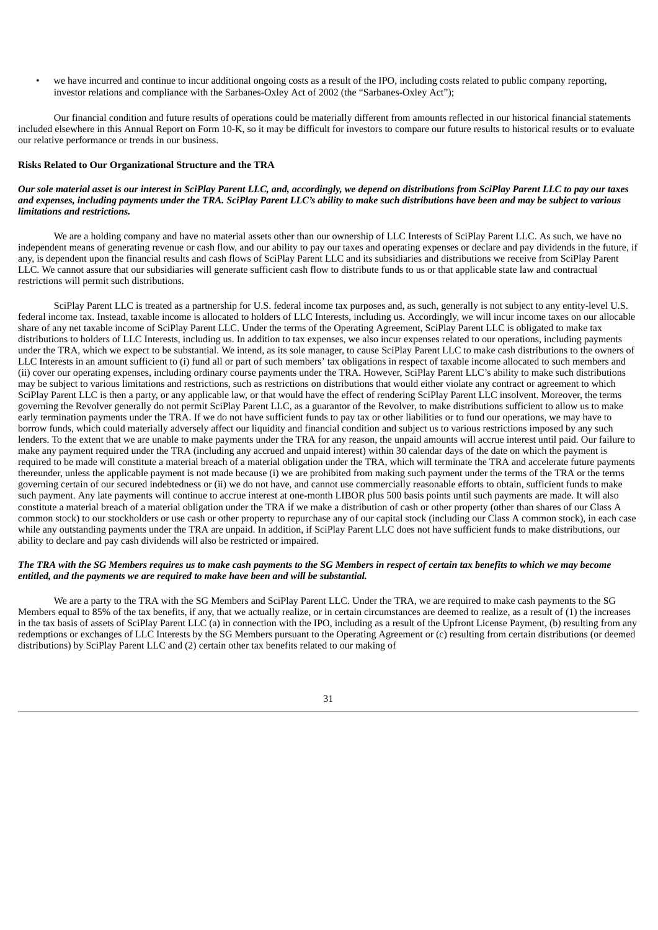• we have incurred and continue to incur additional ongoing costs as a result of the IPO, including costs related to public company reporting, investor relations and compliance with the Sarbanes-Oxley Act of 2002 (the "Sarbanes-Oxley Act");

Our financial condition and future results of operations could be materially different from amounts reflected in our historical financial statements included elsewhere in this Annual Report on Form 10-K, so it may be difficult for investors to compare our future results to historical results or to evaluate our relative performance or trends in our business.

#### **Risks Related to Our Organizational Structure and the TRA**

## Our sole material asset is our interest in SciPlay Parent LLC, and, accordinaly, we depend on distributions from SciPlay Parent LLC to pay our taxes and expenses, including payments under the TRA. SciPlay Parent LLC's ability to make such distributions have been and may be subject to various *limitations and restrictions.*

We are a holding company and have no material assets other than our ownership of LLC Interests of SciPlay Parent LLC. As such, we have no independent means of generating revenue or cash flow, and our ability to pay our taxes and operating expenses or declare and pay dividends in the future, if any, is dependent upon the financial results and cash flows of SciPlay Parent LLC and its subsidiaries and distributions we receive from SciPlay Parent LLC. We cannot assure that our subsidiaries will generate sufficient cash flow to distribute funds to us or that applicable state law and contractual restrictions will permit such distributions.

SciPlay Parent LLC is treated as a partnership for U.S. federal income tax purposes and, as such, generally is not subject to any entity-level U.S. federal income tax. Instead, taxable income is allocated to holders of LLC Interests, including us. Accordingly, we will incur income taxes on our allocable share of any net taxable income of SciPlay Parent LLC. Under the terms of the Operating Agreement, SciPlay Parent LLC is obligated to make tax distributions to holders of LLC Interests, including us. In addition to tax expenses, we also incur expenses related to our operations, including payments under the TRA, which we expect to be substantial. We intend, as its sole manager, to cause SciPlay Parent LLC to make cash distributions to the owners of LLC Interests in an amount sufficient to (i) fund all or part of such members' tax obligations in respect of taxable income allocated to such members and (ii) cover our operating expenses, including ordinary course payments under the TRA. However, SciPlay Parent LLC's ability to make such distributions may be subject to various limitations and restrictions, such as restrictions on distributions that would either violate any contract or agreement to which SciPlay Parent LLC is then a party, or any applicable law, or that would have the effect of rendering SciPlay Parent LLC insolvent. Moreover, the terms governing the Revolver generally do not permit SciPlay Parent LLC, as a guarantor of the Revolver, to make distributions sufficient to allow us to make early termination payments under the TRA. If we do not have sufficient funds to pay tax or other liabilities or to fund our operations, we may have to borrow funds, which could materially adversely affect our liquidity and financial condition and subject us to various restrictions imposed by any such lenders. To the extent that we are unable to make payments under the TRA for any reason, the unpaid amounts will accrue interest until paid. Our failure to make any payment required under the TRA (including any accrued and unpaid interest) within 30 calendar days of the date on which the payment is required to be made will constitute a material breach of a material obligation under the TRA, which will terminate the TRA and accelerate future payments thereunder, unless the applicable payment is not made because (i) we are prohibited from making such payment under the terms of the TRA or the terms governing certain of our secured indebtedness or (ii) we do not have, and cannot use commercially reasonable efforts to obtain, sufficient funds to make such payment. Any late payments will continue to accrue interest at one-month LIBOR plus 500 basis points until such payments are made. It will also constitute a material breach of a material obligation under the TRA if we make a distribution of cash or other property (other than shares of our Class A common stock) to our stockholders or use cash or other property to repurchase any of our capital stock (including our Class A common stock), in each case while any outstanding payments under the TRA are unpaid. In addition, if SciPlay Parent LLC does not have sufficient funds to make distributions, our ability to declare and pay cash dividends will also be restricted or impaired.

# The TRA with the SG Members requires us to make cash payments to the SG Members in respect of certain tax benefits to which we may become *entitled, and the payments we are required to make have been and will be substantial.*

We are a party to the TRA with the SG Members and SciPlay Parent LLC. Under the TRA, we are required to make cash payments to the SG Members equal to 85% of the tax benefits, if any, that we actually realize, or in certain circumstances are deemed to realize, as a result of (1) the increases in the tax basis of assets of SciPlay Parent LLC (a) in connection with the IPO, including as a result of the Upfront License Payment, (b) resulting from any redemptions or exchanges of LLC Interests by the SG Members pursuant to the Operating Agreement or (c) resulting from certain distributions (or deemed distributions) by SciPlay Parent LLC and (2) certain other tax benefits related to our making of

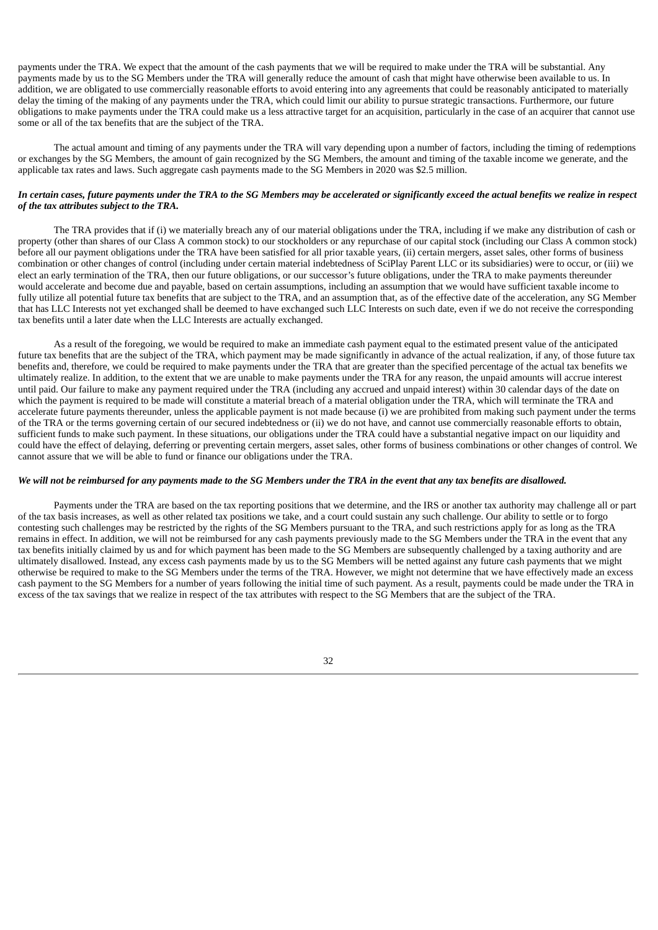payments under the TRA. We expect that the amount of the cash payments that we will be required to make under the TRA will be substantial. Any payments made by us to the SG Members under the TRA will generally reduce the amount of cash that might have otherwise been available to us. In addition, we are obligated to use commercially reasonable efforts to avoid entering into any agreements that could be reasonably anticipated to materially delay the timing of the making of any payments under the TRA, which could limit our ability to pursue strategic transactions. Furthermore, our future obligations to make payments under the TRA could make us a less attractive target for an acquisition, particularly in the case of an acquirer that cannot use some or all of the tax benefits that are the subject of the TRA.

The actual amount and timing of any payments under the TRA will vary depending upon a number of factors, including the timing of redemptions or exchanges by the SG Members, the amount of gain recognized by the SG Members, the amount and timing of the taxable income we generate, and the applicable tax rates and laws. Such aggregate cash payments made to the SG Members in 2020 was \$2.5 million.

#### In certain cases, future payments under the TRA to the SG Members may be accelerated or significantly exceed the actual benefits we realize in respect *of the tax attributes subject to the TRA.*

The TRA provides that if (i) we materially breach any of our material obligations under the TRA, including if we make any distribution of cash or property (other than shares of our Class A common stock) to our stockholders or any repurchase of our capital stock (including our Class A common stock) before all our payment obligations under the TRA have been satisfied for all prior taxable years, (ii) certain mergers, asset sales, other forms of business combination or other changes of control (including under certain material indebtedness of SciPlay Parent LLC or its subsidiaries) were to occur, or (iii) we elect an early termination of the TRA, then our future obligations, or our successor's future obligations, under the TRA to make payments thereunder would accelerate and become due and payable, based on certain assumptions, including an assumption that we would have sufficient taxable income to fully utilize all potential future tax benefits that are subject to the TRA, and an assumption that, as of the effective date of the acceleration, any SG Member that has LLC Interests not yet exchanged shall be deemed to have exchanged such LLC Interests on such date, even if we do not receive the corresponding tax benefits until a later date when the LLC Interests are actually exchanged.

As a result of the foregoing, we would be required to make an immediate cash payment equal to the estimated present value of the anticipated future tax benefits that are the subject of the TRA, which payment may be made significantly in advance of the actual realization, if any, of those future tax benefits and, therefore, we could be required to make payments under the TRA that are greater than the specified percentage of the actual tax benefits we ultimately realize. In addition, to the extent that we are unable to make payments under the TRA for any reason, the unpaid amounts will accrue interest until paid. Our failure to make any payment required under the TRA (including any accrued and unpaid interest) within 30 calendar days of the date on which the payment is required to be made will constitute a material breach of a material obligation under the TRA, which will terminate the TRA and accelerate future payments thereunder, unless the applicable payment is not made because (i) we are prohibited from making such payment under the terms of the TRA or the terms governing certain of our secured indebtedness or (ii) we do not have, and cannot use commercially reasonable efforts to obtain, sufficient funds to make such payment. In these situations, our obligations under the TRA could have a substantial negative impact on our liquidity and could have the effect of delaying, deferring or preventing certain mergers, asset sales, other forms of business combinations or other changes of control. We cannot assure that we will be able to fund or finance our obligations under the TRA.

#### We will not be reimbursed for any payments made to the SG Members under the TRA in the event that any tax benefits are disallowed.

Payments under the TRA are based on the tax reporting positions that we determine, and the IRS or another tax authority may challenge all or part of the tax basis increases, as well as other related tax positions we take, and a court could sustain any such challenge. Our ability to settle or to forgo contesting such challenges may be restricted by the rights of the SG Members pursuant to the TRA, and such restrictions apply for as long as the TRA remains in effect. In addition, we will not be reimbursed for any cash payments previously made to the SG Members under the TRA in the event that any tax benefits initially claimed by us and for which payment has been made to the SG Members are subsequently challenged by a taxing authority and are ultimately disallowed. Instead, any excess cash payments made by us to the SG Members will be netted against any future cash payments that we might otherwise be required to make to the SG Members under the terms of the TRA. However, we might not determine that we have effectively made an excess cash payment to the SG Members for a number of years following the initial time of such payment. As a result, payments could be made under the TRA in excess of the tax savings that we realize in respect of the tax attributes with respect to the SG Members that are the subject of the TRA.

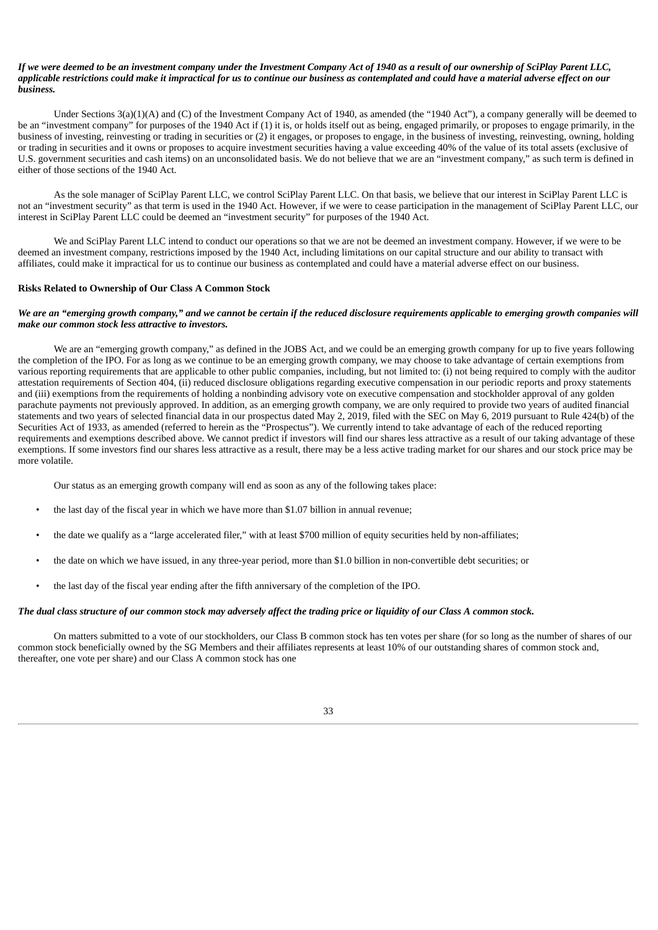#### If we were deemed to be an investment company under the Investment Company Act of 1940 as a result of our ownership of SciPlay Parent LLC, applicable restrictions could make it impractical for us to continue our business as contemplated and could have a material adverse effect on our *business.*

Under Sections 3(a)(1)(A) and (C) of the Investment Company Act of 1940, as amended (the "1940 Act"), a company generally will be deemed to be an "investment company" for purposes of the 1940 Act if (1) it is, or holds itself out as being, engaged primarily, or proposes to engage primarily, in the business of investing, reinvesting or trading in securities or (2) it engages, or proposes to engage, in the business of investing, reinvesting, owning, holding or trading in securities and it owns or proposes to acquire investment securities having a value exceeding 40% of the value of its total assets (exclusive of U.S. government securities and cash items) on an unconsolidated basis. We do not believe that we are an "investment company," as such term is defined in either of those sections of the 1940 Act.

As the sole manager of SciPlay Parent LLC, we control SciPlay Parent LLC. On that basis, we believe that our interest in SciPlay Parent LLC is not an "investment security" as that term is used in the 1940 Act. However, if we were to cease participation in the management of SciPlay Parent LLC, our interest in SciPlay Parent LLC could be deemed an "investment security" for purposes of the 1940 Act.

We and SciPlay Parent LLC intend to conduct our operations so that we are not be deemed an investment company. However, if we were to be deemed an investment company, restrictions imposed by the 1940 Act, including limitations on our capital structure and our ability to transact with affiliates, could make it impractical for us to continue our business as contemplated and could have a material adverse effect on our business.

## **Risks Related to Ownership of Our Class A Common Stock**

## We are an "emerging growth company," and we cannot be certain if the reduced disclosure requirements applicable to emerging growth companies will *make our common stock less attractive to investors.*

We are an "emerging growth company," as defined in the JOBS Act, and we could be an emerging growth company for up to five years following the completion of the IPO. For as long as we continue to be an emerging growth company, we may choose to take advantage of certain exemptions from various reporting requirements that are applicable to other public companies, including, but not limited to: (i) not being required to comply with the auditor attestation requirements of Section 404, (ii) reduced disclosure obligations regarding executive compensation in our periodic reports and proxy statements and (iii) exemptions from the requirements of holding a nonbinding advisory vote on executive compensation and stockholder approval of any golden parachute payments not previously approved. In addition, as an emerging growth company, we are only required to provide two years of audited financial statements and two years of selected financial data in our prospectus dated May 2, 2019, filed with the SEC on May 6, 2019 pursuant to Rule 424(b) of the Securities Act of 1933, as amended (referred to herein as the "Prospectus"). We currently intend to take advantage of each of the reduced reporting requirements and exemptions described above. We cannot predict if investors will find our shares less attractive as a result of our taking advantage of these exemptions. If some investors find our shares less attractive as a result, there may be a less active trading market for our shares and our stock price may be more volatile.

Our status as an emerging growth company will end as soon as any of the following takes place:

- the last day of the fiscal year in which we have more than \$1.07 billion in annual revenue;
- the date we qualify as a "large accelerated filer," with at least \$700 million of equity securities held by non-affiliates;
- the date on which we have issued, in any three-year period, more than \$1.0 billion in non-convertible debt securities; or
- the last day of the fiscal year ending after the fifth anniversary of the completion of the IPO.

## The dual class structure of our common stock may adversely affect the trading price or liquidity of our Class A common stock.

On matters submitted to a vote of our stockholders, our Class B common stock has ten votes per share (for so long as the number of shares of our common stock beneficially owned by the SG Members and their affiliates represents at least 10% of our outstanding shares of common stock and, thereafter, one vote per share) and our Class A common stock has one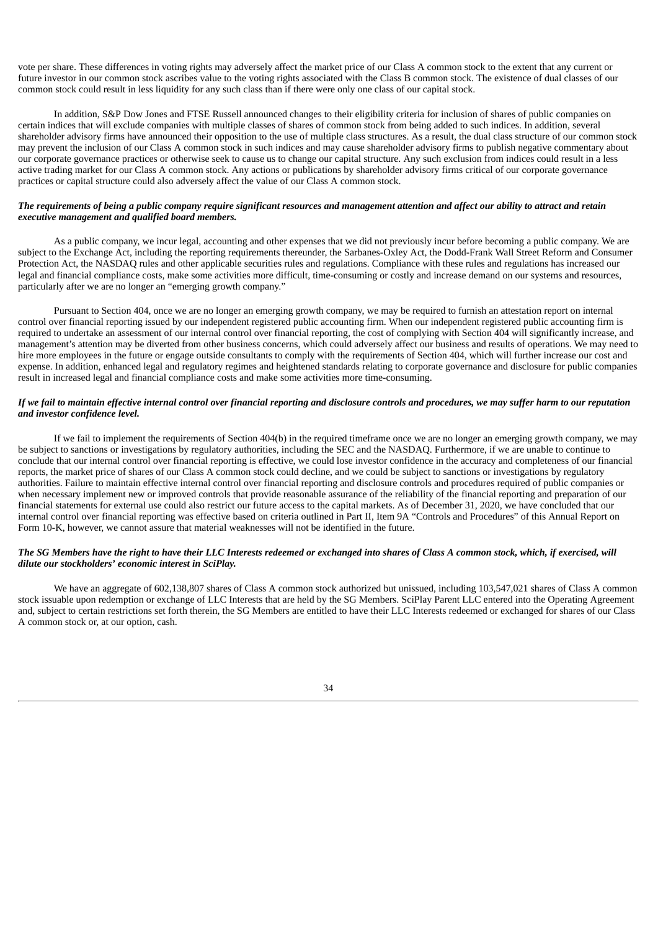vote per share. These differences in voting rights may adversely affect the market price of our Class A common stock to the extent that any current or future investor in our common stock ascribes value to the voting rights associated with the Class B common stock. The existence of dual classes of our common stock could result in less liquidity for any such class than if there were only one class of our capital stock.

In addition, S&P Dow Jones and FTSE Russell announced changes to their eligibility criteria for inclusion of shares of public companies on certain indices that will exclude companies with multiple classes of shares of common stock from being added to such indices. In addition, several shareholder advisory firms have announced their opposition to the use of multiple class structures. As a result, the dual class structure of our common stock may prevent the inclusion of our Class A common stock in such indices and may cause shareholder advisory firms to publish negative commentary about our corporate governance practices or otherwise seek to cause us to change our capital structure. Any such exclusion from indices could result in a less active trading market for our Class A common stock. Any actions or publications by shareholder advisory firms critical of our corporate governance practices or capital structure could also adversely affect the value of our Class A common stock.

# The requirements of being a public company require significant resources and mangaement attention and affect our ability to attract and retain *executive management and qualified board members.*

As a public company, we incur legal, accounting and other expenses that we did not previously incur before becoming a public company. We are subject to the Exchange Act, including the reporting requirements thereunder, the Sarbanes-Oxley Act, the Dodd-Frank Wall Street Reform and Consumer Protection Act, the NASDAQ rules and other applicable securities rules and regulations. Compliance with these rules and regulations has increased our legal and financial compliance costs, make some activities more difficult, time-consuming or costly and increase demand on our systems and resources, particularly after we are no longer an "emerging growth company."

Pursuant to Section 404, once we are no longer an emerging growth company, we may be required to furnish an attestation report on internal control over financial reporting issued by our independent registered public accounting firm. When our independent registered public accounting firm is required to undertake an assessment of our internal control over financial reporting, the cost of complying with Section 404 will significantly increase, and management's attention may be diverted from other business concerns, which could adversely affect our business and results of operations. We may need to hire more employees in the future or engage outside consultants to comply with the requirements of Section 404, which will further increase our cost and expense. In addition, enhanced legal and regulatory regimes and heightened standards relating to corporate governance and disclosure for public companies result in increased legal and financial compliance costs and make some activities more time-consuming.

## If we fail to maintain effective internal control over financial reporting and disclosure controls and procedures, we may suffer harm to our reputation *and investor confidence level.*

If we fail to implement the requirements of Section 404(b) in the required timeframe once we are no longer an emerging growth company, we may be subject to sanctions or investigations by regulatory authorities, including the SEC and the NASDAQ. Furthermore, if we are unable to continue to conclude that our internal control over financial reporting is effective, we could lose investor confidence in the accuracy and completeness of our financial reports, the market price of shares of our Class A common stock could decline, and we could be subject to sanctions or investigations by regulatory authorities. Failure to maintain effective internal control over financial reporting and disclosure controls and procedures required of public companies or when necessary implement new or improved controls that provide reasonable assurance of the reliability of the financial reporting and preparation of our financial statements for external use could also restrict our future access to the capital markets. As of December 31, 2020, we have concluded that our internal control over financial reporting was effective based on criteria outlined in Part II, Item 9A "Controls and Procedures" of this Annual Report on Form 10-K, however, we cannot assure that material weaknesses will not be identified in the future.

# The SG Members have the right to have their LLC Interests redeemed or exchanged into shares of Class A common stock, which, if exercised, will *dilute our stockholders' economic interest in SciPlay.*

We have an aggregate of 602,138,807 shares of Class A common stock authorized but unissued, including 103,547,021 shares of Class A common stock issuable upon redemption or exchange of LLC Interests that are held by the SG Members. SciPlay Parent LLC entered into the Operating Agreement and, subject to certain restrictions set forth therein, the SG Members are entitled to have their LLC Interests redeemed or exchanged for shares of our Class A common stock or, at our option, cash.

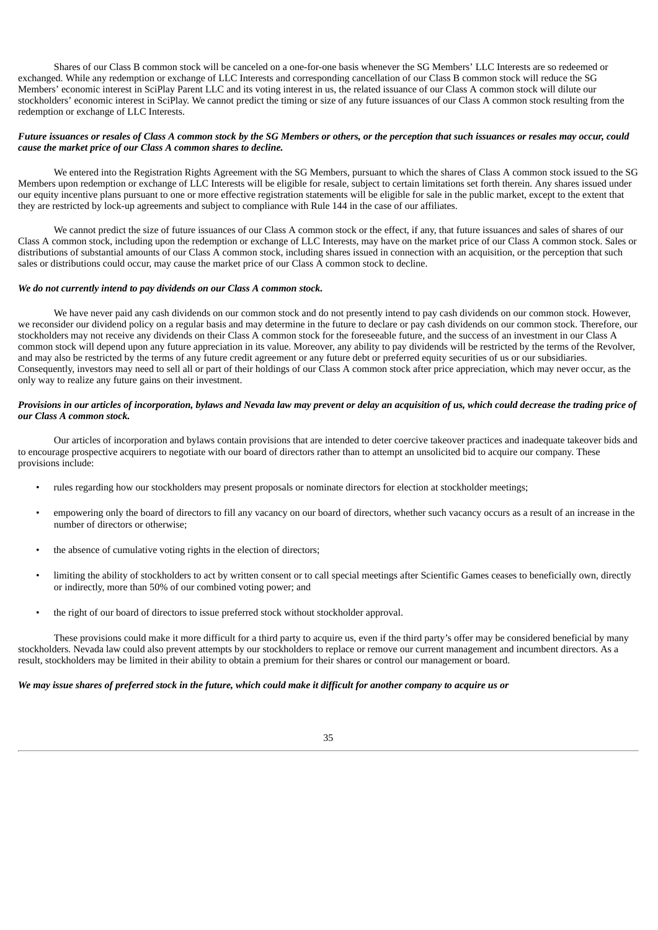Shares of our Class B common stock will be canceled on a one-for-one basis whenever the SG Members' LLC Interests are so redeemed or exchanged. While any redemption or exchange of LLC Interests and corresponding cancellation of our Class B common stock will reduce the SG Members' economic interest in SciPlay Parent LLC and its voting interest in us, the related issuance of our Class A common stock will dilute our stockholders' economic interest in SciPlay. We cannot predict the timing or size of any future issuances of our Class A common stock resulting from the redemption or exchange of LLC Interests.

#### Future issuances or resales of Class A common stock by the SG Members or others, or the perception that such issuances or resales may occur, could *cause the market price of our Class A common shares to decline.*

We entered into the Registration Rights Agreement with the SG Members, pursuant to which the shares of Class A common stock issued to the SG Members upon redemption or exchange of LLC Interests will be eligible for resale, subject to certain limitations set forth therein. Any shares issued under our equity incentive plans pursuant to one or more effective registration statements will be eligible for sale in the public market, except to the extent that they are restricted by lock-up agreements and subject to compliance with Rule 144 in the case of our affiliates.

We cannot predict the size of future issuances of our Class A common stock or the effect, if any, that future issuances and sales of shares of our Class A common stock, including upon the redemption or exchange of LLC Interests, may have on the market price of our Class A common stock. Sales or distributions of substantial amounts of our Class A common stock, including shares issued in connection with an acquisition, or the perception that such sales or distributions could occur, may cause the market price of our Class A common stock to decline.

# *We do not currently intend to pay dividends on our Class A common stock.*

We have never paid any cash dividends on our common stock and do not presently intend to pay cash dividends on our common stock. However, we reconsider our dividend policy on a regular basis and may determine in the future to declare or pay cash dividends on our common stock. Therefore, our stockholders may not receive any dividends on their Class A common stock for the foreseeable future, and the success of an investment in our Class A common stock will depend upon any future appreciation in its value. Moreover, any ability to pay dividends will be restricted by the terms of the Revolver, and may also be restricted by the terms of any future credit agreement or any future debt or preferred equity securities of us or our subsidiaries. Consequently, investors may need to sell all or part of their holdings of our Class A common stock after price appreciation, which may never occur, as the only way to realize any future gains on their investment.

## Provisions in our articles of incorporation, bylaws and Nevada law may prevent or delay an acquisition of us, which could decrease the trading price of *our Class A common stock.*

Our articles of incorporation and bylaws contain provisions that are intended to deter coercive takeover practices and inadequate takeover bids and to encourage prospective acquirers to negotiate with our board of directors rather than to attempt an unsolicited bid to acquire our company. These provisions include:

- rules regarding how our stockholders may present proposals or nominate directors for election at stockholder meetings;
- empowering only the board of directors to fill any vacancy on our board of directors, whether such vacancy occurs as a result of an increase in the number of directors or otherwise;
- the absence of cumulative voting rights in the election of directors;
- limiting the ability of stockholders to act by written consent or to call special meetings after Scientific Games ceases to beneficially own, directly or indirectly, more than 50% of our combined voting power; and
- the right of our board of directors to issue preferred stock without stockholder approval.

These provisions could make it more difficult for a third party to acquire us, even if the third party's offer may be considered beneficial by many stockholders. Nevada law could also prevent attempts by our stockholders to replace or remove our current management and incumbent directors. As a result, stockholders may be limited in their ability to obtain a premium for their shares or control our management or board.

# We may issue shares of preferred stock in the future, which could make it difficult for another company to acquire us or

35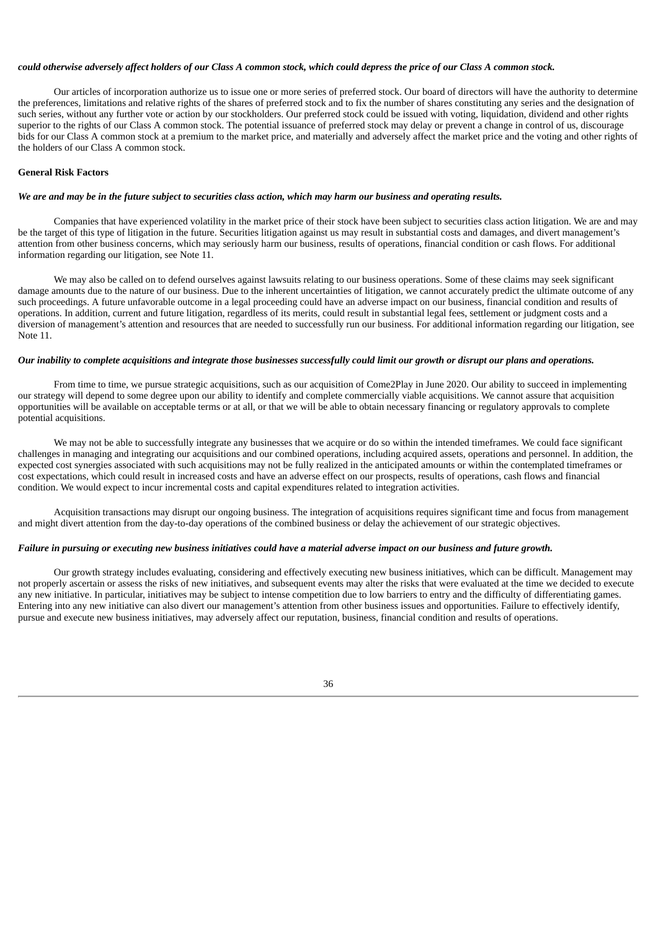## could otherwise adversely affect holders of our Class A common stock, which could depress the price of our Class A common stock.

Our articles of incorporation authorize us to issue one or more series of preferred stock. Our board of directors will have the authority to determine the preferences, limitations and relative rights of the shares of preferred stock and to fix the number of shares constituting any series and the designation of such series, without any further vote or action by our stockholders. Our preferred stock could be issued with voting, liquidation, dividend and other rights superior to the rights of our Class A common stock. The potential issuance of preferred stock may delay or prevent a change in control of us, discourage bids for our Class A common stock at a premium to the market price, and materially and adversely affect the market price and the voting and other rights of the holders of our Class A common stock.

#### **General Risk Factors**

#### We are and may be in the future subject to securities class action, which may harm our business and operating results.

Companies that have experienced volatility in the market price of their stock have been subject to securities class action litigation. We are and may be the target of this type of litigation in the future. Securities litigation against us may result in substantial costs and damages, and divert management's attention from other business concerns, which may seriously harm our business, results of operations, financial condition or cash flows. For additional information regarding our litigation, see Note 11.

We may also be called on to defend ourselves against lawsuits relating to our business operations. Some of these claims may seek significant damage amounts due to the nature of our business. Due to the inherent uncertainties of litigation, we cannot accurately predict the ultimate outcome of any such proceedings. A future unfavorable outcome in a legal proceeding could have an adverse impact on our business, financial condition and results of operations. In addition, current and future litigation, regardless of its merits, could result in substantial legal fees, settlement or judgment costs and a diversion of management's attention and resources that are needed to successfully run our business. For additional information regarding our litigation, see Note 11.

#### Our inability to complete acquisitions and integrate those businesses successfully could limit our growth or disrupt our plans and operations.

From time to time, we pursue strategic acquisitions, such as our acquisition of Come2Play in June 2020. Our ability to succeed in implementing our strategy will depend to some degree upon our ability to identify and complete commercially viable acquisitions. We cannot assure that acquisition opportunities will be available on acceptable terms or at all, or that we will be able to obtain necessary financing or regulatory approvals to complete potential acquisitions.

We may not be able to successfully integrate any businesses that we acquire or do so within the intended timeframes. We could face significant challenges in managing and integrating our acquisitions and our combined operations, including acquired assets, operations and personnel. In addition, the expected cost synergies associated with such acquisitions may not be fully realized in the anticipated amounts or within the contemplated timeframes or cost expectations, which could result in increased costs and have an adverse effect on our prospects, results of operations, cash flows and financial condition. We would expect to incur incremental costs and capital expenditures related to integration activities.

Acquisition transactions may disrupt our ongoing business. The integration of acquisitions requires significant time and focus from management and might divert attention from the day-to-day operations of the combined business or delay the achievement of our strategic objectives.

#### Failure in pursuing or executing new business initiatives could have a material adverse impact on our business and future growth.

Our growth strategy includes evaluating, considering and effectively executing new business initiatives, which can be difficult. Management may not properly ascertain or assess the risks of new initiatives, and subsequent events may alter the risks that were evaluated at the time we decided to execute any new initiative. In particular, initiatives may be subject to intense competition due to low barriers to entry and the difficulty of differentiating games. Entering into any new initiative can also divert our management's attention from other business issues and opportunities. Failure to effectively identify, pursue and execute new business initiatives, may adversely affect our reputation, business, financial condition and results of operations.

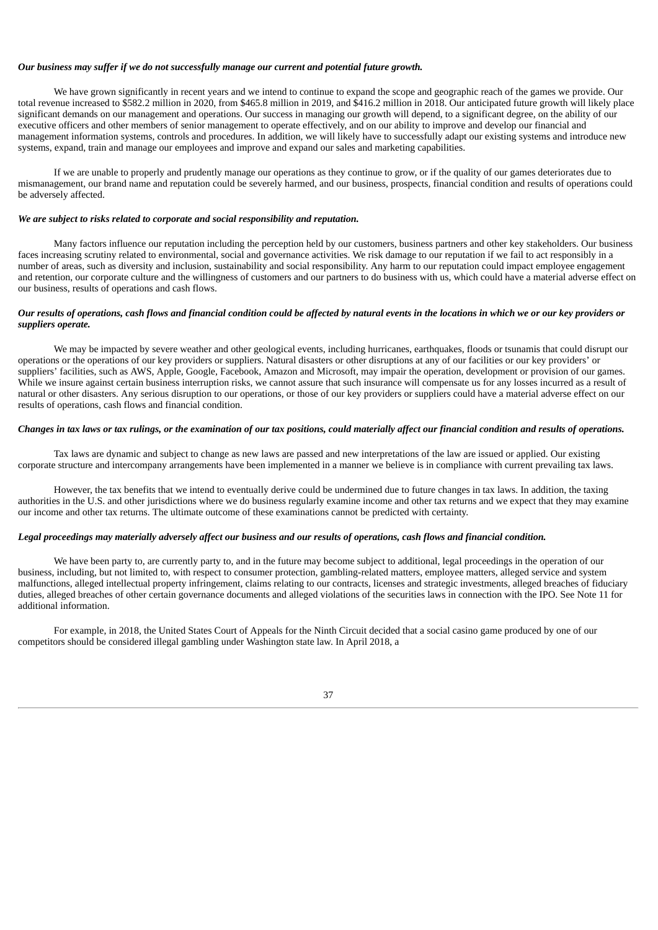### *Our business may suffer if we do not successfully manage our current and potential future growth.*

We have grown significantly in recent years and we intend to continue to expand the scope and geographic reach of the games we provide. Our total revenue increased to \$582.2 million in 2020, from \$465.8 million in 2019, and \$416.2 million in 2018. Our anticipated future growth will likely place significant demands on our management and operations. Our success in managing our growth will depend, to a significant degree, on the ability of our executive officers and other members of senior management to operate effectively, and on our ability to improve and develop our financial and management information systems, controls and procedures. In addition, we will likely have to successfully adapt our existing systems and introduce new systems, expand, train and manage our employees and improve and expand our sales and marketing capabilities.

If we are unable to properly and prudently manage our operations as they continue to grow, or if the quality of our games deteriorates due to mismanagement, our brand name and reputation could be severely harmed, and our business, prospects, financial condition and results of operations could be adversely affected.

### *We are subject to risks related to corporate and social responsibility and reputation.*

Many factors influence our reputation including the perception held by our customers, business partners and other key stakeholders. Our business faces increasing scrutiny related to environmental, social and governance activities. We risk damage to our reputation if we fail to act responsibly in a number of areas, such as diversity and inclusion, sustainability and social responsibility. Any harm to our reputation could impact employee engagement and retention, our corporate culture and the willingness of customers and our partners to do business with us, which could have a material adverse effect on our business, results of operations and cash flows.

## Our results of operations, cash flows and financial condition could be affected by natural events in the locations in which we or our key providers or *suppliers operate.*

We may be impacted by severe weather and other geological events, including hurricanes, earthquakes, floods or tsunamis that could disrupt our operations or the operations of our key providers or suppliers. Natural disasters or other disruptions at any of our facilities or our key providers' or suppliers' facilities, such as AWS, Apple, Google, Facebook, Amazon and Microsoft, may impair the operation, development or provision of our games. While we insure against certain business interruption risks, we cannot assure that such insurance will compensate us for any losses incurred as a result of natural or other disasters. Any serious disruption to our operations, or those of our key providers or suppliers could have a material adverse effect on our results of operations, cash flows and financial condition.

### Changes in tax laws or tax rulings, or the examination of our tax positions, could materially affect our financial condition and results of operations.

Tax laws are dynamic and subject to change as new laws are passed and new interpretations of the law are issued or applied. Our existing corporate structure and intercompany arrangements have been implemented in a manner we believe is in compliance with current prevailing tax laws.

However, the tax benefits that we intend to eventually derive could be undermined due to future changes in tax laws. In addition, the taxing authorities in the U.S. and other jurisdictions where we do business regularly examine income and other tax returns and we expect that they may examine our income and other tax returns. The ultimate outcome of these examinations cannot be predicted with certainty.

## Legal proceedings may materially adversely affect our business and our results of operations, cash flows and financial condition.

We have been party to, are currently party to, and in the future may become subject to additional, legal proceedings in the operation of our business, including, but not limited to, with respect to consumer protection, gambling-related matters, employee matters, alleged service and system malfunctions, alleged intellectual property infringement, claims relating to our contracts, licenses and strategic investments, alleged breaches of fiduciary duties, alleged breaches of other certain governance documents and alleged violations of the securities laws in connection with the IPO. See Note 11 for additional information.

For example, in 2018, the United States Court of Appeals for the Ninth Circuit decided that a social casino game produced by one of our competitors should be considered illegal gambling under Washington state law. In April 2018, a

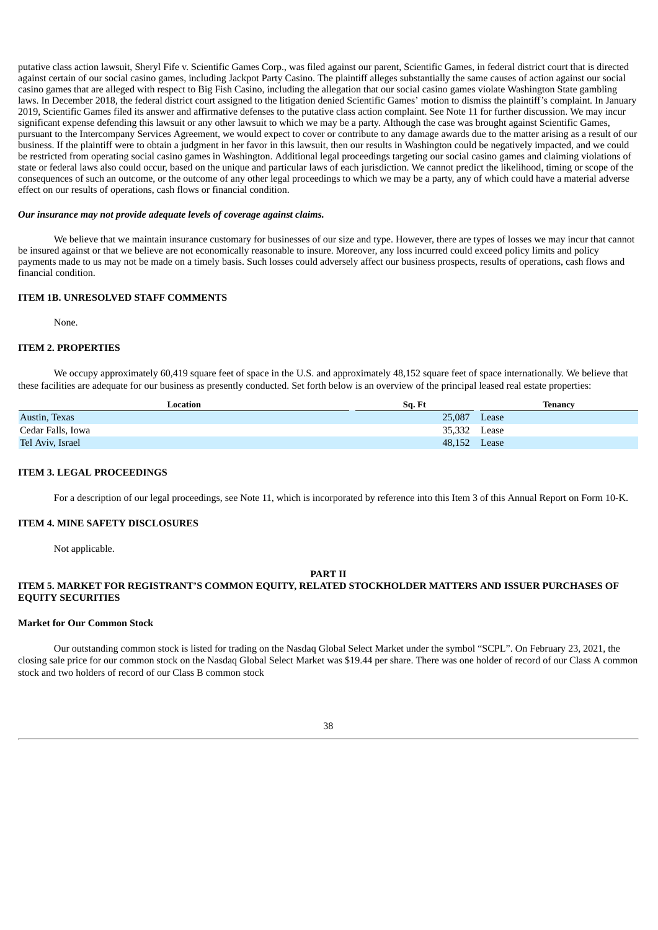putative class action lawsuit, Sheryl Fife v. Scientific Games Corp., was filed against our parent, Scientific Games, in federal district court that is directed against certain of our social casino games, including Jackpot Party Casino. The plaintiff alleges substantially the same causes of action against our social casino games that are alleged with respect to Big Fish Casino, including the allegation that our social casino games violate Washington State gambling laws. In December 2018, the federal district court assigned to the litigation denied Scientific Games' motion to dismiss the plaintiff's complaint. In January 2019, Scientific Games filed its answer and affirmative defenses to the putative class action complaint. See Note 11 for further discussion. We may incur significant expense defending this lawsuit or any other lawsuit to which we may be a party. Although the case was brought against Scientific Games, pursuant to the Intercompany Services Agreement, we would expect to cover or contribute to any damage awards due to the matter arising as a result of our business. If the plaintiff were to obtain a judgment in her favor in this lawsuit, then our results in Washington could be negatively impacted, and we could be restricted from operating social casino games in Washington. Additional legal proceedings targeting our social casino games and claiming violations of state or federal laws also could occur, based on the unique and particular laws of each jurisdiction. We cannot predict the likelihood, timing or scope of the consequences of such an outcome, or the outcome of any other legal proceedings to which we may be a party, any of which could have a material adverse effect on our results of operations, cash flows or financial condition.

#### *Our insurance may not provide adequate levels of coverage against claims.*

We believe that we maintain insurance customary for businesses of our size and type. However, there are types of losses we may incur that cannot be insured against or that we believe are not economically reasonable to insure. Moreover, any loss incurred could exceed policy limits and policy payments made to us may not be made on a timely basis. Such losses could adversely affect our business prospects, results of operations, cash flows and financial condition.

### **ITEM 1B. UNRESOLVED STAFF COMMENTS**

None.

## **ITEM 2. PROPERTIES**

We occupy approximately 60,419 square feet of space in the U.S. and approximately 48,152 square feet of space internationally. We believe that these facilities are adequate for our business as presently conducted. Set forth below is an overview of the principal leased real estate properties:

| Location          | Sa. Ft | <b>Tenancy</b> |
|-------------------|--------|----------------|
| Austin, Texas     | 25,087 | Lease          |
| Cedar Falls, Iowa | 35,332 | Lease          |
| Tel Aviv, Israel  | 48,152 | Lease          |

#### **ITEM 3. LEGAL PROCEEDINGS**

For a description of our legal proceedings, see Note 11, which is incorporated by reference into this Item 3 of this Annual Report on Form 10-K.

### **ITEM 4. MINE SAFETY DISCLOSURES**

Not applicable.

### **PART II**

## **ITEM 5. MARKET FOR REGISTRANT'S COMMON EQUITY, RELATED STOCKHOLDER MATTERS AND ISSUER PURCHASES OF EQUITY SECURITIES**

### **Market for Our Common Stock**

Our outstanding common stock is listed for trading on the Nasdaq Global Select Market under the symbol "SCPL". On February 23, 2021, the closing sale price for our common stock on the Nasdaq Global Select Market was \$19.44 per share. There was one holder of record of our Class A common stock and two holders of record of our Class B common stock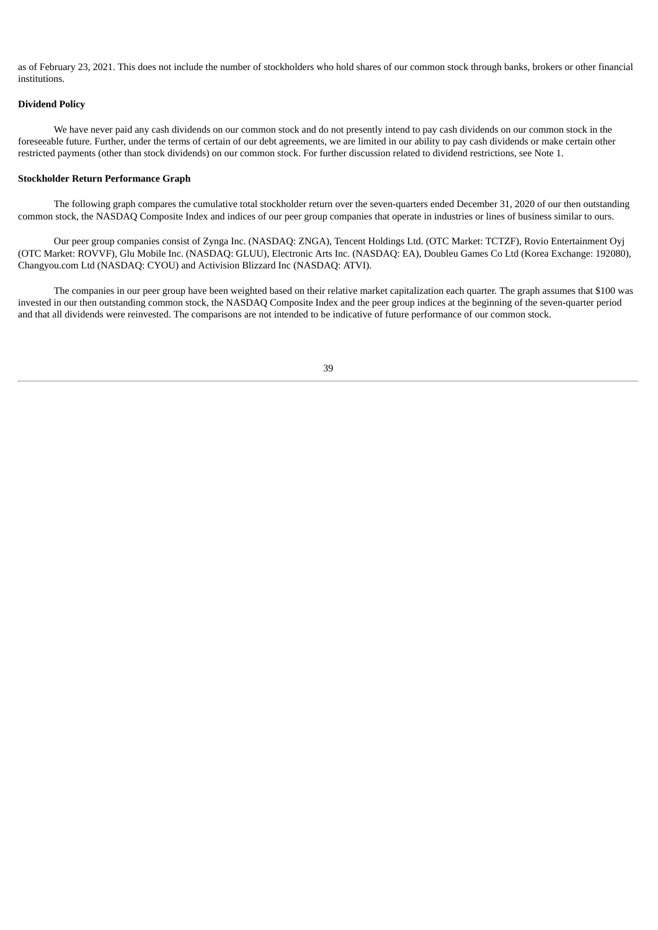as of February 23, 2021. This does not include the number of stockholders who hold shares of our common stock through banks, brokers or other financial institutions.

## **Dividend Policy**

We have never paid any cash dividends on our common stock and do not presently intend to pay cash dividends on our common stock in the foreseeable future. Further, under the terms of certain of our debt agreements, we are limited in our ability to pay cash dividends or make certain other restricted payments (other than stock dividends) on our common stock. For further discussion related to dividend restrictions, see Note 1.

## **Stockholder Return Performance Graph**

The following graph compares the cumulative total stockholder return over the seven-quarters ended December 31, 2020 of our then outstanding common stock, the NASDAQ Composite Index and indices of our peer group companies that operate in industries or lines of business similar to ours.

Our peer group companies consist of Zynga Inc. (NASDAQ: ZNGA), Tencent Holdings Ltd. (OTC Market: TCTZF), Rovio Entertainment Oyj (OTC Market: ROVVF), Glu Mobile Inc. (NASDAQ: GLUU), Electronic Arts Inc. (NASDAQ: EA), Doubleu Games Co Ltd (Korea Exchange: 192080), Changyou.com Ltd (NASDAQ: CYOU) and Activision Blizzard Inc (NASDAQ: ATVI).

The companies in our peer group have been weighted based on their relative market capitalization each quarter. The graph assumes that \$100 was invested in our then outstanding common stock, the NASDAQ Composite Index and the peer group indices at the beginning of the seven-quarter period and that all dividends were reinvested. The comparisons are not intended to be indicative of future performance of our common stock.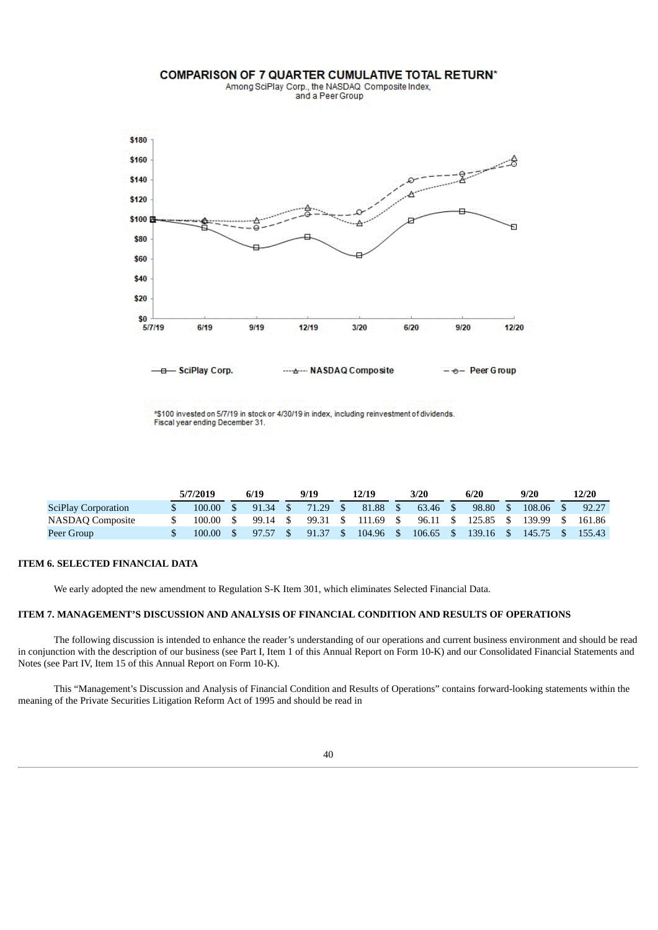#### **COMPARISON OF 7 QUARTER CUMULATIVE TOTAL RETURN\***

\$180  $8 - 7 - 8$ \$160 \$140 \$120 \$100 Ð \$80 \$60 \$40 \$20 \$0 5/7/19 6/19  $9/19$ 12/19 3/20 6/20 9/20 12/20 **B** SciPlay Corp. --------- NASDAQ Composite  $\div$  Peer Group

Among SciPlay Corp., the NASDAQ Composite Index, and a Peer Group

|                            | 5/7/2019  | 6/19     | 9/19     | 12/19    | 3/20                                                    | 6/20 | 9/20               | 12/20 |
|----------------------------|-----------|----------|----------|----------|---------------------------------------------------------|------|--------------------|-------|
| <b>SciPlay Corporation</b> | 100.00 S  | 91.34S   | 71.29 \$ | 81.88 \$ | 63.46 \$                                                |      | 98.80 \$ 108.06 \$ | 92.27 |
| NASDAQ Composite           | 100.00 \$ | 99.14 \$ |          |          | 99.31 \$ 111.69 \$ 96.11 \$ 125.85 \$ 139.99 \$ 161.86  |      |                    |       |
| Peer Group                 | 100.00 S  | 97.57 \$ |          |          | 91.37 \$ 104.96 \$ 106.65 \$ 139.16 \$ 145.75 \$ 155.43 |      |                    |       |

## **ITEM 6. SELECTED FINANCIAL DATA**

We early adopted the new amendment to Regulation S-K Item 301, which eliminates Selected Financial Data.

## **ITEM 7. MANAGEMENT'S DISCUSSION AND ANALYSIS OF FINANCIAL CONDITION AND RESULTS OF OPERATIONS**

The following discussion is intended to enhance the reader's understanding of our operations and current business environment and should be read in conjunction with the description of our business (see Part I, Item 1 of this Annual Report on Form 10-K) and our Consolidated Financial Statements and Notes (see Part IV, Item 15 of this Annual Report on Form 10-K).

This "Management's Discussion and Analysis of Financial Condition and Results of Operations" contains forward-looking statements within the meaning of the Private Securities Litigation Reform Act of 1995 and should be read in

<sup>\*\$100</sup> invested on 5/7/19 in stock or 4/30/19 in index, including reinvestment of dividends. Fiscal year ending December 31.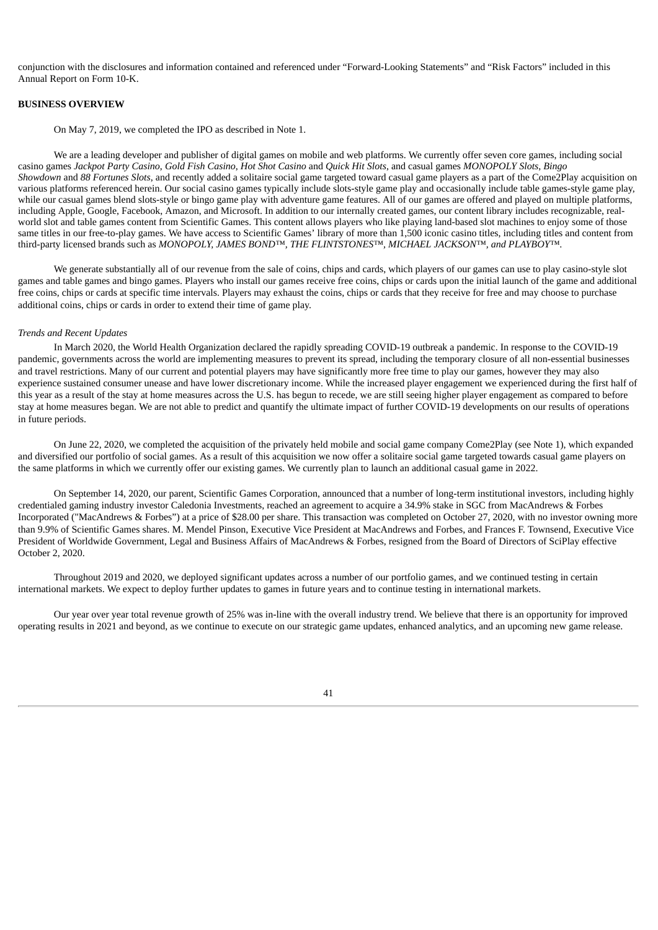conjunction with the disclosures and information contained and referenced under "Forward-Looking Statements" and "Risk Factors" included in this Annual Report on Form 10-K.

## **BUSINESS OVERVIEW**

On May 7, 2019, we completed the IPO as described in Note 1.

We are a leading developer and publisher of digital games on mobile and web platforms. We currently offer seven core games, including social casino games Jackpot Party Casino, Gold Fish Casino, Hot Shot Casino and Quick Hit Slots, and casual games MONOPOLY Slots, Bingo *Showdown* and *88 Fortunes Slots*, and recently added a solitaire social game targeted toward casual game players as a part of the Come2Play acquisition on various platforms referenced herein. Our social casino games typically include slots-style game play and occasionally include table games-style game play, while our casual games blend slots-style or bingo game play with adventure game features. All of our games are offered and played on multiple platforms, including Apple, Google, Facebook, Amazon, and Microsoft. In addition to our internally created games, our content library includes recognizable, realworld slot and table games content from Scientific Games. This content allows players who like playing land-based slot machines to enjoy some of those same titles in our free-to-play games. We have access to Scientific Games' library of more than 1,500 iconic casino titles, including titles and content from third-party licensed brands such as *MONOPOLY, JAMES BOND™, THE FLINTSTONES™, MICHAEL JACKSON™, and PLAYBOY™*.

We generate substantially all of our revenue from the sale of coins, chips and cards, which players of our games can use to play casino-style slot games and table games and bingo games. Players who install our games receive free coins, chips or cards upon the initial launch of the game and additional free coins, chips or cards at specific time intervals. Players may exhaust the coins, chips or cards that they receive for free and may choose to purchase additional coins, chips or cards in order to extend their time of game play.

### *Trends and Recent Updates*

In March 2020, the World Health Organization declared the rapidly spreading COVID-19 outbreak a pandemic. In response to the COVID-19 pandemic, governments across the world are implementing measures to prevent its spread, including the temporary closure of all non-essential businesses and travel restrictions. Many of our current and potential players may have significantly more free time to play our games, however they may also experience sustained consumer unease and have lower discretionary income. While the increased player engagement we experienced during the first half of this year as a result of the stay at home measures across the U.S. has begun to recede, we are still seeing higher player engagement as compared to before stay at home measures began. We are not able to predict and quantify the ultimate impact of further COVID-19 developments on our results of operations in future periods.

On June 22, 2020, we completed the acquisition of the privately held mobile and social game company Come2Play (see Note 1), which expanded and diversified our portfolio of social games. As a result of this acquisition we now offer a solitaire social game targeted towards casual game players on the same platforms in which we currently offer our existing games. We currently plan to launch an additional casual game in 2022.

On September 14, 2020, our parent, Scientific Games Corporation, announced that a number of long-term institutional investors, including highly credentialed gaming industry investor Caledonia Investments, reached an agreement to acquire a 34.9% stake in SGC from MacAndrews & Forbes Incorporated ("MacAndrews & Forbes") at a price of \$28.00 per share. This transaction was completed on October 27, 2020, with no investor owning more than 9.9% of Scientific Games shares. M. Mendel Pinson, Executive Vice President at MacAndrews and Forbes, and Frances F. Townsend, Executive Vice President of Worldwide Government, Legal and Business Affairs of MacAndrews & Forbes, resigned from the Board of Directors of SciPlay effective October 2, 2020.

Throughout 2019 and 2020, we deployed significant updates across a number of our portfolio games, and we continued testing in certain international markets. We expect to deploy further updates to games in future years and to continue testing in international markets.

Our year over year total revenue growth of 25% was in-line with the overall industry trend. We believe that there is an opportunity for improved operating results in 2021 and beyond, as we continue to execute on our strategic game updates, enhanced analytics, and an upcoming new game release.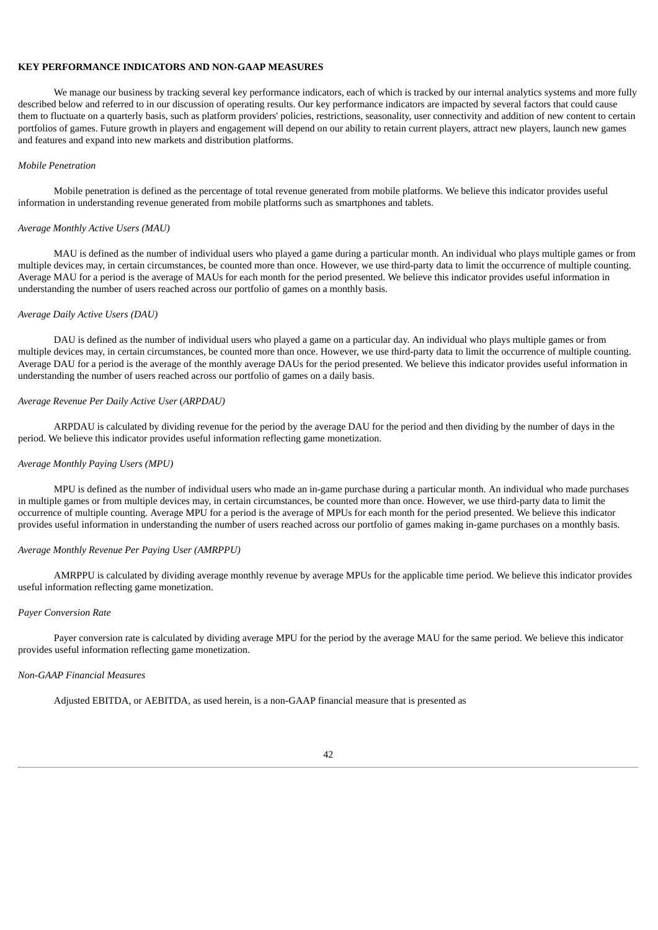## **KEY PERFORMANCE INDICATORS AND NON-GAAP MEASURES**

We manage our business by tracking several key performance indicators, each of which is tracked by our internal analytics systems and more fully described below and referred to in our discussion of operating results. Our key performance indicators are impacted by several factors that could cause them to fluctuate on a quarterly basis, such as platform providers' policies, restrictions, seasonality, user connectivity and addition of new content to certain portfolios of games. Future growth in players and engagement will depend on our ability to retain current players, attract new players, launch new games and features and expand into new markets and distribution platforms.

### *Mobile Penetration*

Mobile penetration is defined as the percentage of total revenue generated from mobile platforms. We believe this indicator provides useful information in understanding revenue generated from mobile platforms such as smartphones and tablets.

## *Average Monthly Active Users (MAU)*

MAU is defined as the number of individual users who played a game during a particular month. An individual who plays multiple games or from multiple devices may, in certain circumstances, be counted more than once. However, we use third-party data to limit the occurrence of multiple counting. Average MAU for a period is the average of MAUs for each month for the period presented. We believe this indicator provides useful information in understanding the number of users reached across our portfolio of games on a monthly basis.

#### *Average Daily Active Users (DAU)*

DAU is defined as the number of individual users who played a game on a particular day. An individual who plays multiple games or from multiple devices may, in certain circumstances, be counted more than once. However, we use third-party data to limit the occurrence of multiple counting. Average DAU for a period is the average of the monthly average DAUs for the period presented. We believe this indicator provides useful information in understanding the number of users reached across our portfolio of games on a daily basis.

## *Average Revenue Per Daily Active User* (*ARPDAU)*

ARPDAU is calculated by dividing revenue for the period by the average DAU for the period and then dividing by the number of days in the period. We believe this indicator provides useful information reflecting game monetization.

### *Average Monthly Paying Users (MPU)*

MPU is defined as the number of individual users who made an in-game purchase during a particular month. An individual who made purchases in multiple games or from multiple devices may, in certain circumstances, be counted more than once. However, we use third-party data to limit the occurrence of multiple counting. Average MPU for a period is the average of MPUs for each month for the period presented. We believe this indicator provides useful information in understanding the number of users reached across our portfolio of games making in-game purchases on a monthly basis.

## *Average Monthly Revenue Per Paying User (AMRPPU)*

AMRPPU is calculated by dividing average monthly revenue by average MPUs for the applicable time period. We believe this indicator provides useful information reflecting game monetization.

#### *Payer Conversion Rate*

Payer conversion rate is calculated by dividing average MPU for the period by the average MAU for the same period. We believe this indicator provides useful information reflecting game monetization.

## *Non-GAAP Financial Measures*

Adjusted EBITDA, or AEBITDA, as used herein, is a non-GAAP financial measure that is presented as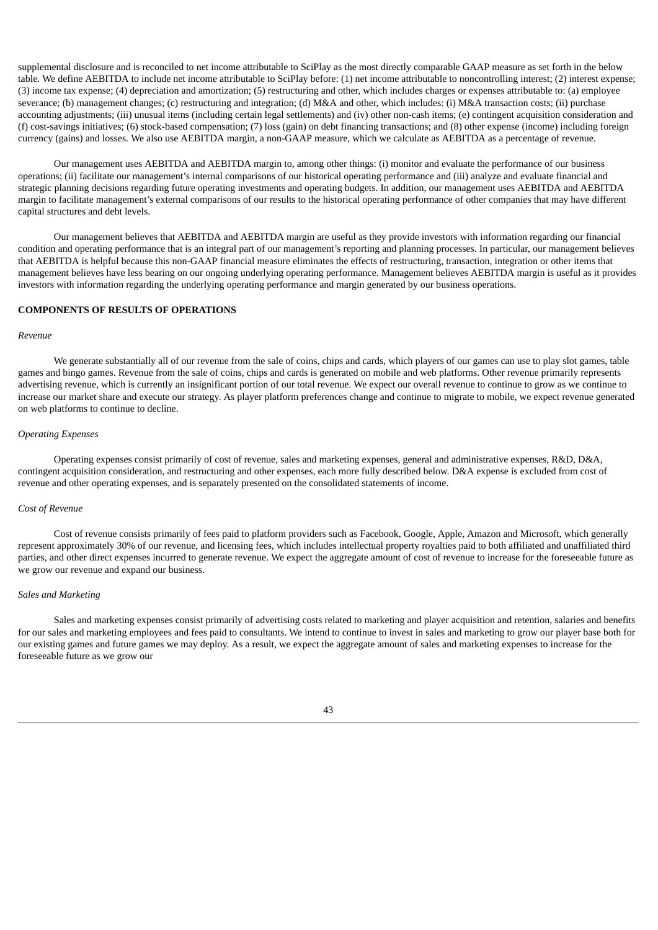supplemental disclosure and is reconciled to net income attributable to SciPlay as the most directly comparable GAAP measure as set forth in the below table. We define AEBITDA to include net income attributable to SciPlay before: (1) net income attributable to noncontrolling interest; (2) interest expense; (3) income tax expense; (4) depreciation and amortization; (5) restructuring and other, which includes charges or expenses attributable to: (a) employee severance; (b) management changes; (c) restructuring and integration; (d) M&A and other, which includes: (i) M&A transaction costs; (ii) purchase accounting adjustments; (iii) unusual items (including certain legal settlements) and (iv) other non-cash items; (e) contingent acquisition consideration and (f) cost-savings initiatives; (6) stock-based compensation; (7) loss (gain) on debt financing transactions; and (8) other expense (income) including foreign currency (gains) and losses. We also use AEBITDA margin, a non-GAAP measure, which we calculate as AEBITDA as a percentage of revenue.

Our management uses AEBITDA and AEBITDA margin to, among other things: (i) monitor and evaluate the performance of our business operations; (ii) facilitate our management's internal comparisons of our historical operating performance and (iii) analyze and evaluate financial and strategic planning decisions regarding future operating investments and operating budgets. In addition, our management uses AEBITDA and AEBITDA margin to facilitate management's external comparisons of our results to the historical operating performance of other companies that may have different capital structures and debt levels.

Our management believes that AEBITDA and AEBITDA margin are useful as they provide investors with information regarding our financial condition and operating performance that is an integral part of our management's reporting and planning processes. In particular, our management believes that AEBITDA is helpful because this non-GAAP financial measure eliminates the effects of restructuring, transaction, integration or other items that management believes have less bearing on our ongoing underlying operating performance. Management believes AEBITDA margin is useful as it provides investors with information regarding the underlying operating performance and margin generated by our business operations.

## **COMPONENTS OF RESULTS OF OPERATIONS**

### *Revenue*

We generate substantially all of our revenue from the sale of coins, chips and cards, which players of our games can use to play slot games, table games and bingo games. Revenue from the sale of coins, chips and cards is generated on mobile and web platforms. Other revenue primarily represents advertising revenue, which is currently an insignificant portion of our total revenue. We expect our overall revenue to continue to grow as we continue to increase our market share and execute our strategy. As player platform preferences change and continue to migrate to mobile, we expect revenue generated on web platforms to continue to decline.

## *Operating Expenses*

Operating expenses consist primarily of cost of revenue, sales and marketing expenses, general and administrative expenses, R&D, D&A, contingent acquisition consideration, and restructuring and other expenses, each more fully described below. D&A expense is excluded from cost of revenue and other operating expenses, and is separately presented on the consolidated statements of income.

## *Cost of Revenue*

Cost of revenue consists primarily of fees paid to platform providers such as Facebook, Google, Apple, Amazon and Microsoft, which generally represent approximately 30% of our revenue, and licensing fees, which includes intellectual property royalties paid to both affiliated and unaffiliated third parties, and other direct expenses incurred to generate revenue. We expect the aggregate amount of cost of revenue to increase for the foreseeable future as we grow our revenue and expand our business.

#### *Sales and Marketing*

Sales and marketing expenses consist primarily of advertising costs related to marketing and player acquisition and retention, salaries and benefits for our sales and marketing employees and fees paid to consultants. We intend to continue to invest in sales and marketing to grow our player base both for our existing games and future games we may deploy. As a result, we expect the aggregate amount of sales and marketing expenses to increase for the foreseeable future as we grow our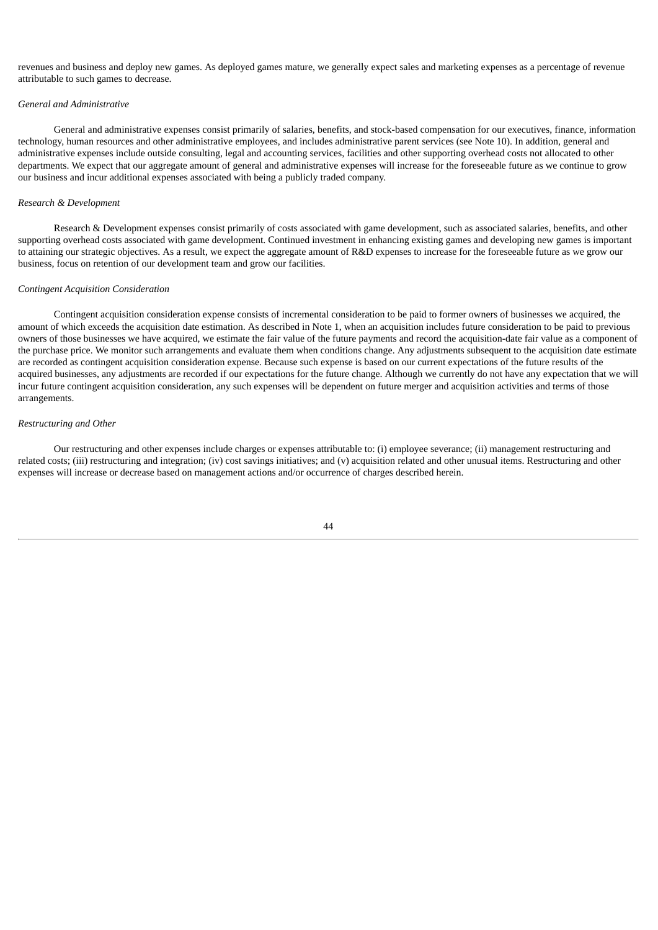revenues and business and deploy new games. As deployed games mature, we generally expect sales and marketing expenses as a percentage of revenue attributable to such games to decrease.

## *General and Administrative*

General and administrative expenses consist primarily of salaries, benefits, and stock-based compensation for our executives, finance, information technology, human resources and other administrative employees, and includes administrative parent services (see Note 10). In addition, general and administrative expenses include outside consulting, legal and accounting services, facilities and other supporting overhead costs not allocated to other departments. We expect that our aggregate amount of general and administrative expenses will increase for the foreseeable future as we continue to grow our business and incur additional expenses associated with being a publicly traded company.

#### *Research & Development*

Research & Development expenses consist primarily of costs associated with game development, such as associated salaries, benefits, and other supporting overhead costs associated with game development. Continued investment in enhancing existing games and developing new games is important to attaining our strategic objectives. As a result, we expect the aggregate amount of R&D expenses to increase for the foreseeable future as we grow our business, focus on retention of our development team and grow our facilities.

### *Contingent Acquisition Consideration*

Contingent acquisition consideration expense consists of incremental consideration to be paid to former owners of businesses we acquired, the amount of which exceeds the acquisition date estimation. As described in Note 1, when an acquisition includes future consideration to be paid to previous owners of those businesses we have acquired, we estimate the fair value of the future payments and record the acquisition-date fair value as a component of the purchase price. We monitor such arrangements and evaluate them when conditions change. Any adjustments subsequent to the acquisition date estimate are recorded as contingent acquisition consideration expense. Because such expense is based on our current expectations of the future results of the acquired businesses, any adjustments are recorded if our expectations for the future change. Although we currently do not have any expectation that we will incur future contingent acquisition consideration, any such expenses will be dependent on future merger and acquisition activities and terms of those arrangements.

#### *Restructuring and Other*

Our restructuring and other expenses include charges or expenses attributable to: (i) employee severance; (ii) management restructuring and related costs; (iii) restructuring and integration; (iv) cost savings initiatives; and (v) acquisition related and other unusual items. Restructuring and other expenses will increase or decrease based on management actions and/or occurrence of charges described herein.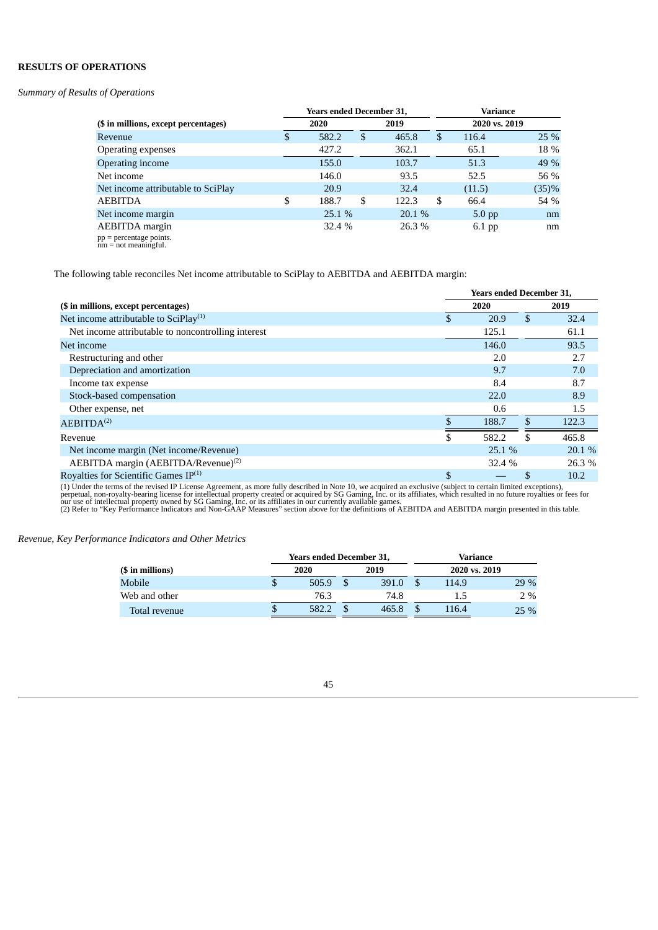# **RESULTS OF OPERATIONS**

*Summary of Results of Operations*

|                                                                       | <b>Years ended December 31,</b> |    | Variance |    |               |          |
|-----------------------------------------------------------------------|---------------------------------|----|----------|----|---------------|----------|
| (\$ in millions, except percentages)                                  | 2020                            |    | 2019     |    | 2020 vs. 2019 |          |
| Revenue                                                               | \$<br>582.2                     | \$ | 465.8    | \$ | 116.4         | 25 %     |
| <b>Operating expenses</b>                                             | 427.2                           |    | 362.1    |    | 65.1          | 18 %     |
| Operating income                                                      | 155.0                           |    | 103.7    |    | 51.3          | 49 %     |
| Net income                                                            | 146.0                           |    | 93.5     |    | 52.5          | 56 %     |
| Net income attributable to SciPlay                                    | 20.9                            |    | 32.4     |    | (11.5)        | $(35)\%$ |
| <b>AEBITDA</b>                                                        | \$<br>188.7                     | \$ | 122.3    | \$ | 66.4          | 54 %     |
| Net income margin                                                     | 25.1 %                          |    | 20.1 %   |    | $5.0$ pp      | nm       |
| AEBITDA margin                                                        | 32.4 %                          |    | 26.3 %   |    | $6.1$ pp      | nm       |
| $pp = percentage points.$<br>$\overline{\text{nm}}$ = not meaningful. |                                 |    |          |    |               |          |

The following table reconciles Net income attributable to SciPlay to AEBITDA and AEBITDA margin:

|                                                    | <b>Years ended December 31,</b> |        |    |        |  |  |  |
|----------------------------------------------------|---------------------------------|--------|----|--------|--|--|--|
| (\$ in millions, except percentages)               |                                 | 2020   |    | 2019   |  |  |  |
| Net income attributable to $SciPlay^{(1)}$         | \$                              | 20.9   | \$ | 32.4   |  |  |  |
| Net income attributable to noncontrolling interest |                                 | 125.1  |    | 61.1   |  |  |  |
| Net income                                         |                                 | 146.0  |    | 93.5   |  |  |  |
| Restructuring and other                            |                                 | 2.0    |    | 2.7    |  |  |  |
| Depreciation and amortization                      |                                 | 9.7    |    | 7.0    |  |  |  |
| Income tax expense                                 |                                 | 8.4    |    | 8.7    |  |  |  |
| Stock-based compensation                           |                                 | 22.0   |    | 8.9    |  |  |  |
| Other expense, net                                 |                                 | 0.6    |    | 1.5    |  |  |  |
| $A$ EBITD $A^{(2)}$                                |                                 | 188.7  | \$ | 122.3  |  |  |  |
| Revenue                                            | \$                              | 582.2  | £. | 465.8  |  |  |  |
| Net income margin (Net income/Revenue)             |                                 | 25.1 % |    | 20.1 % |  |  |  |
| AEBITDA margin (AEBITDA/Revenue) <sup>(2)</sup>    |                                 | 32.4 % |    | 26.3 % |  |  |  |
| Royalties for Scientific Games $IP(1)$             | \$                              |        |    | 10.2   |  |  |  |

(1) Under the terms of the revised IP License Agreement, as more fully described in Note 10, we acquired an exclusive (subject to certain limited exceptions),<br>perpetual, non-royalty-bearing license for intellectual propert

*Revenue, Key Performance Indicators and Other Metrics*

|                  |    | <b>Years ended December 31,</b> |       | Variance |               |        |  |
|------------------|----|---------------------------------|-------|----------|---------------|--------|--|
| (\$ in millions) |    | 2020                            | 2019  |          | 2020 vs. 2019 |        |  |
| Mobile           | S  | 505.9                           | 391.0 |          | 114.9         | 29 %   |  |
| Web and other    |    | 76.3                            | 74.8  |          | 1.5           | $2\%$  |  |
| Total revenue    | \$ | 582.2                           | 465.8 |          | L16.4         | $25\%$ |  |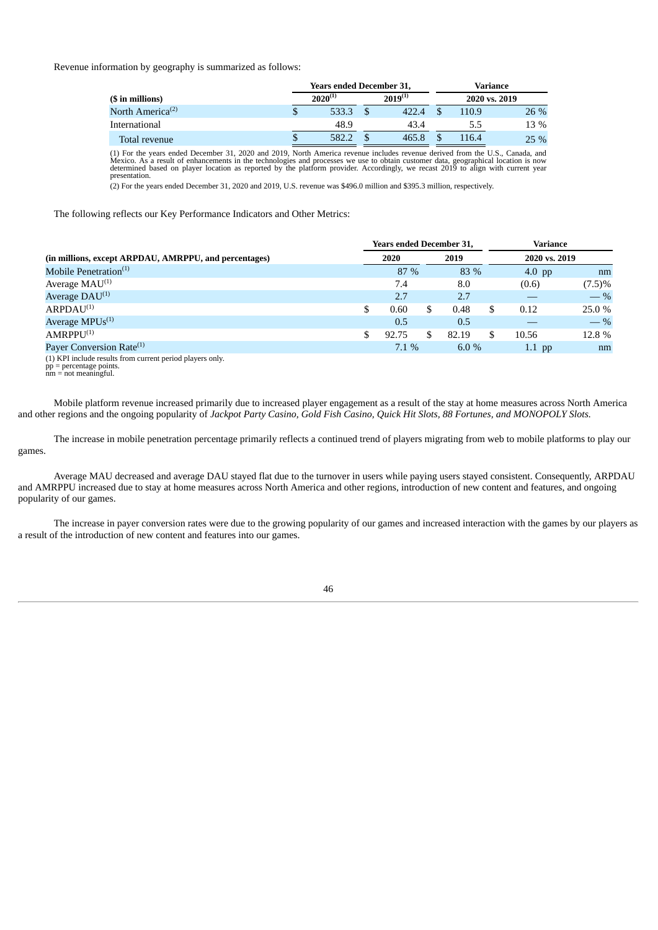Revenue information by geography is summarized as follows:

|                              | <b>Years ended December 31,</b> | Variance     |               |       |        |  |
|------------------------------|---------------------------------|--------------|---------------|-------|--------|--|
| (\$ in millions)             | $2020^{(1)}$                    | $2019^{(1)}$ | 2020 vs. 2019 |       |        |  |
| North America <sup>(2)</sup> | 533.3                           | 422.4        |               | 110.9 | $26\%$ |  |
| International                | 48.9                            | 43.4         |               | 5.5   | 13 %   |  |
| Total revenue                | 582.2                           | 465.8        |               | 116.4 | 25 %   |  |

(1) For the years ended December 31, 2020 and 2019. North America revenue includes revenue derived from the U.S., Canada, and<br>Mexico. As a result of enhancements in the technologies and processes we use to obtain customer presentation.

(2) For the years ended December 31, 2020 and 2019, U.S. revenue was \$496.0 million and \$395.3 million, respectively.

The following reflects our Key Performance Indicators and Other Metrics:

|                                                       |              | <b>Years ended December 31,</b> | Variance |          |    |               |           |
|-------------------------------------------------------|--------------|---------------------------------|----------|----------|----|---------------|-----------|
| (in millions, except ARPDAU, AMRPPU, and percentages) |              | 2020                            |          | 2019     |    | 2020 vs. 2019 |           |
| Mobile Penetration $(1)$                              | 87 %<br>83 % |                                 |          | $4.0$ pp | nm |               |           |
| Average $MAU(1)$                                      |              | 7.4                             |          | 8.0      |    | (0.6)         | $(7.5)\%$ |
| Average DAU <sup>(1)</sup>                            |              | 2.7                             |          | 2.7      |    |               | $-$ %     |
| ARPDAU <sup>(1)</sup>                                 | \$           | 0.60                            | \$       | 0.48     |    | 0.12          | 25.0 %    |
| Average MPUs <sup>(1)</sup>                           |              | 0.5                             |          | 0.5      |    |               | $-$ %     |
| AMRPPU <sup>(1)</sup>                                 | \$           | 92.75                           | \$       | 82.19    |    | 10.56         | 12.8 %    |
| Payer Conversion Rate <sup>(1)</sup>                  |              | $7.1\%$                         |          | 6.0 $%$  |    | $1.1$ pp      | nm        |
| .                                                     |              |                                 |          |          |    |               |           |

(1) KPI include results from current period players only. pp = percentage points. nm = not meaningful.

Mobile platform revenue increased primarily due to increased player engagement as a result of the stay at home measures across North America and other regions and the ongoing popularity of Jackpot Party Casino, Gold Fish Casino, Quick Hit Slots, 88 Fortunes, and MONOPOLY Slots.

The increase in mobile penetration percentage primarily reflects a continued trend of players migrating from web to mobile platforms to play our games.

Average MAU decreased and average DAU stayed flat due to the turnover in users while paying users stayed consistent. Consequently, ARPDAU and AMRPPU increased due to stay at home measures across North America and other regions, introduction of new content and features, and ongoing popularity of our games.

The increase in payer conversion rates were due to the growing popularity of our games and increased interaction with the games by our players as a result of the introduction of new content and features into our games.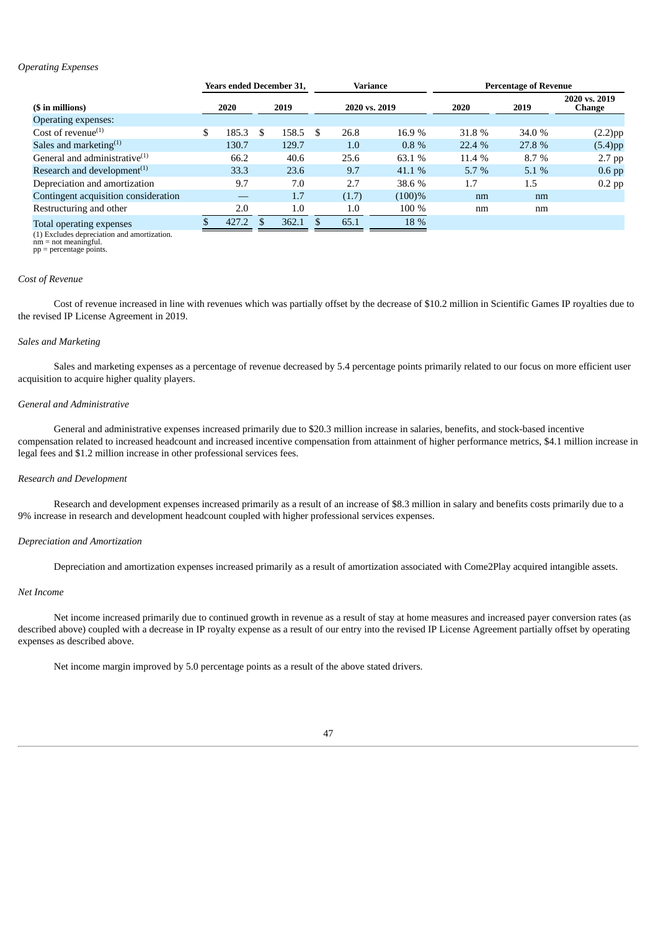## *Operating Expenses*

|                                             |     | <b>Years ended December 31,</b> |   |       |    |       | Variance      | <b>Percentage of Revenue</b> |         |                         |  |  |  |
|---------------------------------------------|-----|---------------------------------|---|-------|----|-------|---------------|------------------------------|---------|-------------------------|--|--|--|
| (\$ in millions)                            |     | 2020                            |   | 2019  |    |       | 2020 vs. 2019 | 2020                         | 2019    | 2020 vs. 2019<br>Change |  |  |  |
| Operating expenses:                         |     |                                 |   |       |    |       |               |                              |         |                         |  |  |  |
| Cost of revenue <sup><math>(1)</math></sup> | \$. | 185.3                           | S | 158.5 | £. | 26.8  | 16.9 %        | 31.8 %                       | 34.0 %  | $(2.2)$ pp              |  |  |  |
| Sales and marketing $(1)$                   |     | 130.7                           |   | 129.7 |    | 1.0   | $0.8 \%$      | 22.4 %                       | 27.8 %  | $(5.4)$ pp              |  |  |  |
| General and administrative <sup>(1)</sup>   |     | 66.2                            |   | 40.6  |    | 25.6  | 63.1 %        | 11.4 %                       | 8.7%    | 2.7 pp                  |  |  |  |
| Research and development <sup>(1)</sup>     |     | 33.3                            |   | 23.6  |    | 9.7   | 41.1 %        | $5.7\%$                      | $5.1\%$ | $0.6$ pp                |  |  |  |
| Depreciation and amortization               |     | 9.7                             |   | 7.0   |    | 2.7   | 38.6 %        | 1.7                          | 1.5     | $0.2$ pp                |  |  |  |
| Contingent acquisition consideration        |     |                                 |   | 1.7   |    | (1.7) | $(100)\%$     | nm                           | nm      |                         |  |  |  |
| Restructuring and other                     |     | 2.0                             |   | 1.0   |    | 1.0   | 100 %         | nm                           | nm      |                         |  |  |  |
| Total operating expenses                    |     | 427.2                           |   | 362.1 |    | 65.1  | 18 %          |                              |         |                         |  |  |  |

(1) Excludes depreciation and amortization.

nm = not meaningful. pp = percentage points.

#### *Cost of Revenue*

Cost of revenue increased in line with revenues which was partially offset by the decrease of \$10.2 million in Scientific Games IP royalties due to the revised IP License Agreement in 2019.

### *Sales and Marketing*

Sales and marketing expenses as a percentage of revenue decreased by 5.4 percentage points primarily related to our focus on more efficient user acquisition to acquire higher quality players.

## *General and Administrative*

General and administrative expenses increased primarily due to \$20.3 million increase in salaries, benefits, and stock-based incentive compensation related to increased headcount and increased incentive compensation from attainment of higher performance metrics, \$4.1 million increase in legal fees and \$1.2 million increase in other professional services fees.

## *Research and Development*

Research and development expenses increased primarily as a result of an increase of \$8.3 million in salary and benefits costs primarily due to a 9% increase in research and development headcount coupled with higher professional services expenses.

## *Depreciation and Amortization*

Depreciation and amortization expenses increased primarily as a result of amortization associated with Come2Play acquired intangible assets.

## *Net Income*

Net income increased primarily due to continued growth in revenue as a result of stay at home measures and increased payer conversion rates (as described above) coupled with a decrease in IP royalty expense as a result of our entry into the revised IP License Agreement partially offset by operating expenses as described above.

Net income margin improved by 5.0 percentage points as a result of the above stated drivers.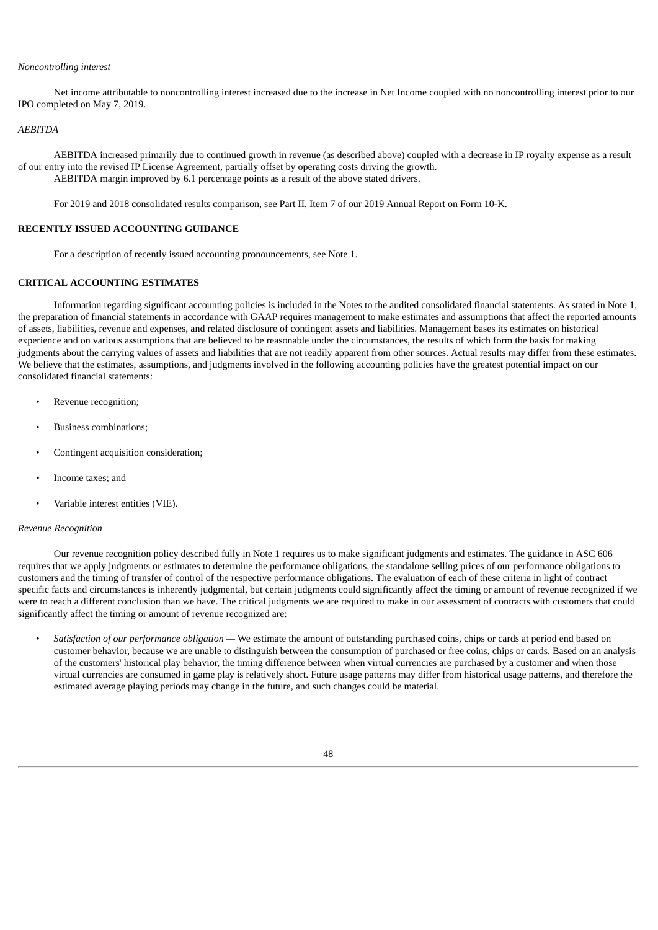### *Noncontrolling interest*

Net income attributable to noncontrolling interest increased due to the increase in Net Income coupled with no noncontrolling interest prior to our IPO completed on May 7, 2019.

#### *AEBITDA*

AEBITDA increased primarily due to continued growth in revenue (as described above) coupled with a decrease in IP royalty expense as a result of our entry into the revised IP License Agreement, partially offset by operating costs driving the growth. AEBITDA margin improved by 6.1 percentage points as a result of the above stated drivers.

For 2019 and 2018 consolidated results comparison, see Part II, Item 7 of our 2019 Annual Report on Form 10-K.

## **RECENTLY ISSUED ACCOUNTING GUIDANCE**

For a description of recently issued accounting pronouncements, see Note 1.

### **CRITICAL ACCOUNTING ESTIMATES**

Information regarding significant accounting policies is included in the Notes to the audited consolidated financial statements. As stated in Note 1, the preparation of financial statements in accordance with GAAP requires management to make estimates and assumptions that affect the reported amounts of assets, liabilities, revenue and expenses, and related disclosure of contingent assets and liabilities. Management bases its estimates on historical experience and on various assumptions that are believed to be reasonable under the circumstances, the results of which form the basis for making judgments about the carrying values of assets and liabilities that are not readily apparent from other sources. Actual results may differ from these estimates. We believe that the estimates, assumptions, and judgments involved in the following accounting policies have the greatest potential impact on our consolidated financial statements:

- Revenue recognition;
- Business combinations;
- Contingent acquisition consideration;
- Income taxes; and
- Variable interest entities (VIE).

## *Revenue Recognition*

Our revenue recognition policy described fully in Note 1 requires us to make significant judgments and estimates. The guidance in ASC 606 requires that we apply judgments or estimates to determine the performance obligations, the standalone selling prices of our performance obligations to customers and the timing of transfer of control of the respective performance obligations. The evaluation of each of these criteria in light of contract specific facts and circumstances is inherently judgmental, but certain judgments could significantly affect the timing or amount of revenue recognized if we were to reach a different conclusion than we have. The critical judgments we are required to make in our assessment of contracts with customers that could significantly affect the timing or amount of revenue recognized are:

• *Satisfaction of our performance obligation —* We estimate the amount of outstanding purchased coins, chips or cards at period end based on customer behavior, because we are unable to distinguish between the consumption of purchased or free coins, chips or cards. Based on an analysis of the customers' historical play behavior, the timing difference between when virtual currencies are purchased by a customer and when those virtual currencies are consumed in game play is relatively short. Future usage patterns may differ from historical usage patterns, and therefore the estimated average playing periods may change in the future, and such changes could be material.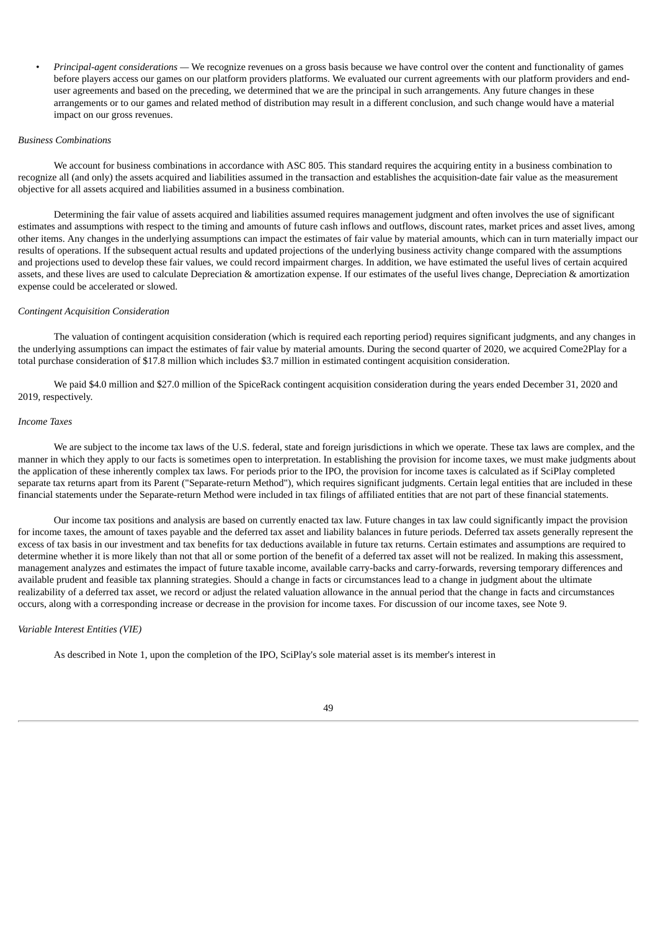• *Principal-agent considerations —* We recognize revenues on a gross basis because we have control over the content and functionality of games before players access our games on our platform providers platforms. We evaluated our current agreements with our platform providers and enduser agreements and based on the preceding, we determined that we are the principal in such arrangements. Any future changes in these arrangements or to our games and related method of distribution may result in a different conclusion, and such change would have a material impact on our gross revenues.

#### *Business Combinations*

We account for business combinations in accordance with ASC 805. This standard requires the acquiring entity in a business combination to recognize all (and only) the assets acquired and liabilities assumed in the transaction and establishes the acquisition-date fair value as the measurement objective for all assets acquired and liabilities assumed in a business combination.

Determining the fair value of assets acquired and liabilities assumed requires management judgment and often involves the use of significant estimates and assumptions with respect to the timing and amounts of future cash inflows and outflows, discount rates, market prices and asset lives, among other items. Any changes in the underlying assumptions can impact the estimates of fair value by material amounts, which can in turn materially impact our results of operations. If the subsequent actual results and updated projections of the underlying business activity change compared with the assumptions and projections used to develop these fair values, we could record impairment charges. In addition, we have estimated the useful lives of certain acquired assets, and these lives are used to calculate Depreciation & amortization expense. If our estimates of the useful lives change, Depreciation & amortization expense could be accelerated or slowed.

#### *Contingent Acquisition Consideration*

The valuation of contingent acquisition consideration (which is required each reporting period) requires significant judgments, and any changes in the underlying assumptions can impact the estimates of fair value by material amounts. During the second quarter of 2020, we acquired Come2Play for a total purchase consideration of \$17.8 million which includes \$3.7 million in estimated contingent acquisition consideration.

We paid \$4.0 million and \$27.0 million of the SpiceRack contingent acquisition consideration during the years ended December 31, 2020 and 2019, respectively.

## *Income Taxes*

We are subject to the income tax laws of the U.S. federal, state and foreign jurisdictions in which we operate. These tax laws are complex, and the manner in which they apply to our facts is sometimes open to interpretation. In establishing the provision for income taxes, we must make judgments about the application of these inherently complex tax laws. For periods prior to the IPO, the provision for income taxes is calculated as if SciPlay completed separate tax returns apart from its Parent ("Separate-return Method"), which requires significant judgments. Certain legal entities that are included in these financial statements under the Separate-return Method were included in tax filings of affiliated entities that are not part of these financial statements.

Our income tax positions and analysis are based on currently enacted tax law. Future changes in tax law could significantly impact the provision for income taxes, the amount of taxes payable and the deferred tax asset and liability balances in future periods. Deferred tax assets generally represent the excess of tax basis in our investment and tax benefits for tax deductions available in future tax returns. Certain estimates and assumptions are required to determine whether it is more likely than not that all or some portion of the benefit of a deferred tax asset will not be realized. In making this assessment, management analyzes and estimates the impact of future taxable income, available carry-backs and carry-forwards, reversing temporary differences and available prudent and feasible tax planning strategies. Should a change in facts or circumstances lead to a change in judgment about the ultimate realizability of a deferred tax asset, we record or adjust the related valuation allowance in the annual period that the change in facts and circumstances occurs, along with a corresponding increase or decrease in the provision for income taxes. For discussion of our income taxes, see Note 9.

#### *Variable Interest Entities (VIE)*

As described in Note 1, upon the completion of the IPO, SciPlay's sole material asset is its member's interest in

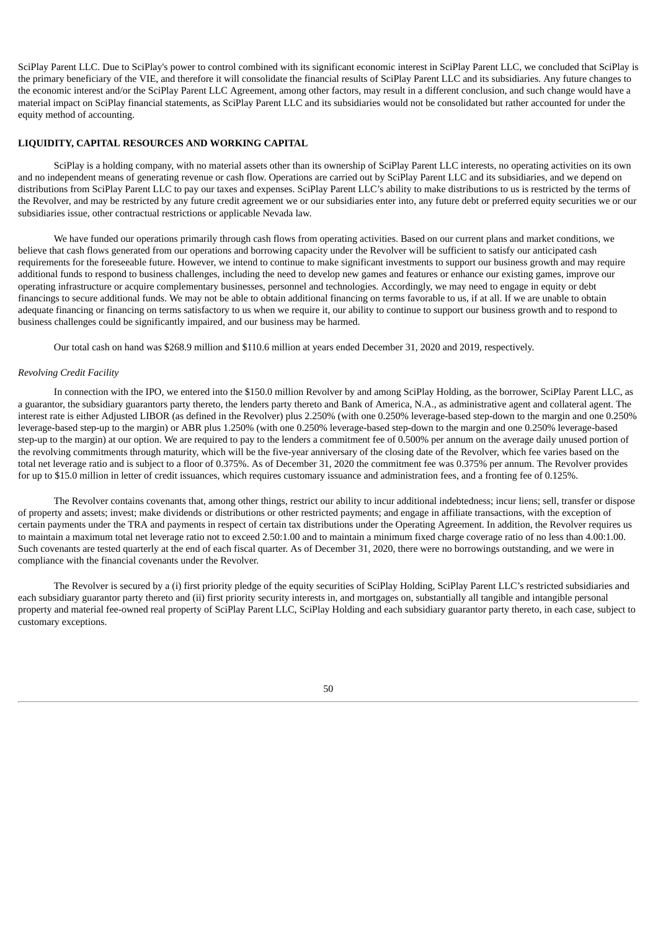SciPlay Parent LLC. Due to SciPlay's power to control combined with its significant economic interest in SciPlay Parent LLC, we concluded that SciPlay is the primary beneficiary of the VIE, and therefore it will consolidate the financial results of SciPlay Parent LLC and its subsidiaries. Any future changes to the economic interest and/or the SciPlay Parent LLC Agreement, among other factors, may result in a different conclusion, and such change would have a material impact on SciPlay financial statements, as SciPlay Parent LLC and its subsidiaries would not be consolidated but rather accounted for under the equity method of accounting.

## **LIQUIDITY, CAPITAL RESOURCES AND WORKING CAPITAL**

SciPlay is a holding company, with no material assets other than its ownership of SciPlay Parent LLC interests, no operating activities on its own and no independent means of generating revenue or cash flow. Operations are carried out by SciPlay Parent LLC and its subsidiaries, and we depend on distributions from SciPlay Parent LLC to pay our taxes and expenses. SciPlay Parent LLC's ability to make distributions to us is restricted by the terms of the Revolver, and may be restricted by any future credit agreement we or our subsidiaries enter into, any future debt or preferred equity securities we or our subsidiaries issue, other contractual restrictions or applicable Nevada law.

We have funded our operations primarily through cash flows from operating activities. Based on our current plans and market conditions, we believe that cash flows generated from our operations and borrowing capacity under the Revolver will be sufficient to satisfy our anticipated cash requirements for the foreseeable future. However, we intend to continue to make significant investments to support our business growth and may require additional funds to respond to business challenges, including the need to develop new games and features or enhance our existing games, improve our operating infrastructure or acquire complementary businesses, personnel and technologies. Accordingly, we may need to engage in equity or debt financings to secure additional funds. We may not be able to obtain additional financing on terms favorable to us, if at all. If we are unable to obtain adequate financing or financing on terms satisfactory to us when we require it, our ability to continue to support our business growth and to respond to business challenges could be significantly impaired, and our business may be harmed.

Our total cash on hand was \$268.9 million and \$110.6 million at years ended December 31, 2020 and 2019, respectively.

## *Revolving Credit Facility*

In connection with the IPO, we entered into the \$150.0 million Revolver by and among SciPlay Holding, as the borrower, SciPlay Parent LLC, as a guarantor, the subsidiary guarantors party thereto, the lenders party thereto and Bank of America, N.A., as administrative agent and collateral agent. The interest rate is either Adjusted LIBOR (as defined in the Revolver) plus 2.250% (with one 0.250% leverage-based step-down to the margin and one 0.250% leverage-based step-up to the margin) or ABR plus 1.250% (with one 0.250% leverage-based step-down to the margin and one 0.250% leverage-based step-up to the margin) at our option. We are required to pay to the lenders a commitment fee of 0.500% per annum on the average daily unused portion of the revolving commitments through maturity, which will be the five-year anniversary of the closing date of the Revolver, which fee varies based on the total net leverage ratio and is subject to a floor of 0.375%. As of December 31, 2020 the commitment fee was 0.375% per annum. The Revolver provides for up to \$15.0 million in letter of credit issuances, which requires customary issuance and administration fees, and a fronting fee of 0.125%.

The Revolver contains covenants that, among other things, restrict our ability to incur additional indebtedness; incur liens; sell, transfer or dispose of property and assets; invest; make dividends or distributions or other restricted payments; and engage in affiliate transactions, with the exception of certain payments under the TRA and payments in respect of certain tax distributions under the Operating Agreement. In addition, the Revolver requires us to maintain a maximum total net leverage ratio not to exceed 2.50:1.00 and to maintain a minimum fixed charge coverage ratio of no less than 4.00:1.00. Such covenants are tested quarterly at the end of each fiscal quarter. As of December 31, 2020, there were no borrowings outstanding, and we were in compliance with the financial covenants under the Revolver.

The Revolver is secured by a (i) first priority pledge of the equity securities of SciPlay Holding, SciPlay Parent LLC's restricted subsidiaries and each subsidiary guarantor party thereto and (ii) first priority security interests in, and mortgages on, substantially all tangible and intangible personal property and material fee-owned real property of SciPlay Parent LLC, SciPlay Holding and each subsidiary guarantor party thereto, in each case, subject to customary exceptions.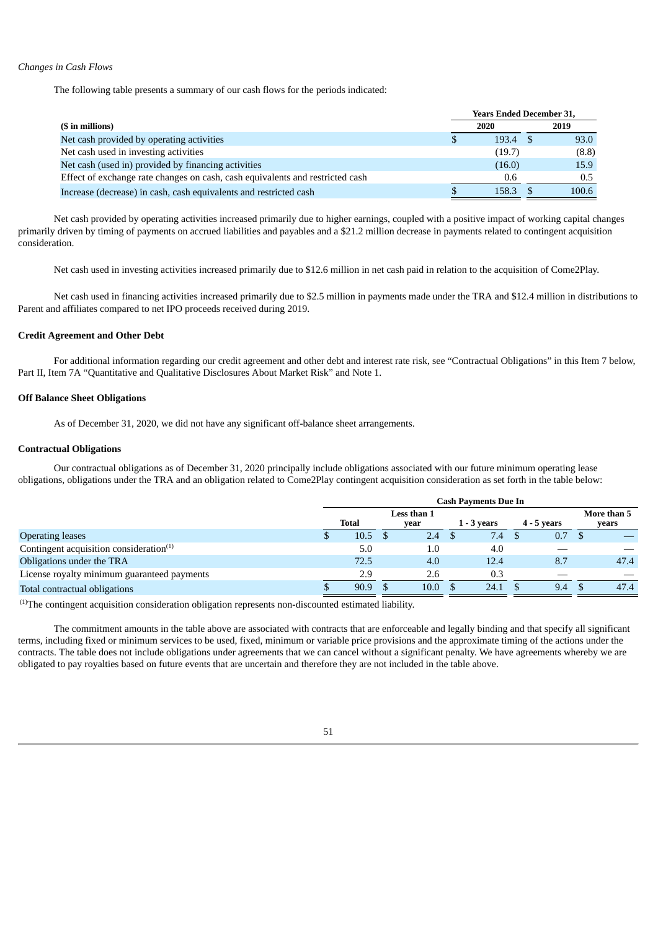## *Changes in Cash Flows*

The following table presents a summary of our cash flows for the periods indicated:

|                                                                               | <b>Years Ended December 31,</b> |  |               |  |  |  |  |  |
|-------------------------------------------------------------------------------|---------------------------------|--|---------------|--|--|--|--|--|
| (\$ in millions)                                                              | 2020                            |  | 2019          |  |  |  |  |  |
| Net cash provided by operating activities                                     | 193.4                           |  | 93.0          |  |  |  |  |  |
| Net cash used in investing activities                                         | (19.7)                          |  | (8.8)         |  |  |  |  |  |
| Net cash (used in) provided by financing activities                           | (16.0)                          |  | 15.9          |  |  |  |  |  |
| Effect of exchange rate changes on cash, cash equivalents and restricted cash | 0.6                             |  | $0.5^{\circ}$ |  |  |  |  |  |
| Increase (decrease) in cash, cash equivalents and restricted cash             | 158.3                           |  | 100.6         |  |  |  |  |  |

Net cash provided by operating activities increased primarily due to higher earnings, coupled with a positive impact of working capital changes primarily driven by timing of payments on accrued liabilities and payables and a \$21.2 million decrease in payments related to contingent acquisition consideration.

Net cash used in investing activities increased primarily due to \$12.6 million in net cash paid in relation to the acquisition of Come2Play.

Net cash used in financing activities increased primarily due to \$2.5 million in payments made under the TRA and \$12.4 million in distributions to Parent and affiliates compared to net IPO proceeds received during 2019.

## **Credit Agreement and Other Debt**

For additional information regarding our credit agreement and other debt and interest rate risk, see "Contractual Obligations" in this Item 7 below, Part II, Item 7A "Quantitative and Qualitative Disclosures About Market Risk" and Note 1.

## **Off Balance Sheet Obligations**

As of December 31, 2020, we did not have any significant off-balance sheet arrangements.

#### **Contractual Obligations**

Our contractual obligations as of December 31, 2020 principally include obligations associated with our future minimum operating lease obligations, obligations under the TRA and an obligation related to Come2Play contingent acquisition consideration as set forth in the table below:

|                                                     | <b>Cash Payments Due In</b> |              |  |                     |                                |      |  |     |                      |      |  |
|-----------------------------------------------------|-----------------------------|--------------|--|---------------------|--------------------------------|------|--|-----|----------------------|------|--|
|                                                     |                             | <b>Total</b> |  | Less than 1<br>vear | $1 - 3$ years<br>$4 - 5$ years |      |  |     | More than 5<br>years |      |  |
| <b>Operating leases</b>                             |                             | 10.5         |  | 2.4                 |                                | 7.4  |  | 0.7 |                      |      |  |
| Contingent acquisition consideration <sup>(1)</sup> |                             | 5.0          |  | 1.0                 |                                | 4.0  |  |     |                      |      |  |
| Obligations under the TRA                           |                             | 72.5         |  | 4.0                 |                                | 12.4 |  | 8.7 |                      | 47.4 |  |
| License royalty minimum guaranteed payments         |                             | 2.9          |  | 2.6                 |                                | 0.3  |  |     |                      |      |  |
| Total contractual obligations                       |                             | 90.9         |  | 10.0                |                                | 24.1 |  | 9.4 |                      | 47.4 |  |

 $(1)$ The contingent acquisition consideration obligation represents non-discounted estimated liability.

The commitment amounts in the table above are associated with contracts that are enforceable and legally binding and that specify all significant terms, including fixed or minimum services to be used, fixed, minimum or variable price provisions and the approximate timing of the actions under the contracts. The table does not include obligations under agreements that we can cancel without a significant penalty. We have agreements whereby we are obligated to pay royalties based on future events that are uncertain and therefore they are not included in the table above.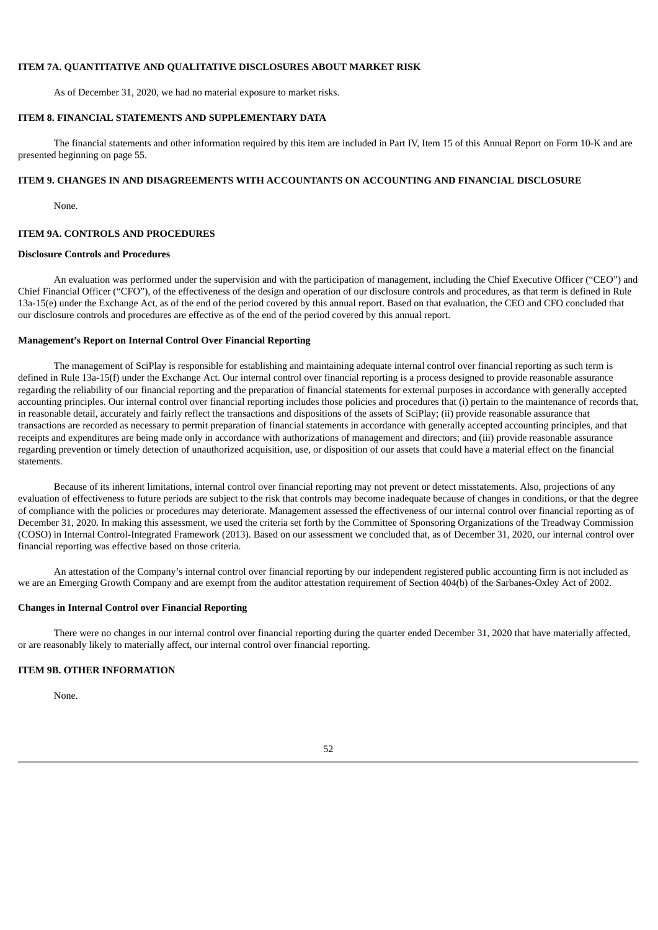## **ITEM 7A. QUANTITATIVE AND QUALITATIVE DISCLOSURES ABOUT MARKET RISK**

As of December 31, 2020, we had no material exposure to market risks.

## **ITEM 8. FINANCIAL STATEMENTS AND SUPPLEMENTARY DATA**

The financial statements and other information required by this item are included in Part IV, Item 15 of this Annual Report on Form 10-K and are presented beginning on page 55.

## **ITEM 9. CHANGES IN AND DISAGREEMENTS WITH ACCOUNTANTS ON ACCOUNTING AND FINANCIAL DISCLOSURE**

None.

## **ITEM 9A. CONTROLS AND PROCEDURES**

## **Disclosure Controls and Procedures**

An evaluation was performed under the supervision and with the participation of management, including the Chief Executive Officer ("CEO") and Chief Financial Officer ("CFO"), of the effectiveness of the design and operation of our disclosure controls and procedures, as that term is defined in Rule 13a-15(e) under the Exchange Act, as of the end of the period covered by this annual report. Based on that evaluation, the CEO and CFO concluded that our disclosure controls and procedures are effective as of the end of the period covered by this annual report.

#### **Management's Report on Internal Control Over Financial Reporting**

The management of SciPlay is responsible for establishing and maintaining adequate internal control over financial reporting as such term is defined in Rule 13a-15(f) under the Exchange Act. Our internal control over financial reporting is a process designed to provide reasonable assurance regarding the reliability of our financial reporting and the preparation of financial statements for external purposes in accordance with generally accepted accounting principles. Our internal control over financial reporting includes those policies and procedures that (i) pertain to the maintenance of records that, in reasonable detail, accurately and fairly reflect the transactions and dispositions of the assets of SciPlay; (ii) provide reasonable assurance that transactions are recorded as necessary to permit preparation of financial statements in accordance with generally accepted accounting principles, and that receipts and expenditures are being made only in accordance with authorizations of management and directors; and (iii) provide reasonable assurance regarding prevention or timely detection of unauthorized acquisition, use, or disposition of our assets that could have a material effect on the financial statements.

Because of its inherent limitations, internal control over financial reporting may not prevent or detect misstatements. Also, projections of any evaluation of effectiveness to future periods are subject to the risk that controls may become inadequate because of changes in conditions, or that the degree of compliance with the policies or procedures may deteriorate. Management assessed the effectiveness of our internal control over financial reporting as of December 31, 2020. In making this assessment, we used the criteria set forth by the Committee of Sponsoring Organizations of the Treadway Commission (COSO) in Internal Control-Integrated Framework (2013). Based on our assessment we concluded that, as of December 31, 2020, our internal control over financial reporting was effective based on those criteria.

An attestation of the Company's internal control over financial reporting by our independent registered public accounting firm is not included as we are an Emerging Growth Company and are exempt from the auditor attestation requirement of Section 404(b) of the Sarbanes-Oxley Act of 2002.

## **Changes in Internal Control over Financial Reporting**

There were no changes in our internal control over financial reporting during the quarter ended December 31, 2020 that have materially affected, or are reasonably likely to materially affect, our internal control over financial reporting.

## **ITEM 9B. OTHER INFORMATION**

None.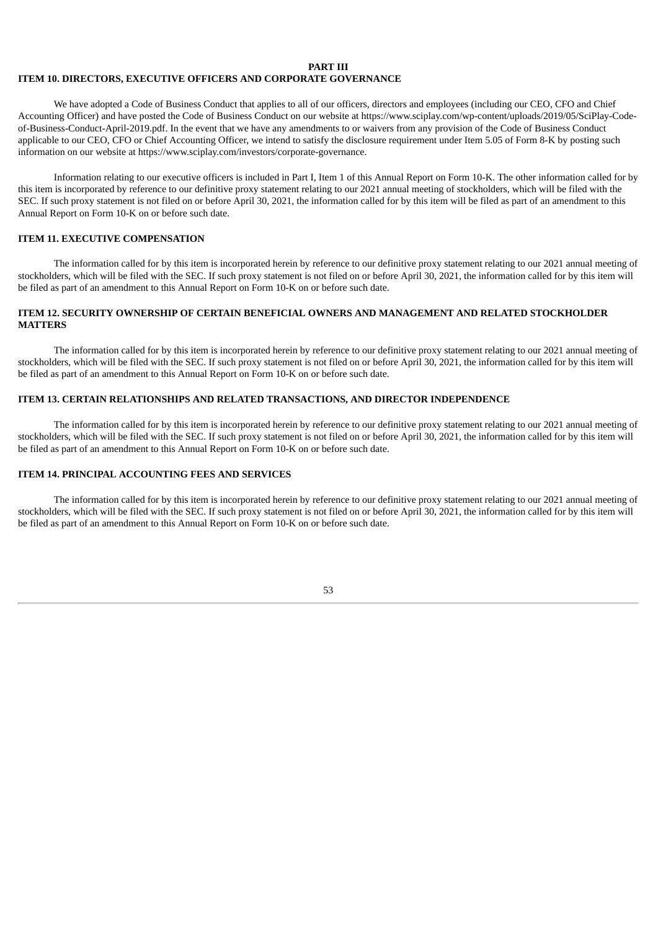## **PART III ITEM 10. DIRECTORS, EXECUTIVE OFFICERS AND CORPORATE GOVERNANCE**

We have adopted a Code of Business Conduct that applies to all of our officers, directors and employees (including our CEO, CFO and Chief Accounting Officer) and have posted the Code of Business Conduct on our website at https://www.sciplay.com/wp-content/uploads/2019/05/SciPlay-Codeof-Business-Conduct-April-2019.pdf. In the event that we have any amendments to or waivers from any provision of the Code of Business Conduct applicable to our CEO, CFO or Chief Accounting Officer, we intend to satisfy the disclosure requirement under Item 5.05 of Form 8-K by posting such information on our website at https://www.sciplay.com/investors/corporate-governance.

Information relating to our executive officers is included in Part I, Item 1 of this Annual Report on Form 10-K. The other information called for by this item is incorporated by reference to our definitive proxy statement relating to our 2021 annual meeting of stockholders, which will be filed with the SEC. If such proxy statement is not filed on or before April 30, 2021, the information called for by this item will be filed as part of an amendment to this Annual Report on Form 10-K on or before such date.

## **ITEM 11. EXECUTIVE COMPENSATION**

The information called for by this item is incorporated herein by reference to our definitive proxy statement relating to our 2021 annual meeting of stockholders, which will be filed with the SEC. If such proxy statement is not filed on or before April 30, 2021, the information called for by this item will be filed as part of an amendment to this Annual Report on Form 10-K on or before such date.

## **ITEM 12. SECURITY OWNERSHIP OF CERTAIN BENEFICIAL OWNERS AND MANAGEMENT AND RELATED STOCKHOLDER MATTERS**

The information called for by this item is incorporated herein by reference to our definitive proxy statement relating to our 2021 annual meeting of stockholders, which will be filed with the SEC. If such proxy statement is not filed on or before April 30, 2021, the information called for by this item will be filed as part of an amendment to this Annual Report on Form 10-K on or before such date.

## **ITEM 13. CERTAIN RELATIONSHIPS AND RELATED TRANSACTIONS, AND DIRECTOR INDEPENDENCE**

The information called for by this item is incorporated herein by reference to our definitive proxy statement relating to our 2021 annual meeting of stockholders, which will be filed with the SEC. If such proxy statement is not filed on or before April 30, 2021, the information called for by this item will be filed as part of an amendment to this Annual Report on Form 10-K on or before such date.

## **ITEM 14. PRINCIPAL ACCOUNTING FEES AND SERVICES**

The information called for by this item is incorporated herein by reference to our definitive proxy statement relating to our 2021 annual meeting of stockholders, which will be filed with the SEC. If such proxy statement is not filed on or before April 30, 2021, the information called for by this item will be filed as part of an amendment to this Annual Report on Form 10-K on or before such date.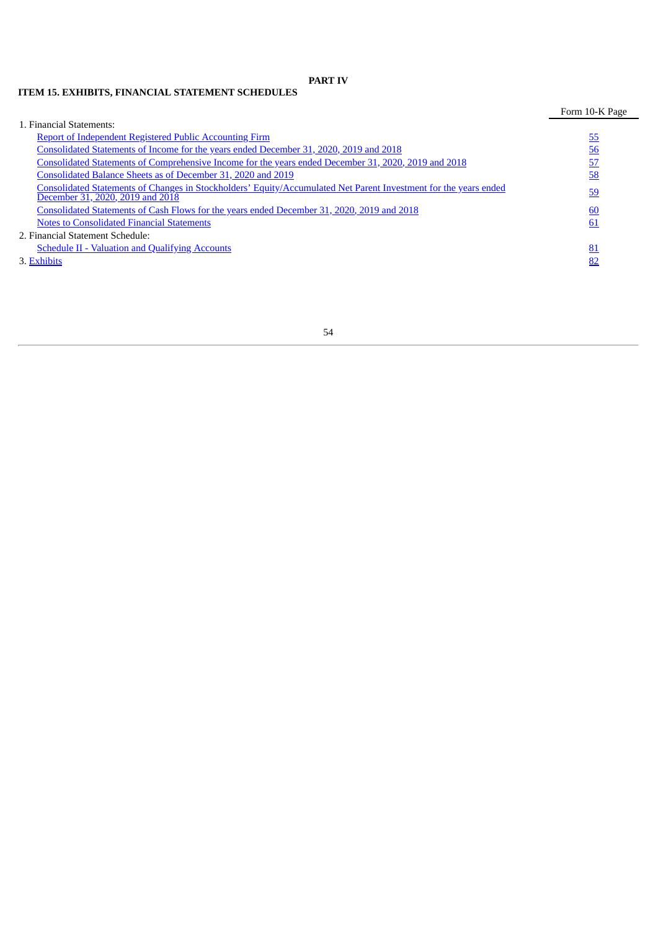**PART IV**

# **ITEM 15. EXHIBITS, FINANCIAL STATEMENT SCHEDULES**

<span id="page-53-0"></span>

|                                                                                                                                                      | Form 10-K Page |
|------------------------------------------------------------------------------------------------------------------------------------------------------|----------------|
| 1. Financial Statements:                                                                                                                             |                |
| Report of Independent Registered Public Accounting Firm                                                                                              | <u>55</u>      |
| Consolidated Statements of Income for the years ended December 31, 2020, 2019 and 2018                                                               | <u>56</u>      |
| Consolidated Statements of Comprehensive Income for the years ended December 31, 2020, 2019 and 2018                                                 | <u>57</u>      |
| Consolidated Balance Sheets as of December 31, 2020 and 2019                                                                                         | <u>58</u>      |
| Consolidated Statements of Changes in Stockholders' Equity/Accumulated Net Parent Investment for the years ended<br>December 31, 2020, 2019 and 2018 | 59             |
| Consolidated Statements of Cash Flows for the years ended December 31, 2020, 2019 and 2018                                                           | 60             |
| <b>Notes to Consolidated Financial Statements</b>                                                                                                    | 61             |
| 2. Financial Statement Schedule:                                                                                                                     |                |
| <b>Schedule II - Valuation and Qualifying Accounts</b>                                                                                               | 81             |
| 3. Exhibits                                                                                                                                          | 82             |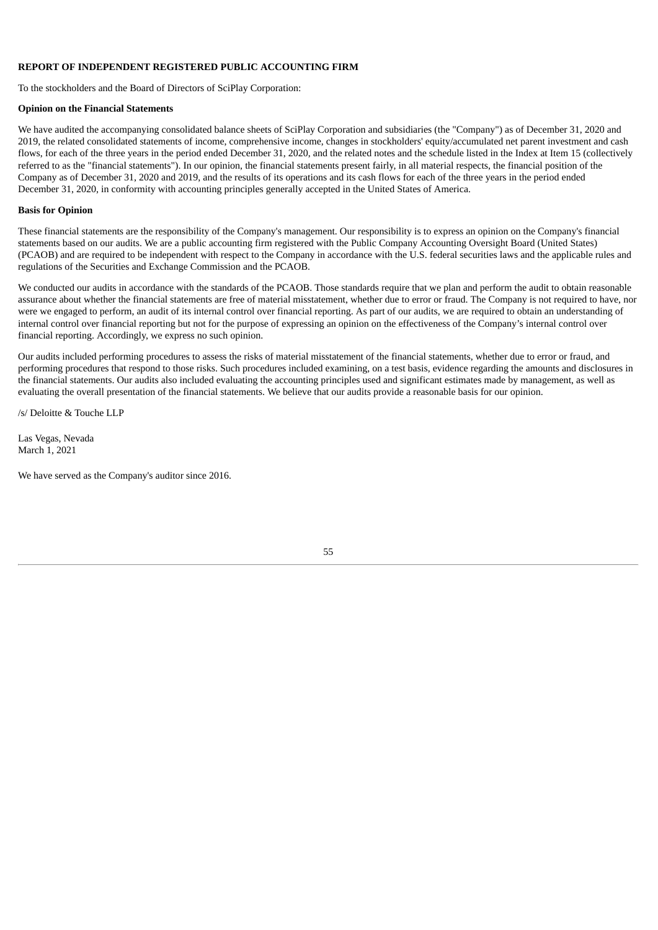## **REPORT OF INDEPENDENT REGISTERED PUBLIC ACCOUNTING FIRM**

To the stockholders and the Board of Directors of SciPlay Corporation:

## **Opinion on the Financial Statements**

We have audited the accompanying consolidated balance sheets of SciPlay Corporation and subsidiaries (the "Company") as of December 31, 2020 and 2019, the related consolidated statements of income, comprehensive income, changes in stockholders' equity/accumulated net parent investment and cash flows, for each of the three years in the period ended December 31, 2020, and the related notes and the schedule listed in the Index at Item 15 (collectively referred to as the "financial statements"). In our opinion, the financial statements present fairly, in all material respects, the financial position of the Company as of December 31, 2020 and 2019, and the results of its operations and its cash flows for each of the three years in the period ended December 31, 2020, in conformity with accounting principles generally accepted in the United States of America.

## **Basis for Opinion**

These financial statements are the responsibility of the Company's management. Our responsibility is to express an opinion on the Company's financial statements based on our audits. We are a public accounting firm registered with the Public Company Accounting Oversight Board (United States) (PCAOB) and are required to be independent with respect to the Company in accordance with the U.S. federal securities laws and the applicable rules and regulations of the Securities and Exchange Commission and the PCAOB.

We conducted our audits in accordance with the standards of the PCAOB. Those standards require that we plan and perform the audit to obtain reasonable assurance about whether the financial statements are free of material misstatement, whether due to error or fraud. The Company is not required to have, nor were we engaged to perform, an audit of its internal control over financial reporting. As part of our audits, we are required to obtain an understanding of internal control over financial reporting but not for the purpose of expressing an opinion on the effectiveness of the Company's internal control over financial reporting. Accordingly, we express no such opinion.

Our audits included performing procedures to assess the risks of material misstatement of the financial statements, whether due to error or fraud, and performing procedures that respond to those risks. Such procedures included examining, on a test basis, evidence regarding the amounts and disclosures in the financial statements. Our audits also included evaluating the accounting principles used and significant estimates made by management, as well as evaluating the overall presentation of the financial statements. We believe that our audits provide a reasonable basis for our opinion.

/s/ Deloitte & Touche LLP

Las Vegas, Nevada March 1, 2021

<span id="page-54-0"></span>We have served as the Company's auditor since 2016.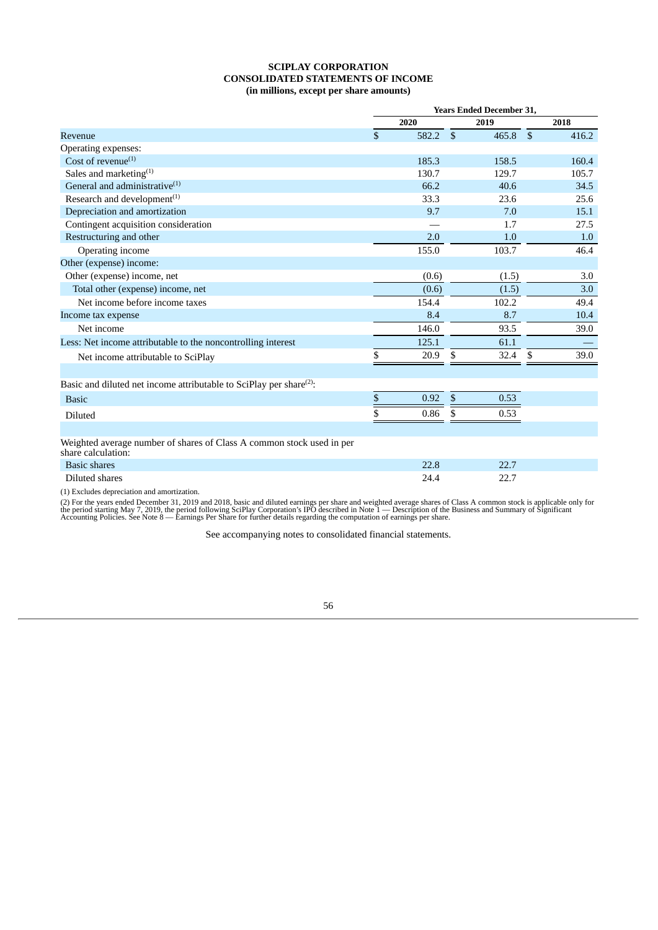## **SCIPLAY CORPORATION CONSOLIDATED STATEMENTS OF INCOME (in millions, except per share amounts)**

|                                                                                             |              | 2020  |               | 2019  |                    | 2018  |
|---------------------------------------------------------------------------------------------|--------------|-------|---------------|-------|--------------------|-------|
| Revenue                                                                                     | $\mathbb{S}$ | 582.2 | <b>S</b>      | 465.8 | $\mathbf{\hat{S}}$ | 416.2 |
| Operating expenses:                                                                         |              |       |               |       |                    |       |
| Cost of revenue $^{(1)}$                                                                    |              | 185.3 |               | 158.5 |                    | 160.4 |
| Sales and marketing <sup>(1)</sup>                                                          |              | 130.7 |               | 129.7 |                    | 105.7 |
| General and administrative $(1)$                                                            |              | 66.2  |               | 40.6  |                    | 34.5  |
| Research and development <sup>(1)</sup>                                                     |              | 33.3  |               | 23.6  |                    | 25.6  |
| Depreciation and amortization                                                               |              | 9.7   |               | 7.0   |                    | 15.1  |
| Contingent acquisition consideration                                                        |              |       |               | 1.7   |                    | 27.5  |
| Restructuring and other                                                                     |              | 2.0   |               | 1.0   |                    | 1.0   |
| Operating income                                                                            |              | 155.0 |               | 103.7 |                    | 46.4  |
| Other (expense) income:                                                                     |              |       |               |       |                    |       |
| Other (expense) income, net                                                                 |              | (0.6) |               | (1.5) |                    | 3.0   |
| Total other (expense) income, net                                                           |              | (0.6) |               | (1.5) |                    | 3.0   |
| Net income before income taxes                                                              |              | 154.4 |               | 102.2 |                    | 49.4  |
| Income tax expense                                                                          |              | 8.4   |               | 8.7   |                    | 10.4  |
| Net income                                                                                  |              | 146.0 |               | 93.5  |                    | 39.0  |
| Less: Net income attributable to the noncontrolling interest                                |              | 125.1 |               | 61.1  |                    |       |
| Net income attributable to SciPlay                                                          | \$           | 20.9  | \$            | 32.4  | \$                 | 39.0  |
|                                                                                             |              |       |               |       |                    |       |
| Basic and diluted net income attributable to SciPlay per share $(2)$ :                      |              |       |               |       |                    |       |
| <b>Basic</b>                                                                                | \$           | 0.92  | $\mathbf{\$}$ | 0.53  |                    |       |
| Diluted                                                                                     | \$           | 0.86  | S             | 0.53  |                    |       |
|                                                                                             |              |       |               |       |                    |       |
| Weighted average number of shares of Class A common stock used in per<br>share calculation: |              |       |               |       |                    |       |
| <b>Basic shares</b>                                                                         |              | 22.8  |               | 22.7  |                    |       |

| Dasic silates  | $- - -$                                        | $--$                    |
|----------------|------------------------------------------------|-------------------------|
| Diluted shares | 74<br>∠-⊤.−<br>the contract of the contract of | $\sim$ $\sim$<br>$-- -$ |
|                |                                                |                         |

(1) Excludes depreciation and amortization.

<span id="page-55-0"></span>(2) For the years ended December 31, 2019 and 2018, basic and diluted earnings per share and weighted average shares of Class A common stock is applicable only for<br>the period starting May 7, 2019, the period following SciP

See accompanying notes to consolidated financial statements.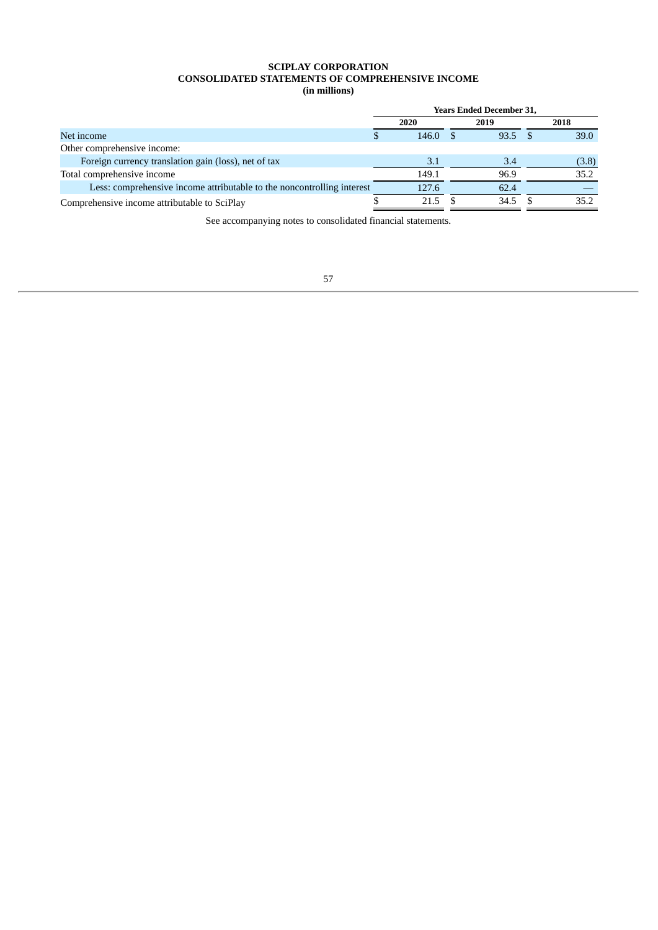# **SCIPLAY CORPORATION CONSOLIDATED STATEMENTS OF COMPREHENSIVE INCOME (in millions)**

<span id="page-56-0"></span>

|                                                                        | <b>Years Ended December 31,</b> |       |      |           |  |       |  |  |
|------------------------------------------------------------------------|---------------------------------|-------|------|-----------|--|-------|--|--|
|                                                                        |                                 | 2020  | 2019 |           |  | 2018  |  |  |
| Net income                                                             |                                 | 146.0 |      | $93.5$ \$ |  | 39.0  |  |  |
| Other comprehensive income:                                            |                                 |       |      |           |  |       |  |  |
| Foreign currency translation gain (loss), net of tax                   |                                 | 3.1   |      | 3.4       |  | (3.8) |  |  |
| Total comprehensive income                                             |                                 | 149.1 |      | 96.9      |  | 35.2  |  |  |
| Less: comprehensive income attributable to the noncontrolling interest |                                 | 127.6 |      | 62.4      |  |       |  |  |
| Comprehensive income attributable to SciPlay                           |                                 | 21.5  |      | 34.5      |  | 35.2  |  |  |

See accompanying notes to consolidated financial statements.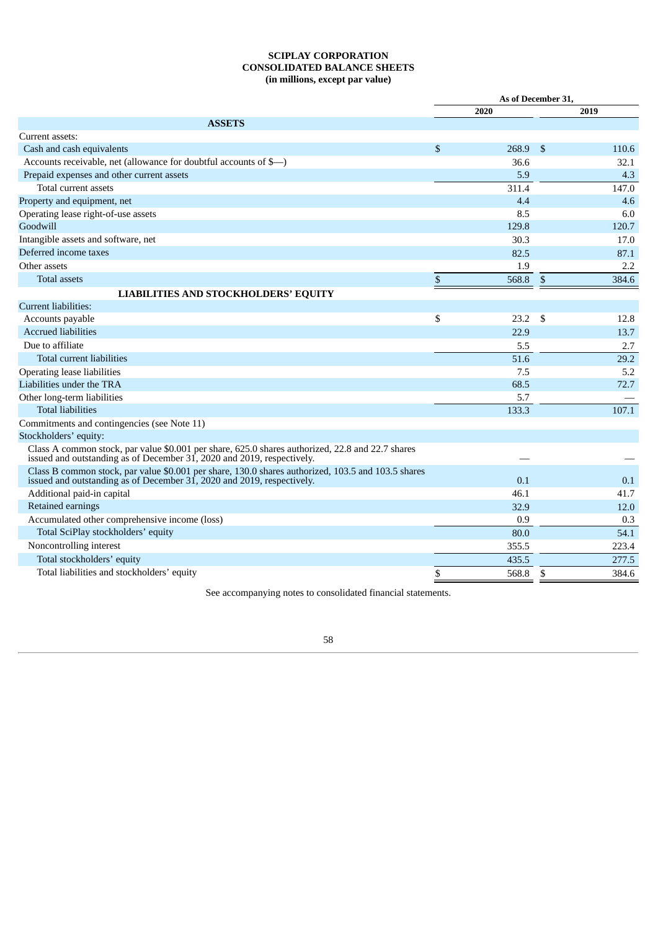## **SCIPLAY CORPORATION CONSOLIDATED BALANCE SHEETS (in millions, except par value)**

|                                                                                                                                                                              | As of December 31, |       |                |       |  |
|------------------------------------------------------------------------------------------------------------------------------------------------------------------------------|--------------------|-------|----------------|-------|--|
|                                                                                                                                                                              |                    | 2020  |                | 2019  |  |
| <b>ASSETS</b>                                                                                                                                                                |                    |       |                |       |  |
| Current assets:                                                                                                                                                              |                    |       |                |       |  |
| Cash and cash equivalents                                                                                                                                                    | \$                 | 268.9 | $\mathfrak{S}$ | 110.6 |  |
| Accounts receivable, net (allowance for doubtful accounts of \$-)                                                                                                            |                    | 36.6  |                | 32.1  |  |
| Prepaid expenses and other current assets                                                                                                                                    |                    | 5.9   |                | 4.3   |  |
| Total current assets                                                                                                                                                         |                    | 311.4 |                | 147.0 |  |
| Property and equipment, net                                                                                                                                                  |                    | 4.4   |                | 4.6   |  |
| Operating lease right-of-use assets                                                                                                                                          |                    | 8.5   |                | 6.0   |  |
| Goodwill                                                                                                                                                                     |                    | 129.8 |                | 120.7 |  |
| Intangible assets and software, net                                                                                                                                          |                    | 30.3  |                | 17.0  |  |
| Deferred income taxes                                                                                                                                                        |                    | 82.5  |                | 87.1  |  |
| Other assets                                                                                                                                                                 |                    | 1.9   |                | 2.2   |  |
| <b>Total assets</b>                                                                                                                                                          | \$                 | 568.8 | \$             | 384.6 |  |
| <b>LIABILITIES AND STOCKHOLDERS' EQUITY</b>                                                                                                                                  |                    |       |                |       |  |
| Current liabilities:                                                                                                                                                         |                    |       |                |       |  |
| Accounts payable                                                                                                                                                             | \$                 | 23.2  | \$             | 12.8  |  |
| <b>Accrued liabilities</b>                                                                                                                                                   |                    | 22.9  |                | 13.7  |  |
| Due to affiliate                                                                                                                                                             |                    | 5.5   |                | 2.7   |  |
| Total current liabilities                                                                                                                                                    |                    | 51.6  |                | 29.2  |  |
| Operating lease liabilities                                                                                                                                                  |                    | 7.5   |                | 5.2   |  |
| Liabilities under the TRA                                                                                                                                                    |                    | 68.5  |                | 72.7  |  |
| Other long-term liabilities                                                                                                                                                  |                    | 5.7   |                |       |  |
| <b>Total liabilities</b>                                                                                                                                                     |                    | 133.3 |                | 107.1 |  |
| Commitments and contingencies (see Note 11)                                                                                                                                  |                    |       |                |       |  |
| Stockholders' equity:                                                                                                                                                        |                    |       |                |       |  |
| Class A common stock, par value \$0.001 per share, 625.0 shares authorized, 22.8 and 22.7 shares<br>issued and outstanding as of December 31, 2020 and 2019, respectively.   |                    |       |                |       |  |
| Class B common stock, par value \$0.001 per share, 130.0 shares authorized, 103.5 and 103.5 shares<br>issued and outstanding as of December 31, 2020 and 2019, respectively. |                    | 0.1   |                | 0.1   |  |
| Additional paid-in capital                                                                                                                                                   |                    | 46.1  |                | 41.7  |  |
| Retained earnings                                                                                                                                                            |                    | 32.9  |                | 12.0  |  |
| Accumulated other comprehensive income (loss)                                                                                                                                |                    | 0.9   |                | 0.3   |  |
| Total SciPlay stockholders' equity                                                                                                                                           |                    | 80.0  |                | 54.1  |  |
| Noncontrolling interest                                                                                                                                                      |                    | 355.5 |                | 223.4 |  |
| Total stockholders' equity                                                                                                                                                   |                    | 435.5 |                | 277.5 |  |
| Total liabilities and stockholders' equity                                                                                                                                   | \$                 | 568.8 | \$             | 384.6 |  |
|                                                                                                                                                                              |                    |       |                |       |  |

<span id="page-57-0"></span>See accompanying notes to consolidated financial statements.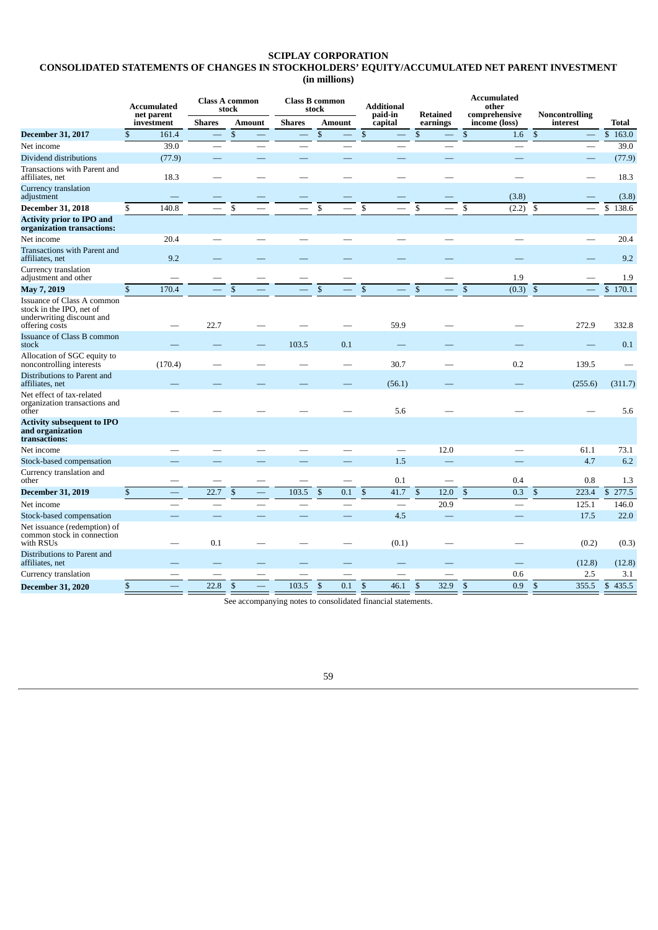## **SCIPLAY CORPORATION CONSOLIDATED STATEMENTS OF CHANGES IN STOCKHOLDERS' EQUITY/ACCUMULATED NET PARENT INVESTMENT (in millions)**

|                                                                                                       |              | <b>Accumulated</b><br>net parent | <b>Class A common</b> | stock          |               | <b>Class B common</b> | stock          |                  |                | <b>Additional</b><br>paid-in | <b>Accumulated</b><br>other<br>comprehensive<br><b>Retained</b> |                          |                         |                          |                | <b>Noncontrolling</b>    |                       |
|-------------------------------------------------------------------------------------------------------|--------------|----------------------------------|-----------------------|----------------|---------------|-----------------------|----------------|------------------|----------------|------------------------------|-----------------------------------------------------------------|--------------------------|-------------------------|--------------------------|----------------|--------------------------|-----------------------|
|                                                                                                       |              | investment                       | <b>Shares</b>         |                | <b>Amount</b> | <b>Shares</b>         |                | <b>Amount</b>    |                | capital                      |                                                                 | earnings                 |                         | income (loss)            |                | interest                 | Total                 |
| <b>December 31, 2017</b>                                                                              | \$           | 161.4                            |                       | $\mathfrak{s}$ |               |                       | $\mathbb{S}$   |                  | $\mathcal{S}$  |                              | $\$$                                                            |                          | $\$$                    | 1.6                      | $\mathfrak{s}$ |                          | \$163.0               |
| Net income                                                                                            |              | 39.0                             |                       |                |               |                       |                |                  |                |                              |                                                                 | $\overline{\phantom{0}}$ |                         |                          |                | $\overline{\phantom{0}}$ | 39.0                  |
| Dividend distributions                                                                                |              | (77.9)                           |                       |                |               |                       |                |                  |                |                              |                                                                 |                          |                         |                          |                |                          | (77.9)                |
| Transactions with Parent and<br>affiliates, net                                                       |              | 18.3                             |                       |                |               |                       |                |                  |                |                              |                                                                 |                          |                         |                          |                |                          | 18.3                  |
| Currency translation<br>adjustment                                                                    |              |                                  |                       |                |               |                       |                |                  |                |                              |                                                                 |                          |                         | (3.8)                    |                |                          | (3.8)                 |
| <b>December 31, 2018</b>                                                                              | \$           | 140.8                            |                       | $\mathbb{S}$   |               |                       | $\mathbb{S}$   |                  | \$             |                              | \$                                                              |                          | \$                      | $(2.2)$ \$               |                |                          | \$138.6               |
| <b>Activity prior to IPO and</b><br>organization transactions:                                        |              |                                  |                       |                |               |                       |                |                  |                |                              |                                                                 |                          |                         |                          |                |                          |                       |
| Net income                                                                                            |              | 20.4                             |                       |                |               |                       |                |                  |                |                              |                                                                 |                          |                         |                          |                |                          | 20.4                  |
| Transactions with Parent and<br>affiliates, net                                                       |              | 9.2                              |                       |                |               |                       |                |                  |                |                              |                                                                 |                          |                         |                          |                |                          | 9.2                   |
| Currency translation<br>adjustment and other                                                          |              |                                  |                       |                |               |                       |                |                  |                |                              |                                                                 |                          |                         | 1.9                      |                |                          | 1.9                   |
| May 7, 2019                                                                                           | \$           | 170.4                            |                       | $\mathcal{S}$  |               |                       | $\mathbb{S}$   |                  | $\mathbb{S}$   | $\overline{\phantom{m}}$     | $\$$                                                            |                          | $\mathbb{S}$            | $(0.3)$ \$               |                |                          | \$170.1               |
| Issuance of Class A common<br>stock in the IPO, net of<br>underwriting discount and<br>offering costs |              |                                  | 22.7                  |                |               |                       |                |                  |                | 59.9                         |                                                                 |                          |                         |                          |                | 272.9                    | 332.8                 |
| Issuance of Class B common<br>stock                                                                   |              |                                  |                       |                |               | 103.5                 |                | 0.1              |                |                              |                                                                 |                          |                         |                          |                |                          | 0.1                   |
| Allocation of SGC equity to<br>noncontrolling interests                                               |              | (170.4)                          |                       |                |               |                       |                |                  |                | 30.7                         |                                                                 |                          |                         | 0.2                      |                | 139.5                    |                       |
| Distributions to Parent and<br>affiliates, net                                                        |              |                                  |                       |                |               |                       |                |                  |                | (56.1)                       |                                                                 |                          |                         |                          |                | (255.6)                  | (311.7)               |
| Net effect of tax-related<br>organization transactions and<br>other                                   |              |                                  |                       |                |               |                       |                |                  |                | 5.6                          |                                                                 |                          |                         |                          |                |                          | 5.6                   |
| <b>Activity subsequent to IPO</b><br>and organization<br>transactions:                                |              |                                  |                       |                |               |                       |                |                  |                |                              |                                                                 |                          |                         |                          |                |                          |                       |
| Net income                                                                                            |              |                                  |                       |                |               |                       |                |                  |                | $\overline{\phantom{a}}$     |                                                                 | 12.0                     |                         |                          |                | 61.1                     | 73.1                  |
| Stock-based compensation<br>Currency translation and                                                  |              |                                  |                       |                |               |                       |                |                  |                | 1.5                          |                                                                 |                          |                         |                          |                | 4.7                      | 6.2                   |
| other                                                                                                 |              |                                  |                       |                |               |                       |                |                  |                | 0.1                          |                                                                 |                          |                         | 0.4                      |                | 0.8                      | 1.3                   |
| <b>December 31, 2019</b>                                                                              | $\mathbb{S}$ |                                  | 22.7                  | $\mathfrak{s}$ |               | 103.5                 | $\mathbb{S}$   | 0.1              | $\mathfrak s$  | 41.7                         | $\mathbb{S}$                                                    | 12.0                     | $\mathfrak{s}$          | 0.3                      | $\mathbb{S}$   | 223.4                    | $\mathbb{S}$<br>277.5 |
| Net income                                                                                            |              |                                  |                       |                | -             |                       |                |                  |                |                              |                                                                 | 20.9                     |                         | $\overline{\phantom{0}}$ |                | 125.1                    | 146.0                 |
| Stock-based compensation                                                                              |              |                                  |                       |                |               |                       |                |                  |                | 4.5                          |                                                                 |                          |                         |                          |                | 17.5                     | 22.0                  |
| Net issuance (redemption) of<br>common stock in connection<br>with RSUs                               |              |                                  | 0.1                   |                |               |                       |                |                  |                | (0.1)                        |                                                                 |                          |                         |                          |                | (0.2)                    | (0.3)                 |
| Distributions to Parent and<br>affiliates, net                                                        |              |                                  |                       |                |               |                       |                |                  |                |                              |                                                                 |                          |                         |                          |                | (12.8)                   | (12.8)                |
| Currency translation                                                                                  |              |                                  |                       |                |               |                       |                |                  |                |                              |                                                                 |                          |                         | 0.6                      |                | 2.5                      | 3.1                   |
| <b>December 31, 2020</b>                                                                              | $\mathbb{S}$ |                                  | 22.8                  | $\mathbf{s}$   |               | 103.5                 | $\mathfrak{s}$ | $\overline{0.1}$ | $\overline{s}$ | $\overline{46.1}$ \$         |                                                                 | 32.9                     | $\overline{\mathbf{s}}$ | 0.9                      | $\mathbb{S}$   | 355.5                    | $\mathbb{S}$<br>435.5 |

<span id="page-58-0"></span>See accompanying notes to consolidated financial statements.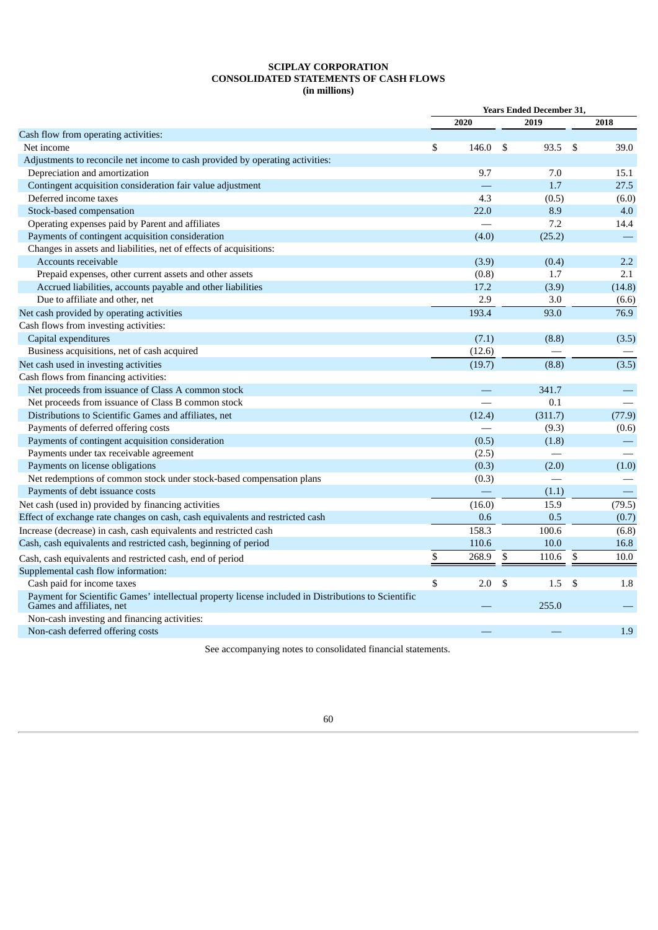## **SCIPLAY CORPORATION CONSOLIDATED STATEMENTS OF CASH FLOWS (in millions)**

|                                                                                                     | <b>Years Ended December 31,</b> |                          |    |         |    |                          |  |  |
|-----------------------------------------------------------------------------------------------------|---------------------------------|--------------------------|----|---------|----|--------------------------|--|--|
|                                                                                                     |                                 | 2020                     |    | 2019    |    | 2018                     |  |  |
| Cash flow from operating activities:                                                                |                                 |                          |    |         |    |                          |  |  |
| Net income                                                                                          | \$                              | 146.0                    | \$ | 93.5    | \$ | 39.0                     |  |  |
| Adjustments to reconcile net income to cash provided by operating activities:                       |                                 |                          |    |         |    |                          |  |  |
| Depreciation and amortization                                                                       |                                 | 9.7                      |    | 7.0     |    | 15.1                     |  |  |
| Contingent acquisition consideration fair value adjustment                                          |                                 | 二                        |    | 1.7     |    | 27.5                     |  |  |
| Deferred income taxes                                                                               |                                 | 4.3                      |    | (0.5)   |    | (6.0)                    |  |  |
| Stock-based compensation                                                                            |                                 | 22.0                     |    | 8.9     |    | 4.0                      |  |  |
| Operating expenses paid by Parent and affiliates                                                    |                                 | $\overline{\phantom{0}}$ |    | 7.2     |    | 14.4                     |  |  |
| Payments of contingent acquisition consideration                                                    |                                 | (4.0)                    |    | (25.2)  |    | $\overline{\phantom{0}}$ |  |  |
| Changes in assets and liabilities, net of effects of acquisitions:                                  |                                 |                          |    |         |    |                          |  |  |
| Accounts receivable                                                                                 |                                 | (3.9)                    |    | (0.4)   |    | 2.2                      |  |  |
| Prepaid expenses, other current assets and other assets                                             |                                 | (0.8)                    |    | 1.7     |    | 2.1                      |  |  |
| Accrued liabilities, accounts payable and other liabilities                                         |                                 | 17.2                     |    | (3.9)   |    | (14.8)                   |  |  |
| Due to affiliate and other, net                                                                     |                                 | 2.9                      |    | 3.0     |    | (6.6)                    |  |  |
| Net cash provided by operating activities                                                           |                                 | 193.4                    |    | 93.0    |    | 76.9                     |  |  |
| Cash flows from investing activities:                                                               |                                 |                          |    |         |    |                          |  |  |
| Capital expenditures                                                                                |                                 | (7.1)                    |    | (8.8)   |    | (3.5)                    |  |  |
| Business acquisitions, net of cash acquired                                                         |                                 | (12.6)                   |    |         |    |                          |  |  |
| Net cash used in investing activities                                                               |                                 | (19.7)                   |    | (8.8)   |    | (3.5)                    |  |  |
| Cash flows from financing activities:                                                               |                                 |                          |    |         |    |                          |  |  |
| Net proceeds from issuance of Class A common stock                                                  |                                 |                          |    | 341.7   |    |                          |  |  |
| Net proceeds from issuance of Class B common stock                                                  |                                 |                          |    | 0.1     |    |                          |  |  |
| Distributions to Scientific Games and affiliates, net                                               |                                 | (12.4)                   |    | (311.7) |    | (77.9)                   |  |  |
| Payments of deferred offering costs                                                                 |                                 |                          |    | (9.3)   |    | (0.6)                    |  |  |
| Payments of contingent acquisition consideration                                                    |                                 | (0.5)                    |    | (1.8)   |    |                          |  |  |
| Payments under tax receivable agreement                                                             |                                 | (2.5)                    |    |         |    |                          |  |  |
| Payments on license obligations                                                                     |                                 | (0.3)                    |    | (2.0)   |    | (1.0)                    |  |  |
| Net redemptions of common stock under stock-based compensation plans                                |                                 | (0.3)                    |    |         |    |                          |  |  |
| Payments of debt issuance costs                                                                     |                                 |                          |    | (1.1)   |    |                          |  |  |
| Net cash (used in) provided by financing activities                                                 |                                 | (16.0)                   |    | 15.9    |    | (79.5)                   |  |  |
| Effect of exchange rate changes on cash, cash equivalents and restricted cash                       |                                 | 0.6                      |    | 0.5     |    | (0.7)                    |  |  |
| Increase (decrease) in cash, cash equivalents and restricted cash                                   |                                 | 158.3                    |    | 100.6   |    | (6.8)                    |  |  |
| Cash, cash equivalents and restricted cash, beginning of period                                     |                                 | 110.6                    |    | 10.0    |    | 16.8                     |  |  |
| Cash, cash equivalents and restricted cash, end of period                                           | \$                              | 268.9                    | \$ | 110.6   | \$ | 10.0                     |  |  |
| Supplemental cash flow information:                                                                 |                                 |                          |    |         |    |                          |  |  |
| Cash paid for income taxes                                                                          | \$                              | 2.0                      | \$ | 1.5     | \$ | 1.8                      |  |  |
| Payment for Scientific Games' intellectual property license included in Distributions to Scientific |                                 |                          |    |         |    |                          |  |  |
| Games and affiliates, net                                                                           |                                 |                          |    | 255.0   |    |                          |  |  |
| Non-cash investing and financing activities:                                                        |                                 |                          |    |         |    |                          |  |  |
| Non-cash deferred offering costs                                                                    |                                 |                          |    |         |    | 1.9                      |  |  |
|                                                                                                     |                                 |                          |    |         |    |                          |  |  |

<span id="page-59-0"></span>See accompanying notes to consolidated financial statements.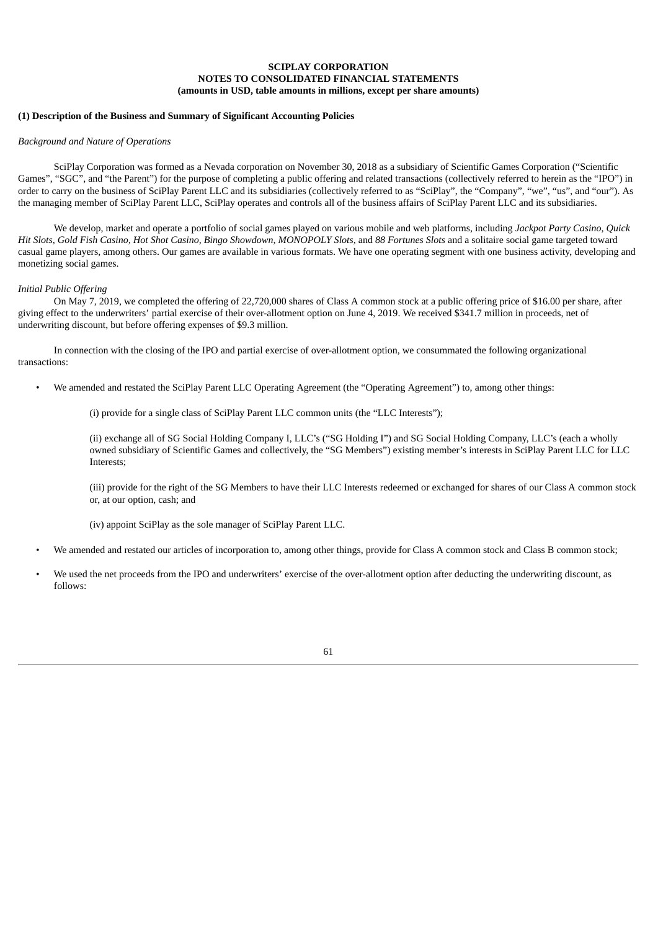## **SCIPLAY CORPORATION NOTES TO CONSOLIDATED FINANCIAL STATEMENTS (amounts in USD, table amounts in millions, except per share amounts)**

## **(1) Description of the Business and Summary of Significant Accounting Policies**

### *Background and Nature of Operations*

SciPlay Corporation was formed as a Nevada corporation on November 30, 2018 as a subsidiary of Scientific Games Corporation ("Scientific Games", "SGC", and "the Parent") for the purpose of completing a public offering and related transactions (collectively referred to herein as the "IPO") in order to carry on the business of SciPlay Parent LLC and its subsidiaries (collectively referred to as "SciPlay", the "Company", "we", "us", and "our"). As the managing member of SciPlay Parent LLC, SciPlay operates and controls all of the business affairs of SciPlay Parent LLC and its subsidiaries.

We develop, market and operate a portfolio of social games played on various mobile and web platforms, including *Jackpot Party Casino, Quick* Hit Slots, Gold Fish Casino, Hot Shot Casino, Bingo Showdown, MONOPOLY Slots, and 88 Fortunes Slots and a solitaire social game targeted toward casual game players, among others. Our games are available in various formats. We have one operating segment with one business activity, developing and monetizing social games.

## *Initial Public Offering*

On May 7, 2019, we completed the offering of 22,720,000 shares of Class A common stock at a public offering price of \$16.00 per share, after giving effect to the underwriters' partial exercise of their over-allotment option on June 4, 2019. We received \$341.7 million in proceeds, net of underwriting discount, but before offering expenses of \$9.3 million.

In connection with the closing of the IPO and partial exercise of over-allotment option, we consummated the following organizational transactions:

• We amended and restated the SciPlay Parent LLC Operating Agreement (the "Operating Agreement") to, among other things:

(i) provide for a single class of SciPlay Parent LLC common units (the "LLC Interests");

(ii) exchange all of SG Social Holding Company I, LLC's ("SG Holding I") and SG Social Holding Company, LLC's (each a wholly owned subsidiary of Scientific Games and collectively, the "SG Members") existing member's interests in SciPlay Parent LLC for LLC Interests;

(iii) provide for the right of the SG Members to have their LLC Interests redeemed or exchanged for shares of our Class A common stock or, at our option, cash; and

(iv) appoint SciPlay as the sole manager of SciPlay Parent LLC.

- We amended and restated our articles of incorporation to, among other things, provide for Class A common stock and Class B common stock;
- We used the net proceeds from the IPO and underwriters' exercise of the over-allotment option after deducting the underwriting discount, as follows:

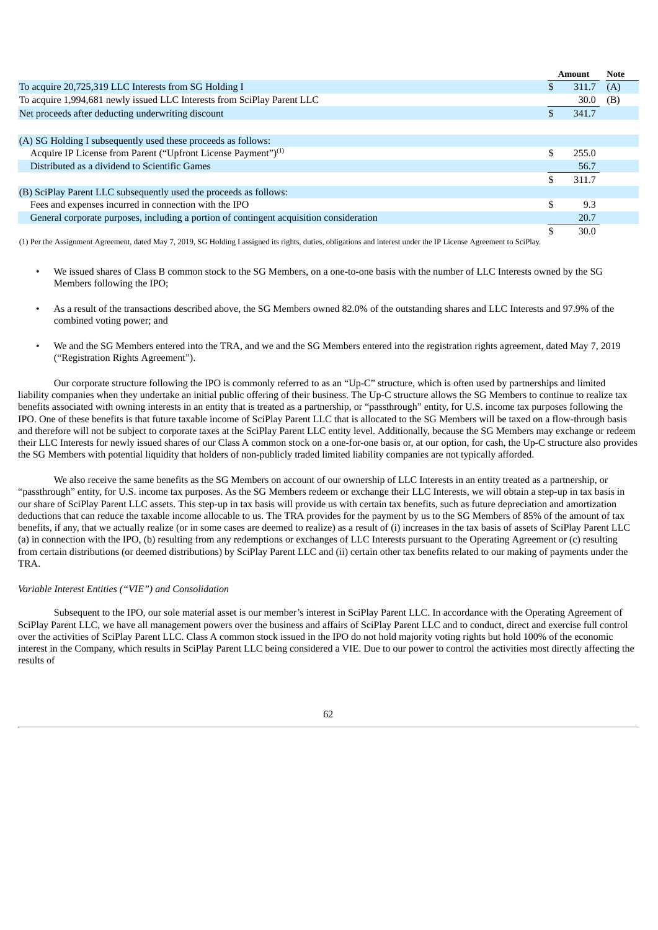|                                                                                         | Amount    | <b>Note</b> |
|-----------------------------------------------------------------------------------------|-----------|-------------|
| To acquire 20,725,319 LLC Interests from SG Holding I                                   | 311.7     | (A)         |
| To acquire 1,994,681 newly issued LLC Interests from SciPlay Parent LLC                 | 30.0      | (B)         |
| Net proceeds after deducting underwriting discount                                      | 341.7     |             |
|                                                                                         |           |             |
| (A) SG Holding I subsequently used these proceeds as follows:                           |           |             |
| Acquire IP License from Parent ("Upfront License Payment") <sup>(1)</sup>               | 255.0     |             |
| Distributed as a dividend to Scientific Games                                           | 56.7      |             |
|                                                                                         | 311.7     |             |
| (B) SciPlay Parent LLC subsequently used the proceeds as follows:                       |           |             |
| Fees and expenses incurred in connection with the IPO                                   | \$<br>9.3 |             |
| General corporate purposes, including a portion of contingent acquisition consideration | 20.7      |             |
|                                                                                         | 30.0      |             |
|                                                                                         |           |             |

(1) Per the Assignment Agreement, dated May 7, 2019, SG Holding I assigned its rights, duties, obligations and interest under the IP License Agreement to SciPlay.

- We issued shares of Class B common stock to the SG Members, on a one-to-one basis with the number of LLC Interests owned by the SG Members following the IPO;
- As a result of the transactions described above, the SG Members owned 82.0% of the outstanding shares and LLC Interests and 97.9% of the combined voting power; and
- We and the SG Members entered into the TRA, and we and the SG Members entered into the registration rights agreement, dated May 7, 2019 ("Registration Rights Agreement").

Our corporate structure following the IPO is commonly referred to as an "Up-C" structure, which is often used by partnerships and limited liability companies when they undertake an initial public offering of their business. The Up-C structure allows the SG Members to continue to realize tax benefits associated with owning interests in an entity that is treated as a partnership, or "passthrough" entity, for U.S. income tax purposes following the IPO. One of these benefits is that future taxable income of SciPlay Parent LLC that is allocated to the SG Members will be taxed on a flow-through basis and therefore will not be subject to corporate taxes at the SciPlay Parent LLC entity level. Additionally, because the SG Members may exchange or redeem their LLC Interests for newly issued shares of our Class A common stock on a one-for-one basis or, at our option, for cash, the Up-C structure also provides the SG Members with potential liquidity that holders of non-publicly traded limited liability companies are not typically afforded.

We also receive the same benefits as the SG Members on account of our ownership of LLC Interests in an entity treated as a partnership, or "passthrough" entity, for U.S. income tax purposes. As the SG Members redeem or exchange their LLC Interests, we will obtain a step-up in tax basis in our share of SciPlay Parent LLC assets. This step-up in tax basis will provide us with certain tax benefits, such as future depreciation and amortization deductions that can reduce the taxable income allocable to us. The TRA provides for the payment by us to the SG Members of 85% of the amount of tax benefits, if any, that we actually realize (or in some cases are deemed to realize) as a result of (i) increases in the tax basis of assets of SciPlay Parent LLC (a) in connection with the IPO, (b) resulting from any redemptions or exchanges of LLC Interests pursuant to the Operating Agreement or (c) resulting from certain distributions (or deemed distributions) by SciPlay Parent LLC and (ii) certain other tax benefits related to our making of payments under the TRA.

## *Variable Interest Entities ("VIE") and Consolidation*

Subsequent to the IPO, our sole material asset is our member's interest in SciPlay Parent LLC. In accordance with the Operating Agreement of SciPlay Parent LLC, we have all management powers over the business and affairs of SciPlay Parent LLC and to conduct, direct and exercise full control over the activities of SciPlay Parent LLC. Class A common stock issued in the IPO do not hold majority voting rights but hold 100% of the economic interest in the Company, which results in SciPlay Parent LLC being considered a VIE. Due to our power to control the activities most directly affecting the results of

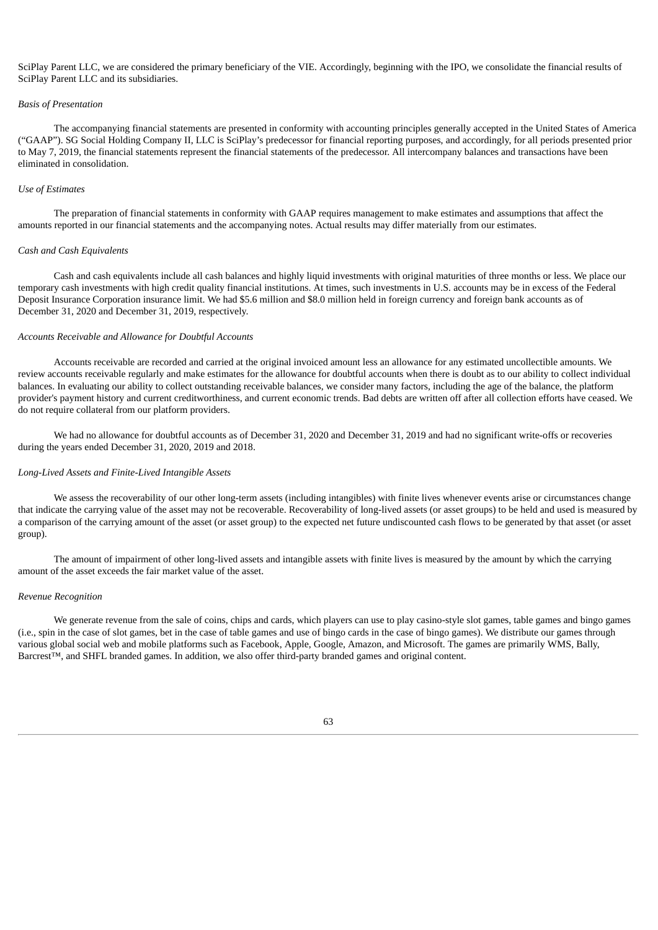SciPlay Parent LLC, we are considered the primary beneficiary of the VIE. Accordingly, beginning with the IPO, we consolidate the financial results of SciPlay Parent LLC and its subsidiaries.

## *Basis of Presentation*

The accompanying financial statements are presented in conformity with accounting principles generally accepted in the United States of America ("GAAP"). SG Social Holding Company II, LLC is SciPlay's predecessor for financial reporting purposes, and accordingly, for all periods presented prior to May 7, 2019, the financial statements represent the financial statements of the predecessor. All intercompany balances and transactions have been eliminated in consolidation.

## *Use of Estimates*

The preparation of financial statements in conformity with GAAP requires management to make estimates and assumptions that affect the amounts reported in our financial statements and the accompanying notes. Actual results may differ materially from our estimates.

#### *Cash and Cash Equivalents*

Cash and cash equivalents include all cash balances and highly liquid investments with original maturities of three months or less. We place our temporary cash investments with high credit quality financial institutions. At times, such investments in U.S. accounts may be in excess of the Federal Deposit Insurance Corporation insurance limit. We had \$5.6 million and \$8.0 million held in foreign currency and foreign bank accounts as of December 31, 2020 and December 31, 2019, respectively.

#### *Accounts Receivable and Allowance for Doubtful Accounts*

Accounts receivable are recorded and carried at the original invoiced amount less an allowance for any estimated uncollectible amounts. We review accounts receivable regularly and make estimates for the allowance for doubtful accounts when there is doubt as to our ability to collect individual balances. In evaluating our ability to collect outstanding receivable balances, we consider many factors, including the age of the balance, the platform provider's payment history and current creditworthiness, and current economic trends. Bad debts are written off after all collection efforts have ceased. We do not require collateral from our platform providers.

We had no allowance for doubtful accounts as of December 31, 2020 and December 31, 2019 and had no significant write-offs or recoveries during the years ended December 31, 2020, 2019 and 2018.

#### *Long-Lived Assets and Finite-Lived Intangible Assets*

We assess the recoverability of our other long-term assets (including intangibles) with finite lives whenever events arise or circumstances change that indicate the carrying value of the asset may not be recoverable. Recoverability of long-lived assets (or asset groups) to be held and used is measured by a comparison of the carrying amount of the asset (or asset group) to the expected net future undiscounted cash flows to be generated by that asset (or asset group).

The amount of impairment of other long-lived assets and intangible assets with finite lives is measured by the amount by which the carrying amount of the asset exceeds the fair market value of the asset.

### *Revenue Recognition*

We generate revenue from the sale of coins, chips and cards, which players can use to play casino-style slot games, table games and bingo games (i.e., spin in the case of slot games, bet in the case of table games and use of bingo cards in the case of bingo games). We distribute our games through various global social web and mobile platforms such as Facebook, Apple, Google, Amazon, and Microsoft. The games are primarily WMS, Bally, Barcrest™, and SHFL branded games. In addition, we also offer third-party branded games and original content.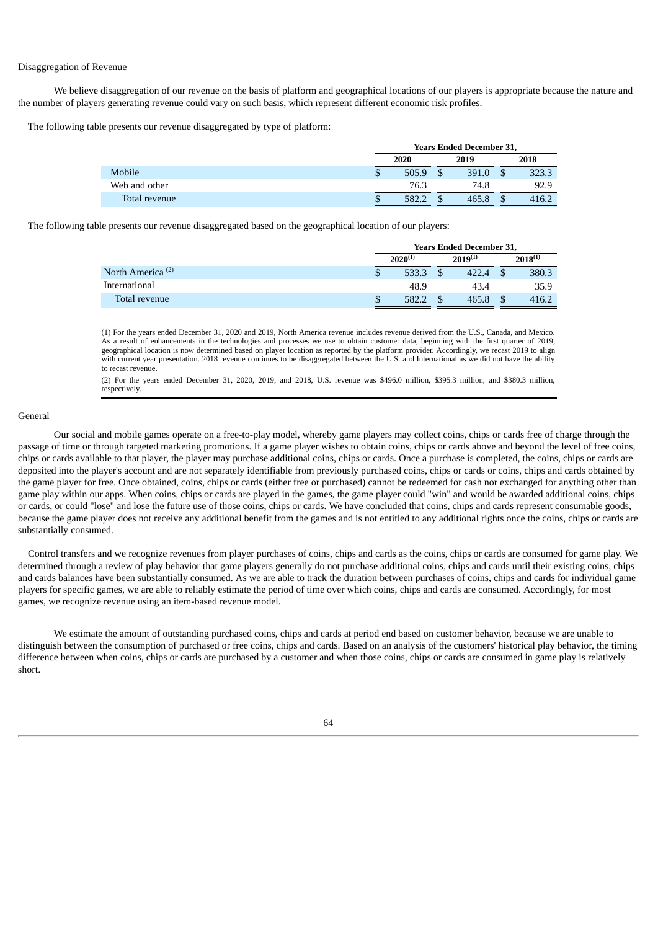#### Disaggregation of Revenue

We believe disaggregation of our revenue on the basis of platform and geographical locations of our players is appropriate because the nature and the number of players generating revenue could vary on such basis, which represent different economic risk profiles.

The following table presents our revenue disaggregated by type of platform:

|               |   | <b>Years Ended December 31,</b> |  |       |  |       |  |  |
|---------------|---|---------------------------------|--|-------|--|-------|--|--|
|               |   | 2020                            |  | 2019  |  | 2018  |  |  |
| Mobile        | S | 505.9                           |  | 391.0 |  | 323.3 |  |  |
| Web and other |   | 76.3                            |  | 74.8  |  | 92.9  |  |  |
| Total revenue | J | 582.2                           |  | 465.8 |  | 416.2 |  |  |

The following table presents our revenue disaggregated based on the geographical location of our players:

|                              | <b>Years Ended December 31,</b> |              |  |              |  |              |
|------------------------------|---------------------------------|--------------|--|--------------|--|--------------|
|                              |                                 | $2020^{(1)}$ |  | $2019^{(1)}$ |  | $2018^{(1)}$ |
| North America <sup>(2)</sup> |                                 | 533.3        |  | 422.4        |  | 380.3        |
| International                |                                 | 48.9         |  | 43.4         |  | 35.9         |
| Total revenue                |                                 | 582.2        |  | 465.8        |  | 416.2        |
|                              |                                 |              |  |              |  |              |

(1) For the years ended December 31, 2020 and 2019, North America revenue includes revenue derived from the U.S., Canada, and Mexico. As a result of enhancements in the technologies and processes we use to obtain customer data, beginning with the first quarter of 2019, geographical location is now determined based on player location as reported by the platform provider. Accordingly, we recast 2019 to align with current year presentation. 2018 revenue continues to be disaggregated between the U.S. and International as we did not have the ability to recast revenue.

(2) For the years ended December 31, 2020, 2019, and 2018, U.S. revenue was \$496.0 million, \$395.3 million, and \$380.3 million, respectively.

## General

Our social and mobile games operate on a free-to-play model, whereby game players may collect coins, chips or cards free of charge through the passage of time or through targeted marketing promotions. If a game player wishes to obtain coins, chips or cards above and beyond the level of free coins, chips or cards available to that player, the player may purchase additional coins, chips or cards. Once a purchase is completed, the coins, chips or cards are deposited into the player's account and are not separately identifiable from previously purchased coins, chips or cards or coins, chips and cards obtained by the game player for free. Once obtained, coins, chips or cards (either free or purchased) cannot be redeemed for cash nor exchanged for anything other than game play within our apps. When coins, chips or cards are played in the games, the game player could "win" and would be awarded additional coins, chips or cards, or could "lose" and lose the future use of those coins, chips or cards. We have concluded that coins, chips and cards represent consumable goods, because the game player does not receive any additional benefit from the games and is not entitled to any additional rights once the coins, chips or cards are substantially consumed.

Control transfers and we recognize revenues from player purchases of coins, chips and cards as the coins, chips or cards are consumed for game play. We determined through a review of play behavior that game players generally do not purchase additional coins, chips and cards until their existing coins, chips and cards balances have been substantially consumed. As we are able to track the duration between purchases of coins, chips and cards for individual game players for specific games, we are able to reliably estimate the period of time over which coins, chips and cards are consumed. Accordingly, for most games, we recognize revenue using an item-based revenue model.

We estimate the amount of outstanding purchased coins, chips and cards at period end based on customer behavior, because we are unable to distinguish between the consumption of purchased or free coins, chips and cards. Based on an analysis of the customers' historical play behavior, the timing difference between when coins, chips or cards are purchased by a customer and when those coins, chips or cards are consumed in game play is relatively short.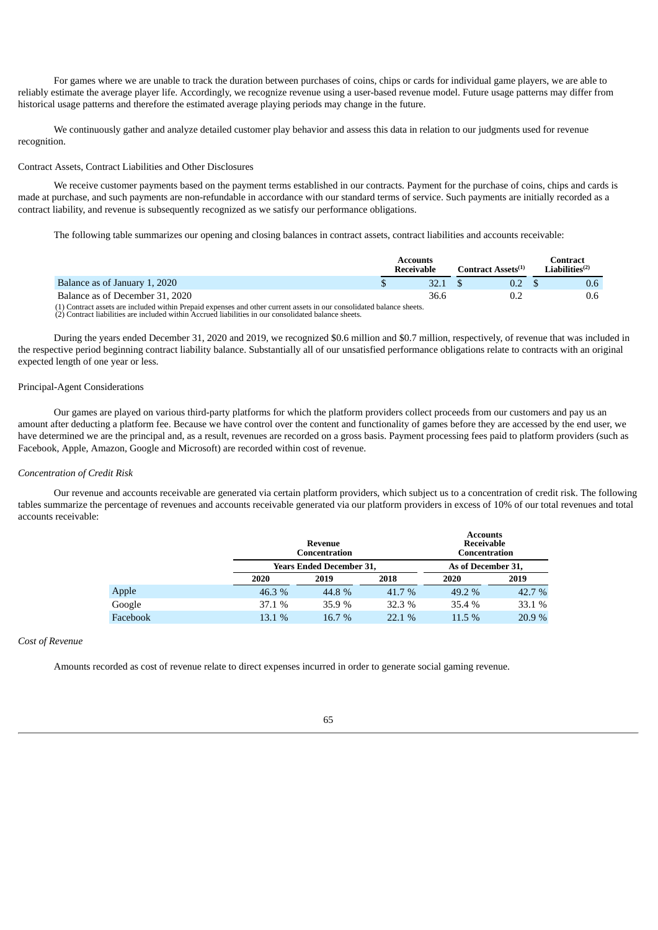For games where we are unable to track the duration between purchases of coins, chips or cards for individual game players, we are able to reliably estimate the average player life. Accordingly, we recognize revenue using a user-based revenue model. Future usage patterns may differ from historical usage patterns and therefore the estimated average playing periods may change in the future.

We continuously gather and analyze detailed customer play behavior and assess this data in relation to our judgments used for revenue recognition.

#### Contract Assets, Contract Liabilities and Other Disclosures

We receive customer payments based on the payment terms established in our contracts. Payment for the purchase of coins, chips and cards is made at purchase, and such payments are non-refundable in accordance with our standard terms of service. Such payments are initially recorded as a contract liability, and revenue is subsequently recognized as we satisfy our performance obligations.

The following table summarizes our opening and closing balances in contract assets, contract liabilities and accounts receivable:

|                                                                                                                                                                                                                               | <b>Accounts</b><br>Receivable | Contract Assets <sup>(1)</sup> | Contract<br>Liabilities $(2)$ |
|-------------------------------------------------------------------------------------------------------------------------------------------------------------------------------------------------------------------------------|-------------------------------|--------------------------------|-------------------------------|
| Balance as of January 1, 2020                                                                                                                                                                                                 | 32.1                          |                                | 0.6                           |
| Balance as of December 31, 2020                                                                                                                                                                                               | 36.6                          |                                | $0.6\,$                       |
| (1) Contract assets are included within Prepaid expenses and other current assets in our consolidated balance sheets.<br>(2) Contract liabilities are included within Accrued liabilities in our consolidated balance sheets. |                               |                                |                               |

During the years ended December 31, 2020 and 2019, we recognized \$0.6 million and \$0.7 million, respectively, of revenue that was included in the respective period beginning contract liability balance. Substantially all of our unsatisfied performance obligations relate to contracts with an original expected length of one year or less.

#### Principal-Agent Considerations

Our games are played on various third-party platforms for which the platform providers collect proceeds from our customers and pay us an amount after deducting a platform fee. Because we have control over the content and functionality of games before they are accessed by the end user, we have determined we are the principal and, as a result, revenues are recorded on a gross basis. Payment processing fees paid to platform providers (such as Facebook, Apple, Amazon, Google and Microsoft) are recorded within cost of revenue.

#### *Concentration of Credit Risk*

Our revenue and accounts receivable are generated via certain platform providers, which subject us to a concentration of credit risk. The following tables summarize the percentage of revenues and accounts receivable generated via our platform providers in excess of 10% of our total revenues and total accounts receivable:

**Accounts** 

|          |        | Revenue<br>Concentration        |        | Accounts<br>Receivable<br>Concentration |        |
|----------|--------|---------------------------------|--------|-----------------------------------------|--------|
|          |        | <b>Years Ended December 31,</b> |        | As of December 31,                      |        |
|          | 2020   | 2019                            | 2018   | 2020                                    | 2019   |
| Apple    | 46.3%  | 44.8%                           | 41.7 % | 49.2 %                                  | 42.7 % |
| Google   | 37.1 % | 35.9 %                          | 32.3 % | 35.4 %                                  | 33.1 % |
| Facebook | 13.1 % | $16.7\%$                        | 22.1%  | $11.5\%$                                | 20.9%  |

#### *Cost of Revenue*

Amounts recorded as cost of revenue relate to direct expenses incurred in order to generate social gaming revenue.

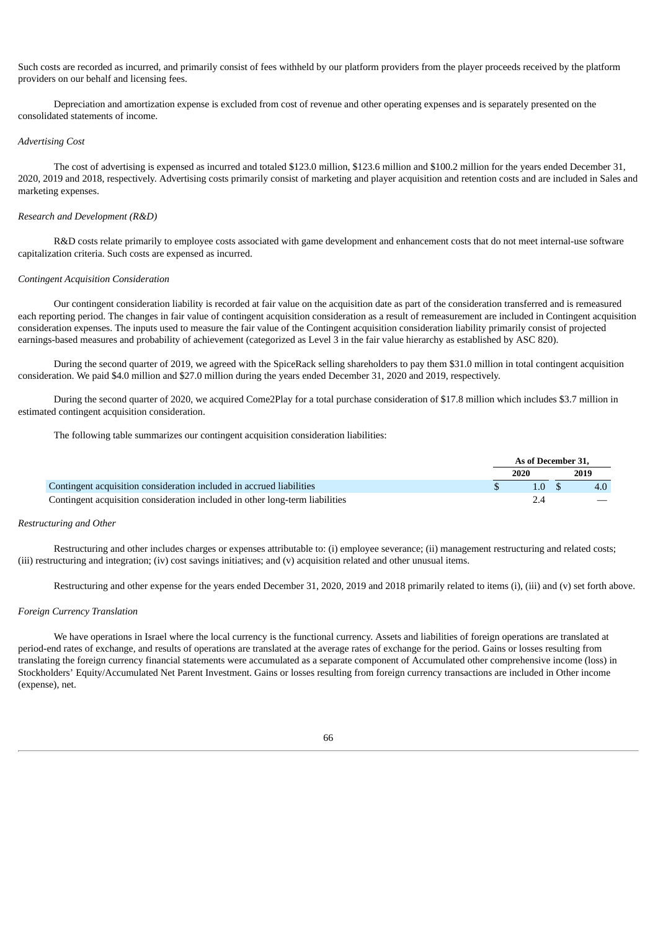Such costs are recorded as incurred, and primarily consist of fees withheld by our platform providers from the player proceeds received by the platform providers on our behalf and licensing fees.

Depreciation and amortization expense is excluded from cost of revenue and other operating expenses and is separately presented on the consolidated statements of income.

#### *Advertising Cost*

The cost of advertising is expensed as incurred and totaled \$123.0 million, \$123.6 million and \$100.2 million for the years ended December 31, 2020, 2019 and 2018, respectively. Advertising costs primarily consist of marketing and player acquisition and retention costs and are included in Sales and marketing expenses.

### *Research and Development (R&D)*

R&D costs relate primarily to employee costs associated with game development and enhancement costs that do not meet internal-use software capitalization criteria. Such costs are expensed as incurred.

#### *Contingent Acquisition Consideration*

Our contingent consideration liability is recorded at fair value on the acquisition date as part of the consideration transferred and is remeasured each reporting period. The changes in fair value of contingent acquisition consideration as a result of remeasurement are included in Contingent acquisition consideration expenses. The inputs used to measure the fair value of the Contingent acquisition consideration liability primarily consist of projected earnings-based measures and probability of achievement (categorized as Level 3 in the fair value hierarchy as established by ASC 820).

During the second quarter of 2019, we agreed with the SpiceRack selling shareholders to pay them \$31.0 million in total contingent acquisition consideration. We paid \$4.0 million and \$27.0 million during the years ended December 31, 2020 and 2019, respectively.

During the second quarter of 2020, we acquired Come2Play for a total purchase consideration of \$17.8 million which includes \$3.7 million in estimated contingent acquisition consideration.

The following table summarizes our contingent acquisition consideration liabilities:

|                                                                              | As of December 31. |      |
|------------------------------------------------------------------------------|--------------------|------|
|                                                                              | 2020               | 2019 |
| Contingent acquisition consideration included in accrued liabilities         | 1.0 S              | 4.0  |
| Contingent acquisition consideration included in other long-term liabilities |                    |      |

#### *Restructuring and Other*

Restructuring and other includes charges or expenses attributable to: (i) employee severance; (ii) management restructuring and related costs; (iii) restructuring and integration; (iv) cost savings initiatives; and (v) acquisition related and other unusual items.

Restructuring and other expense for the years ended December 31, 2020, 2019 and 2018 primarily related to items (i), (iii) and (v) set forth above.

#### *Foreign Currency Translation*

We have operations in Israel where the local currency is the functional currency. Assets and liabilities of foreign operations are translated at period-end rates of exchange, and results of operations are translated at the average rates of exchange for the period. Gains or losses resulting from translating the foreign currency financial statements were accumulated as a separate component of Accumulated other comprehensive income (loss) in Stockholders' Equity/Accumulated Net Parent Investment. Gains or losses resulting from foreign currency transactions are included in Other income (expense), net.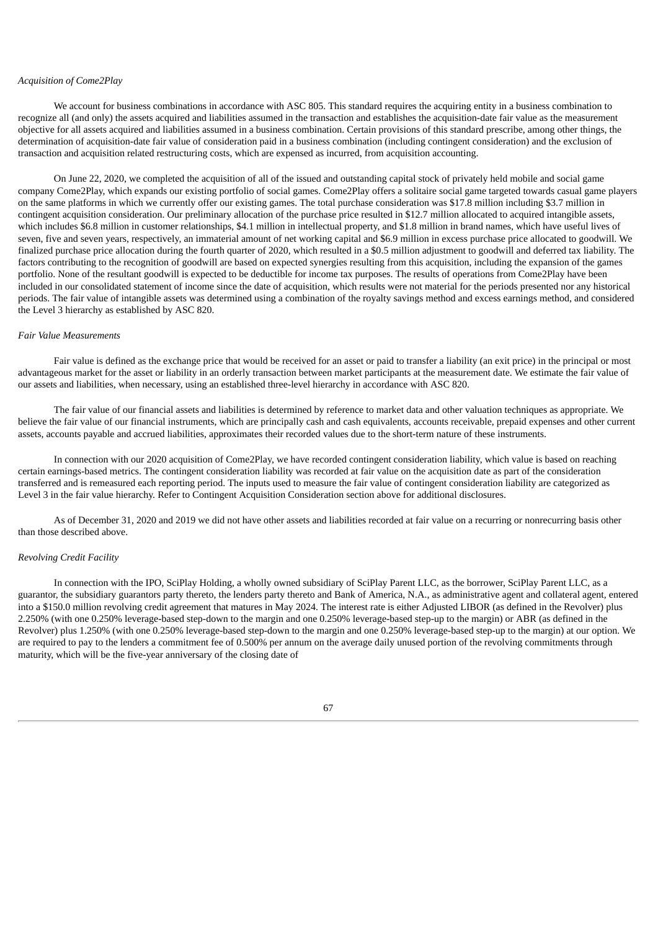## *Acquisition of Come2Play*

We account for business combinations in accordance with ASC 805. This standard requires the acquiring entity in a business combination to recognize all (and only) the assets acquired and liabilities assumed in the transaction and establishes the acquisition-date fair value as the measurement objective for all assets acquired and liabilities assumed in a business combination. Certain provisions of this standard prescribe, among other things, the determination of acquisition-date fair value of consideration paid in a business combination (including contingent consideration) and the exclusion of transaction and acquisition related restructuring costs, which are expensed as incurred, from acquisition accounting.

On June 22, 2020, we completed the acquisition of all of the issued and outstanding capital stock of privately held mobile and social game company Come2Play, which expands our existing portfolio of social games. Come2Play offers a solitaire social game targeted towards casual game players on the same platforms in which we currently offer our existing games. The total purchase consideration was \$17.8 million including \$3.7 million in contingent acquisition consideration. Our preliminary allocation of the purchase price resulted in \$12.7 million allocated to acquired intangible assets, which includes \$6.8 million in customer relationships, \$4.1 million in intellectual property, and \$1.8 million in brand names, which have useful lives of seven, five and seven years, respectively, an immaterial amount of net working capital and \$6.9 million in excess purchase price allocated to goodwill. We finalized purchase price allocation during the fourth quarter of 2020, which resulted in a \$0.5 million adjustment to goodwill and deferred tax liability. The factors contributing to the recognition of goodwill are based on expected synergies resulting from this acquisition, including the expansion of the games portfolio. None of the resultant goodwill is expected to be deductible for income tax purposes. The results of operations from Come2Play have been included in our consolidated statement of income since the date of acquisition, which results were not material for the periods presented nor any historical periods. The fair value of intangible assets was determined using a combination of the royalty savings method and excess earnings method, and considered the Level 3 hierarchy as established by ASC 820.

### *Fair Value Measurements*

Fair value is defined as the exchange price that would be received for an asset or paid to transfer a liability (an exit price) in the principal or most advantageous market for the asset or liability in an orderly transaction between market participants at the measurement date. We estimate the fair value of our assets and liabilities, when necessary, using an established three-level hierarchy in accordance with ASC 820.

The fair value of our financial assets and liabilities is determined by reference to market data and other valuation techniques as appropriate. We believe the fair value of our financial instruments, which are principally cash and cash equivalents, accounts receivable, prepaid expenses and other current assets, accounts payable and accrued liabilities, approximates their recorded values due to the short-term nature of these instruments.

In connection with our 2020 acquisition of Come2Play, we have recorded contingent consideration liability, which value is based on reaching certain earnings-based metrics. The contingent consideration liability was recorded at fair value on the acquisition date as part of the consideration transferred and is remeasured each reporting period. The inputs used to measure the fair value of contingent consideration liability are categorized as Level 3 in the fair value hierarchy. Refer to Contingent Acquisition Consideration section above for additional disclosures.

As of December 31, 2020 and 2019 we did not have other assets and liabilities recorded at fair value on a recurring or nonrecurring basis other than those described above.

#### *Revolving Credit Facility*

In connection with the IPO, SciPlay Holding, a wholly owned subsidiary of SciPlay Parent LLC, as the borrower, SciPlay Parent LLC, as a guarantor, the subsidiary guarantors party thereto, the lenders party thereto and Bank of America, N.A., as administrative agent and collateral agent, entered into a \$150.0 million revolving credit agreement that matures in May 2024. The interest rate is either Adjusted LIBOR (as defined in the Revolver) plus 2.250% (with one 0.250% leverage-based step-down to the margin and one 0.250% leverage-based step-up to the margin) or ABR (as defined in the Revolver) plus 1.250% (with one 0.250% leverage-based step-down to the margin and one 0.250% leverage-based step-up to the margin) at our option. We are required to pay to the lenders a commitment fee of 0.500% per annum on the average daily unused portion of the revolving commitments through maturity, which will be the five-year anniversary of the closing date of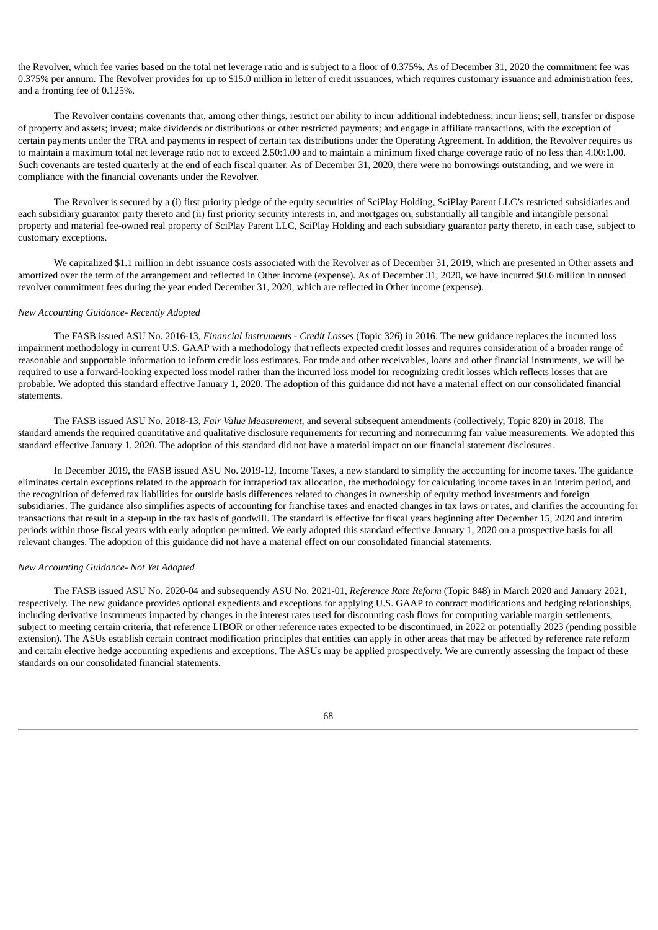the Revolver, which fee varies based on the total net leverage ratio and is subject to a floor of 0.375%. As of December 31, 2020 the commitment fee was 0.375% per annum. The Revolver provides for up to \$15.0 million in letter of credit issuances, which requires customary issuance and administration fees, and a fronting fee of 0.125%.

The Revolver contains covenants that, among other things, restrict our ability to incur additional indebtedness; incur liens; sell, transfer or dispose of property and assets; invest; make dividends or distributions or other restricted payments; and engage in affiliate transactions, with the exception of certain payments under the TRA and payments in respect of certain tax distributions under the Operating Agreement. In addition, the Revolver requires us to maintain a maximum total net leverage ratio not to exceed 2.50:1.00 and to maintain a minimum fixed charge coverage ratio of no less than 4.00:1.00. Such covenants are tested quarterly at the end of each fiscal quarter. As of December 31, 2020, there were no borrowings outstanding, and we were in compliance with the financial covenants under the Revolver.

The Revolver is secured by a (i) first priority pledge of the equity securities of SciPlay Holding, SciPlay Parent LLC's restricted subsidiaries and each subsidiary guarantor party thereto and (ii) first priority security interests in, and mortgages on, substantially all tangible and intangible personal property and material fee-owned real property of SciPlay Parent LLC, SciPlay Holding and each subsidiary guarantor party thereto, in each case, subject to customary exceptions.

We capitalized \$1.1 million in debt issuance costs associated with the Revolver as of December 31, 2019, which are presented in Other assets and amortized over the term of the arrangement and reflected in Other income (expense). As of December 31, 2020, we have incurred \$0.6 million in unused revolver commitment fees during the year ended December 31, 2020, which are reflected in Other income (expense).

#### *New Accounting Guidance‑ Recently Adopted*

The FASB issued ASU No. 2016-13, *Financial Instruments - Credit Losses* (Topic 326) in 2016. The new guidance replaces the incurred loss impairment methodology in current U.S. GAAP with a methodology that reflects expected credit losses and requires consideration of a broader range of reasonable and supportable information to inform credit loss estimates. For trade and other receivables, loans and other financial instruments, we will be required to use a forward-looking expected loss model rather than the incurred loss model for recognizing credit losses which reflects losses that are probable. We adopted this standard effective January 1, 2020. The adoption of this guidance did not have a material effect on our consolidated financial statements.

The FASB issued ASU No. 2018-13, *Fair Value Measurement*, and several subsequent amendments (collectively, Topic 820) in 2018. The standard amends the required quantitative and qualitative disclosure requirements for recurring and nonrecurring fair value measurements. We adopted this standard effective January 1, 2020. The adoption of this standard did not have a material impact on our financial statement disclosures.

In December 2019, the FASB issued ASU No. 2019-12, Income Taxes, a new standard to simplify the accounting for income taxes. The guidance eliminates certain exceptions related to the approach for intraperiod tax allocation, the methodology for calculating income taxes in an interim period, and the recognition of deferred tax liabilities for outside basis differences related to changes in ownership of equity method investments and foreign subsidiaries. The guidance also simplifies aspects of accounting for franchise taxes and enacted changes in tax laws or rates, and clarifies the accounting for transactions that result in a step-up in the tax basis of goodwill. The standard is effective for fiscal years beginning after December 15, 2020 and interim periods within those fiscal years with early adoption permitted. We early adopted this standard effective January 1, 2020 on a prospective basis for all relevant changes. The adoption of this guidance did not have a material effect on our consolidated financial statements.

### *New Accounting Guidance‑ Not Yet Adopted*

The FASB issued ASU No. 2020-04 and subsequently ASU No. 2021-01, *Reference Rate Reform* (Topic 848) in March 2020 and January 2021, respectively. The new guidance provides optional expedients and exceptions for applying U.S. GAAP to contract modifications and hedging relationships, including derivative instruments impacted by changes in the interest rates used for discounting cash flows for computing variable margin settlements, subject to meeting certain criteria, that reference LIBOR or other reference rates expected to be discontinued, in 2022 or potentially 2023 (pending possible extension). The ASUs establish certain contract modification principles that entities can apply in other areas that may be affected by reference rate reform and certain elective hedge accounting expedients and exceptions. The ASUs may be applied prospectively. We are currently assessing the impact of these standards on our consolidated financial statements.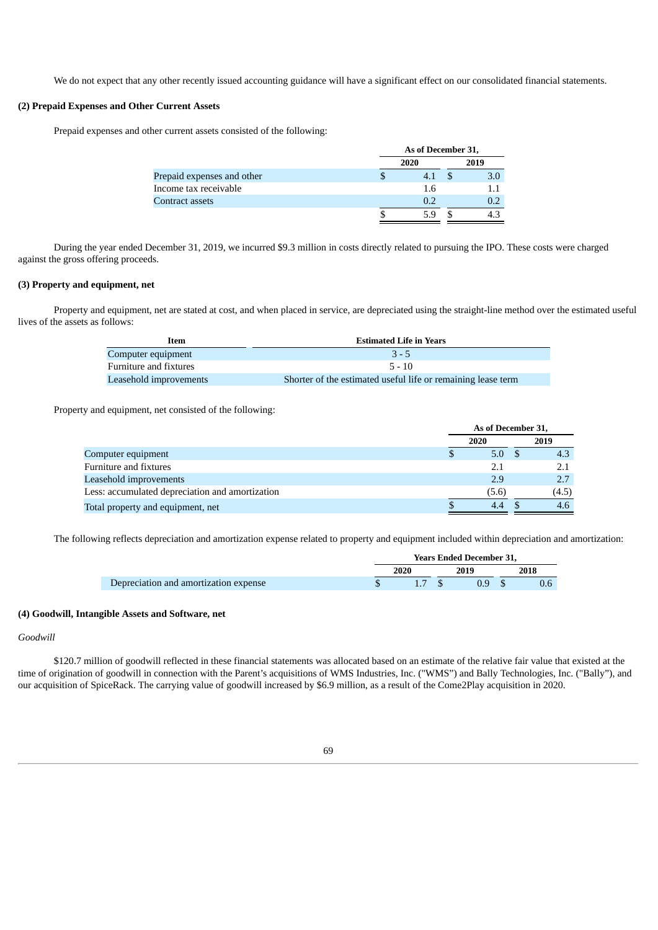We do not expect that any other recently issued accounting guidance will have a significant effect on our consolidated financial statements.

## **(2) Prepaid Expenses and Other Current Assets**

Prepaid expenses and other current assets consisted of the following:

|                            |      | As of December 31, |  |      |  |  |  |
|----------------------------|------|--------------------|--|------|--|--|--|
|                            | 2020 |                    |  | 2019 |  |  |  |
| Prepaid expenses and other |      | 4.1                |  | 3.0  |  |  |  |
| Income tax receivable      |      | 1.6                |  | 1.1  |  |  |  |
| Contract assets            |      | 0.2                |  |      |  |  |  |
|                            |      | 5.9                |  |      |  |  |  |

During the year ended December 31, 2019, we incurred \$9.3 million in costs directly related to pursuing the IPO. These costs were charged against the gross offering proceeds.

## **(3) Property and equipment, net**

Property and equipment, net are stated at cost, and when placed in service, are depreciated using the straight-line method over the estimated useful lives of the assets as follows:

| Item                   | <b>Estimated Life in Years</b>                               |
|------------------------|--------------------------------------------------------------|
| Computer equipment     | $-3 - 5$                                                     |
| Furniture and fixtures | $5 - 10$                                                     |
| Leasehold improvements | Shorter of the estimated useful life or remaining lease term |

Property and equipment, net consisted of the following:

|                                                 | As of December 31, |  |       |  |
|-------------------------------------------------|--------------------|--|-------|--|
|                                                 | 2020               |  | 2019  |  |
| Computer equipment                              | 5.0 <sub>1</sub>   |  | 4.3   |  |
| Furniture and fixtures                          | 2.1                |  |       |  |
| Leasehold improvements                          | 2.9                |  | 2.7   |  |
| Less: accumulated depreciation and amortization | (5.6)              |  | (4.5) |  |
| Total property and equipment, net               | 4.4                |  | 4.6   |  |

The following reflects depreciation and amortization expense related to property and equipment included within depreciation and amortization:

|                                       | <b>Years Ended December 31,</b> |      |  |      |  |      |
|---------------------------------------|---------------------------------|------|--|------|--|------|
|                                       |                                 | 2020 |  | 2019 |  | 2018 |
| Depreciation and amortization expense |                                 |      |  |      |  |      |

## **(4) Goodwill, Intangible Assets and Software, net**

### *Goodwill*

\$120.7 million of goodwill reflected in these financial statements was allocated based on an estimate of the relative fair value that existed at the time of origination of goodwill in connection with the Parent's acquisitions of WMS Industries, Inc. ("WMS") and Bally Technologies, Inc. ("Bally"), and our acquisition of SpiceRack. The carrying value of goodwill increased by \$6.9 million, as a result of the Come2Play acquisition in 2020.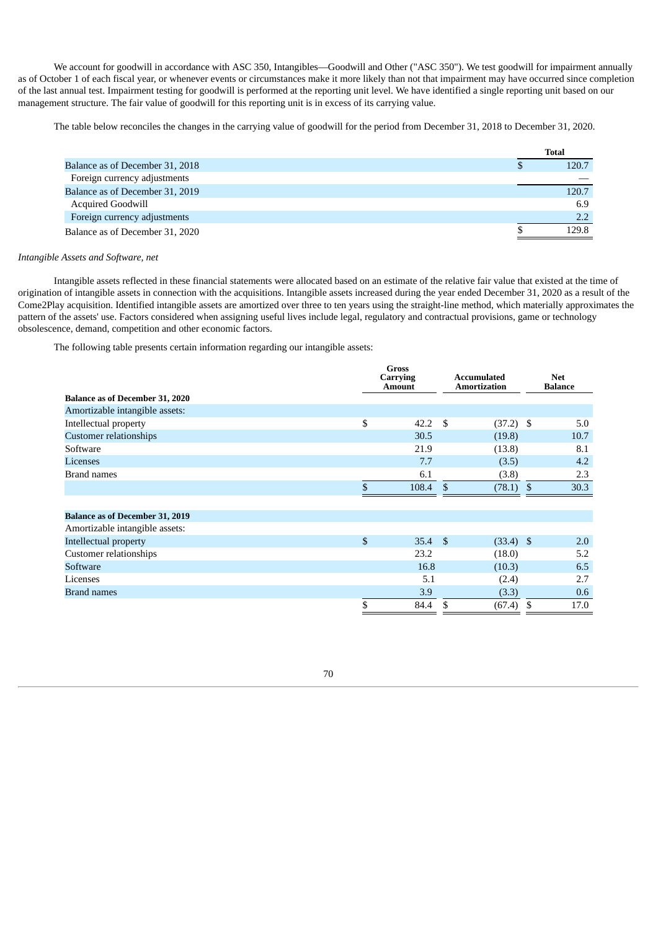We account for goodwill in accordance with ASC 350, Intangibles—Goodwill and Other ("ASC 350"). We test goodwill for impairment annually as of October 1 of each fiscal year, or whenever events or circumstances make it more likely than not that impairment may have occurred since completion of the last annual test. Impairment testing for goodwill is performed at the reporting unit level. We have identified a single reporting unit based on our management structure. The fair value of goodwill for this reporting unit is in excess of its carrying value.

The table below reconciles the changes in the carrying value of goodwill for the period from December 31, 2018 to December 31, 2020.

|                                 |   | <b>Total</b> |
|---------------------------------|---|--------------|
| Balance as of December 31, 2018 | D | 120.7        |
| Foreign currency adjustments    |   |              |
| Balance as of December 31, 2019 |   | 120.7        |
| <b>Acquired Goodwill</b>        |   | 6.9          |
| Foreign currency adjustments    |   | 2.2          |
| Balance as of December 31, 2020 |   | 129.8        |
|                                 |   |              |

## *Intangible Assets and Software, net*

Intangible assets reflected in these financial statements were allocated based on an estimate of the relative fair value that existed at the time of origination of intangible assets in connection with the acquisitions. Intangible assets increased during the year ended December 31, 2020 as a result of the Come2Play acquisition. Identified intangible assets are amortized over three to ten years using the straight-line method, which materially approximates the pattern of the assets' use. Factors considered when assigning useful lives include legal, regulatory and contractual provisions, game or technology obsolescence, demand, competition and other economic factors.

The following table presents certain information regarding our intangible assets:

|                                        | <b>Gross</b><br><b>Carrying</b><br><b>Amount</b> | Accumulated<br><b>Amortization</b> |             | <b>Net</b><br><b>Balance</b> |
|----------------------------------------|--------------------------------------------------|------------------------------------|-------------|------------------------------|
| <b>Balance as of December 31, 2020</b> |                                                  |                                    |             |                              |
| Amortizable intangible assets:         |                                                  |                                    |             |                              |
| Intellectual property                  | \$<br>42.2                                       | - \$                               | $(37.2)$ \$ | 5.0                          |
| <b>Customer relationships</b>          | 30.5                                             |                                    | (19.8)      | 10.7                         |
| Software                               | 21.9                                             |                                    | (13.8)      | 8.1                          |
| Licenses                               | 7.7                                              |                                    | (3.5)       | 4.2                          |
| <b>Brand names</b>                     | 6.1                                              |                                    | (3.8)       | 2.3                          |
|                                        | \$<br>108.4                                      | $\mathfrak{L}$                     | $(78.1)$ \$ | 30.3                         |
|                                        |                                                  |                                    |             |                              |
| <b>Balance as of December 31, 2019</b> |                                                  |                                    |             |                              |
| Amortizable intangible assets:         |                                                  |                                    |             |                              |
| Intellectual property                  | \$<br>35.4                                       | - \$                               | $(33.4)$ \$ | 2.0                          |
| Customer relationships                 | 23.2                                             |                                    | (18.0)      | 5.2                          |
| Software                               | 16.8                                             |                                    | (10.3)      | 6.5                          |
| Licenses                               | 5.1                                              |                                    | (2.4)       | 2.7                          |
| <b>Brand names</b>                     | 3.9                                              |                                    | (3.3)       | 0.6                          |
|                                        | \$<br>84.4                                       | \$                                 | (67.4)      | \$<br>17.0                   |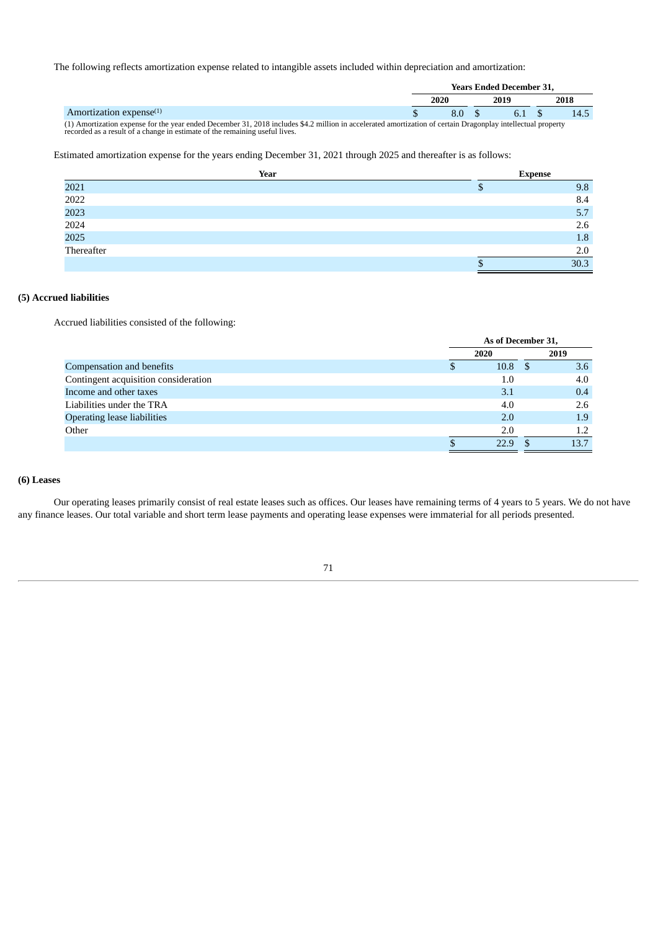The following reflects amortization expense related to intangible assets included within depreciation and amortization:

|                                                                                                                                                              | <b>Years Ended December 31.</b> |  |      |  |      |  |
|--------------------------------------------------------------------------------------------------------------------------------------------------------------|---------------------------------|--|------|--|------|--|
|                                                                                                                                                              | 2020                            |  | 2019 |  | 2018 |  |
| Amortization expense $(1)$                                                                                                                                   |                                 |  |      |  |      |  |
| (1) Amortization expanse for the vear anded December 31, 2018 includes \$4.2 million in accelerated amortization of certain Dragonplay intellectual property |                                 |  |      |  |      |  |

4.2 million in accelerated amortization of certain Dragonplay intellectual property (1) Amortization expense for the year ended December 31, 2018 includes recorded as a result of a change in estimate of the remaining useful lives.

Estimated amortization expense for the years ending December 31, 2021 through 2025 and thereafter is as follows:

| Year         |   | <b>Expense</b> |
|--------------|---|----------------|
| 2021         | Φ | 9.8            |
| 2022         |   | 8.4            |
| 2023         |   | 5.7            |
|              |   | 2.6            |
| 2024<br>2025 |   | 1.8            |
| Thereafter   |   | 2.0            |
|              |   | 30.3           |

## **(5) Accrued liabilities**

Accrued liabilities consisted of the following:

|                                      | As of December 31, |     |      |  |
|--------------------------------------|--------------------|-----|------|--|
|                                      | 2020               |     | 2019 |  |
| Compensation and benefits            | 10.8               | - S | 3.6  |  |
| Contingent acquisition consideration | 1.0                |     | 4.0  |  |
| Income and other taxes               | 3.1                |     | 0.4  |  |
| Liabilities under the TRA            | 4.0                |     | 2.6  |  |
| <b>Operating lease liabilities</b>   | 2.0                |     | 1.9  |  |
| Other                                | 2.0                |     | 1.2  |  |
|                                      | 22.9               |     | 13.7 |  |

# **(6) Leases**

Our operating leases primarily consist of real estate leases such as offices. Our leases have remaining terms of 4 years to 5 years. We do not have any finance leases. Our total variable and short term lease payments and operating lease expenses were immaterial for all periods presented.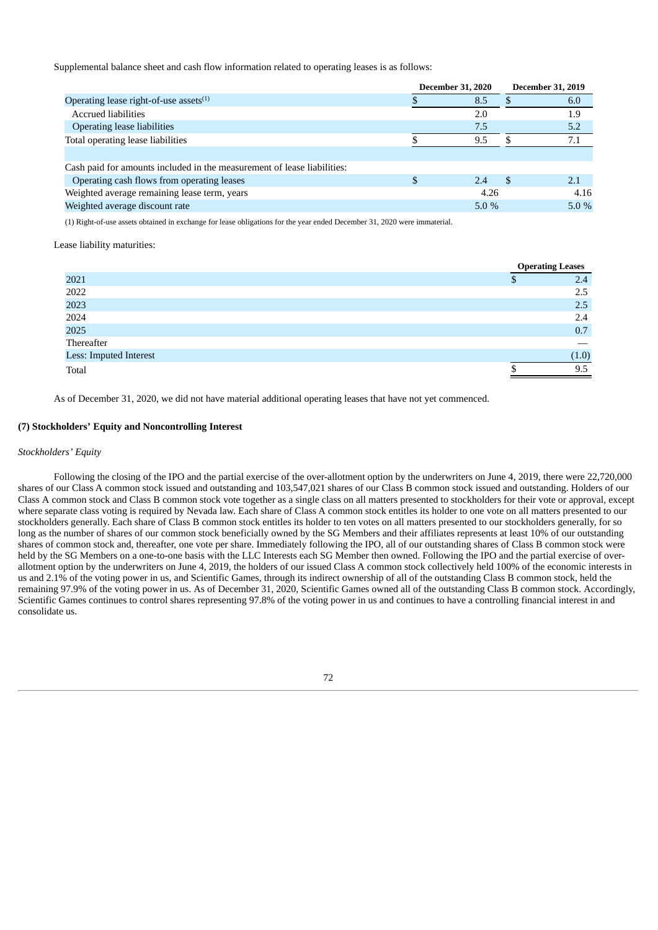Supplemental balance sheet and cash flow information related to operating leases is as follows:

|                                                                         | <b>December 31, 2020</b> |               | <b>December 31, 2019</b> |
|-------------------------------------------------------------------------|--------------------------|---------------|--------------------------|
| Operating lease right-of-use assets $(1)$                               | 8.5                      |               | 6.0                      |
| Accrued liabilities                                                     | 2.0                      |               | 1.9                      |
| Operating lease liabilities                                             | 7.5                      |               | 5.2                      |
| Total operating lease liabilities                                       | 9.5                      |               | 7.1                      |
|                                                                         |                          |               |                          |
| Cash paid for amounts included in the measurement of lease liabilities: |                          |               |                          |
| Operating cash flows from operating leases                              | 2.4                      | <sup>\$</sup> | 2.1                      |
| Weighted average remaining lease term, years                            | 4.26                     |               | 4.16                     |
| Weighted average discount rate                                          | $5.0\%$                  |               | 5.0%                     |
|                                                                         |                          |               |                          |

(1) Right-of-use assets obtained in exchange for lease obligations for the year ended December 31, 2020 were immaterial.

Lease liability maturities:

|                        | <b>Operating Leases</b> |       |
|------------------------|-------------------------|-------|
| 2021                   | Φ                       | 2.4   |
| 2022                   |                         | 2.5   |
| 2023                   |                         | 2.5   |
| 2024                   |                         | 2.4   |
| 2025                   |                         | 0.7   |
| Thereafter             |                         |       |
| Less: Imputed Interest |                         | (1.0) |
| Total                  |                         | 9.5   |

As of December 31, 2020, we did not have material additional operating leases that have not yet commenced.

#### **(7) Stockholders' Equity and Noncontrolling Interest**

## *Stockholders' Equity*

Following the closing of the IPO and the partial exercise of the over-allotment option by the underwriters on June 4, 2019, there were 22,720,000 shares of our Class A common stock issued and outstanding and 103,547,021 shares of our Class B common stock issued and outstanding. Holders of our Class A common stock and Class B common stock vote together as a single class on all matters presented to stockholders for their vote or approval, except where separate class voting is required by Nevada law. Each share of Class A common stock entitles its holder to one vote on all matters presented to our stockholders generally. Each share of Class B common stock entitles its holder to ten votes on all matters presented to our stockholders generally, for so long as the number of shares of our common stock beneficially owned by the SG Members and their affiliates represents at least 10% of our outstanding shares of common stock and, thereafter, one vote per share. Immediately following the IPO, all of our outstanding shares of Class B common stock were held by the SG Members on a one-to-one basis with the LLC Interests each SG Member then owned. Following the IPO and the partial exercise of overallotment option by the underwriters on June 4, 2019, the holders of our issued Class A common stock collectively held 100% of the economic interests in us and 2.1% of the voting power in us, and Scientific Games, through its indirect ownership of all of the outstanding Class B common stock, held the remaining 97.9% of the voting power in us. As of December 31, 2020, Scientific Games owned all of the outstanding Class B common stock. Accordingly, Scientific Games continues to control shares representing 97.8% of the voting power in us and continues to have a controlling financial interest in and consolidate us.

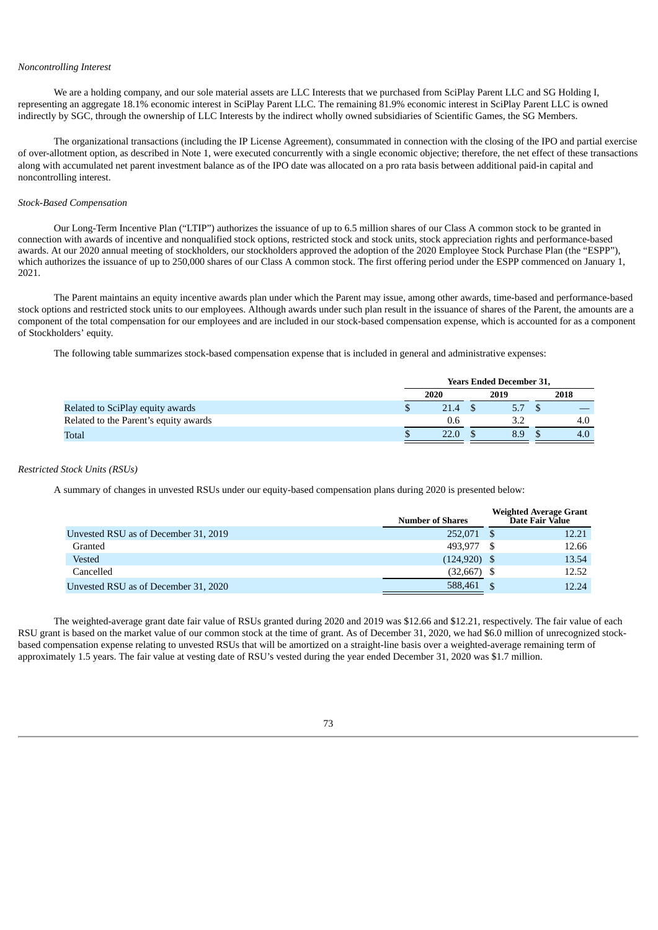#### *Noncontrolling Interest*

We are a holding company, and our sole material assets are LLC Interests that we purchased from SciPlay Parent LLC and SG Holding I, representing an aggregate 18.1% economic interest in SciPlay Parent LLC. The remaining 81.9% economic interest in SciPlay Parent LLC is owned indirectly by SGC, through the ownership of LLC Interests by the indirect wholly owned subsidiaries of Scientific Games, the SG Members.

The organizational transactions (including the IP License Agreement), consummated in connection with the closing of the IPO and partial exercise of over-allotment option, as described in Note 1, were executed concurrently with a single economic objective; therefore, the net effect of these transactions along with accumulated net parent investment balance as of the IPO date was allocated on a pro rata basis between additional paid-in capital and noncontrolling interest.

#### *Stock-Based Compensation*

Our Long-Term Incentive Plan ("LTIP") authorizes the issuance of up to 6.5 million shares of our Class A common stock to be granted in connection with awards of incentive and nonqualified stock options, restricted stock and stock units, stock appreciation rights and performance-based awards. At our 2020 annual meeting of stockholders, our stockholders approved the adoption of the 2020 Employee Stock Purchase Plan (the "ESPP"), which authorizes the issuance of up to 250,000 shares of our Class A common stock. The first offering period under the ESPP commenced on January 1, 2021.

The Parent maintains an equity incentive awards plan under which the Parent may issue, among other awards, time-based and performance-based stock options and restricted stock units to our employees. Although awards under such plan result in the issuance of shares of the Parent, the amounts are a component of the total compensation for our employees and are included in our stock‑based compensation expense, which is accounted for as a component of Stockholders' equity.

The following table summarizes stock-based compensation expense that is included in general and administrative expenses:

|                                       | <b>Years Ended December 31,</b> |  |      |  |      |
|---------------------------------------|---------------------------------|--|------|--|------|
|                                       | 2020                            |  | 2019 |  | 2018 |
| Related to SciPlay equity awards      | 21.4                            |  |      |  |      |
| Related to the Parent's equity awards | 0.6                             |  |      |  | 4.0  |
| <b>Total</b>                          | 22.0                            |  | 8.9  |  | 4.0  |

#### *Restricted Stock Units (RSUs)*

A summary of changes in unvested RSUs under our equity-based compensation plans during 2020 is presented below:

|                                      | <b>Number of Shares</b> | <b>Weighted Average Grant</b><br><b>Date Fair Value</b> |
|--------------------------------------|-------------------------|---------------------------------------------------------|
| Unvested RSU as of December 31, 2019 | 252,071 \$              | 12.21                                                   |
| Granted                              | 493.977                 | 12.66                                                   |
| Vested                               | $(124, 920)$ \$         | 13.54                                                   |
| Cancelled                            | $(32,667)$ \$           | 12.52                                                   |
| Unvested RSU as of December 31, 2020 | 588,461                 | 12.24                                                   |

The weighted-average grant date fair value of RSUs granted during 2020 and 2019 was \$12.66 and \$12.21, respectively. The fair value of each RSU grant is based on the market value of our common stock at the time of grant. As of December 31, 2020, we had \$6.0 million of unrecognized stockbased compensation expense relating to unvested RSUs that will be amortized on a straight-line basis over a weighted-average remaining term of approximately 1.5 years. The fair value at vesting date of RSU's vested during the year ended December 31, 2020 was \$1.7 million.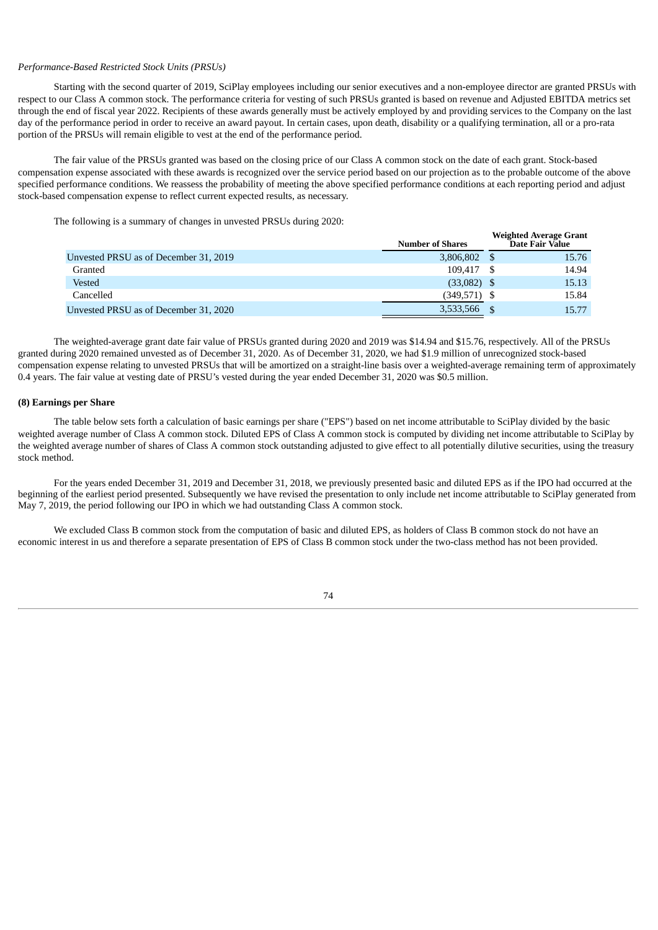#### *Performance-Based Restricted Stock Units (PRSUs)*

Starting with the second quarter of 2019, SciPlay employees including our senior executives and a non-employee director are granted PRSUs with respect to our Class A common stock. The performance criteria for vesting of such PRSUs granted is based on revenue and Adjusted EBITDA metrics set through the end of fiscal year 2022. Recipients of these awards generally must be actively employed by and providing services to the Company on the last day of the performance period in order to receive an award payout. In certain cases, upon death, disability or a qualifying termination, all or a pro-rata portion of the PRSUs will remain eligible to vest at the end of the performance period.

The fair value of the PRSUs granted was based on the closing price of our Class A common stock on the date of each grant. Stock-based compensation expense associated with these awards is recognized over the service period based on our projection as to the probable outcome of the above specified performance conditions. We reassess the probability of meeting the above specified performance conditions at each reporting period and adjust stock-based compensation expense to reflect current expected results, as necessary.

The following is a summary of changes in unvested PRSUs during 2020:

|                                       | <b>Number of Shares</b> | Weighted Average Grant<br>Date Fair Value |
|---------------------------------------|-------------------------|-------------------------------------------|
| Unvested PRSU as of December 31, 2019 | 3,806,802               | 15.76                                     |
| Granted                               | 109.417                 | 14.94                                     |
| Vested                                | $(33,082)$ \$           | 15.13                                     |
| Cancelled                             | $(349,571)$ \$          | 15.84                                     |
| Unvested PRSU as of December 31, 2020 | 3,533,566               | 15.77                                     |

The weighted-average grant date fair value of PRSUs granted during 2020 and 2019 was \$14.94 and \$15.76, respectively. All of the PRSUs granted during 2020 remained unvested as of December 31, 2020. As of December 31, 2020, we had \$1.9 million of unrecognized stock-based compensation expense relating to unvested PRSUs that will be amortized on a straight-line basis over a weighted-average remaining term of approximately 0.4 years. The fair value at vesting date of PRSU's vested during the year ended December 31, 2020 was \$0.5 million.

#### **(8) Earnings per Share**

The table below sets forth a calculation of basic earnings per share ("EPS") based on net income attributable to SciPlay divided by the basic weighted average number of Class A common stock. Diluted EPS of Class A common stock is computed by dividing net income attributable to SciPlay by the weighted average number of shares of Class A common stock outstanding adjusted to give effect to all potentially dilutive securities, using the treasury stock method.

For the years ended December 31, 2019 and December 31, 2018, we previously presented basic and diluted EPS as if the IPO had occurred at the beginning of the earliest period presented. Subsequently we have revised the presentation to only include net income attributable to SciPlay generated from May 7, 2019, the period following our IPO in which we had outstanding Class A common stock.

We excluded Class B common stock from the computation of basic and diluted EPS, as holders of Class B common stock do not have an economic interest in us and therefore a separate presentation of EPS of Class B common stock under the two-class method has not been provided.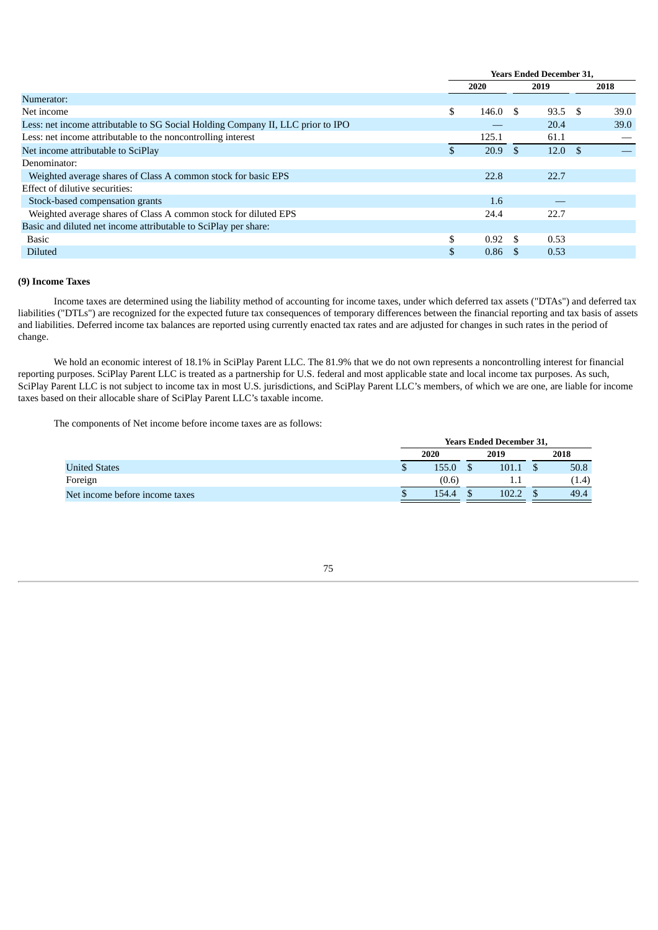|                                                                                 | <b>Years Ended December 31.</b> |         |      |                |  |      |
|---------------------------------------------------------------------------------|---------------------------------|---------|------|----------------|--|------|
|                                                                                 |                                 | 2020    |      | 2019           |  | 2018 |
| Numerator:                                                                      |                                 |         |      |                |  |      |
| Net income                                                                      | \$                              | 146.0 S |      | 93.5 \$        |  | 39.0 |
| Less: net income attributable to SG Social Holding Company II, LLC prior to IPO |                                 |         |      | 20.4           |  | 39.0 |
| Less: net income attributable to the noncontrolling interest                    |                                 | 125.1   |      | 61.1           |  |      |
| Net income attributable to SciPlay                                              | \$                              | 20.9    | -S   | $12.0 \quad $$ |  |      |
| Denominator:                                                                    |                                 |         |      |                |  |      |
| Weighted average shares of Class A common stock for basic EPS                   |                                 | 22.8    |      | 22.7           |  |      |
| Effect of dilutive securities:                                                  |                                 |         |      |                |  |      |
| Stock-based compensation grants                                                 |                                 | 1.6     |      |                |  |      |
| Weighted average shares of Class A common stock for diluted EPS                 |                                 | 24.4    |      | 22.7           |  |      |
| Basic and diluted net income attributable to SciPlay per share:                 |                                 |         |      |                |  |      |
| <b>Basic</b>                                                                    | \$                              | 0.92    | - \$ | 0.53           |  |      |
| <b>Diluted</b>                                                                  | \$                              | 0.86    |      | 0.53           |  |      |

#### **(9) Income Taxes**

Income taxes are determined using the liability method of accounting for income taxes, under which deferred tax assets ("DTAs") and deferred tax liabilities ("DTLs") are recognized for the expected future tax consequences of temporary differences between the financial reporting and tax basis of assets and liabilities. Deferred income tax balances are reported using currently enacted tax rates and are adjusted for changes in such rates in the period of change.

We hold an economic interest of 18.1% in SciPlay Parent LLC. The 81.9% that we do not own represents a noncontrolling interest for financial reporting purposes. SciPlay Parent LLC is treated as a partnership for U.S. federal and most applicable state and local income tax purposes. As such, SciPlay Parent LLC is not subject to income tax in most U.S. jurisdictions, and SciPlay Parent LLC's members, of which we are one, are liable for income taxes based on their allocable share of SciPlay Parent LLC's taxable income.

The components of Net income before income taxes are as follows:

|                                | <b>Years Ended December 31,</b> |  |            |  |       |
|--------------------------------|---------------------------------|--|------------|--|-------|
|                                | 2020                            |  | 2019       |  | 2018  |
| <b>United States</b>           | \$<br>155.0                     |  | 101.1      |  | 50.8  |
| Foreign                        | (0.6)                           |  | <b>1.I</b> |  | (1.4) |
| Net income before income taxes | 154.4                           |  | 102.2      |  | 49.4  |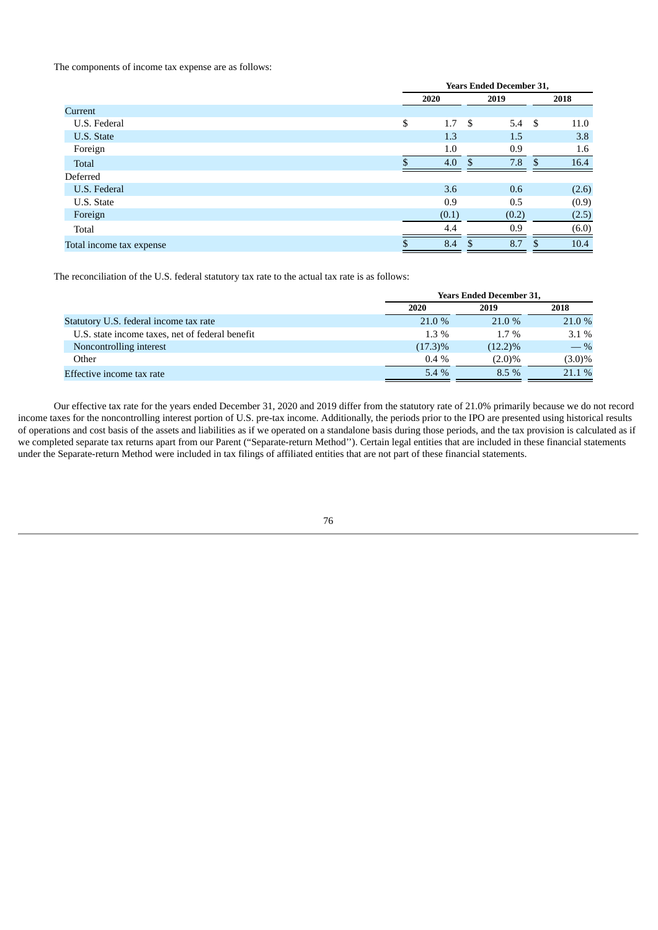The components of income tax expense are as follows:

| <b>Years Ended December 31,</b> |                |                       |  |
|---------------------------------|----------------|-----------------------|--|
| 2020                            | 2019           | 2018                  |  |
|                                 |                |                       |  |
| 1.7                             | -\$<br>5.4     | - \$<br>11.0          |  |
| 1.3                             | 1.5            | 3.8                   |  |
| 1.0                             | 0.9            | 1.6                   |  |
| 4.0                             | 7.8<br>-S      | 16.4<br>- \$          |  |
|                                 |                |                       |  |
| 3.6                             | 0.6            | (2.6)                 |  |
| 0.9                             | 0.5            | (0.9)                 |  |
| (0.1)                           | (0.2)          | (2.5)                 |  |
| 4.4                             | 0.9            | (6.0)                 |  |
| 8.4                             | 8.7<br>S       | 10.4<br><sup>\$</sup> |  |
|                                 | \$<br>\$<br>\$ |                       |  |

The reconciliation of the U.S. federal statutory tax rate to the actual tax rate is as follows:

|                                                 |            | <b>Years Ended December 31,</b> |           |
|-------------------------------------------------|------------|---------------------------------|-----------|
|                                                 | 2020       | 2019                            | 2018      |
| Statutory U.S. federal income tax rate          | 21.0 %     | 21.0 %                          | 21.0 %    |
| U.S. state income taxes, net of federal benefit | $1.3\%$    | $1.7\%$                         | $3.1\%$   |
| Noncontrolling interest                         | $(17.3)\%$ | $(12.2)\%$                      | $-$ %     |
| Other                                           | $0.4\%$    | (2.0)%                          | $(3.0)\%$ |
| Effective income tax rate                       | $5.4\%$    | 8.5%                            | 21.1 %    |

Our effective tax rate for the years ended December 31, 2020 and 2019 differ from the statutory rate of 21.0% primarily because we do not record income taxes for the noncontrolling interest portion of U.S. pre-tax income. Additionally, the periods prior to the IPO are presented using historical results of operations and cost basis of the assets and liabilities as if we operated on a standalone basis during those periods, and the tax provision is calculated as if we completed separate tax returns apart from our Parent ("Separate-return Method"). Certain legal entities that are included in these financial statements under the Separate-return Method were included in tax filings of affiliated entities that are not part of these financial statements.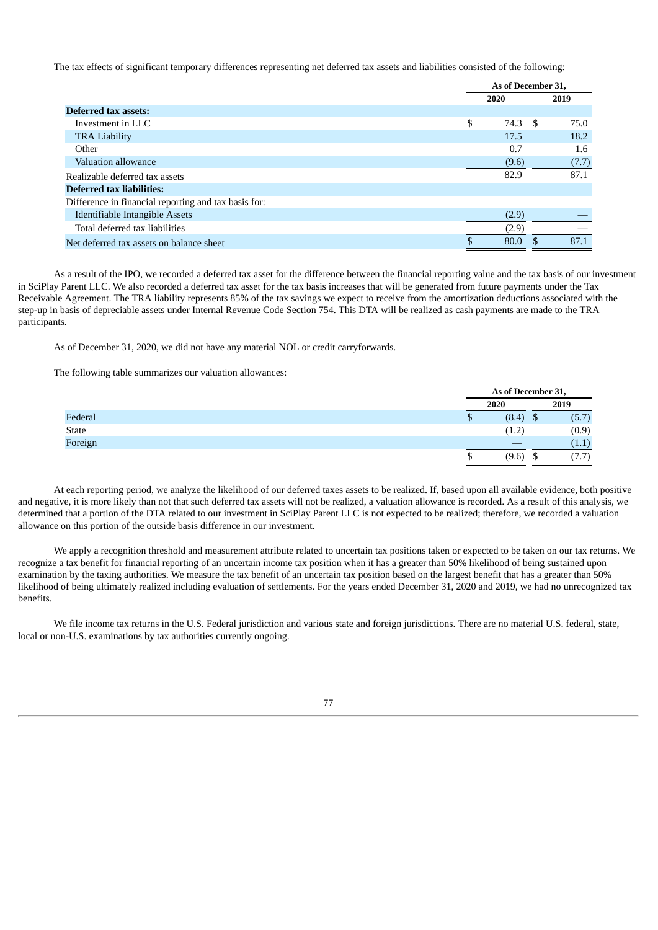The tax effects of significant temporary differences representing net deferred tax assets and liabilities consisted of the following:

|                                                      | As of December 31, |  |       |
|------------------------------------------------------|--------------------|--|-------|
|                                                      | 2020               |  | 2019  |
| <b>Deferred tax assets:</b>                          |                    |  |       |
| Investment in LLC                                    | \$<br>74.3 \$      |  | 75.0  |
| <b>TRA Liability</b>                                 | 17.5               |  | 18.2  |
| Other                                                | 0.7                |  | 1.6   |
| Valuation allowance                                  | (9.6)              |  | (7.7) |
| Realizable deferred tax assets                       | 82.9               |  | 87.1  |
| <b>Deferred tax liabilities:</b>                     |                    |  |       |
| Difference in financial reporting and tax basis for: |                    |  |       |
| Identifiable Intangible Assets                       | (2.9)              |  |       |
| Total deferred tax liabilities                       | (2.9)              |  |       |
| Net deferred tax assets on balance sheet             | 80.0               |  | 87.1  |

As a result of the IPO, we recorded a deferred tax asset for the difference between the financial reporting value and the tax basis of our investment in SciPlay Parent LLC. We also recorded a deferred tax asset for the tax basis increases that will be generated from future payments under the Tax Receivable Agreement. The TRA liability represents 85% of the tax savings we expect to receive from the amortization deductions associated with the step-up in basis of depreciable assets under Internal Revenue Code Section 754. This DTA will be realized as cash payments are made to the TRA participants.

As of December 31, 2020, we did not have any material NOL or credit carryforwards.

The following table summarizes our valuation allowances:

| 2020<br>Federal<br>(8.4)<br>D | As of December 31,    |
|-------------------------------|-----------------------|
|                               | 2019                  |
|                               | (5.7)                 |
| <b>State</b><br>(1.2)         | (0.9)                 |
| Foreign                       | (1.1)                 |
| (9.6)                         | $\prime \cdot \prime$ |

At each reporting period, we analyze the likelihood of our deferred taxes assets to be realized. If, based upon all available evidence, both positive and negative, it is more likely than not that such deferred tax assets will not be realized, a valuation allowance is recorded. As a result of this analysis, we determined that a portion of the DTA related to our investment in SciPlay Parent LLC is not expected to be realized; therefore, we recorded a valuation allowance on this portion of the outside basis difference in our investment.

We apply a recognition threshold and measurement attribute related to uncertain tax positions taken or expected to be taken on our tax returns. We recognize a tax benefit for financial reporting of an uncertain income tax position when it has a greater than 50% likelihood of being sustained upon examination by the taxing authorities. We measure the tax benefit of an uncertain tax position based on the largest benefit that has a greater than 50% likelihood of being ultimately realized including evaluation of settlements. For the years ended December 31, 2020 and 2019, we had no unrecognized tax benefits.

We file income tax returns in the U.S. Federal jurisdiction and various state and foreign jurisdictions. There are no material U.S. federal, state, local or non-U.S. examinations by tax authorities currently ongoing.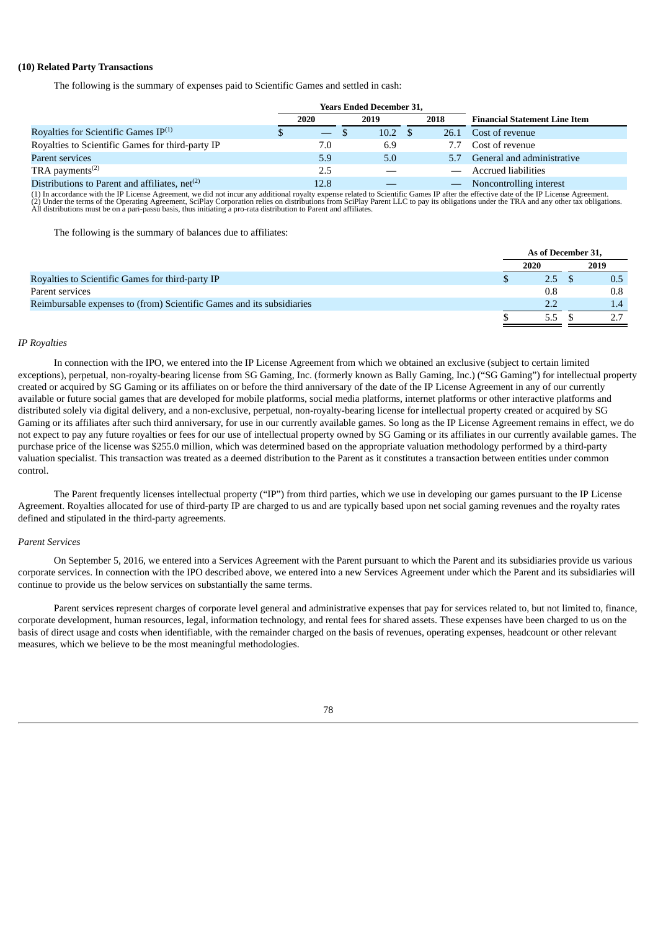#### **(10) Related Party Transactions**

The following is the summary of expenses paid to Scientific Games and settled in cash:

|                                                  | <b>Years Ended December 31,</b> |        |  |                 |  |      |                                      |
|--------------------------------------------------|---------------------------------|--------|--|-----------------|--|------|--------------------------------------|
|                                                  |                                 | 2020   |  | 2019            |  | 2018 | <b>Financial Statement Line Item</b> |
| Royalties for Scientific Games $IP(1)$           |                                 | $-$ \$ |  | $10.2 \quad$ \$ |  | 26.1 | Cost of revenue                      |
| Royalties to Scientific Games for third-party IP |                                 | 7.0    |  | 6.9             |  |      | Cost of revenue                      |
| Parent services                                  |                                 | 5.9    |  | 5.0             |  | 57   | General and administrative           |
| TRA payments <sup><math>(2)</math></sup>         |                                 | 2.5    |  |                 |  |      | - Accrued liabilities                |
| Distributions to Parent and affiliates, $net(2)$ |                                 | 12.8   |  |                 |  |      | — Noncontrolling interest            |

(1) In accordance with the IP License Agreement, we did not incur any additional royalty expense related to Scientific Games IP after the effective date of the IP License Agreement.<br>(2) Under the terms of the Operating Agr  $\lambda$ l Under the terms of the Operating Agreement, SCIPIAY COrporation reflex on usufful distributions must be on a pari-passu basis, thus initiating a pro-rata distribution to Parent and affiliates.

The following is the summary of balances due to affiliates:

|                                                                       | As of December 31, |      |  |
|-----------------------------------------------------------------------|--------------------|------|--|
|                                                                       | 2020               | 2019 |  |
| Royalties to Scientific Games for third-party IP                      | $2.5 \quad$ \$     | 0.5  |  |
| Parent services                                                       | 0.8                | 0.8  |  |
| Reimbursable expenses to (from) Scientific Games and its subsidiaries |                    | 1.4  |  |
|                                                                       |                    |      |  |

#### *IP Royalties*

In connection with the IPO, we entered into the IP License Agreement from which we obtained an exclusive (subject to certain limited exceptions), perpetual, non-royalty-bearing license from SG Gaming, Inc. (formerly known as Bally Gaming, Inc.) ("SG Gaming") for intellectual property created or acquired by SG Gaming or its affiliates on or before the third anniversary of the date of the IP License Agreement in any of our currently available or future social games that are developed for mobile platforms, social media platforms, internet platforms or other interactive platforms and distributed solely via digital delivery, and a non-exclusive, perpetual, non-royalty-bearing license for intellectual property created or acquired by SG Gaming or its affiliates after such third anniversary, for use in our currently available games. So long as the IP License Agreement remains in effect, we do not expect to pay any future royalties or fees for our use of intellectual property owned by SG Gaming or its affiliates in our currently available games. The purchase price of the license was \$255.0 million, which was determined based on the appropriate valuation methodology performed by a third-party valuation specialist. This transaction was treated as a deemed distribution to the Parent as it constitutes a transaction between entities under common control.

The Parent frequently licenses intellectual property ("IP") from third parties, which we use in developing our games pursuant to the IP License Agreement. Royalties allocated for use of third-party IP are charged to us and are typically based upon net social gaming revenues and the royalty rates defined and stipulated in the third-party agreements.

#### *Parent Services*

On September 5, 2016, we entered into a Services Agreement with the Parent pursuant to which the Parent and its subsidiaries provide us various corporate services. In connection with the IPO described above, we entered into a new Services Agreement under which the Parent and its subsidiaries will continue to provide us the below services on substantially the same terms.

Parent services represent charges of corporate level general and administrative expenses that pay for services related to, but not limited to, finance, corporate development, human resources, legal, information technology, and rental fees for shared assets. These expenses have been charged to us on the basis of direct usage and costs when identifiable, with the remainder charged on the basis of revenues, operating expenses, headcount or other relevant measures, which we believe to be the most meaningful methodologies.

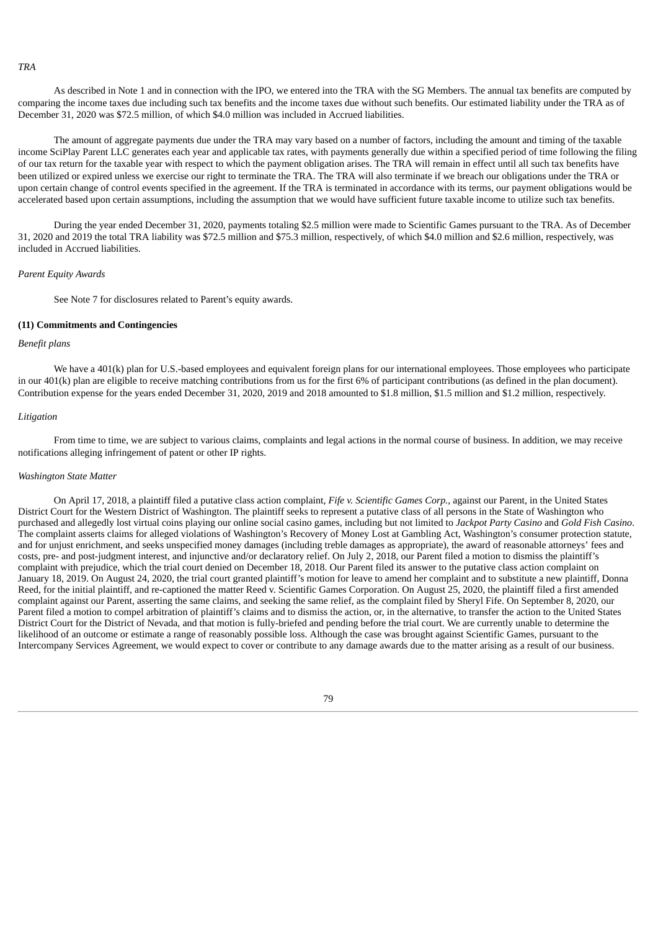*TRA*

As described in Note 1 and in connection with the IPO, we entered into the TRA with the SG Members. The annual tax benefits are computed by comparing the income taxes due including such tax benefits and the income taxes due without such benefits. Our estimated liability under the TRA as of December 31, 2020 was \$72.5 million, of which \$4.0 million was included in Accrued liabilities.

The amount of aggregate payments due under the TRA may vary based on a number of factors, including the amount and timing of the taxable income SciPlay Parent LLC generates each year and applicable tax rates, with payments generally due within a specified period of time following the filing of our tax return for the taxable year with respect to which the payment obligation arises. The TRA will remain in effect until all such tax benefits have been utilized or expired unless we exercise our right to terminate the TRA. The TRA will also terminate if we breach our obligations under the TRA or upon certain change of control events specified in the agreement. If the TRA is terminated in accordance with its terms, our payment obligations would be accelerated based upon certain assumptions, including the assumption that we would have sufficient future taxable income to utilize such tax benefits.

During the year ended December 31, 2020, payments totaling \$2.5 million were made to Scientific Games pursuant to the TRA. As of December 31, 2020 and 2019 the total TRA liability was \$72.5 million and \$75.3 million, respectively, of which \$4.0 million and \$2.6 million, respectively, was included in Accrued liabilities.

#### *Parent Equity Awards*

See Note 7 for disclosures related to Parent's equity awards.

#### **(11) Commitments and Contingencies**

### *Benefit plans*

We have a 401(k) plan for U.S.-based employees and equivalent foreign plans for our international employees. Those employees who participate in our 401(k) plan are eligible to receive matching contributions from us for the first 6% of participant contributions (as defined in the plan document). Contribution expense for the years ended December 31, 2020, 2019 and 2018 amounted to \$1.8 million, \$1.5 million and \$1.2 million, respectively.

#### *Litigation*

From time to time, we are subject to various claims, complaints and legal actions in the normal course of business. In addition, we may receive notifications alleging infringement of patent or other IP rights.

#### *Washington State Matter*

On April 17, 2018, a plaintiff filed a putative class action complaint, *Fife v. Scientific Games Corp.*, against our Parent, in the United States District Court for the Western District of Washington. The plaintiff seeks to represent a putative class of all persons in the State of Washington who purchased and allegedly lost virtual coins playing our online social casino games, including but not limited to *Jackpot Party Casino* and *Gold Fish Casino*. The complaint asserts claims for alleged violations of Washington's Recovery of Money Lost at Gambling Act, Washington's consumer protection statute, and for unjust enrichment, and seeks unspecified money damages (including treble damages as appropriate), the award of reasonable attorneys' fees and costs, pre‑ and post‑judgment interest, and injunctive and/or declaratory relief. On July 2, 2018, our Parent filed a motion to dismiss the plaintiff's complaint with prejudice, which the trial court denied on December 18, 2018. Our Parent filed its answer to the putative class action complaint on January 18, 2019. On August 24, 2020, the trial court granted plaintiff's motion for leave to amend her complaint and to substitute a new plaintiff, Donna Reed, for the initial plaintiff, and re-captioned the matter Reed v. Scientific Games Corporation. On August 25, 2020, the plaintiff filed a first amended complaint against our Parent, asserting the same claims, and seeking the same relief, as the complaint filed by Sheryl Fife. On September 8, 2020, our Parent filed a motion to compel arbitration of plaintiff's claims and to dismiss the action, or, in the alternative, to transfer the action to the United States District Court for the District of Nevada, and that motion is fully-briefed and pending before the trial court. We are currently unable to determine the likelihood of an outcome or estimate a range of reasonably possible loss. Although the case was brought against Scientific Games, pursuant to the Intercompany Services Agreement, we would expect to cover or contribute to any damage awards due to the matter arising as a result of our business.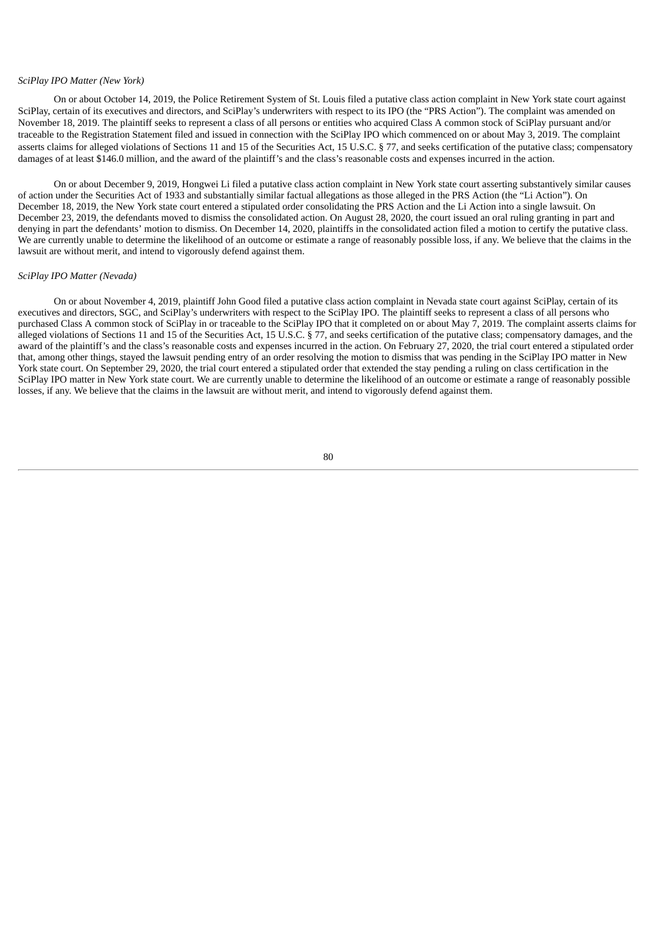#### *SciPlay IPO Matter (New York)*

On or about October 14, 2019, the Police Retirement System of St. Louis filed a putative class action complaint in New York state court against SciPlay, certain of its executives and directors, and SciPlay's underwriters with respect to its IPO (the "PRS Action"). The complaint was amended on November 18, 2019. The plaintiff seeks to represent a class of all persons or entities who acquired Class A common stock of SciPlay pursuant and/or traceable to the Registration Statement filed and issued in connection with the SciPlay IPO which commenced on or about May 3, 2019. The complaint asserts claims for alleged violations of Sections 11 and 15 of the Securities Act, 15 U.S.C. § 77, and seeks certification of the putative class; compensatory damages of at least \$146.0 million, and the award of the plaintiff's and the class's reasonable costs and expenses incurred in the action.

On or about December 9, 2019, Hongwei Li filed a putative class action complaint in New York state court asserting substantively similar causes of action under the Securities Act of 1933 and substantially similar factual allegations as those alleged in the PRS Action (the "Li Action"). On December 18, 2019, the New York state court entered a stipulated order consolidating the PRS Action and the Li Action into a single lawsuit. On December 23, 2019, the defendants moved to dismiss the consolidated action. On August 28, 2020, the court issued an oral ruling granting in part and denying in part the defendants' motion to dismiss. On December 14, 2020, plaintiffs in the consolidated action filed a motion to certify the putative class. We are currently unable to determine the likelihood of an outcome or estimate a range of reasonably possible loss, if any. We believe that the claims in the lawsuit are without merit, and intend to vigorously defend against them.

#### *SciPlay IPO Matter (Nevada)*

On or about November 4, 2019, plaintiff John Good filed a putative class action complaint in Nevada state court against SciPlay, certain of its executives and directors, SGC, and SciPlay's underwriters with respect to the SciPlay IPO. The plaintiff seeks to represent a class of all persons who purchased Class A common stock of SciPlay in or traceable to the SciPlay IPO that it completed on or about May 7, 2019. The complaint asserts claims for alleged violations of Sections 11 and 15 of the Securities Act, 15 U.S.C. § 77, and seeks certification of the putative class; compensatory damages, and the award of the plaintiff's and the class's reasonable costs and expenses incurred in the action. On February 27, 2020, the trial court entered a stipulated order that, among other things, stayed the lawsuit pending entry of an order resolving the motion to dismiss that was pending in the SciPlay IPO matter in New York state court. On September 29, 2020, the trial court entered a stipulated order that extended the stay pending a ruling on class certification in the SciPlay IPO matter in New York state court. We are currently unable to determine the likelihood of an outcome or estimate a range of reasonably possible losses, if any. We believe that the claims in the lawsuit are without merit, and intend to vigorously defend against them.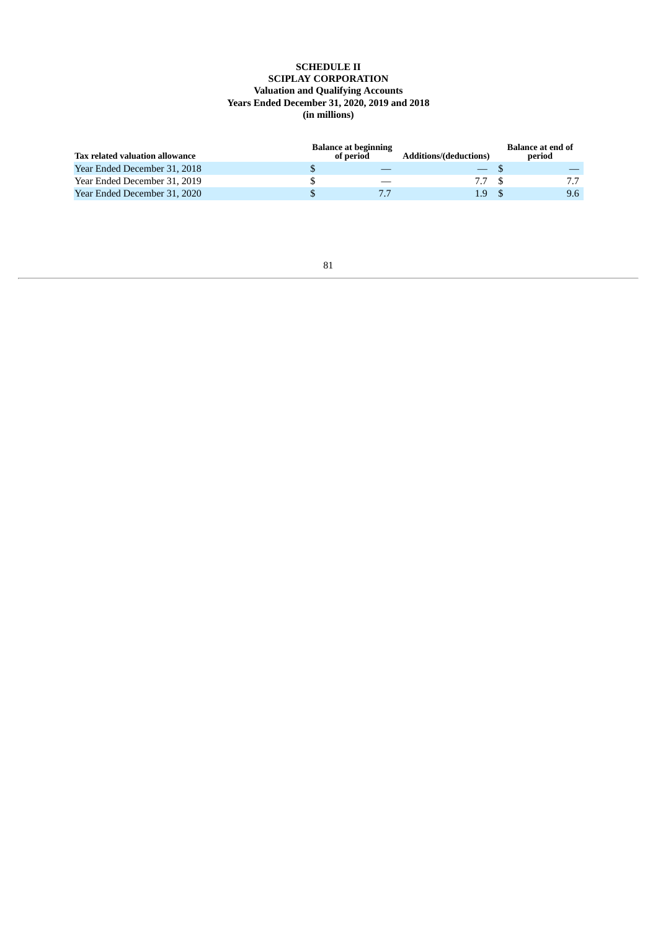## **SCHEDULE II SCIPLAY CORPORATION Valuation and Qualifying Accounts Years Ended December 31, 2020, 2019 and 2018 (in millions)**

| Tax related valuation allowance | <b>Balance at beginning</b><br>of period |                   | <b>Additions/(deductions)</b> | <b>Balance at end of</b><br>period |
|---------------------------------|------------------------------------------|-------------------|-------------------------------|------------------------------------|
| Year Ended December 31, 2018    |                                          |                   |                               |                                    |
| Year Ended December 31, 2019    |                                          | $\hspace{0.05cm}$ | 7.7                           | 77                                 |
| Year Ended December 31, 2020    |                                          | 77                | 1.9                           | $9.6^{\circ}$                      |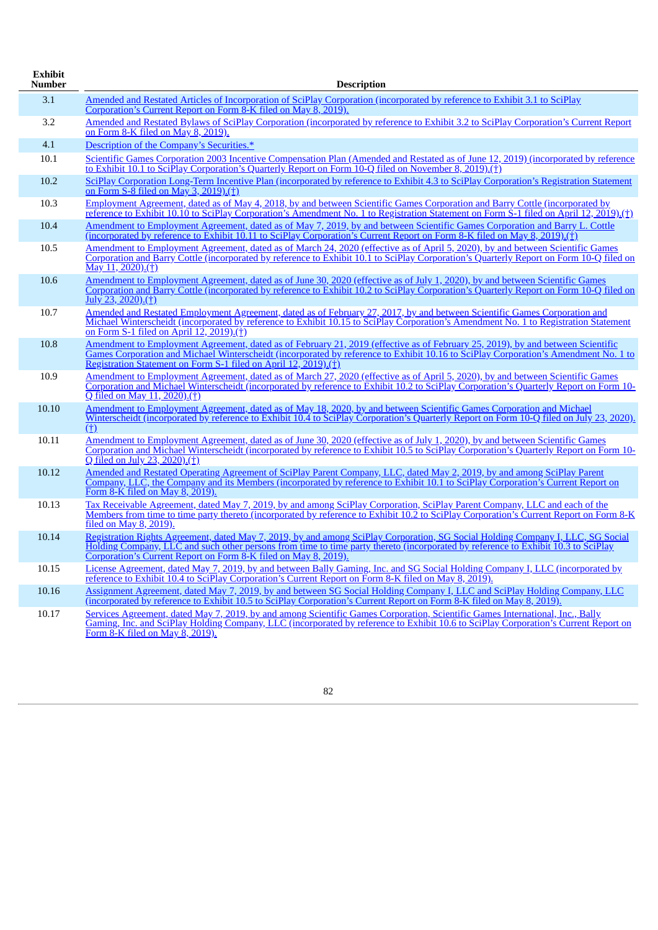| <b>Exhibit</b><br><b>Number</b> | <b>Description</b>                                                                                                                                                                                                                                                                                                                        |  |  |
|---------------------------------|-------------------------------------------------------------------------------------------------------------------------------------------------------------------------------------------------------------------------------------------------------------------------------------------------------------------------------------------|--|--|
| 3.1                             | Amended and Restated Articles of Incorporation of SciPlay Corporation (incorporated by reference to Exhibit 3.1 to SciPlay<br>Corporation's Current Report on Form 8-K filed on May 8, 2019).                                                                                                                                             |  |  |
| 3.2                             | Amended and Restated Bylaws of SciPlay Corporation (incorporated by reference to Exhibit 3.2 to SciPlay Corporation's Current Report<br>on Form 8-K filed on May 8, 2019).                                                                                                                                                                |  |  |
| 4.1                             | Description of the Company's Securities.*                                                                                                                                                                                                                                                                                                 |  |  |
| 10.1                            | Scientific Games Corporation 2003 Incentive Compensation Plan (Amended and Restated as of June 12, 2019) (incorporated by reference<br>to Exhibit 10.1 to SciPlay Corporation's Quarterly Report on Form 10-Q filed on November 8, 2019).(†)                                                                                              |  |  |
| 10.2                            | SciPlay Corporation Long-Term Incentive Plan (incorporated by reference to Exhibit 4.3 to SciPlay Corporation's Registration Statement<br>on Form S-8 filed on May 3, 2019).(1)                                                                                                                                                           |  |  |
| 10.3                            | Employment Agreement, dated as of May 4, 2018, by and between Scientific Games Corporation and Barry Cottle (incorporated by<br>reference to Exhibit 10.10 to SciPlay Corporation's Amendment No. 1 to Registration Statement on Form S-1 filed on April 12, 2019).(†)                                                                    |  |  |
| 10.4                            | Amendment to Employment Agreement, dated as of May 7, 2019, by and between Scientific Games Corporation and Barry L. Cottle<br>(incorporated by reference to Exhibit 10.11 to SciPlay Corporation's Current Report on Form 8-K filed on May 8, 2019).(†)                                                                                  |  |  |
| 10.5                            | Amendment to Employment Agreement, dated as of March 24, 2020 (effective as of April 5, 2020), by and between Scientific Games<br>Corporation and Barry Cottle (incorporated by reference to Exhibit 10.1 to SciPlay Corporation's Quarterly Report on Form 10-Q filed on<br>May 11, 2020).(†)                                            |  |  |
| 10.6                            | Amendment to Employment Agreement, dated as of June 30, 2020 (effective as of July 1, 2020), by and between Scientific Games<br>Corporation and Barry Cottle (incorporated by reference to Exhibit 10.2 to SciPlay Corporation's Quarterly Report on Form 10-Q filed on<br>July 23, 2020).(†)                                             |  |  |
| 10.7                            | Amended and Restated Employment Agreement, dated as of February 27, 2017, by and between Scientific Games Corporation and<br>Michael Winterscheidt (incorporated by reference to Exhibit 10.15 to SciPlay Corporation's Amendment No. 1 to Registration Statement<br>on Form S-1 filed on April 12, 2019). $(\dagger)$                    |  |  |
| 10.8                            | Amendment to Employment Agreement, dated as of February 21, 2019 (effective as of February 25, 2019), by and between Scientific<br>Games Corporation and Michael Winterscheidt (incorporated by reference to Exhibit 10.16 to SciPlay Corporation's Amendment No. 1 to<br>Registration Statement on Form S-1 filed on April 12, 2019).(†) |  |  |
| 10.9                            | Amendment to Employment Agreement, dated as of March 27, 2020 (effective as of April 5, 2020), by and between Scientific Games<br>Corporation and Michael Winterscheidt (incorporated by reference to Exhibit 10.2 to SciPlay Corporation's Quarterly Report on Form 10-<br>Q filed on May 11, 2020).(†)                                  |  |  |
| 10.10                           | Amendment to Employment Agreement, dated as of May 18, 2020, by and between Scientific Games Corporation and Michael<br>Winterscheidt (incorporated by reference to Exhibit 10.4 to SciPlay Corporation's Quarterly Report on Form 10-Q filed on July 23, 2020).<br>(f)                                                                   |  |  |
| 10.11                           | Amendment to Employment Agreement, dated as of June 30, 2020 (effective as of July 1, 2020), by and between Scientific Games<br>Corporation and Michael Winterscheidt (incorporated by reference to Exhibit 10.5 to SciPlay Corporation's Quarterly Report on Form 10-<br>Q filed on July 23, 2020).(†)                                   |  |  |
| 10.12                           | Amended and Restated Operating Agreement of SciPlay Parent Company, LLC, dated May 2, 2019, by and among SciPlay Parent<br>Company, LLC, the Company and its Members (incorporated by reference to Exhibit 10.1 to SciPlay Corporation's Current Report on<br>Form 8-K filed on May 8, 2019).                                             |  |  |
| 10.13                           | Tax Receivable Agreement, dated May 7, 2019, by and among SciPlay Corporation, SciPlay Parent Company, LLC and each of the<br>Members from time to time party thereto (incorporated by reference to Exhibit 10.2 to SciPlay Corporation's Current Report on Form 8-K<br>filed on May 8, 2019).                                            |  |  |
| 10.14                           | Registration Rights Agreement, dated May 7, 2019, by and among SciPlay Corporation, SG Social Holding Company I, LLC, SG Social<br>Holding Company, LLC and such other persons from time to time party thereto (incorporated by reference to Exhibit 10.3 to SciPlay<br>Corporation's Current Report on Form 8-K filed on May 8, 2019).   |  |  |
| 10.15                           | License Agreement, dated May 7, 2019, by and between Bally Gaming, Inc. and SG Social Holding Company I, LLC (incorporated by<br>reference to Exhibit 10.4 to SciPlay Corporation's Current Report on Form 8-K filed on May 8, 2019).                                                                                                     |  |  |
| 10.16                           | Assignment Agreement, dated May 7, 2019, by and between SG Social Holding Company I, LLC and SciPlay Holding Company, LLC<br>(incorporated by reference to Exhibit 10.5 to SciPlay Corporation's Current Report on Form 8-K filed on May 8, 2019).                                                                                        |  |  |
| 10.17                           | Services Agreement, dated May 7, 2019, by and among Scientific Games Corporation, Scientific Games International, Inc., Bally<br>Gaming, Inc. and SciPlay Holding Company, LLC (incorporated by reference to Exhibit 10.6 to SciPlay Corporation's Current Report on<br>Form 8-K filed on May 8, 2019).                                   |  |  |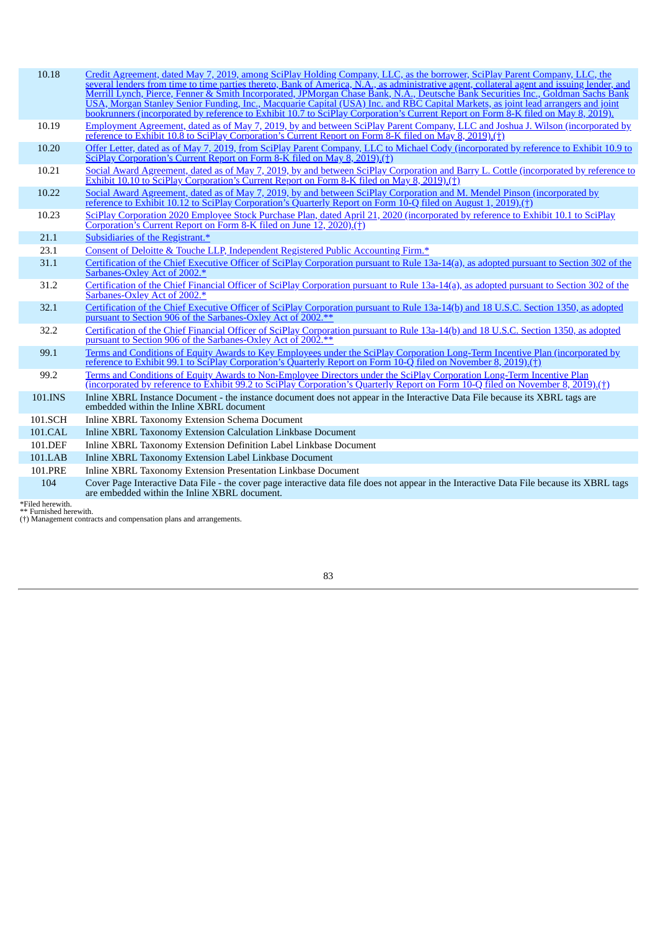| 10.18   | Credit Agreement, dated May 7, 2019, among SciPlay Holding Company, LLC, as the borrower, SciPlay Parent Company, LLC, the<br>several lenders from time to time parties thereto, Bank of America, N.A., as administrative agent, collateral agent and issuing lender, and<br>Merrill Lynch, Pierce, Fenner & Smith Incorporated, JPMorgan Chase Bank, N.A., Deutsche Bank Securities Inc., Goldman Sachs Bank<br>USA, Morgan Stanley Senior Funding, Inc., Macquarie Capital (USA) Inc. and RBC Capital Markets, as joint lead arrangers and joint<br>bookrunners (incorporated by reference to Exhibit 10.7 to SciPlay Corporation's Current Report on Form 8-K filed on May 8, 2019). |  |  |
|---------|-----------------------------------------------------------------------------------------------------------------------------------------------------------------------------------------------------------------------------------------------------------------------------------------------------------------------------------------------------------------------------------------------------------------------------------------------------------------------------------------------------------------------------------------------------------------------------------------------------------------------------------------------------------------------------------------|--|--|
| 10.19   | Employment Agreement, dated as of May 7, 2019, by and between SciPlay Parent Company, LLC and Joshua J. Wilson (incorporated by<br>reference to Exhibit 10.8 to SciPlay Corporation's Current Report on Form 8-K filed on May 8, 2019).(†)                                                                                                                                                                                                                                                                                                                                                                                                                                              |  |  |
| 10.20   | Offer Letter, dated as of May 7, 2019, from SciPlay Parent Company, LLC to Michael Cody (incorporated by reference to Exhibit 10.9 to<br>SciPlay Corporation's Current Report on Form 8-K filed on May 8, 2019).(†)                                                                                                                                                                                                                                                                                                                                                                                                                                                                     |  |  |
| 10.21   | Social Award Agreement, dated as of May 7, 2019, by and between SciPlay Corporation and Barry L. Cottle (incorporated by reference to<br>Exhibit 10.10 to SciPlay Corporation's Current Report on Form 8-K filed on May 8, 2019).(†)                                                                                                                                                                                                                                                                                                                                                                                                                                                    |  |  |
| 10.22   | Social Award Agreement, dated as of May 7, 2019, by and between SciPlay Corporation and M. Mendel Pinson (incorporated by<br>reference to Exhibit 10.12 to SciPlay Corporation's Quarterly Report on Form 10-Q filed on August 1, 2019).(†)                                                                                                                                                                                                                                                                                                                                                                                                                                             |  |  |
| 10.23   | SciPlay Corporation 2020 Employee Stock Purchase Plan, dated April 21, 2020 (incorporated by reference to Exhibit 10.1 to SciPlay<br>Corporation's Current Report on Form 8-K filed on June 12, 2020).(†)                                                                                                                                                                                                                                                                                                                                                                                                                                                                               |  |  |
| 21.1    | Subsidiaries of the Registrant.*                                                                                                                                                                                                                                                                                                                                                                                                                                                                                                                                                                                                                                                        |  |  |
| 23.1    | Consent of Deloitte & Touche LLP, Independent Registered Public Accounting Firm.*                                                                                                                                                                                                                                                                                                                                                                                                                                                                                                                                                                                                       |  |  |
| 31.1    | Certification of the Chief Executive Officer of SciPlay Corporation pursuant to Rule 13a-14(a), as adopted pursuant to Section 302 of the<br>Sarbanes-Oxley Act of 2002.*                                                                                                                                                                                                                                                                                                                                                                                                                                                                                                               |  |  |
| 31.2    | Certification of the Chief Financial Officer of SciPlay Corporation pursuant to Rule 13a-14(a), as adopted pursuant to Section 302 of the<br>Sarbanes-Oxley Act of 2002.*                                                                                                                                                                                                                                                                                                                                                                                                                                                                                                               |  |  |
| 32.1    | Certification of the Chief Executive Officer of SciPlay Corporation pursuant to Rule 13a-14(b) and 18 U.S.C. Section 1350, as adopted<br>pursuant to Section 906 of the Sarbanes-Oxley Act of 2002. <sup>**</sup>                                                                                                                                                                                                                                                                                                                                                                                                                                                                       |  |  |
| 32.2    | Certification of the Chief Financial Officer of SciPlay Corporation pursuant to Rule 13a-14(b) and 18 U.S.C. Section 1350, as adopted<br>pursuant to Section 906 of the Sarbanes-Oxley Act of 2002.**                                                                                                                                                                                                                                                                                                                                                                                                                                                                                   |  |  |
| 99.1    | Terms and Conditions of Equity Awards to Key Employees under the SciPlay Corporation Long-Term Incentive Plan (incorporated by<br>reference to Exhibit 99.1 to SciPlay Corporation's Quarterly Report on Form 10-Q filed on November 8, 2019).(†)                                                                                                                                                                                                                                                                                                                                                                                                                                       |  |  |
| 99.2    | Terms and Conditions of Equity Awards to Non-Employee Directors under the SciPlay Corporation Long-Term Incentive Plan<br>(incorporated by reference to Exhibit 99.2 to SciPlay Corporation's Quarterly Report on Form 10-Q filed on November 8, 2019).(†)                                                                                                                                                                                                                                                                                                                                                                                                                              |  |  |
| 101.INS | Inline XBRL Instance Document - the instance document does not appear in the Interactive Data File because its XBRL tags are<br>embedded within the Inline XBRL document                                                                                                                                                                                                                                                                                                                                                                                                                                                                                                                |  |  |
| 101.SCH | Inline XBRL Taxonomy Extension Schema Document                                                                                                                                                                                                                                                                                                                                                                                                                                                                                                                                                                                                                                          |  |  |
| 101.CAL | Inline XBRL Taxonomy Extension Calculation Linkbase Document                                                                                                                                                                                                                                                                                                                                                                                                                                                                                                                                                                                                                            |  |  |
| 101.DEF | Inline XBRL Taxonomy Extension Definition Label Linkbase Document                                                                                                                                                                                                                                                                                                                                                                                                                                                                                                                                                                                                                       |  |  |
| 101.LAB | Inline XBRL Taxonomy Extension Label Linkbase Document                                                                                                                                                                                                                                                                                                                                                                                                                                                                                                                                                                                                                                  |  |  |
| 101.PRE | Inline XBRL Taxonomy Extension Presentation Linkbase Document                                                                                                                                                                                                                                                                                                                                                                                                                                                                                                                                                                                                                           |  |  |
| 104     | Cover Page Interactive Data File - the cover page interactive data file does not appear in the Interactive Data File because its XBRL tags<br>are embedded within the Inline XBRL document.                                                                                                                                                                                                                                                                                                                                                                                                                                                                                             |  |  |

\*Filed herewith.<br>\*\* Furnished herewith.<br>(†) Management contracts and compensation plans and arrangements.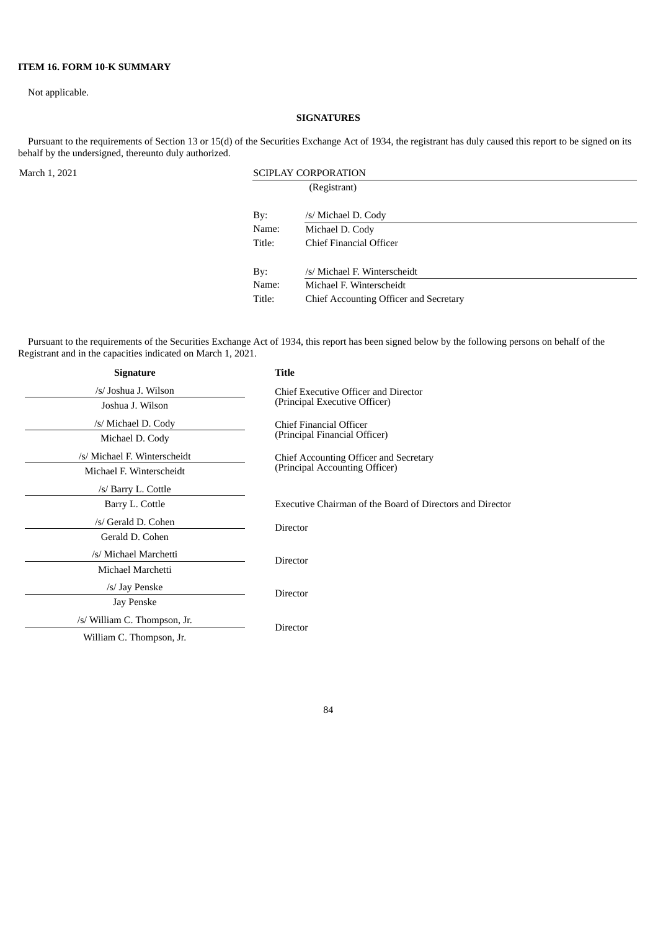## **ITEM 16. FORM 10-K SUMMARY**

Not applicable.

### **SIGNATURES**

Pursuant to the requirements of Section 13 or 15(d) of the Securities Exchange Act of 1934, the registrant has duly caused this report to be signed on its behalf by the undersigned, thereunto duly authorized.

| March 1, 2021 |        | <b>SCIPLAY CORPORATION</b>             |  |
|---------------|--------|----------------------------------------|--|
|               |        | (Registrant)                           |  |
|               | By:    | /s/ Michael D. Cody                    |  |
|               | Name:  | Michael D. Cody                        |  |
|               | Title: | Chief Financial Officer                |  |
|               | By:    | /s/ Michael F. Winterscheidt           |  |
|               | Name:  | Michael F. Winterscheidt               |  |
|               | Title: | Chief Accounting Officer and Secretary |  |

Pursuant to the requirements of the Securities Exchange Act of 1934, this report has been signed below by the following persons on behalf of the Registrant and in the capacities indicated on March 1, 2021.

| <b>Title</b>                                                             |  |
|--------------------------------------------------------------------------|--|
| Chief Executive Officer and Director                                     |  |
| (Principal Executive Officer)                                            |  |
| Chief Financial Officer                                                  |  |
| (Principal Financial Officer)                                            |  |
| Chief Accounting Officer and Secretary<br>(Principal Accounting Officer) |  |
|                                                                          |  |
| Executive Chairman of the Board of Directors and Director                |  |
| Director                                                                 |  |
|                                                                          |  |
| Director                                                                 |  |
|                                                                          |  |
| Director                                                                 |  |
|                                                                          |  |
|                                                                          |  |
|                                                                          |  |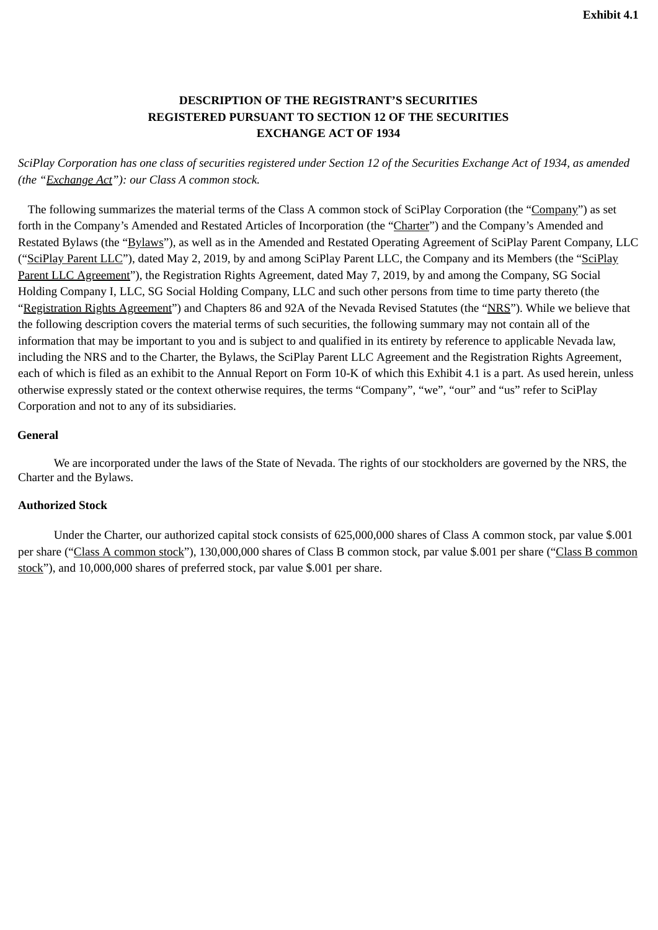# **DESCRIPTION OF THE REGISTRANT'S SECURITIES REGISTERED PURSUANT TO SECTION 12 OF THE SECURITIES EXCHANGE ACT OF 1934**

<span id="page-84-0"></span>*SciPlay Corporation has one class of securities registered under Section 12 of the Securities Exchange Act of 1934, as amended (the "Exchange Act"): our Class A common stock.*

The following summarizes the material terms of the Class A common stock of SciPlay Corporation (the "Company") as set forth in the Company's Amended and Restated Articles of Incorporation (the "Charter") and the Company's Amended and Restated Bylaws (the "Bylaws"), as well as in the Amended and Restated Operating Agreement of SciPlay Parent Company, LLC ("SciPlay Parent LLC"), dated May 2, 2019, by and among SciPlay Parent LLC, the Company and its Members (the "SciPlay Parent LLC Agreement"), the Registration Rights Agreement, dated May 7, 2019, by and among the Company, SG Social Holding Company I, LLC, SG Social Holding Company, LLC and such other persons from time to time party thereto (the "Registration Rights Agreement") and Chapters 86 and 92A of the Nevada Revised Statutes (the "NRS"). While we believe that the following description covers the material terms of such securities, the following summary may not contain all of the information that may be important to you and is subject to and qualified in its entirety by reference to applicable Nevada law, including the NRS and to the Charter, the Bylaws, the SciPlay Parent LLC Agreement and the Registration Rights Agreement, each of which is filed as an exhibit to the Annual Report on Form 10-K of which this Exhibit 4.1 is a part. As used herein, unless otherwise expressly stated or the context otherwise requires, the terms "Company", "we", "our" and "us" refer to SciPlay Corporation and not to any of its subsidiaries.

# **General**

We are incorporated under the laws of the State of Nevada. The rights of our stockholders are governed by the NRS, the Charter and the Bylaws.

# **Authorized Stock**

Under the Charter, our authorized capital stock consists of 625,000,000 shares of Class A common stock, par value \$.001 per share ("Class A common stock"), 130,000,000 shares of Class B common stock, par value \$.001 per share ("Class B common stock"), and 10,000,000 shares of preferred stock, par value \$.001 per share.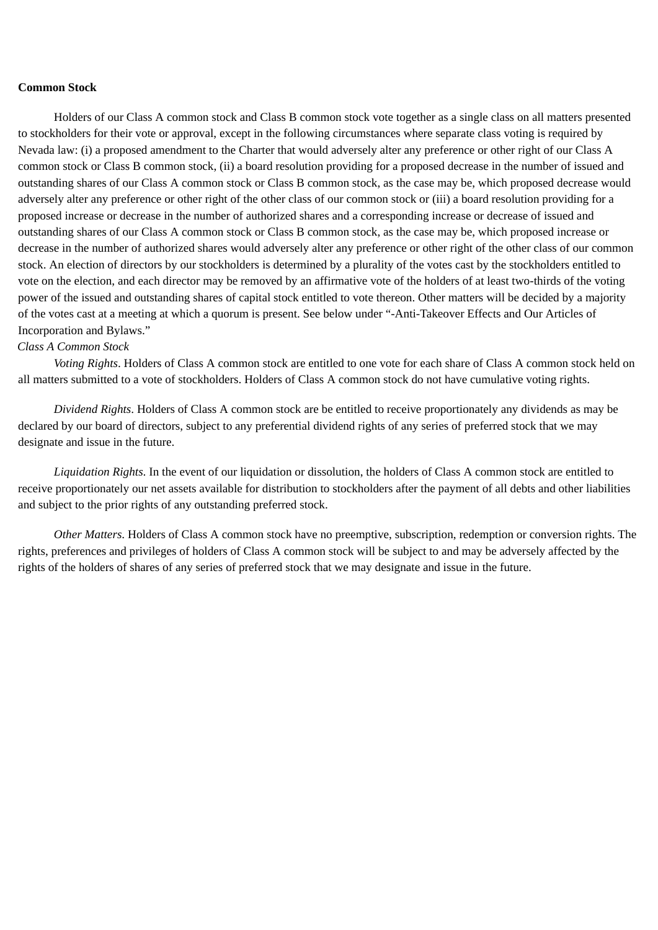## **Common Stock**

Holders of our Class A common stock and Class B common stock vote together as a single class on all matters presented to stockholders for their vote or approval, except in the following circumstances where separate class voting is required by Nevada law: (i) a proposed amendment to the Charter that would adversely alter any preference or other right of our Class A common stock or Class B common stock, (ii) a board resolution providing for a proposed decrease in the number of issued and outstanding shares of our Class A common stock or Class B common stock, as the case may be, which proposed decrease would adversely alter any preference or other right of the other class of our common stock or (iii) a board resolution providing for a proposed increase or decrease in the number of authorized shares and a corresponding increase or decrease of issued and outstanding shares of our Class A common stock or Class B common stock, as the case may be, which proposed increase or decrease in the number of authorized shares would adversely alter any preference or other right of the other class of our common stock. An election of directors by our stockholders is determined by a plurality of the votes cast by the stockholders entitled to vote on the election, and each director may be removed by an affirmative vote of the holders of at least two-thirds of the voting power of the issued and outstanding shares of capital stock entitled to vote thereon. Other matters will be decided by a majority of the votes cast at a meeting at which a quorum is present. See below under "-Anti-Takeover Effects and Our Articles of Incorporation and Bylaws."

# *Class A Common Stock*

*Voting Rights*. Holders of Class A common stock are entitled to one vote for each share of Class A common stock held on all matters submitted to a vote of stockholders. Holders of Class A common stock do not have cumulative voting rights.

*Dividend Rights*. Holders of Class A common stock are be entitled to receive proportionately any dividends as may be declared by our board of directors, subject to any preferential dividend rights of any series of preferred stock that we may designate and issue in the future.

*Liquidation Rights*. In the event of our liquidation or dissolution, the holders of Class A common stock are entitled to receive proportionately our net assets available for distribution to stockholders after the payment of all debts and other liabilities and subject to the prior rights of any outstanding preferred stock.

*Other Matters*. Holders of Class A common stock have no preemptive, subscription, redemption or conversion rights. The rights, preferences and privileges of holders of Class A common stock will be subject to and may be adversely affected by the rights of the holders of shares of any series of preferred stock that we may designate and issue in the future.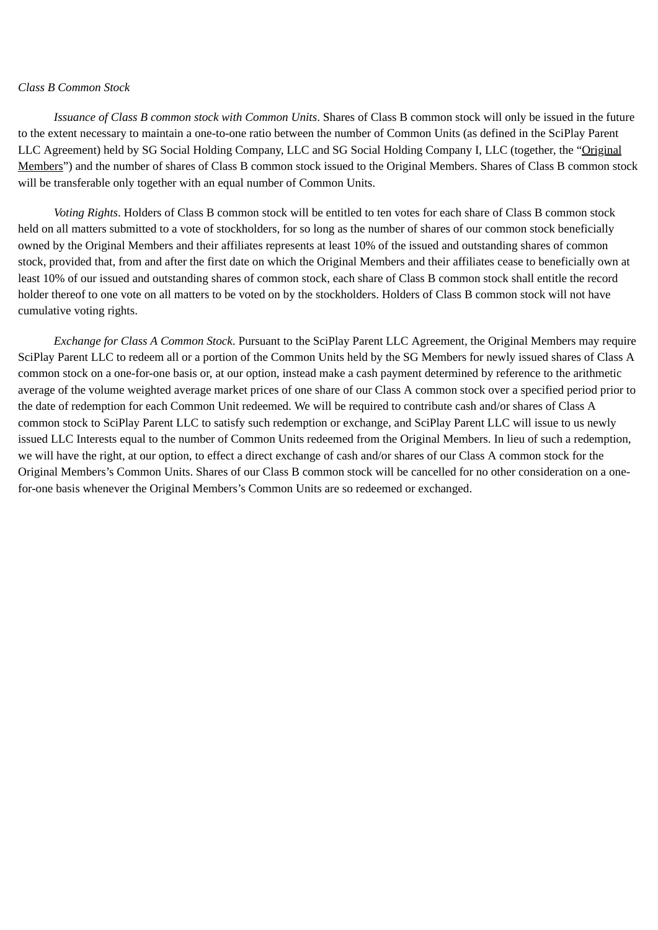## *Class B Common Stock*

*Issuance of Class B common stock with Common Units*. Shares of Class B common stock will only be issued in the future to the extent necessary to maintain a one-to-one ratio between the number of Common Units (as defined in the SciPlay Parent LLC Agreement) held by SG Social Holding Company, LLC and SG Social Holding Company I, LLC (together, the "Original Members") and the number of shares of Class B common stock issued to the Original Members. Shares of Class B common stock will be transferable only together with an equal number of Common Units.

*Voting Rights*. Holders of Class B common stock will be entitled to ten votes for each share of Class B common stock held on all matters submitted to a vote of stockholders, for so long as the number of shares of our common stock beneficially owned by the Original Members and their affiliates represents at least 10% of the issued and outstanding shares of common stock, provided that, from and after the first date on which the Original Members and their affiliates cease to beneficially own at least 10% of our issued and outstanding shares of common stock, each share of Class B common stock shall entitle the record holder thereof to one vote on all matters to be voted on by the stockholders. Holders of Class B common stock will not have cumulative voting rights.

*Exchange for Class A Common Stock*. Pursuant to the SciPlay Parent LLC Agreement, the Original Members may require SciPlay Parent LLC to redeem all or a portion of the Common Units held by the SG Members for newly issued shares of Class A common stock on a one-for-one basis or, at our option, instead make a cash payment determined by reference to the arithmetic average of the volume weighted average market prices of one share of our Class A common stock over a specified period prior to the date of redemption for each Common Unit redeemed. We will be required to contribute cash and/or shares of Class A common stock to SciPlay Parent LLC to satisfy such redemption or exchange, and SciPlay Parent LLC will issue to us newly issued LLC Interests equal to the number of Common Units redeemed from the Original Members. In lieu of such a redemption, we will have the right, at our option, to effect a direct exchange of cash and/or shares of our Class A common stock for the Original Members's Common Units. Shares of our Class B common stock will be cancelled for no other consideration on a onefor-one basis whenever the Original Members's Common Units are so redeemed or exchanged.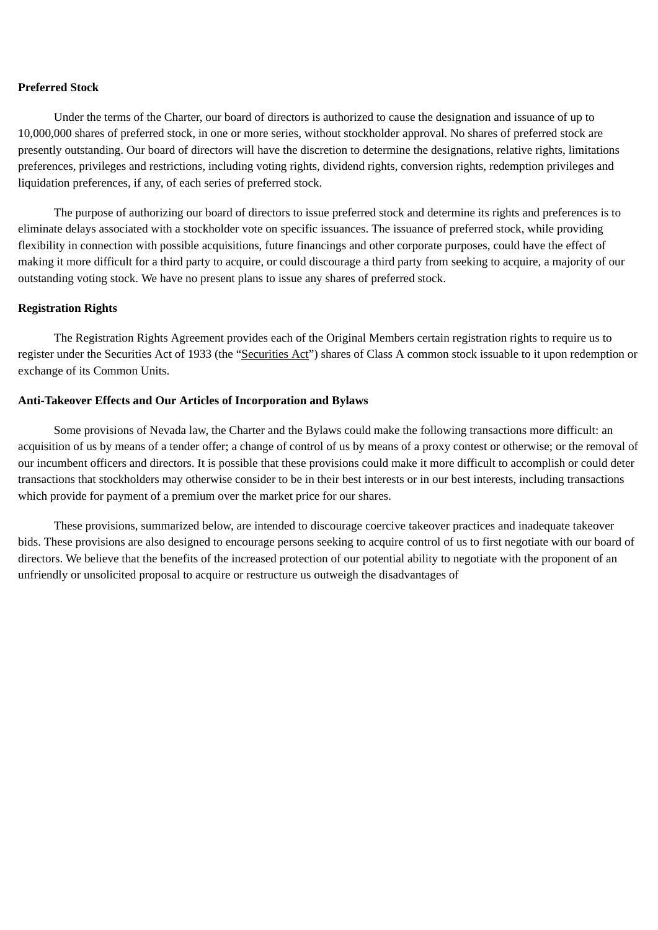## **Preferred Stock**

Under the terms of the Charter, our board of directors is authorized to cause the designation and issuance of up to 10,000,000 shares of preferred stock, in one or more series, without stockholder approval. No shares of preferred stock are presently outstanding. Our board of directors will have the discretion to determine the designations, relative rights, limitations preferences, privileges and restrictions, including voting rights, dividend rights, conversion rights, redemption privileges and liquidation preferences, if any, of each series of preferred stock.

The purpose of authorizing our board of directors to issue preferred stock and determine its rights and preferences is to eliminate delays associated with a stockholder vote on specific issuances. The issuance of preferred stock, while providing flexibility in connection with possible acquisitions, future financings and other corporate purposes, could have the effect of making it more difficult for a third party to acquire, or could discourage a third party from seeking to acquire, a majority of our outstanding voting stock. We have no present plans to issue any shares of preferred stock.

# **Registration Rights**

The Registration Rights Agreement provides each of the Original Members certain registration rights to require us to register under the Securities Act of 1933 (the "Securities Act") shares of Class A common stock issuable to it upon redemption or exchange of its Common Units.

# **Anti-Takeover Effects and Our Articles of Incorporation and Bylaws**

Some provisions of Nevada law, the Charter and the Bylaws could make the following transactions more difficult: an acquisition of us by means of a tender offer; a change of control of us by means of a proxy contest or otherwise; or the removal of our incumbent officers and directors. It is possible that these provisions could make it more difficult to accomplish or could deter transactions that stockholders may otherwise consider to be in their best interests or in our best interests, including transactions which provide for payment of a premium over the market price for our shares.

These provisions, summarized below, are intended to discourage coercive takeover practices and inadequate takeover bids. These provisions are also designed to encourage persons seeking to acquire control of us to first negotiate with our board of directors. We believe that the benefits of the increased protection of our potential ability to negotiate with the proponent of an unfriendly or unsolicited proposal to acquire or restructure us outweigh the disadvantages of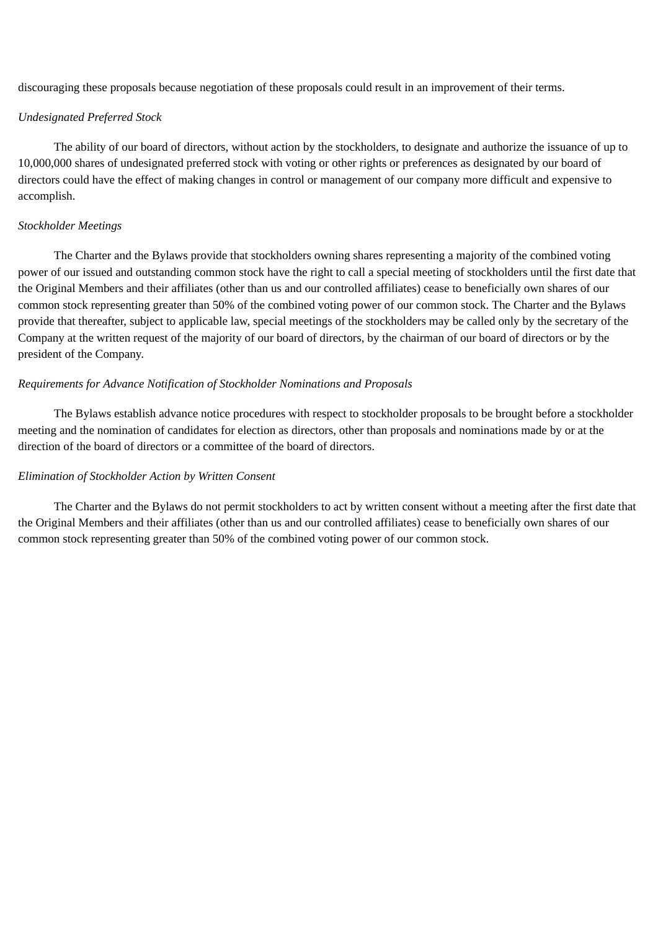discouraging these proposals because negotiation of these proposals could result in an improvement of their terms.

# *Undesignated Preferred Stock*

The ability of our board of directors, without action by the stockholders, to designate and authorize the issuance of up to 10,000,000 shares of undesignated preferred stock with voting or other rights or preferences as designated by our board of directors could have the effect of making changes in control or management of our company more difficult and expensive to accomplish.

# *Stockholder Meetings*

The Charter and the Bylaws provide that stockholders owning shares representing a majority of the combined voting power of our issued and outstanding common stock have the right to call a special meeting of stockholders until the first date that the Original Members and their affiliates (other than us and our controlled affiliates) cease to beneficially own shares of our common stock representing greater than 50% of the combined voting power of our common stock. The Charter and the Bylaws provide that thereafter, subject to applicable law, special meetings of the stockholders may be called only by the secretary of the Company at the written request of the majority of our board of directors, by the chairman of our board of directors or by the president of the Company.

# *Requirements for Advance Notification of Stockholder Nominations and Proposals*

The Bylaws establish advance notice procedures with respect to stockholder proposals to be brought before a stockholder meeting and the nomination of candidates for election as directors, other than proposals and nominations made by or at the direction of the board of directors or a committee of the board of directors.

# *Elimination of Stockholder Action by Written Consent*

The Charter and the Bylaws do not permit stockholders to act by written consent without a meeting after the first date that the Original Members and their affiliates (other than us and our controlled affiliates) cease to beneficially own shares of our common stock representing greater than 50% of the combined voting power of our common stock.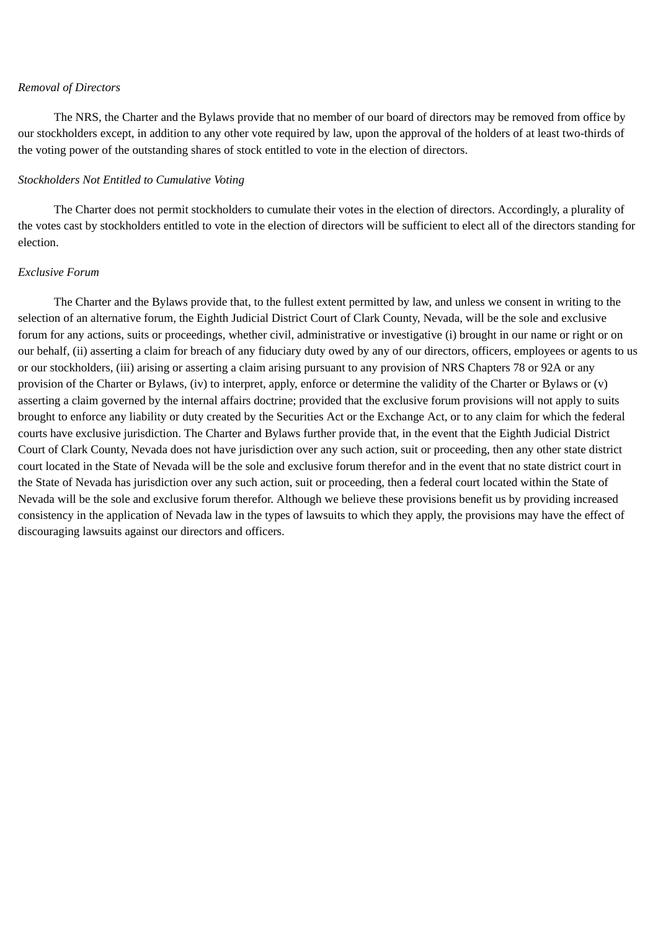## *Removal of Directors*

The NRS, the Charter and the Bylaws provide that no member of our board of directors may be removed from office by our stockholders except, in addition to any other vote required by law, upon the approval of the holders of at least two-thirds of the voting power of the outstanding shares of stock entitled to vote in the election of directors.

## *Stockholders Not Entitled to Cumulative Voting*

The Charter does not permit stockholders to cumulate their votes in the election of directors. Accordingly, a plurality of the votes cast by stockholders entitled to vote in the election of directors will be sufficient to elect all of the directors standing for election.

# *Exclusive Forum*

The Charter and the Bylaws provide that, to the fullest extent permitted by law, and unless we consent in writing to the selection of an alternative forum, the Eighth Judicial District Court of Clark County, Nevada, will be the sole and exclusive forum for any actions, suits or proceedings, whether civil, administrative or investigative (i) brought in our name or right or on our behalf, (ii) asserting a claim for breach of any fiduciary duty owed by any of our directors, officers, employees or agents to us or our stockholders, (iii) arising or asserting a claim arising pursuant to any provision of NRS Chapters 78 or 92A or any provision of the Charter or Bylaws, (iv) to interpret, apply, enforce or determine the validity of the Charter or Bylaws or (v) asserting a claim governed by the internal affairs doctrine; provided that the exclusive forum provisions will not apply to suits brought to enforce any liability or duty created by the Securities Act or the Exchange Act, or to any claim for which the federal courts have exclusive jurisdiction. The Charter and Bylaws further provide that, in the event that the Eighth Judicial District Court of Clark County, Nevada does not have jurisdiction over any such action, suit or proceeding, then any other state district court located in the State of Nevada will be the sole and exclusive forum therefor and in the event that no state district court in the State of Nevada has jurisdiction over any such action, suit or proceeding, then a federal court located within the State of Nevada will be the sole and exclusive forum therefor. Although we believe these provisions benefit us by providing increased consistency in the application of Nevada law in the types of lawsuits to which they apply, the provisions may have the effect of discouraging lawsuits against our directors and officers.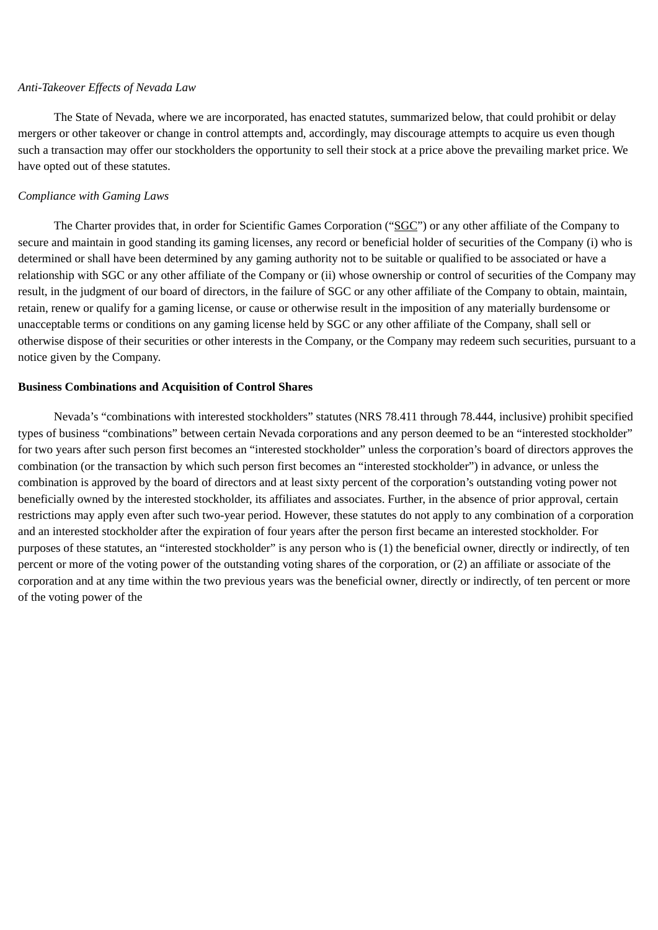## *Anti-Takeover Effects of Nevada Law*

The State of Nevada, where we are incorporated, has enacted statutes, summarized below, that could prohibit or delay mergers or other takeover or change in control attempts and, accordingly, may discourage attempts to acquire us even though such a transaction may offer our stockholders the opportunity to sell their stock at a price above the prevailing market price. We have opted out of these statutes.

# *Compliance with Gaming Laws*

The Charter provides that, in order for Scientific Games Corporation ("SGC") or any other affiliate of the Company to secure and maintain in good standing its gaming licenses, any record or beneficial holder of securities of the Company (i) who is determined or shall have been determined by any gaming authority not to be suitable or qualified to be associated or have a relationship with SGC or any other affiliate of the Company or (ii) whose ownership or control of securities of the Company may result, in the judgment of our board of directors, in the failure of SGC or any other affiliate of the Company to obtain, maintain, retain, renew or qualify for a gaming license, or cause or otherwise result in the imposition of any materially burdensome or unacceptable terms or conditions on any gaming license held by SGC or any other affiliate of the Company, shall sell or otherwise dispose of their securities or other interests in the Company, or the Company may redeem such securities, pursuant to a notice given by the Company.

# **Business Combinations and Acquisition of Control Shares**

Nevada's "combinations with interested stockholders" statutes (NRS 78.411 through 78.444, inclusive) prohibit specified types of business "combinations" between certain Nevada corporations and any person deemed to be an "interested stockholder" for two years after such person first becomes an "interested stockholder" unless the corporation's board of directors approves the combination (or the transaction by which such person first becomes an "interested stockholder") in advance, or unless the combination is approved by the board of directors and at least sixty percent of the corporation's outstanding voting power not beneficially owned by the interested stockholder, its affiliates and associates. Further, in the absence of prior approval, certain restrictions may apply even after such two-year period. However, these statutes do not apply to any combination of a corporation and an interested stockholder after the expiration of four years after the person first became an interested stockholder. For purposes of these statutes, an "interested stockholder" is any person who is (1) the beneficial owner, directly or indirectly, of ten percent or more of the voting power of the outstanding voting shares of the corporation, or (2) an affiliate or associate of the corporation and at any time within the two previous years was the beneficial owner, directly or indirectly, of ten percent or more of the voting power of the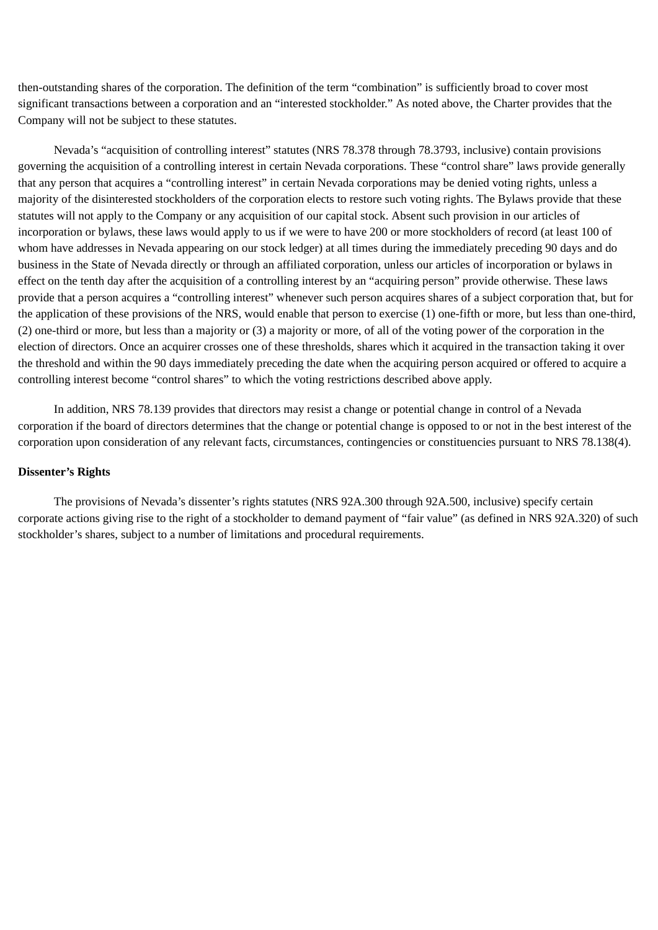then-outstanding shares of the corporation. The definition of the term "combination" is sufficiently broad to cover most significant transactions between a corporation and an "interested stockholder." As noted above, the Charter provides that the Company will not be subject to these statutes.

Nevada's "acquisition of controlling interest" statutes (NRS 78.378 through 78.3793, inclusive) contain provisions governing the acquisition of a controlling interest in certain Nevada corporations. These "control share" laws provide generally that any person that acquires a "controlling interest" in certain Nevada corporations may be denied voting rights, unless a majority of the disinterested stockholders of the corporation elects to restore such voting rights. The Bylaws provide that these statutes will not apply to the Company or any acquisition of our capital stock. Absent such provision in our articles of incorporation or bylaws, these laws would apply to us if we were to have 200 or more stockholders of record (at least 100 of whom have addresses in Nevada appearing on our stock ledger) at all times during the immediately preceding 90 days and do business in the State of Nevada directly or through an affiliated corporation, unless our articles of incorporation or bylaws in effect on the tenth day after the acquisition of a controlling interest by an "acquiring person" provide otherwise. These laws provide that a person acquires a "controlling interest" whenever such person acquires shares of a subject corporation that, but for the application of these provisions of the NRS, would enable that person to exercise (1) one-fifth or more, but less than one-third, (2) one-third or more, but less than a majority or (3) a majority or more, of all of the voting power of the corporation in the election of directors. Once an acquirer crosses one of these thresholds, shares which it acquired in the transaction taking it over the threshold and within the 90 days immediately preceding the date when the acquiring person acquired or offered to acquire a controlling interest become "control shares" to which the voting restrictions described above apply.

In addition, NRS 78.139 provides that directors may resist a change or potential change in control of a Nevada corporation if the board of directors determines that the change or potential change is opposed to or not in the best interest of the corporation upon consideration of any relevant facts, circumstances, contingencies or constituencies pursuant to NRS 78.138(4).

## **Dissenter's Rights**

The provisions of Nevada's dissenter's rights statutes (NRS 92A.300 through 92A.500, inclusive) specify certain corporate actions giving rise to the right of a stockholder to demand payment of "fair value" (as defined in NRS 92A.320) of such stockholder's shares, subject to a number of limitations and procedural requirements.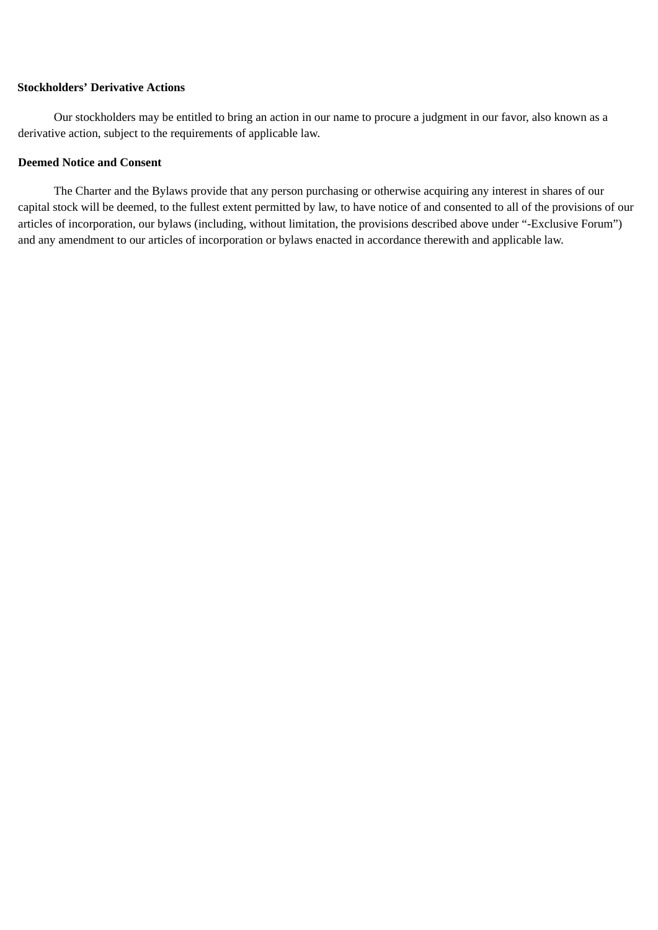# **Stockholders' Derivative Actions**

Our stockholders may be entitled to bring an action in our name to procure a judgment in our favor, also known as a derivative action, subject to the requirements of applicable law.

# **Deemed Notice and Consent**

The Charter and the Bylaws provide that any person purchasing or otherwise acquiring any interest in shares of our capital stock will be deemed, to the fullest extent permitted by law, to have notice of and consented to all of the provisions of our articles of incorporation, our bylaws (including, without limitation, the provisions described above under "-Exclusive Forum") and any amendment to our articles of incorporation or bylaws enacted in accordance therewith and applicable law.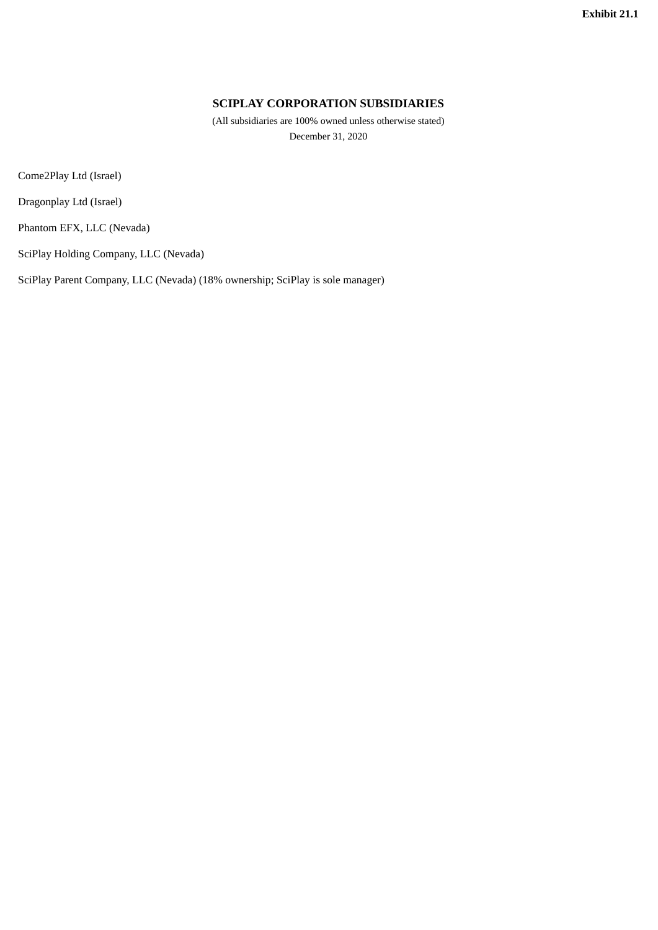# **SCIPLAY CORPORATION SUBSIDIARIES**

(All subsidiaries are 100% owned unless otherwise stated) December 31, 2020

<span id="page-93-0"></span>Come2Play Ltd (Israel)

Dragonplay Ltd (Israel)

Phantom EFX, LLC (Nevada)

SciPlay Holding Company, LLC (Nevada)

SciPlay Parent Company, LLC (Nevada) (18% ownership; SciPlay is sole manager)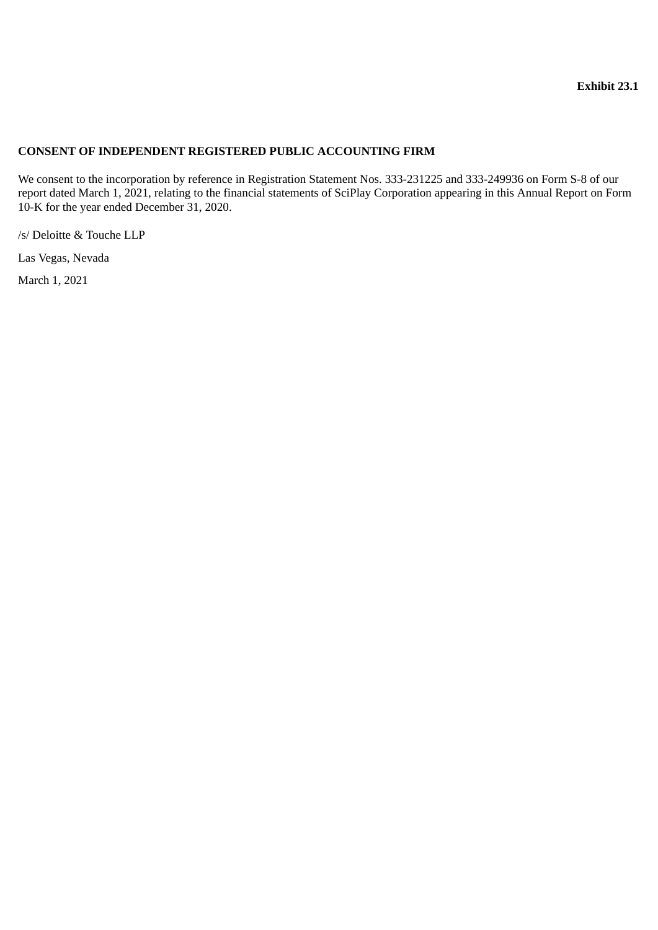# <span id="page-94-0"></span>**CONSENT OF INDEPENDENT REGISTERED PUBLIC ACCOUNTING FIRM**

We consent to the incorporation by reference in Registration Statement Nos. 333-231225 and 333-249936 on Form S-8 of our report dated March 1, 2021, relating to the financial statements of SciPlay Corporation appearing in this Annual Report on Form 10-K for the year ended December 31, 2020.

/s/ Deloitte & Touche LLP

Las Vegas, Nevada

March 1, 2021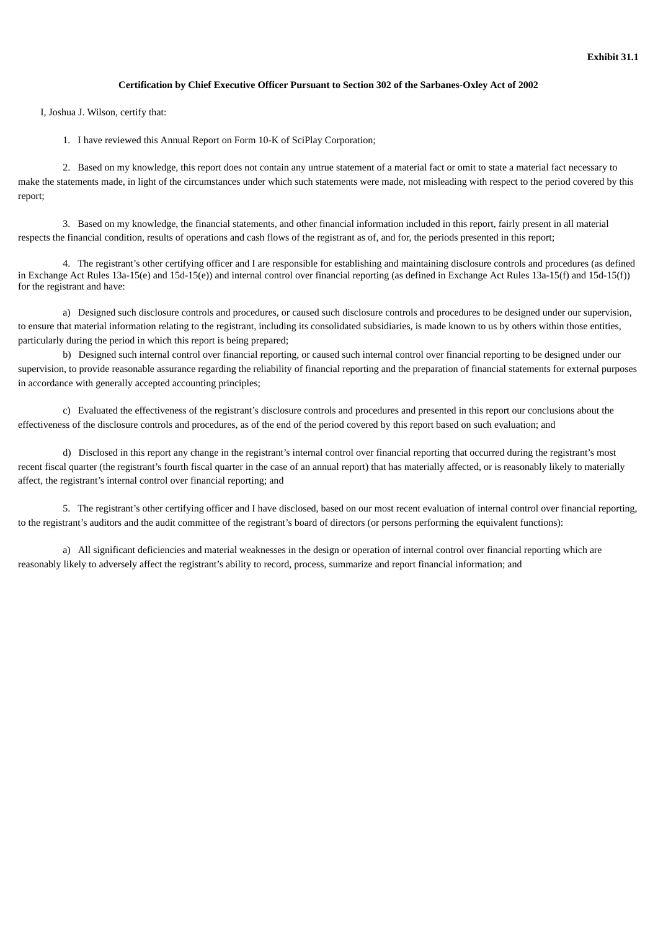#### **Certification by Chief Executive Officer Pursuant to Section 302 of the Sarbanes-Oxley Act of 2002**

<span id="page-95-0"></span>I, Joshua J. Wilson, certify that:

1. I have reviewed this Annual Report on Form 10-K of SciPlay Corporation;

2. Based on my knowledge, this report does not contain any untrue statement of a material fact or omit to state a material fact necessary to make the statements made, in light of the circumstances under which such statements were made, not misleading with respect to the period covered by this report;

3. Based on my knowledge, the financial statements, and other financial information included in this report, fairly present in all material respects the financial condition, results of operations and cash flows of the registrant as of, and for, the periods presented in this report;

4. The registrant's other certifying officer and I are responsible for establishing and maintaining disclosure controls and procedures (as defined in Exchange Act Rules 13a-15(e) and 15d-15(e)) and internal control over financial reporting (as defined in Exchange Act Rules 13a-15(f) and 15d-15(f)) for the registrant and have:

a) Designed such disclosure controls and procedures, or caused such disclosure controls and procedures to be designed under our supervision, to ensure that material information relating to the registrant, including its consolidated subsidiaries, is made known to us by others within those entities, particularly during the period in which this report is being prepared;

b) Designed such internal control over financial reporting, or caused such internal control over financial reporting to be designed under our supervision, to provide reasonable assurance regarding the reliability of financial reporting and the preparation of financial statements for external purposes in accordance with generally accepted accounting principles;

c) Evaluated the effectiveness of the registrant's disclosure controls and procedures and presented in this report our conclusions about the effectiveness of the disclosure controls and procedures, as of the end of the period covered by this report based on such evaluation; and

d) Disclosed in this report any change in the registrant's internal control over financial reporting that occurred during the registrant's most recent fiscal quarter (the registrant's fourth fiscal quarter in the case of an annual report) that has materially affected, or is reasonably likely to materially affect, the registrant's internal control over financial reporting; and

5. The registrant's other certifying officer and I have disclosed, based on our most recent evaluation of internal control over financial reporting, to the registrant's auditors and the audit committee of the registrant's board of directors (or persons performing the equivalent functions):

a) All significant deficiencies and material weaknesses in the design or operation of internal control over financial reporting which are reasonably likely to adversely affect the registrant's ability to record, process, summarize and report financial information; and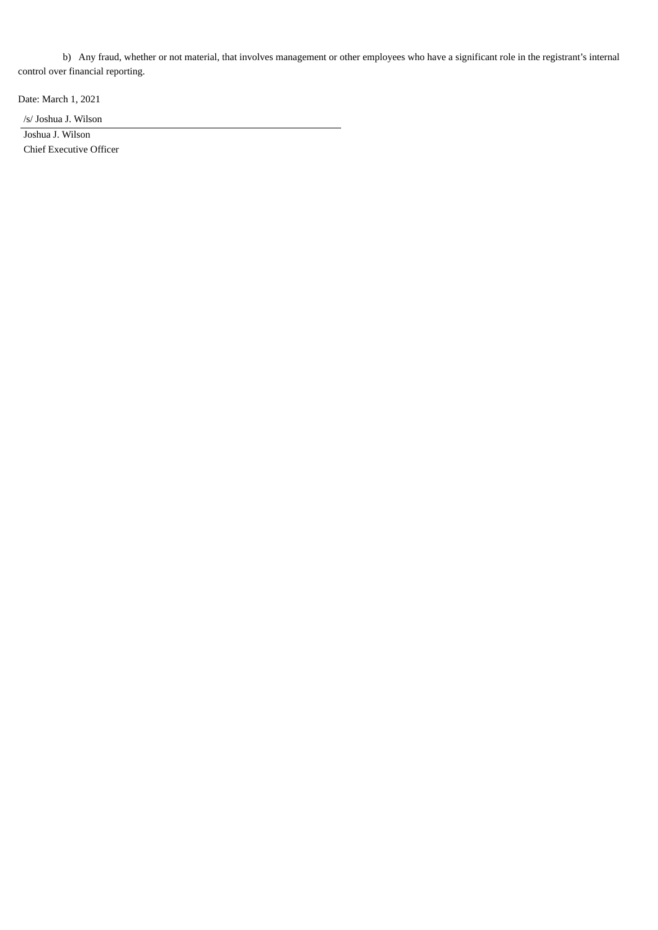b) Any fraud, whether or not material, that involves management or other employees who have a significant role in the registrant's internal control over financial reporting.

Date: March 1, 2021

/s/ Joshua J. Wilson

Joshua J. Wilson Chief Executive Officer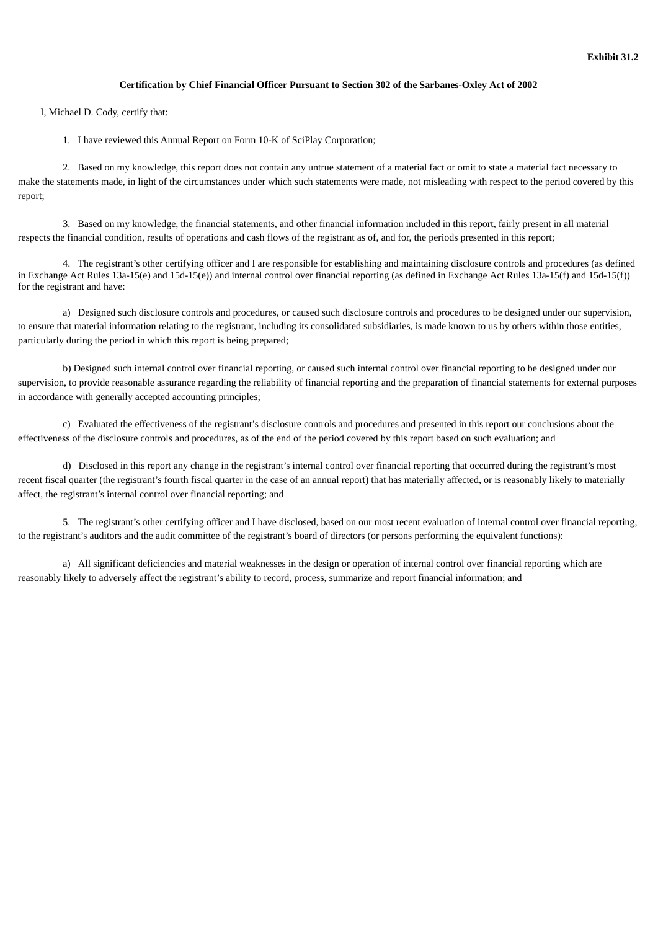#### **Certification by Chief Financial Officer Pursuant to Section 302 of the Sarbanes-Oxley Act of 2002**

<span id="page-97-0"></span>I, Michael D. Cody, certify that:

1. I have reviewed this Annual Report on Form 10-K of SciPlay Corporation;

2. Based on my knowledge, this report does not contain any untrue statement of a material fact or omit to state a material fact necessary to make the statements made, in light of the circumstances under which such statements were made, not misleading with respect to the period covered by this report;

3. Based on my knowledge, the financial statements, and other financial information included in this report, fairly present in all material respects the financial condition, results of operations and cash flows of the registrant as of, and for, the periods presented in this report;

4. The registrant's other certifying officer and I are responsible for establishing and maintaining disclosure controls and procedures (as defined in Exchange Act Rules 13a-15(e) and 15d-15(e)) and internal control over financial reporting (as defined in Exchange Act Rules 13a-15(f) and 15d-15(f)) for the registrant and have:

a) Designed such disclosure controls and procedures, or caused such disclosure controls and procedures to be designed under our supervision, to ensure that material information relating to the registrant, including its consolidated subsidiaries, is made known to us by others within those entities, particularly during the period in which this report is being prepared;

b) Designed such internal control over financial reporting, or caused such internal control over financial reporting to be designed under our supervision, to provide reasonable assurance regarding the reliability of financial reporting and the preparation of financial statements for external purposes in accordance with generally accepted accounting principles;

c) Evaluated the effectiveness of the registrant's disclosure controls and procedures and presented in this report our conclusions about the effectiveness of the disclosure controls and procedures, as of the end of the period covered by this report based on such evaluation; and

d) Disclosed in this report any change in the registrant's internal control over financial reporting that occurred during the registrant's most recent fiscal quarter (the registrant's fourth fiscal quarter in the case of an annual report) that has materially affected, or is reasonably likely to materially affect, the registrant's internal control over financial reporting; and

5. The registrant's other certifying officer and I have disclosed, based on our most recent evaluation of internal control over financial reporting, to the registrant's auditors and the audit committee of the registrant's board of directors (or persons performing the equivalent functions):

a) All significant deficiencies and material weaknesses in the design or operation of internal control over financial reporting which are reasonably likely to adversely affect the registrant's ability to record, process, summarize and report financial information; and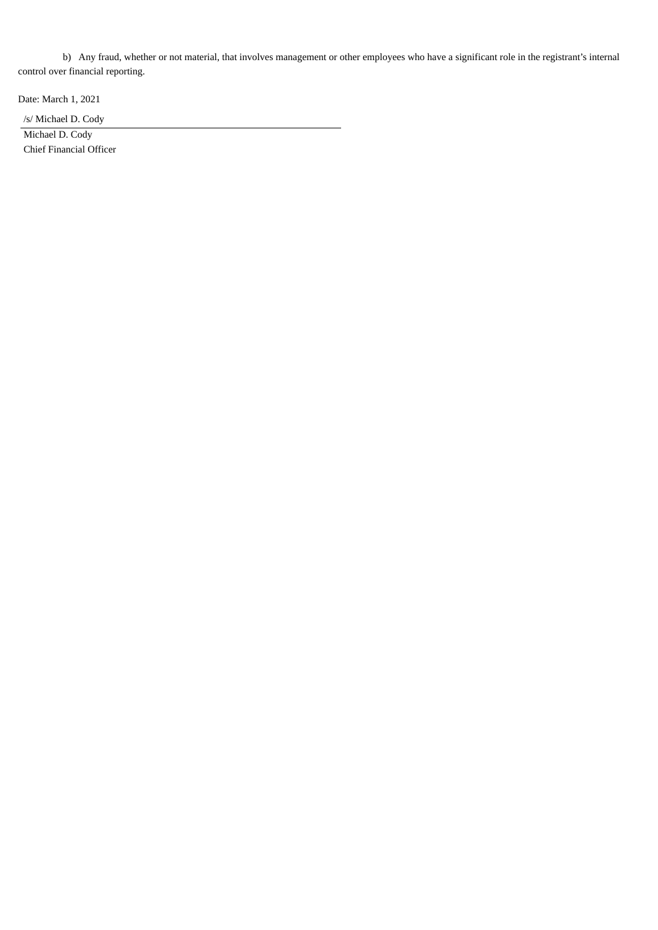b) Any fraud, whether or not material, that involves management or other employees who have a significant role in the registrant's internal control over financial reporting.

Date: March 1, 2021

/s/ Michael D. Cody

Michael D. Cody Chief Financial Officer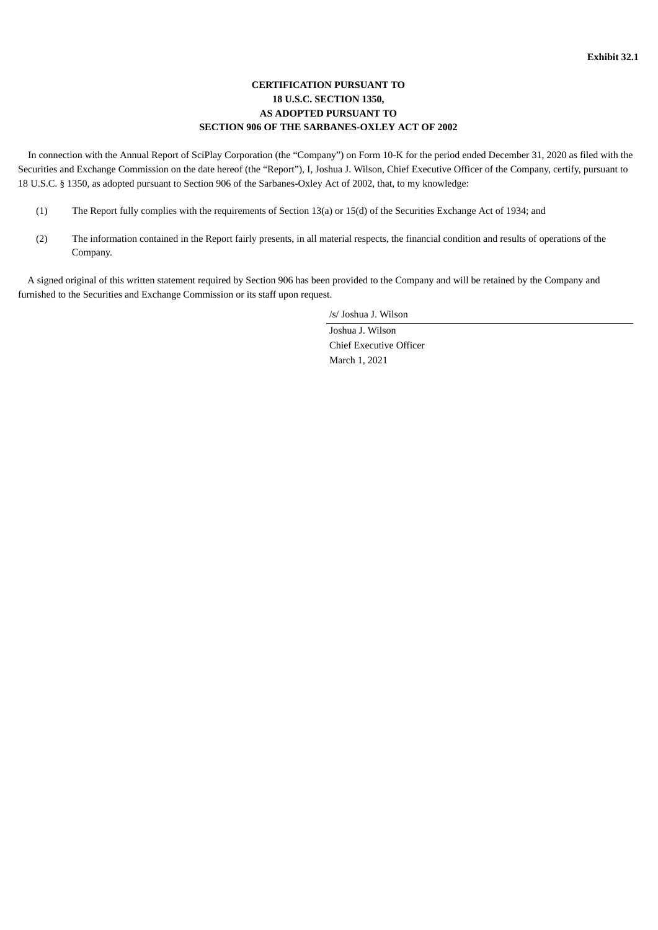# **CERTIFICATION PURSUANT TO 18 U.S.C. SECTION 1350, AS ADOPTED PURSUANT TO SECTION 906 OF THE SARBANES-OXLEY ACT OF 2002**

<span id="page-99-0"></span>In connection with the Annual Report of SciPlay Corporation (the "Company") on Form 10-K for the period ended December 31, 2020 as filed with the Securities and Exchange Commission on the date hereof (the "Report"), I, Joshua J. Wilson, Chief Executive Officer of the Company, certify, pursuant to 18 U.S.C. § 1350, as adopted pursuant to Section 906 of the Sarbanes-Oxley Act of 2002, that, to my knowledge:

- (1) The Report fully complies with the requirements of Section 13(a) or 15(d) of the Securities Exchange Act of 1934; and
- (2) The information contained in the Report fairly presents, in all material respects, the financial condition and results of operations of the Company.

A signed original of this written statement required by Section 906 has been provided to the Company and will be retained by the Company and furnished to the Securities and Exchange Commission or its staff upon request.

/s/ Joshua J. Wilson

Joshua J. Wilson Chief Executive Officer March 1, 2021